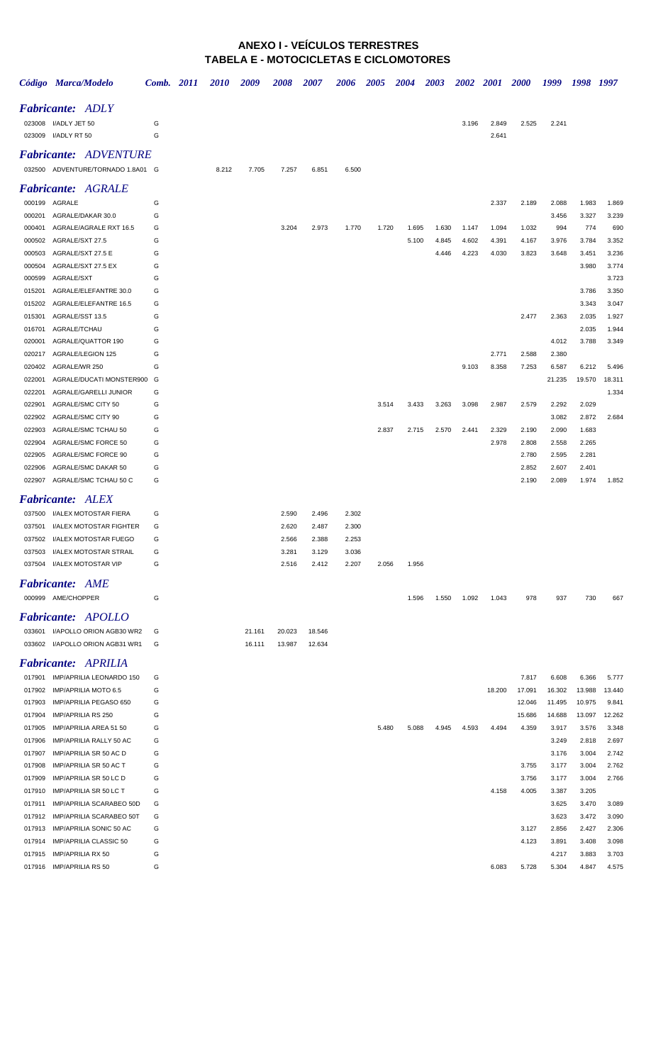#### **ANEXO I - VEÍCULOS TERRESTRES TABELA E - MOTOCICLETAS E CICLOMOTORES**

|                  | Código Marca/Modelo                                  | Comb. 2011 | 2010  | 2009   | 2008   | 2007   | 2006  | 2005  | 2004  | 2003  | <b>2002</b> | <b>2001</b> | <b>2000</b> | 1999           | 1998           | 1997            |
|------------------|------------------------------------------------------|------------|-------|--------|--------|--------|-------|-------|-------|-------|-------------|-------------|-------------|----------------|----------------|-----------------|
|                  | <b>Fabricante:</b> ADLY                              |            |       |        |        |        |       |       |       |       |             |             |             |                |                |                 |
|                  | 023008 I/ADLY JET 50                                 | G          |       |        |        |        |       |       |       |       | 3.196       | 2.849       | 2.525       | 2.241          |                |                 |
|                  | 023009 I/ADLY RT 50                                  | G          |       |        |        |        |       |       |       |       |             | 2.641       |             |                |                |                 |
|                  | <b>Fabricante: ADVENTURE</b>                         |            |       |        |        |        |       |       |       |       |             |             |             |                |                |                 |
|                  | 032500 ADVENTURE/TORNADO 1.8A01 G                    |            | 8.212 | 7.705  | 7.257  | 6.851  | 6.500 |       |       |       |             |             |             |                |                |                 |
|                  |                                                      |            |       |        |        |        |       |       |       |       |             |             |             |                |                |                 |
|                  | <b>Fabricante:</b> AGRALE                            |            |       |        |        |        |       |       |       |       |             |             |             |                |                |                 |
| 000201           | 000199 AGRALE<br>AGRALE/DAKAR 30.0                   | G<br>G     |       |        |        |        |       |       |       |       |             | 2.337       | 2.189       | 2.088<br>3.456 | 1.983<br>3.327 | 1.869<br>3.239  |
| 000401           | AGRALE/AGRALE RXT 16.5                               | G          |       |        | 3.204  | 2.973  | 1.770 | 1.720 | 1.695 | 1.630 | 1.147       | 1.094       | 1.032       | 994            | 774            | 690             |
| 000502           | AGRALE/SXT 27.5                                      | G          |       |        |        |        |       |       | 5.100 | 4.845 | 4.602       | 4.391       | 4.167       | 3.976          | 3.784          | 3.352           |
| 000503           | AGRALE/SXT 27.5 E                                    | G          |       |        |        |        |       |       |       | 4.446 | 4.223       | 4.030       | 3.823       | 3.648          | 3.451          | 3.236           |
| 000504           | AGRALE/SXT 27.5 EX                                   | G          |       |        |        |        |       |       |       |       |             |             |             |                | 3.980          | 3.774           |
| 000599           | AGRALE/SXT                                           | G          |       |        |        |        |       |       |       |       |             |             |             |                |                | 3.723           |
| 015201           | AGRALE/ELEFANTRE 30.0                                | G          |       |        |        |        |       |       |       |       |             |             |             |                | 3.786          | 3.350           |
| 015202           | AGRALE/ELEFANTRE 16.5                                | G          |       |        |        |        |       |       |       |       |             |             |             |                | 3.343          | 3.047           |
| 015301           | AGRALE/SST 13.5                                      | G          |       |        |        |        |       |       |       |       |             |             | 2.477       | 2.363          | 2.035          | 1.927           |
| 016701           | AGRALE/TCHAU                                         | G          |       |        |        |        |       |       |       |       |             |             |             |                | 2.035          | 1.944           |
| 020001           | AGRALE/QUATTOR 190                                   | G          |       |        |        |        |       |       |       |       |             |             |             | 4.012          | 3.788          | 3.349           |
| 020217           | AGRALE/LEGION 125                                    | G          |       |        |        |        |       |       |       |       |             | 2.771       | 2.588       | 2.380          |                |                 |
| 020402           | AGRALE/WR 250                                        | G          |       |        |        |        |       |       |       |       | 9.103       | 8.358       | 7.253       | 6.587          | 6.212          | 5.496           |
| 022001<br>022201 | AGRALE/DUCATI MONSTER900 G<br>AGRALE/GARELLI JUNIOR  | G          |       |        |        |        |       |       |       |       |             |             |             | 21.235         | 19.570         | 18.311<br>1.334 |
| 022901           | AGRALE/SMC CITY 50                                   | G          |       |        |        |        |       | 3.514 | 3.433 | 3.263 | 3.098       | 2.987       | 2.579       | 2.292          | 2.029          |                 |
| 022902           | AGRALE/SMC CITY 90                                   | G          |       |        |        |        |       |       |       |       |             |             |             | 3.082          | 2.872          | 2.684           |
| 022903           | AGRALE/SMC TCHAU 50                                  | G          |       |        |        |        |       | 2.837 | 2.715 | 2.570 | 2.441       | 2.329       | 2.190       | 2.090          | 1.683          |                 |
| 022904           | AGRALE/SMC FORCE 50                                  | G          |       |        |        |        |       |       |       |       |             | 2.978       | 2.808       | 2.558          | 2.265          |                 |
| 022905           | AGRALE/SMC FORCE 90                                  | G          |       |        |        |        |       |       |       |       |             |             | 2.780       | 2.595          | 2.281          |                 |
| 022906           | AGRALE/SMC DAKAR 50                                  | G          |       |        |        |        |       |       |       |       |             |             | 2.852       | 2.607          | 2.401          |                 |
| 022907           | AGRALE/SMC TCHAU 50 C                                | G          |       |        |        |        |       |       |       |       |             |             | 2.190       | 2.089          | 1.974          | 1.852           |
|                  | <b>Fabricante: ALEX</b>                              |            |       |        |        |        |       |       |       |       |             |             |             |                |                |                 |
|                  | 037500 I/ALEX MOTOSTAR FIERA                         | G          |       |        | 2.590  | 2.496  | 2.302 |       |       |       |             |             |             |                |                |                 |
| 037501           | I/ALEX MOTOSTAR FIGHTER                              | G          |       |        | 2.620  | 2.487  | 2.300 |       |       |       |             |             |             |                |                |                 |
|                  | 037502 I/ALEX MOTOSTAR FUEGO                         | G          |       |        | 2.566  | 2.388  | 2.253 |       |       |       |             |             |             |                |                |                 |
|                  | 037503 I/ALEX MOTOSTAR STRAIL                        |            |       |        | 3.281  | 3.129  | 3.036 |       |       |       |             |             |             |                |                |                 |
|                  | 037504 I/ALEX MOTOSTAR VIP                           | G          |       |        | 2.516  | 2.412  | 2.207 | 2.056 | 1.956 |       |             |             |             |                |                |                 |
|                  |                                                      |            |       |        |        |        |       |       |       |       |             |             |             |                |                |                 |
|                  | <b>Fabricante:</b> AME                               |            |       |        |        |        |       |       |       |       |             |             |             |                |                |                 |
|                  | 000999 AME/CHOPPER                                   | G          |       |        |        |        |       |       | 1.596 | 1.550 | 1.092       | 1.043       | 978         | 937            | 730            | 667             |
|                  | <b>Fabricante:</b> APOLLO                            |            |       |        |        |        |       |       |       |       |             |             |             |                |                |                 |
|                  | 033601 I/APOLLO ORION AGB30 WR2                      | G          |       | 21.161 | 20.023 | 18.546 |       |       |       |       |             |             |             |                |                |                 |
|                  | 033602 I/APOLLO ORION AGB31 WR1                      | G          |       | 16.111 | 13.987 | 12.634 |       |       |       |       |             |             |             |                |                |                 |
|                  | <b>Fabricante: APRILIA</b>                           |            |       |        |        |        |       |       |       |       |             |             |             |                |                |                 |
|                  | 017901 IMP/APRILIA LEONARDO 150                      | G          |       |        |        |        |       |       |       |       |             |             | 7.817       | 6.608          | 6.366          | 5.777           |
| 017902           | IMP/APRILIA MOTO 6.5                                 | G          |       |        |        |        |       |       |       |       |             | 18.200      | 17.091      | 16.302         | 13.988         | 13.440          |
| 017903           | IMP/APRILIA PEGASO 650                               | G          |       |        |        |        |       |       |       |       |             |             | 12.046      | 11.495         | 10.975         | 9.841           |
| 017904           | IMP/APRILIA RS 250                                   | G          |       |        |        |        |       |       |       |       |             |             | 15.686      | 14.688         | 13.097         | 12.262          |
| 017905           | IMP/APRILIA AREA 51 50                               | G          |       |        |        |        |       | 5.480 | 5.088 | 4.945 | 4.593       | 4.494       | 4.359       | 3.917          | 3.576          | 3.348           |
| 017906           | IMP/APRILIA RALLY 50 AC                              | G          |       |        |        |        |       |       |       |       |             |             |             | 3.249          | 2.818          | 2.697           |
| 017907           | IMP/APRILIA SR 50 AC D                               | G          |       |        |        |        |       |       |       |       |             |             |             | 3.176          | 3.004          | 2.742           |
| 017908           | IMP/APRILIA SR 50 AC T                               | G          |       |        |        |        |       |       |       |       |             |             | 3.755       | 3.177          | 3.004          | 2.762           |
| 017909           | IMP/APRILIA SR 50 LC D                               | G          |       |        |        |        |       |       |       |       |             |             | 3.756       | 3.177          | 3.004          | 2.766           |
| 017910           | IMP/APRILIA SR 50 LC T                               | G          |       |        |        |        |       |       |       |       |             | 4.158       | 4.005       | 3.387          | 3.205          |                 |
| 017911           | IMP/APRILIA SCARABEO 50D                             | G          |       |        |        |        |       |       |       |       |             |             |             | 3.625          | 3.470          | 3.089           |
|                  | 017912 IMP/APRILIA SCARABEO 50T                      | G          |       |        |        |        |       |       |       |       |             |             |             | 3.623          | 3.472          | 3.090           |
|                  | 017913 IMP/APRILIA SONIC 50 AC                       | G          |       |        |        |        |       |       |       |       |             |             | 3.127       | 2.856          | 2.427          | 2.306           |
|                  | 017914 IMP/APRILIA CLASSIC 50                        | G          |       |        |        |        |       |       |       |       |             |             | 4.123       | 3.891          | 3.408          | 3.098           |
|                  | 017915 IMP/APRILIA RX 50<br>017916 IMP/APRILIA RS 50 | G<br>G     |       |        |        |        |       |       |       |       |             | 6.083       | 5.728       | 4.217<br>5.304 | 3.883<br>4.847 | 3.703<br>4.575  |
|                  |                                                      |            |       |        |        |        |       |       |       |       |             |             |             |                |                |                 |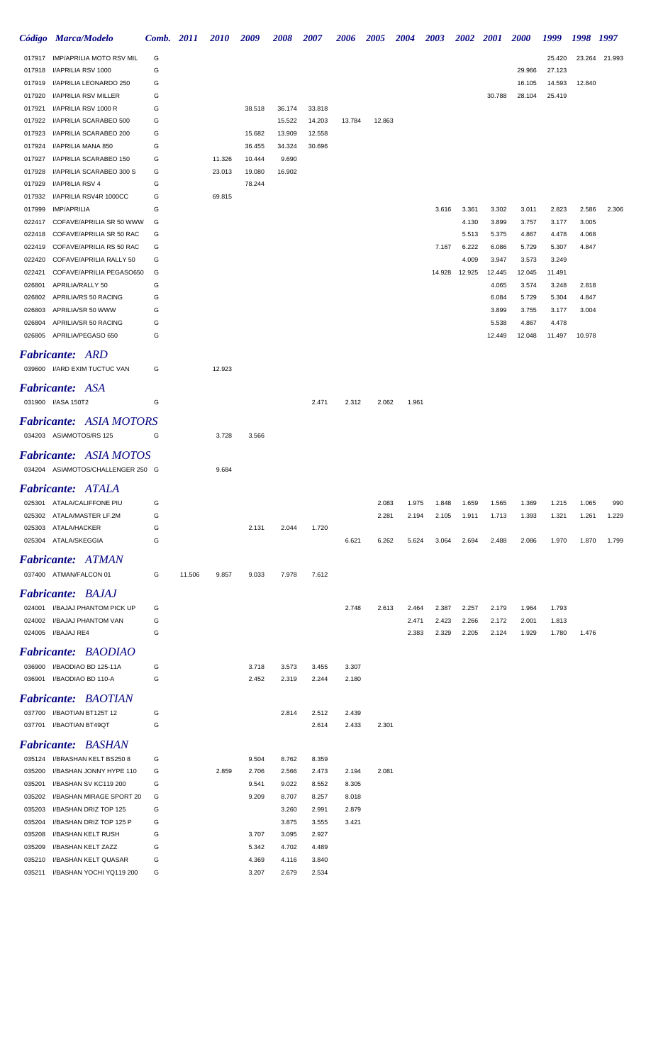|                  | Código Marca/Modelo                                | Comb. 2011 |        | <i>2010</i>      | 2009             | 2008            | <i><b>2007</b></i> | 2006           | 2005   | 2004           | 2003           | <b>2002</b>    | <b>2001</b>    | <b>2000</b>    | 1999           | 1998 1997 |        |
|------------------|----------------------------------------------------|------------|--------|------------------|------------------|-----------------|--------------------|----------------|--------|----------------|----------------|----------------|----------------|----------------|----------------|-----------|--------|
| 017917           | <b>IMP/APRILIA MOTO RSV MIL</b>                    | G          |        |                  |                  |                 |                    |                |        |                |                |                |                |                | 25.420         | 23.264    | 21.993 |
| 017918           | I/APRILIA RSV 1000                                 | G          |        |                  |                  |                 |                    |                |        |                |                |                |                | 29.966         | 27.123         |           |        |
| 017919           | I/APRILIA LEONARDO 250                             | G          |        |                  |                  |                 |                    |                |        |                |                |                |                | 16.105         | 14.593         | 12.840    |        |
| 017920           | I/APRILIA RSV MILLER                               | G          |        |                  |                  |                 |                    |                |        |                |                |                | 30.788         | 28.104         | 25.419         |           |        |
| 017921           | I/APRILIA RSV 1000 R                               | G          |        |                  | 38.518           | 36.174          | 33.818             |                |        |                |                |                |                |                |                |           |        |
| 017922           | I/APRILIA SCARABEO 500                             | G          |        |                  |                  | 15.522          | 14.203             | 13.784         | 12.863 |                |                |                |                |                |                |           |        |
| 017923           | I/APRILIA SCARABEO 200                             | G          |        |                  | 15.682           | 13.909          | 12.558             |                |        |                |                |                |                |                |                |           |        |
| 017924           | I/APRILIA MANA 850                                 | G          |        |                  | 36.455           | 34.324          | 30.696             |                |        |                |                |                |                |                |                |           |        |
| 017927<br>017928 | I/APRILIA SCARABEO 150<br>I/APRILIA SCARABEO 300 S | G<br>G     |        | 11.326<br>23.013 | 10.444<br>19.080 | 9.690<br>16.902 |                    |                |        |                |                |                |                |                |                |           |        |
| 017929           | I/APRILIA RSV 4                                    | G          |        |                  | 78.244           |                 |                    |                |        |                |                |                |                |                |                |           |        |
| 017932           | I/APRILIA RSV4R 1000CC                             | G          |        | 69.815           |                  |                 |                    |                |        |                |                |                |                |                |                |           |        |
| 017999           | <b>IMP/APRILIA</b>                                 | G          |        |                  |                  |                 |                    |                |        |                | 3.616          | 3.361          | 3.302          | 3.011          | 2.823          | 2.586     | 2.306  |
| 022417           | COFAVE/APRILIA SR 50 WWW                           | G          |        |                  |                  |                 |                    |                |        |                |                | 4.130          | 3.899          | 3.757          | 3.177          | 3.005     |        |
| 022418           | COFAVE/APRILIA SR 50 RAC                           | G          |        |                  |                  |                 |                    |                |        |                |                | 5.513          | 5.375          | 4.867          | 4.478          | 4.068     |        |
| 022419           | COFAVE/APRILIA RS 50 RAC                           | G          |        |                  |                  |                 |                    |                |        |                | 7.167          | 6.222          | 6.086          | 5.729          | 5.307          | 4.847     |        |
| 022420           | COFAVE/APRILIA RALLY 50                            | G          |        |                  |                  |                 |                    |                |        |                |                | 4.009          | 3.947          | 3.573          | 3.249          |           |        |
| 022421           | COFAVE/APRILIA PEGASO650                           | G          |        |                  |                  |                 |                    |                |        |                | 14.928         | 12.925         | 12.445         | 12.045         | 11.491         |           |        |
| 026801           | APRILIA/RALLY 50                                   | G          |        |                  |                  |                 |                    |                |        |                |                |                | 4.065          | 3.574          | 3.248          | 2.818     |        |
| 026802           | APRILIA/RS 50 RACING                               | G          |        |                  |                  |                 |                    |                |        |                |                |                | 6.084          | 5.729          | 5.304          | 4.847     |        |
| 026803           | APRILIA/SR 50 WWW                                  | G          |        |                  |                  |                 |                    |                |        |                |                |                | 3.899          | 3.755          | 3.177          | 3.004     |        |
| 026804           | APRILIA/SR 50 RACING                               | G          |        |                  |                  |                 |                    |                |        |                |                |                | 5.538          | 4.867          | 4.478          |           |        |
| 026805           | APRILIA/PEGASO 650                                 | G          |        |                  |                  |                 |                    |                |        |                |                |                | 12.449         | 12.048         | 11.497         | 10.978    |        |
|                  | <b>Fabricante: ARD</b>                             |            |        |                  |                  |                 |                    |                |        |                |                |                |                |                |                |           |        |
|                  | 039600 I/ARD EXIM TUCTUC VAN                       | G          |        | 12.923           |                  |                 |                    |                |        |                |                |                |                |                |                |           |        |
|                  | <b>Fabricante: ASA</b>                             |            |        |                  |                  |                 |                    |                |        |                |                |                |                |                |                |           |        |
|                  |                                                    |            |        |                  |                  |                 |                    |                |        |                |                |                |                |                |                |           |        |
|                  | 031900 I/ASA 150T2                                 | G          |        |                  |                  |                 | 2.471              | 2.312          | 2.062  | 1.961          |                |                |                |                |                |           |        |
|                  | <b>Fabricante: ASIA MOTORS</b>                     |            |        |                  |                  |                 |                    |                |        |                |                |                |                |                |                |           |        |
|                  | 034203 ASIAMOTOS/RS 125                            | G          |        | 3.728            | 3.566            |                 |                    |                |        |                |                |                |                |                |                |           |        |
|                  | <b>Fabricante: ASIA MOTOS</b>                      |            |        |                  |                  |                 |                    |                |        |                |                |                |                |                |                |           |        |
|                  | 034204 ASIAMOTOS/CHALLENGER 250 G                  |            |        | 9.684            |                  |                 |                    |                |        |                |                |                |                |                |                |           |        |
|                  |                                                    |            |        |                  |                  |                 |                    |                |        |                |                |                |                |                |                |           |        |
|                  | Fabricante: ATALA                                  |            |        |                  |                  |                 |                    |                |        |                |                |                |                |                |                |           |        |
| 025301           | ATALA/CALIFFONE PIU                                | G          |        |                  |                  |                 |                    |                | 2.083  | 1.975          | 1.848          | 1.659          | 1.565          | 1.369          | 1.215          | 1.065     | 990    |
| 025302           | ATALA/MASTER LF.2M                                 | G          |        |                  |                  |                 |                    |                | 2.281  | 2.194          | 2.105          | 1.911          | 1.713          | 1.393          | 1.321          | 1.261     | 1.229  |
| 025303           | ATALA/HACKER                                       | G          |        |                  | 2.131            | 2.044           | 1.720              |                |        |                |                |                |                |                |                |           |        |
| 025304           | ATALA/SKEGGIA                                      | G          |        |                  |                  |                 |                    | 6.621          | 6.262  | 5.624          | 3.064          | 2.694          | 2.488          | 2.086          | 1.970          | 1.870     | 1.799  |
|                  | <b>Fabricante: ATMAN</b>                           |            |        |                  |                  |                 |                    |                |        |                |                |                |                |                |                |           |        |
|                  | 037400 ATMAN/FALCON 01                             | G          | 11.506 | 9.857            | 9.033            | 7.978           | 7.612              |                |        |                |                |                |                |                |                |           |        |
|                  | Fabricante: BAJAJ                                  |            |        |                  |                  |                 |                    |                |        |                |                |                |                |                |                |           |        |
|                  |                                                    |            |        |                  |                  |                 |                    |                |        |                |                |                |                |                |                |           |        |
| 024001<br>024002 | I/BAJAJ PHANTOM PICK UP<br>I/BAJAJ PHANTOM VAN     | G<br>G     |        |                  |                  |                 |                    | 2.748          | 2.613  | 2.464<br>2.471 | 2.387<br>2.423 | 2.257<br>2.266 | 2.179<br>2.172 | 1.964<br>2.001 | 1.793<br>1.813 |           |        |
| 024005           | I/BAJAJ RE4                                        | G          |        |                  |                  |                 |                    |                |        | 2.383          | 2.329          | 2.205          | 2.124          | 1.929          | 1.780          | 1.476     |        |
|                  |                                                    |            |        |                  |                  |                 |                    |                |        |                |                |                |                |                |                |           |        |
|                  | Fabricante: BAODIAO                                |            |        |                  |                  |                 |                    |                |        |                |                |                |                |                |                |           |        |
| 036900           | I/BAODIAO BD 125-11A                               | G          |        |                  | 3.718            | 3.573           | 3.455              | 3.307          |        |                |                |                |                |                |                |           |        |
| 036901           | I/BAODIAO BD 110-A                                 | G          |        |                  | 2.452            | 2.319           | 2.244              | 2.180          |        |                |                |                |                |                |                |           |        |
|                  | <b>Fabricante: BAOTIAN</b>                         |            |        |                  |                  |                 |                    |                |        |                |                |                |                |                |                |           |        |
|                  | 037700 I/BAOTIAN BT125T 12                         | G          |        |                  |                  | 2.814           | 2.512              | 2.439          |        |                |                |                |                |                |                |           |        |
| 037701           | I/BAOTIAN BT49QT                                   | G          |        |                  |                  |                 | 2.614              | 2.433          | 2.301  |                |                |                |                |                |                |           |        |
|                  |                                                    |            |        |                  |                  |                 |                    |                |        |                |                |                |                |                |                |           |        |
|                  | <b>Fabricante: BASHAN</b>                          |            |        |                  |                  |                 |                    |                |        |                |                |                |                |                |                |           |        |
| 035124           | I/BRASHAN KELT BS250 8                             | G          |        |                  | 9.504            | 8.762           | 8.359              |                |        |                |                |                |                |                |                |           |        |
| 035200           | I/BASHAN JONNY HYPE 110                            | G          |        | 2.859            | 2.706            | 2.566           | 2.473              | 2.194          | 2.081  |                |                |                |                |                |                |           |        |
| 035201<br>035202 | I/BASHAN SV KC119 200<br>I/BASHAN MIRAGE SPORT 20  | G<br>G     |        |                  | 9.541<br>9.209   | 9.022<br>8.707  | 8.552<br>8.257     | 8.305<br>8.018 |        |                |                |                |                |                |                |           |        |
| 035203           | I/BASHAN DRIZ TOP 125                              | G          |        |                  |                  | 3.260           | 2.991              | 2.879          |        |                |                |                |                |                |                |           |        |
| 035204           | I/BASHAN DRIZ TOP 125 P                            | G          |        |                  |                  | 3.875           | 3.555              | 3.421          |        |                |                |                |                |                |                |           |        |
| 035208           | I/BASHAN KELT RUSH                                 | G          |        |                  | 3.707            | 3.095           | 2.927              |                |        |                |                |                |                |                |                |           |        |
| 035209           | I/BASHAN KELT ZAZZ                                 | G          |        |                  | 5.342            | 4.702           | 4.489              |                |        |                |                |                |                |                |                |           |        |
| 035210           | I/BASHAN KELT QUASAR                               | G          |        |                  | 4.369            | 4.116           | 3.840              |                |        |                |                |                |                |                |                |           |        |
| 035211           | I/BASHAN YOCHI YQ119 200                           | G          |        |                  | 3.207            | 2.679           | 2.534              |                |        |                |                |                |                |                |                |           |        |
|                  |                                                    |            |        |                  |                  |                 |                    |                |        |                |                |                |                |                |                |           |        |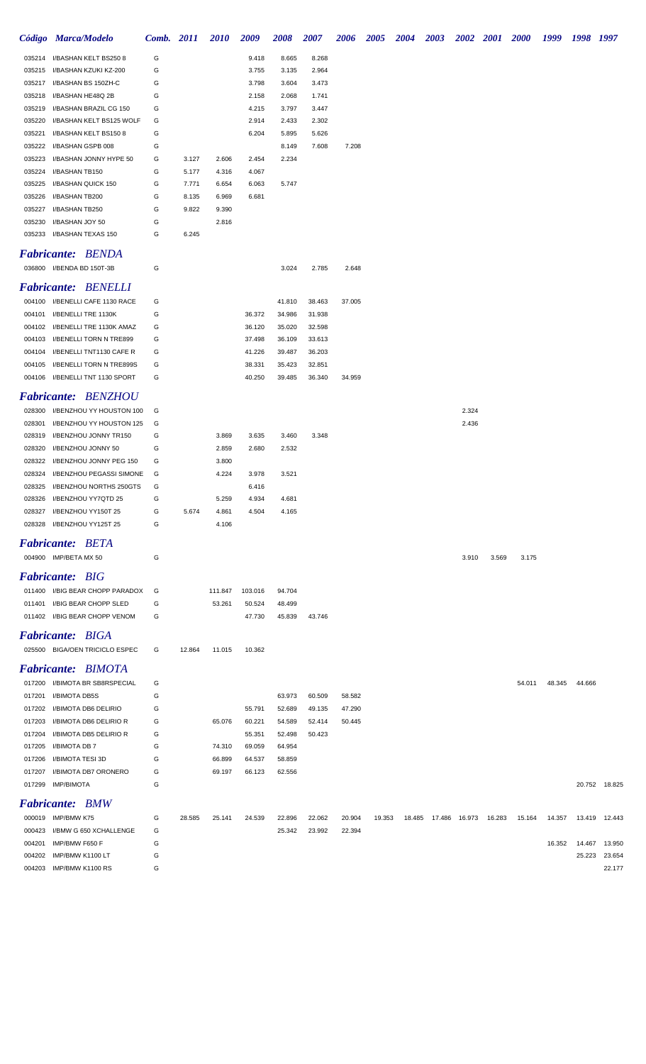|                  | Código Marca/Modelo                                  | Comb. 2011 |        | <b>2010</b> | 2009             | <b>2008</b>      | <b>2007</b>      | <b>2006</b>      | <b>2005</b> | <b>2004</b> | 2003   |        |        | 2002 2001 2000 1999 1998 1997 |        |        |               |
|------------------|------------------------------------------------------|------------|--------|-------------|------------------|------------------|------------------|------------------|-------------|-------------|--------|--------|--------|-------------------------------|--------|--------|---------------|
| 035214           | I/BASHAN KELT BS250 8                                | G          |        |             | 9.418            | 8.665            | 8.268            |                  |             |             |        |        |        |                               |        |        |               |
| 035215           | I/BASHAN KZUKI KZ-200                                | G          |        |             | 3.755            | 3.135            | 2.964            |                  |             |             |        |        |        |                               |        |        |               |
| 035217           | I/BASHAN BS 150ZH-C                                  | G          |        |             | 3.798            | 3.604            | 3.473            |                  |             |             |        |        |        |                               |        |        |               |
| 035218           | I/BASHAN HE48Q 2B                                    | G          |        |             | 2.158            | 2.068            | 1.741            |                  |             |             |        |        |        |                               |        |        |               |
| 035219           | I/BASHAN BRAZIL CG 150                               | G          |        |             | 4.215            | 3.797            | 3.447            |                  |             |             |        |        |        |                               |        |        |               |
| 035220           | I/BASHAN KELT BS125 WOLF                             | G          |        |             | 2.914            | 2.433            | 2.302            |                  |             |             |        |        |        |                               |        |        |               |
| 035221           | I/BASHAN KELT BS1508                                 | G          |        |             | 6.204            | 5.895            | 5.626            |                  |             |             |        |        |        |                               |        |        |               |
| 035222           | I/BASHAN GSPB 008                                    | G          |        |             |                  | 8.149            | 7.608            | 7.208            |             |             |        |        |        |                               |        |        |               |
| 035223           | I/BASHAN JONNY HYPE 50                               | G          | 3.127  | 2.606       | 2.454            | 2.234            |                  |                  |             |             |        |        |        |                               |        |        |               |
| 035224           | I/BASHAN TB150                                       | G          | 5.177  | 4.316       | 4.067            |                  |                  |                  |             |             |        |        |        |                               |        |        |               |
| 035225           | I/BASHAN QUICK 150                                   | G          | 7.771  | 6.654       | 6.063            | 5.747            |                  |                  |             |             |        |        |        |                               |        |        |               |
| 035226           | I/BASHAN TB200                                       | G          | 8.135  | 6.969       | 6.681            |                  |                  |                  |             |             |        |        |        |                               |        |        |               |
| 035227           | I/BASHAN TB250                                       | G          | 9.822  | 9.390       |                  |                  |                  |                  |             |             |        |        |        |                               |        |        |               |
| 035230           | I/BASHAN JOY 50                                      | G          |        | 2.816       |                  |                  |                  |                  |             |             |        |        |        |                               |        |        |               |
|                  | 035233 I/BASHAN TEXAS 150                            | G          | 6.245  |             |                  |                  |                  |                  |             |             |        |        |        |                               |        |        |               |
|                  | <b>Fabricante: BENDA</b>                             |            |        |             |                  |                  |                  |                  |             |             |        |        |        |                               |        |        |               |
|                  | 036800 I/BENDA BD 150T-3B                            | G          |        |             |                  | 3.024            | 2.785            | 2.648            |             |             |        |        |        |                               |        |        |               |
|                  |                                                      |            |        |             |                  |                  |                  |                  |             |             |        |        |        |                               |        |        |               |
|                  | <b>Fabricante: BENELLI</b>                           |            |        |             |                  |                  |                  |                  |             |             |        |        |        |                               |        |        |               |
|                  | 004100 I/BENELLI CAFE 1130 RACE                      | G          |        |             |                  | 41.810           | 38.463           | 37.005           |             |             |        |        |        |                               |        |        |               |
|                  | 004101 I/BENELLI TRE 1130K                           | G          |        |             | 36.372           | 34.986           | 31.938           |                  |             |             |        |        |        |                               |        |        |               |
| 004102           | I/BENELLI TRE 1130K AMAZ                             | G          |        |             | 36.120           | 35.020           | 32.598           |                  |             |             |        |        |        |                               |        |        |               |
| 004103           | I/BENELLI TORN N TRE899                              | G          |        |             | 37.498           | 36.109           | 33.613           |                  |             |             |        |        |        |                               |        |        |               |
| 004104<br>004105 | I/BENELLI TNT1130 CAFE R<br>I/BENELLI TORN N TRE899S | G<br>G     |        |             | 41.226<br>38.331 | 39.487<br>35.423 | 36.203<br>32.851 |                  |             |             |        |        |        |                               |        |        |               |
|                  | 004106 I/BENELLI TNT 1130 SPORT                      | G          |        |             | 40.250           | 39.485           | 36.340           | 34.959           |             |             |        |        |        |                               |        |        |               |
|                  |                                                      |            |        |             |                  |                  |                  |                  |             |             |        |        |        |                               |        |        |               |
|                  | <b>Fabricante: BENZHOU</b>                           |            |        |             |                  |                  |                  |                  |             |             |        |        |        |                               |        |        |               |
| 028300           | I/BENZHOU YY HOUSTON 100                             | G          |        |             |                  |                  |                  |                  |             |             |        | 2.324  |        |                               |        |        |               |
| 028301           | I/BENZHOU YY HOUSTON 125                             | G          |        |             |                  |                  |                  |                  |             |             |        | 2.436  |        |                               |        |        |               |
| 028319           | I/BENZHOU JONNY TR150                                | G          |        | 3.869       | 3.635            | 3.460            | 3.348            |                  |             |             |        |        |        |                               |        |        |               |
| 028320           | I/BENZHOU JONNY 50                                   | G          |        | 2.859       | 2.680            | 2.532            |                  |                  |             |             |        |        |        |                               |        |        |               |
| 028322           | I/BENZHOU JONNY PEG 150                              | G          |        | 3.800       |                  |                  |                  |                  |             |             |        |        |        |                               |        |        |               |
| 028324           | I/BENZHOU PEGASSI SIMONE                             | G          |        | 4.224       | 3.978            | 3.521            |                  |                  |             |             |        |        |        |                               |        |        |               |
| 028325           | I/BENZHOU NORTHS 250GTS                              | G          |        |             | 6.416            |                  |                  |                  |             |             |        |        |        |                               |        |        |               |
| 028326           | I/BENZHOU YY7QTD 25                                  | G          |        | 5.259       | 4.934            | 4.681            |                  |                  |             |             |        |        |        |                               |        |        |               |
|                  | 028327 I/BENZHOU YY150T 25                           | G          | 5.674  | 4.861       | 4.504            | 4.165            |                  |                  |             |             |        |        |        |                               |        |        |               |
| 028328           | I/BENZHOU YY125T 25                                  | G          |        | 4.106       |                  |                  |                  |                  |             |             |        |        |        |                               |        |        |               |
|                  | <b>Fabricante: BETA</b>                              |            |        |             |                  |                  |                  |                  |             |             |        |        |        |                               |        |        |               |
|                  | 004900 IMP/BETA MX 50                                | G          |        |             |                  |                  |                  |                  |             |             |        | 3.910  | 3.569  | 3.175                         |        |        |               |
|                  |                                                      |            |        |             |                  |                  |                  |                  |             |             |        |        |        |                               |        |        |               |
|                  | <b>Fabricante: BIG</b>                               |            |        |             |                  |                  |                  |                  |             |             |        |        |        |                               |        |        |               |
|                  | 011400 I/BIG BEAR CHOPP PARADOX                      | G          |        | 111.847     | 103.016          | 94.704           |                  |                  |             |             |        |        |        |                               |        |        |               |
| 011401           | <b>I/BIG BEAR CHOPP SLED</b>                         | G          |        | 53.261      | 50.524           | 48.499           |                  |                  |             |             |        |        |        |                               |        |        |               |
|                  | 011402 I/BIG BEAR CHOPP VENOM                        | G          |        |             | 47.730           | 45.839           | 43.746           |                  |             |             |        |        |        |                               |        |        |               |
|                  | <b>Fabricante: BIGA</b>                              |            |        |             |                  |                  |                  |                  |             |             |        |        |        |                               |        |        |               |
|                  | 025500 BIGA/OEN TRICICLO ESPEC                       | G          | 12.864 | 11.015      | 10.362           |                  |                  |                  |             |             |        |        |        |                               |        |        |               |
|                  | <b>Fabricante: BIMOTA</b>                            |            |        |             |                  |                  |                  |                  |             |             |        |        |        |                               |        |        |               |
|                  |                                                      |            |        |             |                  |                  |                  |                  |             |             |        |        |        |                               |        |        |               |
|                  | 017200 I/BIMOTA BR SB8RSPECIAL                       | G          |        |             |                  |                  |                  |                  |             |             |        |        |        | 54.011                        | 48.345 | 44.666 |               |
| 017201           | I/BIMOTA DB5S                                        | G<br>G     |        |             |                  | 63.973           | 60.509           | 58.582           |             |             |        |        |        |                               |        |        |               |
| 017202<br>017203 | I/BIMOTA DB6 DELIRIO<br>I/BIMOTA DB6 DELIRIO R       | G          |        | 65.076      | 55.791<br>60.221 | 52.689<br>54.589 | 49.135<br>52.414 | 47.290<br>50.445 |             |             |        |        |        |                               |        |        |               |
| 017204           | I/BIMOTA DB5 DELIRIO R                               | G          |        |             | 55.351           | 52.498           | 50.423           |                  |             |             |        |        |        |                               |        |        |               |
| 017205           | I/BIMOTA DB 7                                        | G          |        | 74.310      | 69.059           | 64.954           |                  |                  |             |             |        |        |        |                               |        |        |               |
| 017206           | I/BIMOTA TESI 3D                                     | G          |        | 66.899      | 64.537           | 58.859           |                  |                  |             |             |        |        |        |                               |        |        |               |
| 017207           | I/BIMOTA DB7 ORONERO                                 | G          |        | 69.197      | 66.123           | 62.556           |                  |                  |             |             |        |        |        |                               |        |        |               |
|                  | 017299 IMP/BIMOTA                                    | G          |        |             |                  |                  |                  |                  |             |             |        |        |        |                               |        |        | 20.752 18.825 |
|                  |                                                      |            |        |             |                  |                  |                  |                  |             |             |        |        |        |                               |        |        |               |
|                  | <b>Fabricante: BMW</b>                               |            |        |             |                  |                  |                  |                  |             |             |        |        |        |                               |        |        |               |
|                  | 000019 IMP/BMW K75                                   | G          | 28.585 | 25.141      | 24.539           | 22.896           | 22.062           | 20.904           | 19.353      | 18.485      | 17.486 | 16.973 | 16.283 | 15.164                        | 14.357 | 13.419 | 12.443        |
| 000423           | I/BMW G 650 XCHALLENGE                               | G          |        |             |                  | 25.342           | 23.992           | 22.394           |             |             |        |        |        |                               |        |        |               |
| 004201           | IMP/BMW F650 F                                       | G          |        |             |                  |                  |                  |                  |             |             |        |        |        |                               | 16.352 | 14.467 | 13.950        |
| 004202           | IMP/BMW K1100 LT                                     | G          |        |             |                  |                  |                  |                  |             |             |        |        |        |                               |        | 25.223 | 23.654        |
| 004203           | IMP/BMW K1100 RS                                     | G          |        |             |                  |                  |                  |                  |             |             |        |        |        |                               |        |        | 22.177        |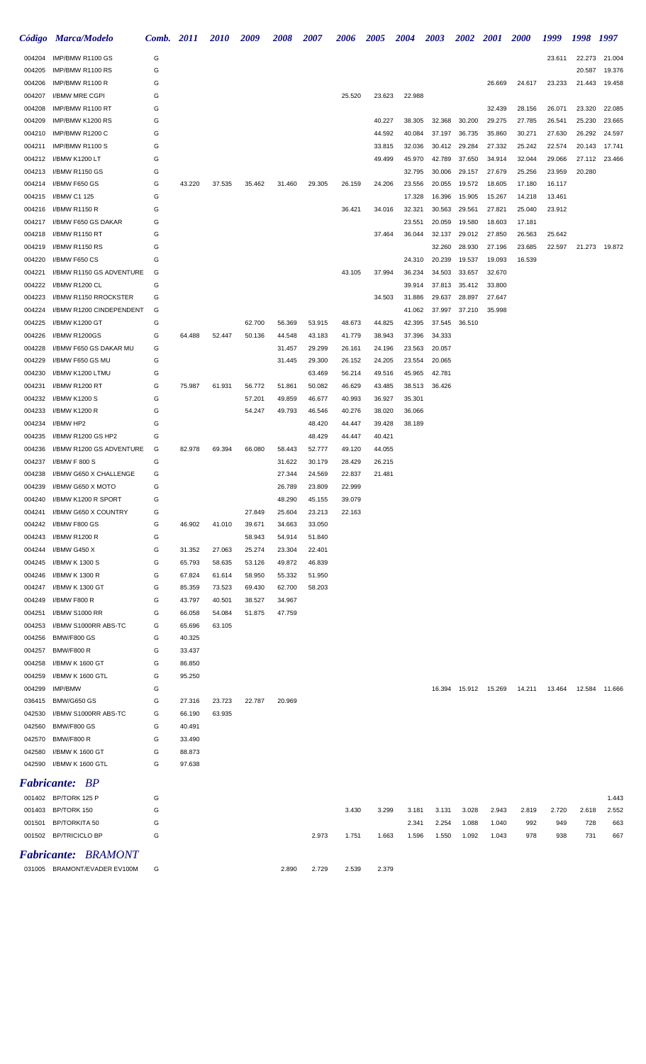|                  | Código Marca/Modelo                     | Comb. 2011 |                  | <b>2010</b>      | 2009             | <b>2008</b>      | 2007             | 2006             | <b>2005</b>      | <b>2004</b>      | <b>2003</b>      | <b>2002</b>      | <b>2001</b>            | <b>2000</b>      | 1999             | 1998 1997     |               |
|------------------|-----------------------------------------|------------|------------------|------------------|------------------|------------------|------------------|------------------|------------------|------------------|------------------|------------------|------------------------|------------------|------------------|---------------|---------------|
| 004204           | IMP/BMW R1100 GS                        | G          |                  |                  |                  |                  |                  |                  |                  |                  |                  |                  |                        |                  | 23.611           | 22.273        | 21.004        |
| 004205           | IMP/BMW R1100 RS                        | G          |                  |                  |                  |                  |                  |                  |                  |                  |                  |                  |                        |                  |                  | 20.587        | 19.376        |
| 004206           | IMP/BMW R1100 R                         | G          |                  |                  |                  |                  |                  |                  |                  |                  |                  |                  | 26.669                 | 24.617           | 23.233           | 21.443        | 19.458        |
| 004207           | I/BMW MRE CGPI                          | G          |                  |                  |                  |                  |                  | 25.520           | 23.623           | 22.988           |                  |                  |                        |                  |                  |               |               |
| 004208           | IMP/BMW R1100 RT                        | G          |                  |                  |                  |                  |                  |                  |                  |                  |                  |                  | 32.439                 | 28.156           | 26.071           | 23.320        | 22.085        |
| 004209           | IMP/BMW K1200 RS                        | G          |                  |                  |                  |                  |                  |                  | 40.227           | 38.305           | 32.368           | 30.200           | 29.275                 | 27.785           | 26.541           | 25.230        | 23.665        |
| 004210           | IMP/BMW R1200 C                         | G          |                  |                  |                  |                  |                  |                  | 44.592           | 40.084           | 37.197           | 36.735           | 35.860                 | 30.271           | 27.630           | 26.292        | 24.597        |
| 004211           | IMP/BMW R1100 S                         | G          |                  |                  |                  |                  |                  |                  | 33.815           | 32.036           | 30.412           | 29.284           | 27.332                 | 25.242           | 22.574           | 20.143        | 17.741        |
| 004212           | I/BMW K1200 LT                          | G<br>G     |                  |                  |                  |                  |                  |                  | 49.499           | 45.970           | 42.789           | 37.650           | 34.914                 | 32.044           | 29.066           | 27.112        | 23.466        |
| 004213<br>004214 | I/BMW R1150 GS<br>I/BMW F650 GS         | G          | 43.220           | 37.535           | 35.462           | 31.460           | 29.305           | 26.159           | 24.206           | 32.795<br>23.556 | 30.006<br>20.055 | 29.157<br>19.572 | 27.679<br>18.605       | 25.256<br>17.180 | 23.959<br>16.117 | 20.280        |               |
| 004215           | I/BMW C1 125                            | G          |                  |                  |                  |                  |                  |                  |                  | 17.328           | 16.396           | 15.905           | 15.267                 | 14.218           | 13.461           |               |               |
| 004216           | I/BMW R1150 R                           | G          |                  |                  |                  |                  |                  | 36.421           | 34.016           | 32.321           | 30.563           | 29.561           | 27.821                 | 25.040           | 23.912           |               |               |
| 004217           | I/BMW F650 GS DAKAR                     | G          |                  |                  |                  |                  |                  |                  |                  | 23.551           | 20.059           | 19.580           | 18.603                 | 17.181           |                  |               |               |
| 004218           | I/BMW R1150 RT                          | G          |                  |                  |                  |                  |                  |                  | 37.464           | 36.044           | 32.137           | 29.012           | 27.850                 | 26.563           | 25.642           |               |               |
| 004219           | I/BMW R1150 RS                          | G          |                  |                  |                  |                  |                  |                  |                  |                  | 32.260           | 28.930           | 27.196                 | 23.685           | 22.597           |               | 21.273 19.872 |
| 004220           | I/BMW F650 CS                           | G          |                  |                  |                  |                  |                  |                  |                  | 24.310           | 20.239           | 19.537           | 19.093                 | 16.539           |                  |               |               |
| 004221           | I/BMW R1150 GS ADVENTURE                | G          |                  |                  |                  |                  |                  | 43.105           | 37.994           | 36.234           | 34.503           | 33.657           | 32.670                 |                  |                  |               |               |
| 004222           | I/BMW R1200 CL                          | G          |                  |                  |                  |                  |                  |                  |                  | 39.914           | 37.813           | 35.412           | 33.800                 |                  |                  |               |               |
| 004223           | I/BMW R1150 RROCKSTER                   | G          |                  |                  |                  |                  |                  |                  | 34.503           | 31.886           | 29.637           | 28.897           | 27.647                 |                  |                  |               |               |
| 004224           | I/BMW R1200 CINDEPENDENT                | G          |                  |                  |                  |                  |                  |                  |                  | 41.062           | 37.997           | 37.210           | 35.998                 |                  |                  |               |               |
| 004225           | I/BMW K1200 GT                          | G          |                  |                  | 62.700           | 56.369           | 53.915           | 48.673           | 44.825           | 42.395           | 37.545           | 36.510           |                        |                  |                  |               |               |
| 004226           | I/BMW R1200GS                           | G          | 64.488           | 52.447           | 50.136           | 44.548           | 43.183           | 41.779           | 38.943           | 37.396           | 34.333           |                  |                        |                  |                  |               |               |
| 004228           | I/BMW F650 GS DAKAR MU                  | G          |                  |                  |                  | 31.457           | 29.299           | 26.161           | 24.196           | 23.563           | 20.057           |                  |                        |                  |                  |               |               |
| 004229<br>004230 | I/BMW F650 GS MU<br>I/BMW K1200 LTMU    | G<br>G     |                  |                  |                  | 31.445           | 29.300<br>63.469 | 26.152           | 24.205<br>49.516 | 23.554<br>45.965 | 20.065<br>42.781 |                  |                        |                  |                  |               |               |
| 004231           | I/BMW R1200 RT                          | G          | 75.987           | 61.931           | 56.772           | 51.861           | 50.082           | 56.214<br>46.629 | 43.485           | 38.513           | 36.426           |                  |                        |                  |                  |               |               |
| 004232           | I/BMW K1200 S                           | G          |                  |                  | 57.201           | 49.859           | 46.677           | 40.993           | 36.927           | 35.301           |                  |                  |                        |                  |                  |               |               |
| 004233           | I/BMW K1200 R                           | G          |                  |                  | 54.247           | 49.793           | 46.546           | 40.276           | 38.020           | 36.066           |                  |                  |                        |                  |                  |               |               |
| 004234           | I/BMW HP2                               | G          |                  |                  |                  |                  | 48.420           | 44.447           | 39.428           | 38.189           |                  |                  |                        |                  |                  |               |               |
| 004235           | I/BMW R1200 GS HP2                      | G          |                  |                  |                  |                  | 48.429           | 44.447           | 40.421           |                  |                  |                  |                        |                  |                  |               |               |
| 004236           | I/BMW R1200 GS ADVENTURE                | G          | 82.978           | 69.394           | 66.080           | 58.443           | 52.777           | 49.120           | 44.055           |                  |                  |                  |                        |                  |                  |               |               |
| 004237           | I/BMW F 800 S                           | G          |                  |                  |                  | 31.622           | 30.179           | 28.429           | 26.215           |                  |                  |                  |                        |                  |                  |               |               |
| 004238           | I/BMW G650 X CHALLENGE                  | G          |                  |                  |                  | 27.344           | 24.569           | 22.837           | 21.481           |                  |                  |                  |                        |                  |                  |               |               |
| 004239           | I/BMW G650 X MOTO                       | G          |                  |                  |                  | 26.789           | 23.809           | 22.999           |                  |                  |                  |                  |                        |                  |                  |               |               |
| 004240           | I/BMW K1200 R SPORT                     | G          |                  |                  |                  | 48.290           | 45.155           | 39.079           |                  |                  |                  |                  |                        |                  |                  |               |               |
| 004241           | I/BMW G650 X COUNTRY                    | G          |                  |                  | 27.849           | 25.604           | 23.213           | 22.163           |                  |                  |                  |                  |                        |                  |                  |               |               |
| 004242           | I/BMW F800 GS                           | G          | 46.902           | 41.010           | 39.671           | 34.663           | 33.050           |                  |                  |                  |                  |                  |                        |                  |                  |               |               |
| 004243           | I/BMW R1200 R                           | G          |                  |                  | 58.943           | 54.914           | 51.840           |                  |                  |                  |                  |                  |                        |                  |                  |               |               |
| 004244<br>004245 | I/BMW G450 X<br>I/BMW K 1300 S          | G<br>G     | 31.352<br>65.793 | 27.063<br>58.635 | 25.274<br>53.126 | 23.304<br>49.872 | 22.401<br>46.839 |                  |                  |                  |                  |                  |                        |                  |                  |               |               |
| 004246           | I/BMW K 1300 R                          | G          | 67.824           | 61.614           | 58.950           | 55.332           | 51.950           |                  |                  |                  |                  |                  |                        |                  |                  |               |               |
| 004247           | I/BMW K 1300 GT                         | G          | 85.359           | 73.523           | 69.430           | 62.700           | 58.203           |                  |                  |                  |                  |                  |                        |                  |                  |               |               |
| 004249           | I/BMW F800 R                            | G          | 43.797           | 40.501           | 38.527           | 34.967           |                  |                  |                  |                  |                  |                  |                        |                  |                  |               |               |
| 004251           | I/BMW S1000 RR                          | G          | 66.058           | 54.084           | 51.875           | 47.759           |                  |                  |                  |                  |                  |                  |                        |                  |                  |               |               |
| 004253           | I/BMW S1000RR ABS-TC                    | G          | 65.696           | 63.105           |                  |                  |                  |                  |                  |                  |                  |                  |                        |                  |                  |               |               |
| 004256           | <b>BMW/F800 GS</b>                      | G          | 40.325           |                  |                  |                  |                  |                  |                  |                  |                  |                  |                        |                  |                  |               |               |
| 004257           | <b>BMW/F800 R</b>                       | G          | 33.437           |                  |                  |                  |                  |                  |                  |                  |                  |                  |                        |                  |                  |               |               |
| 004258           | I/BMW K 1600 GT                         | G          | 86.850           |                  |                  |                  |                  |                  |                  |                  |                  |                  |                        |                  |                  |               |               |
| 004259           | I/BMW K 1600 GTL                        | G          | 95.250           |                  |                  |                  |                  |                  |                  |                  |                  |                  |                        |                  |                  |               |               |
| 004299           | IMP/BMW                                 | G          |                  |                  |                  |                  |                  |                  |                  |                  |                  |                  | 16.394  15.912  15.269 | 14.211           | 13.464           | 12.584 11.666 |               |
| 036415           | <b>BMW/G650 GS</b>                      | G          | 27.316           | 23.723           | 22.787           | 20.969           |                  |                  |                  |                  |                  |                  |                        |                  |                  |               |               |
| 042530           | I/BMW S1000RR ABS-TC                    | G          | 66.190           | 63.935           |                  |                  |                  |                  |                  |                  |                  |                  |                        |                  |                  |               |               |
| 042560           | <b>BMW/F800 GS</b><br><b>BMW/F800 R</b> | G<br>G     | 40.491           |                  |                  |                  |                  |                  |                  |                  |                  |                  |                        |                  |                  |               |               |
| 042570<br>042580 | I/BMW K 1600 GT                         | G          | 33.490<br>88.873 |                  |                  |                  |                  |                  |                  |                  |                  |                  |                        |                  |                  |               |               |
| 042590           | I/BMW K 1600 GTL                        | G          | 97.638           |                  |                  |                  |                  |                  |                  |                  |                  |                  |                        |                  |                  |               |               |
|                  |                                         |            |                  |                  |                  |                  |                  |                  |                  |                  |                  |                  |                        |                  |                  |               |               |
|                  | <b>Fabricante:</b> BP                   |            |                  |                  |                  |                  |                  |                  |                  |                  |                  |                  |                        |                  |                  |               |               |
|                  | 001402 BP/TORK 125 P                    | G          |                  |                  |                  |                  |                  |                  |                  |                  |                  |                  |                        |                  |                  |               | 1.443         |
|                  | 001403 BP/TORK 150                      | G          |                  |                  |                  |                  |                  | 3.430            | 3.299            | 3.181            | 3.131            | 3.028            | 2.943                  | 2.819            | 2.720            | 2.618         | 2.552         |
|                  | 001501 BP/TORKITA 50                    | G          |                  |                  |                  |                  |                  |                  |                  | 2.341            | 2.254            | 1.088            | 1.040                  | 992              | 949              | 728           | 663           |
|                  | 001502 BP/TRICICLO BP                   | G          |                  |                  |                  |                  | 2.973            | 1.751            | 1.663            | 1.596            | 1.550            | 1.092            | 1.043                  | 978              | 938              | 731           | 667           |
|                  | <b>Fabricante: BRAMONT</b>              |            |                  |                  |                  |                  |                  |                  |                  |                  |                  |                  |                        |                  |                  |               |               |

BRAMONT/EVADER EV100M G 2.890 2.729 2.539 2.379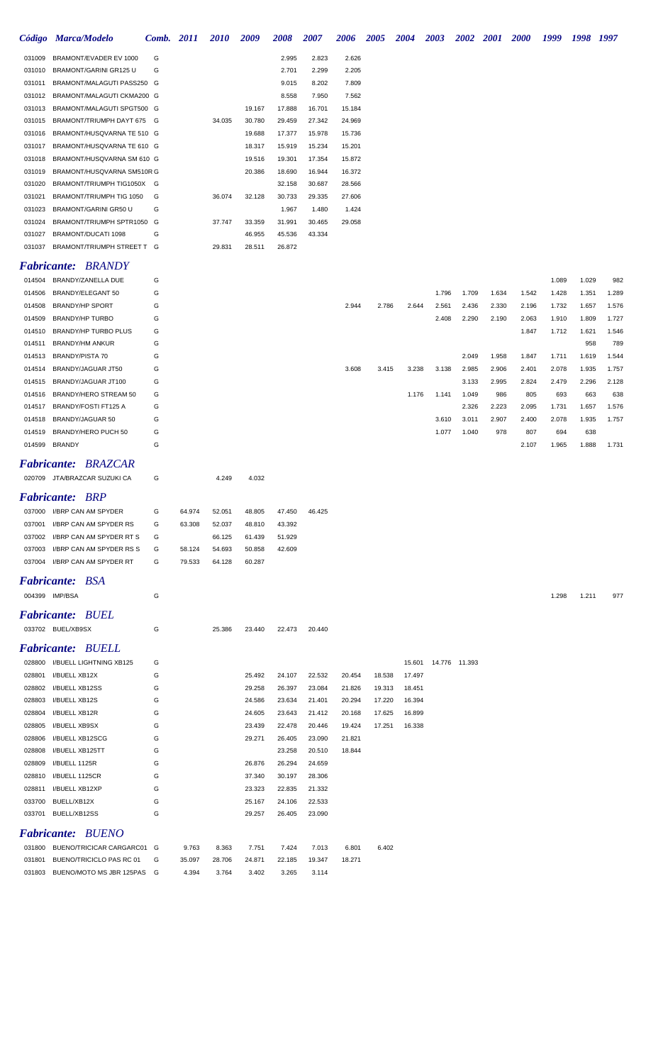|                  | Código Marca/Modelo                                      | Comb. 2011 |        | <i>2010</i> | 2009             | 2008             | 2007             | 2006             | 2005   | 2004   | 2003  | 2002          | <i>2001</i> | <b>2000</b> | 1999  | 1998         | 1997         |
|------------------|----------------------------------------------------------|------------|--------|-------------|------------------|------------------|------------------|------------------|--------|--------|-------|---------------|-------------|-------------|-------|--------------|--------------|
| 031009           | BRAMONT/EVADER EV 1000                                   | G          |        |             |                  | 2.995            | 2.823            | 2.626            |        |        |       |               |             |             |       |              |              |
| 031010           | BRAMONT/GARINI GR125 U                                   | G          |        |             |                  | 2.701            | 2.299            | 2.205            |        |        |       |               |             |             |       |              |              |
| 031011           | BRAMONT/MALAGUTI PASS250 G                               |            |        |             |                  | 9.015            | 8.202            | 7.809            |        |        |       |               |             |             |       |              |              |
| 031012           | BRAMONT/MALAGUTI CKMA200 G                               |            |        |             |                  | 8.558            | 7.950            | 7.562            |        |        |       |               |             |             |       |              |              |
| 031013           | BRAMONT/MALAGUTI SPGT500 G                               |            |        |             | 19.167           | 17.888           | 16.701           | 15.184           |        |        |       |               |             |             |       |              |              |
| 031015           | BRAMONT/TRIUMPH DAYT 675 G                               |            |        | 34.035      | 30.780           | 29.459           | 27.342           | 24.969           |        |        |       |               |             |             |       |              |              |
| 031016           | BRAMONT/HUSQVARNA TE 510 G                               |            |        |             | 19.688           | 17.377           | 15.978           | 15.736           |        |        |       |               |             |             |       |              |              |
| 031017           | BRAMONT/HUSQVARNA TE 610 G                               |            |        |             | 18.317           | 15.919           | 15.234           | 15.201           |        |        |       |               |             |             |       |              |              |
| 031018           | BRAMONT/HUSQVARNA SM 610 G                               |            |        |             | 19.516           | 19.301           | 17.354           | 15.872           |        |        |       |               |             |             |       |              |              |
| 031019<br>031020 | BRAMONT/HUSQVARNA SM510R G<br>BRAMONT/TRIUMPH TIG1050X G |            |        |             | 20.386           | 18.690<br>32.158 | 16.944<br>30.687 | 16.372<br>28.566 |        |        |       |               |             |             |       |              |              |
| 031021           | BRAMONT/TRIUMPH TIG 1050                                 | G          |        | 36.074      | 32.128           | 30.733           | 29.335           | 27.606           |        |        |       |               |             |             |       |              |              |
| 031023           | BRAMONT/GARINI GR50 U                                    | G          |        |             |                  | 1.967            | 1.480            | 1.424            |        |        |       |               |             |             |       |              |              |
| 031024           | BRAMONT/TRIUMPH SPTR1050 G                               |            |        | 37.747      | 33.359           | 31.991           | 30.465           | 29.058           |        |        |       |               |             |             |       |              |              |
| 031027           | BRAMONT/DUCATI 1098                                      | G          |        |             | 46.955           | 45.536           | 43.334           |                  |        |        |       |               |             |             |       |              |              |
| 031037           | BRAMONT/TRIUMPH STREET T G                               |            |        | 29.831      | 28.511           | 26.872           |                  |                  |        |        |       |               |             |             |       |              |              |
|                  | <b>Fabricante: BRANDY</b>                                |            |        |             |                  |                  |                  |                  |        |        |       |               |             |             |       |              |              |
| 014504           | BRANDY/ZANELLA DUE                                       | G          |        |             |                  |                  |                  |                  |        |        |       |               |             |             | 1.089 | 1.029        | 982          |
| 014506           | BRANDY/ELEGANT 50                                        | G          |        |             |                  |                  |                  |                  |        |        | 1.796 | 1.709         | 1.634       | 1.542       | 1.428 | 1.351        | 1.289        |
| 014508           | <b>BRANDY/HP SPORT</b>                                   | G          |        |             |                  |                  |                  | 2.944            | 2.786  | 2.644  | 2.561 | 2.436         | 2.330       | 2.196       | 1.732 | 1.657        | 1.576        |
| 014509           | <b>BRANDY/HP TURBO</b>                                   | G          |        |             |                  |                  |                  |                  |        |        | 2.408 | 2.290         | 2.190       | 2.063       | 1.910 | 1.809        | 1.727        |
| 014510           | BRANDY/HP TURBO PLUS                                     | G          |        |             |                  |                  |                  |                  |        |        |       |               |             | 1.847       | 1.712 | 1.621        | 1.546        |
| 014511<br>014513 | <b>BRANDY/HM ANKUR</b><br><b>BRANDY/PISTA 70</b>         | G<br>G     |        |             |                  |                  |                  |                  |        |        |       | 2.049         | 1.958       | 1.847       | 1.711 | 958<br>1.619 | 789<br>1.544 |
| 014514           | BRANDY/JAGUAR JT50                                       | G          |        |             |                  |                  |                  | 3.608            | 3.415  | 3.238  | 3.138 | 2.985         | 2.906       | 2.401       | 2.078 | 1.935        | 1.757        |
| 014515           | BRANDY/JAGUAR JT100                                      | G          |        |             |                  |                  |                  |                  |        |        |       | 3.133         | 2.995       | 2.824       | 2.479 | 2.296        | 2.128        |
| 014516           | BRANDY/HERO STREAM 50                                    | G          |        |             |                  |                  |                  |                  |        | 1.176  | 1.141 | 1.049         | 986         | 805         | 693   | 663          | 638          |
| 014517           | BRANDY/FOSTI FT125 A                                     | G          |        |             |                  |                  |                  |                  |        |        |       | 2.326         | 2.223       | 2.095       | 1.731 | 1.657        | 1.576        |
| 014518           | BRANDY/JAGUAR 50                                         | G          |        |             |                  |                  |                  |                  |        |        | 3.610 | 3.011         | 2.907       | 2.400       | 2.078 | 1.935        | 1.757        |
| 014519           | BRANDY/HERO PUCH 50                                      | G          |        |             |                  |                  |                  |                  |        |        | 1.077 | 1.040         | 978         | 807         | 694   | 638          |              |
|                  | 014599 BRANDY                                            | G          |        |             |                  |                  |                  |                  |        |        |       |               |             | 2.107       | 1.965 | 1.888        | 1.731        |
|                  | <b>Fabricante: BRAZCAR</b>                               |            |        |             |                  |                  |                  |                  |        |        |       |               |             |             |       |              |              |
|                  | 020709 JTA/BRAZCAR SUZUKI CA                             | G          |        | 4.249       | 4.032            |                  |                  |                  |        |        |       |               |             |             |       |              |              |
|                  | <b>Fabricante: BRP</b>                                   |            |        |             |                  |                  |                  |                  |        |        |       |               |             |             |       |              |              |
| 037000           | I/BRP CAN AM SPYDER                                      | G          | 64.974 | 52.051      | 48.805           | 47.450           | 46.425           |                  |        |        |       |               |             |             |       |              |              |
| 037001           | I/BRP CAN AM SPYDER RS                                   | G          | 63.308 | 52.037      | 48.810           | 43.392           |                  |                  |        |        |       |               |             |             |       |              |              |
| 037002           | I/BRP CAN AM SPYDER RT S                                 | G          |        | 66.125      | 61.439           | 51.929           |                  |                  |        |        |       |               |             |             |       |              |              |
| 037003           | I/BRP CAN AM SPYDER RS S                                 | G          | 58.124 | 54.693      | 50.858           | 42.609           |                  |                  |        |        |       |               |             |             |       |              |              |
| 037004           | I/BRP CAN AM SPYDER RT                                   | G          | 79.533 | 64.128      | 60.287           |                  |                  |                  |        |        |       |               |             |             |       |              |              |
|                  | <b>Fabricante: BSA</b>                                   |            |        |             |                  |                  |                  |                  |        |        |       |               |             |             |       |              |              |
|                  | 004399 IMP/BSA                                           | G          |        |             |                  |                  |                  |                  |        |        |       |               |             |             | 1.298 | 1.211        | 977          |
|                  | <b>Fabricante: BUEL</b>                                  |            |        |             |                  |                  |                  |                  |        |        |       |               |             |             |       |              |              |
|                  | 033702 BUEL/XB9SX                                        | G          |        | 25.386      | 23.440           | 22.473           | 20.440           |                  |        |        |       |               |             |             |       |              |              |
|                  | <b>Fabricante: BUELL</b>                                 |            |        |             |                  |                  |                  |                  |        |        |       |               |             |             |       |              |              |
|                  | 028800 I/BUELL LIGHTNING XB125                           | G          |        |             |                  |                  |                  |                  |        | 15.601 |       | 14.776 11.393 |             |             |       |              |              |
| 028801           | I/BUELL XB12X                                            | G          |        |             | 25.492           | 24.107           | 22.532           | 20.454           | 18.538 | 17.497 |       |               |             |             |       |              |              |
|                  | 028802 I/BUELL XB12SS                                    | G          |        |             | 29.258           | 26.397           | 23.084           | 21.826           | 19.313 | 18.451 |       |               |             |             |       |              |              |
| 028803           | I/BUELL XB12S                                            | G          |        |             | 24.586           | 23.634           | 21.401           | 20.294           | 17.220 | 16.394 |       |               |             |             |       |              |              |
| 028804           | I/BUELL XB12R                                            | G          |        |             | 24.605           | 23.643           | 21.412           | 20.168           | 17.625 | 16.899 |       |               |             |             |       |              |              |
| 028805           | I/BUELL XB9SX                                            | G          |        |             | 23.439           | 22.478           | 20.446           | 19.424           | 17.251 | 16.338 |       |               |             |             |       |              |              |
| 028806           | I/BUELL XB12SCG                                          | G          |        |             | 29.271           | 26.405           | 23.090           | 21.821           |        |        |       |               |             |             |       |              |              |
| 028808           | I/BUELL XB125TT                                          | G          |        |             |                  | 23.258           | 20.510           | 18.844           |        |        |       |               |             |             |       |              |              |
| 028809           | I/BUELL 1125R                                            | G          |        |             | 26.876           | 26.294           | 24.659           |                  |        |        |       |               |             |             |       |              |              |
| 028810           | I/BUELL 1125CR                                           | G          |        |             | 37.340           | 30.197           | 28.306           |                  |        |        |       |               |             |             |       |              |              |
| 028811<br>033700 | I/BUELL XB12XP<br>BUELL/XB12X                            | G<br>G     |        |             | 23.323<br>25.167 | 22.835<br>24.106 | 21.332<br>22.533 |                  |        |        |       |               |             |             |       |              |              |
| 033701           | BUELL/XB12SS                                             | G          |        |             | 29.257           | 26.405           | 23.090           |                  |        |        |       |               |             |             |       |              |              |
|                  | <b>Fabricante: BUENO</b>                                 |            |        |             |                  |                  |                  |                  |        |        |       |               |             |             |       |              |              |
| 031800           | BUENO/TRICICAR CARGARC01                                 | G          | 9.763  | 8.363       | 7.751            | 7.424            | 7.013            | 6.801            | 6.402  |        |       |               |             |             |       |              |              |
|                  | 031801 BUENO/TRICICLO PAS RC 01                          | G          | 35.097 | 28.706      | 24.871           | 22.185           | 19.347           | 18.271           |        |        |       |               |             |             |       |              |              |

BUENO/MOTO MS JBR 125PAS G 4.394 3.764 3.402 3.265 3.114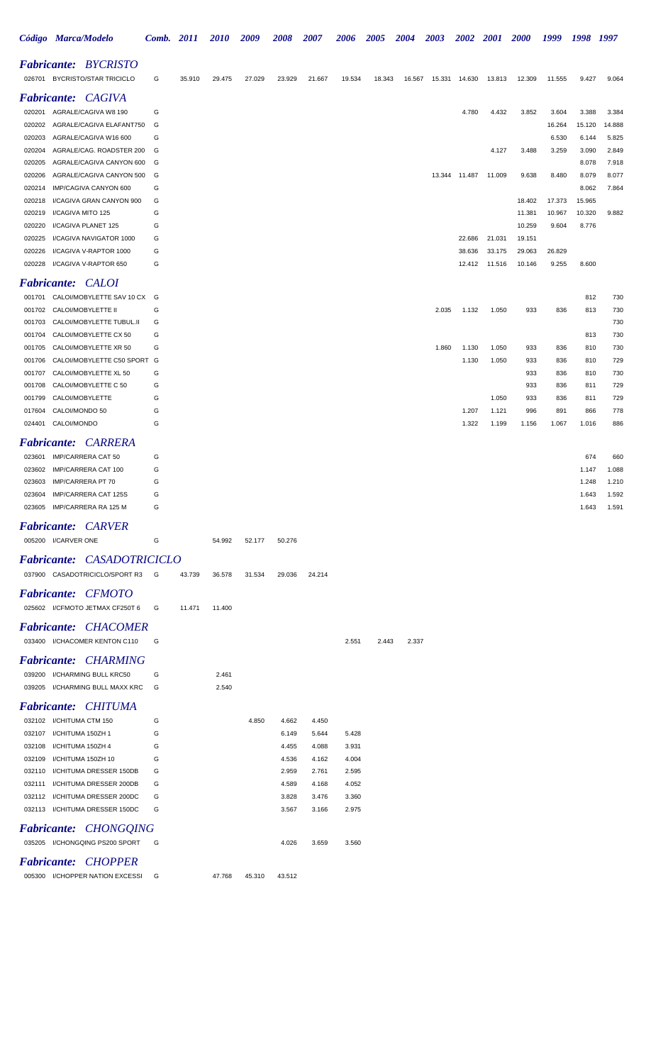|                  |                               | Código Marca/Modelo                                        | Comb. 2011 |        | <i>2010</i> | 2009   | 2008   | 2007   | 2006   | 2005   | 2004   | 2003   | 2002           | <i>2001</i>    | <i>2000</i>      | 1999             | 1998             | 1997           |
|------------------|-------------------------------|------------------------------------------------------------|------------|--------|-------------|--------|--------|--------|--------|--------|--------|--------|----------------|----------------|------------------|------------------|------------------|----------------|
|                  |                               | <b>Fabricante: BYCRISTO</b>                                |            |        |             |        |        |        |        |        |        |        |                |                |                  |                  |                  |                |
|                  |                               | 026701 BYCRISTO/STAR TRICICLO                              | G          | 35.910 | 29.475      | 27.029 | 23.929 | 21.667 | 19.534 | 18.343 | 16.567 |        | 15.331  14.630 | 13.813         | 12.309           | 11.555           | 9.427            | 9.064          |
|                  |                               | <b>Fabricante:</b> CAGIVA                                  |            |        |             |        |        |        |        |        |        |        |                |                |                  |                  |                  |                |
|                  |                               | 020201 AGRALE/CAGIVA W8 190                                | G          |        |             |        |        |        |        |        |        |        | 4.780          | 4.432          | 3.852            | 3.604            | 3.388            | 3.384          |
| 020202           |                               | AGRALE/CAGIVA ELAFANT750                                   | G          |        |             |        |        |        |        |        |        |        |                |                |                  | 16.264           | 15.120           | 14.888         |
| 020203           |                               | AGRALE/CAGIVA W16 600                                      | G          |        |             |        |        |        |        |        |        |        |                |                |                  | 6.530            | 6.144            | 5.825          |
| 020204           |                               | AGRALE/CAG. ROADSTER 200                                   | G          |        |             |        |        |        |        |        |        |        |                | 4.127          | 3.488            | 3.259            | 3.090            | 2.849          |
| 020205           |                               | AGRALE/CAGIVA CANYON 600                                   | G          |        |             |        |        |        |        |        |        |        |                |                |                  |                  | 8.078            | 7.918          |
| 020206           |                               | AGRALE/CAGIVA CANYON 500                                   | G          |        |             |        |        |        |        |        |        | 13.344 | 11.487         | 11.009         | 9.638            | 8.480            | 8.079            | 8.077          |
| 020214           |                               | IMP/CAGIVA CANYON 600                                      | G          |        |             |        |        |        |        |        |        |        |                |                |                  |                  | 8.062            | 7.864          |
| 020218           |                               | I/CAGIVA GRAN CANYON 900                                   | G<br>G     |        |             |        |        |        |        |        |        |        |                |                | 18.402<br>11.381 | 17.373<br>10.967 | 15.965<br>10.320 |                |
| 020219<br>020220 |                               | I/CAGIVA MITO 125<br>I/CAGIVA PLANET 125                   | G          |        |             |        |        |        |        |        |        |        |                |                | 10.259           | 9.604            | 8.776            | 9.882          |
| 020225           |                               | I/CAGIVA NAVIGATOR 1000                                    | G          |        |             |        |        |        |        |        |        |        | 22.686         | 21.031         | 19.151           |                  |                  |                |
| 020226           |                               | I/CAGIVA V-RAPTOR 1000                                     | G          |        |             |        |        |        |        |        |        |        | 38.636         | 33.175         | 29.063           | 26.829           |                  |                |
|                  |                               | 020228 I/CAGIVA V-RAPTOR 650                               | G          |        |             |        |        |        |        |        |        |        | 12.412         | 11.516         | 10.146           | 9.255            | 8.600            |                |
|                  |                               | <b>Fabricante: CALOI</b>                                   |            |        |             |        |        |        |        |        |        |        |                |                |                  |                  |                  |                |
| 001701           |                               | CALOI/MOBYLETTE SAV 10 CX G                                |            |        |             |        |        |        |        |        |        |        |                |                |                  |                  | 812              | 730            |
| 001702           |                               | CALOI/MOBYLETTE II                                         | G          |        |             |        |        |        |        |        |        | 2.035  | 1.132          | 1.050          | 933              | 836              | 813              | 730            |
| 001703           |                               | CALOI/MOBYLETTE TUBUL.II                                   | G          |        |             |        |        |        |        |        |        |        |                |                |                  |                  |                  | 730            |
| 001704           |                               | CALOI/MOBYLETTE CX 50                                      | G          |        |             |        |        |        |        |        |        |        |                |                |                  |                  | 813              | 730            |
| 001705           |                               | CALOI/MOBYLETTE XR 50                                      | G          |        |             |        |        |        |        |        |        | 1.860  | 1.130          | 1.050          | 933              | 836              | 810              | 730            |
| 001706           |                               | CALOI/MOBYLETTE C50 SPORT G                                |            |        |             |        |        |        |        |        |        |        | 1.130          | 1.050          | 933              | 836              | 810              | 729            |
| 001707           |                               | CALOI/MOBYLETTE XL 50                                      | G          |        |             |        |        |        |        |        |        |        |                |                | 933              | 836              | 810              | 730            |
| 001708           |                               | CALOI/MOBYLETTE C 50                                       | G          |        |             |        |        |        |        |        |        |        |                |                | 933              | 836              | 811              | 729            |
| 001799           |                               | CALOI/MOBYLETTE                                            | G          |        |             |        |        |        |        |        |        |        |                | 1.050          | 933              | 836              | 811              | 729            |
| 017604<br>024401 | CALOI/MONDO 50<br>CALOI/MONDO |                                                            | G<br>G     |        |             |        |        |        |        |        |        |        | 1.207<br>1.322 | 1.121<br>1.199 | 996<br>1.156     | 891<br>1.067     | 866<br>1.016     | 778<br>886     |
|                  |                               |                                                            |            |        |             |        |        |        |        |        |        |        |                |                |                  |                  |                  |                |
|                  |                               | <b>Fabricante: CARRERA</b>                                 |            |        |             |        |        |        |        |        |        |        |                |                |                  |                  |                  |                |
| 023601           |                               | IMP/CARRERA CAT 50                                         | G          |        |             |        |        |        |        |        |        |        |                |                |                  |                  | 674              | 660            |
| 023602           |                               | IMP/CARRERA CAT 100                                        | G          |        |             |        |        |        |        |        |        |        |                |                |                  |                  | 1.147            | 1.088          |
| 023603           |                               | IMP/CARRERA PT 70                                          | G          |        |             |        |        |        |        |        |        |        |                |                |                  |                  | 1.248            | 1.210          |
|                  |                               | 023604 IMP/CARRERA CAT 125S<br>023605 IMP/CARRERA RA 125 M | G<br>G     |        |             |        |        |        |        |        |        |        |                |                |                  |                  | 1.643<br>1.643   | 1.592<br>1.591 |
|                  |                               |                                                            |            |        |             |        |        |        |        |        |        |        |                |                |                  |                  |                  |                |
|                  |                               | <b>Fabricante: CARVER</b>                                  |            |        |             |        |        |        |        |        |        |        |                |                |                  |                  |                  |                |
|                  | 005200 I/CARVER ONE           |                                                            | G          |        | 54.992      | 52.177 | 50.276 |        |        |        |        |        |                |                |                  |                  |                  |                |
|                  |                               | <b>Fabricante: CASADOTRICICLO</b>                          |            |        |             |        |        |        |        |        |        |        |                |                |                  |                  |                  |                |
|                  |                               | 037900 CASADOTRICICLO/SPORT R3                             | G          | 43.739 | 36.578      | 31.534 | 29.036 | 24.214 |        |        |        |        |                |                |                  |                  |                  |                |
|                  |                               | <b>Fabricante: CFMOTO</b>                                  |            |        |             |        |        |        |        |        |        |        |                |                |                  |                  |                  |                |
|                  |                               | 025602 I/CFMOTO JETMAX CF250T 6                            | G          | 11.471 | 11.400      |        |        |        |        |        |        |        |                |                |                  |                  |                  |                |
|                  |                               | <b>Fabricante: CHACOMER</b>                                |            |        |             |        |        |        |        |        |        |        |                |                |                  |                  |                  |                |
|                  |                               | 033400 I/CHACOMER KENTON C110                              | G          |        |             |        |        |        | 2.551  | 2.443  | 2.337  |        |                |                |                  |                  |                  |                |
|                  |                               | <b>Fabricante: CHARMING</b>                                |            |        |             |        |        |        |        |        |        |        |                |                |                  |                  |                  |                |
|                  |                               | 039200 I/CHARMING BULL KRC50                               | G          |        | 2.461       |        |        |        |        |        |        |        |                |                |                  |                  |                  |                |
|                  |                               | 039205 I/CHARMING BULL MAXX KRC                            | G          |        | 2.540       |        |        |        |        |        |        |        |                |                |                  |                  |                  |                |
|                  |                               | <b>Fabricante: CHITUMA</b>                                 |            |        |             |        |        |        |        |        |        |        |                |                |                  |                  |                  |                |
|                  |                               | 032102 I/CHITUMA CTM 150                                   | G          |        |             | 4.850  | 4.662  | 4.450  |        |        |        |        |                |                |                  |                  |                  |                |
|                  |                               | 032107 I/CHITUMA 150ZH 1                                   | G          |        |             |        | 6.149  | 5.644  | 5.428  |        |        |        |                |                |                  |                  |                  |                |
|                  |                               | 032108 I/CHITUMA 150ZH 4                                   | G          |        |             |        | 4.455  | 4.088  | 3.931  |        |        |        |                |                |                  |                  |                  |                |
|                  |                               | 032109 I/CHITUMA 150ZH 10                                  | G          |        |             |        | 4.536  | 4.162  | 4.004  |        |        |        |                |                |                  |                  |                  |                |
|                  |                               | 032110 I/CHITUMA DRESSER 150DB                             | G          |        |             |        | 2.959  | 2.761  | 2.595  |        |        |        |                |                |                  |                  |                  |                |
| 032111           |                               | I/CHITUMA DRESSER 200DB                                    | G          |        |             |        | 4.589  | 4.168  | 4.052  |        |        |        |                |                |                  |                  |                  |                |
|                  |                               | 032112 I/CHITUMA DRESSER 200DC                             | G          |        |             |        | 3.828  | 3.476  | 3.360  |        |        |        |                |                |                  |                  |                  |                |
|                  |                               | 032113 I/CHITUMA DRESSER 150DC                             | G          |        |             |        | 3.567  | 3.166  | 2.975  |        |        |        |                |                |                  |                  |                  |                |
|                  |                               | <b>Fabricante: CHONGQING</b>                               |            |        |             |        |        |        |        |        |        |        |                |                |                  |                  |                  |                |
|                  |                               | 035205 I/CHONGQING PS200 SPORT                             | G          |        |             |        | 4.026  | 3.659  | 3.560  |        |        |        |                |                |                  |                  |                  |                |
|                  |                               | <b>Fabricante: CHOPPER</b>                                 |            |        |             |        |        |        |        |        |        |        |                |                |                  |                  |                  |                |
|                  |                               | 005300 I/CHOPPER NATION EXCESSI                            | G          |        | 47.768      | 45.310 | 43.512 |        |        |        |        |        |                |                |                  |                  |                  |                |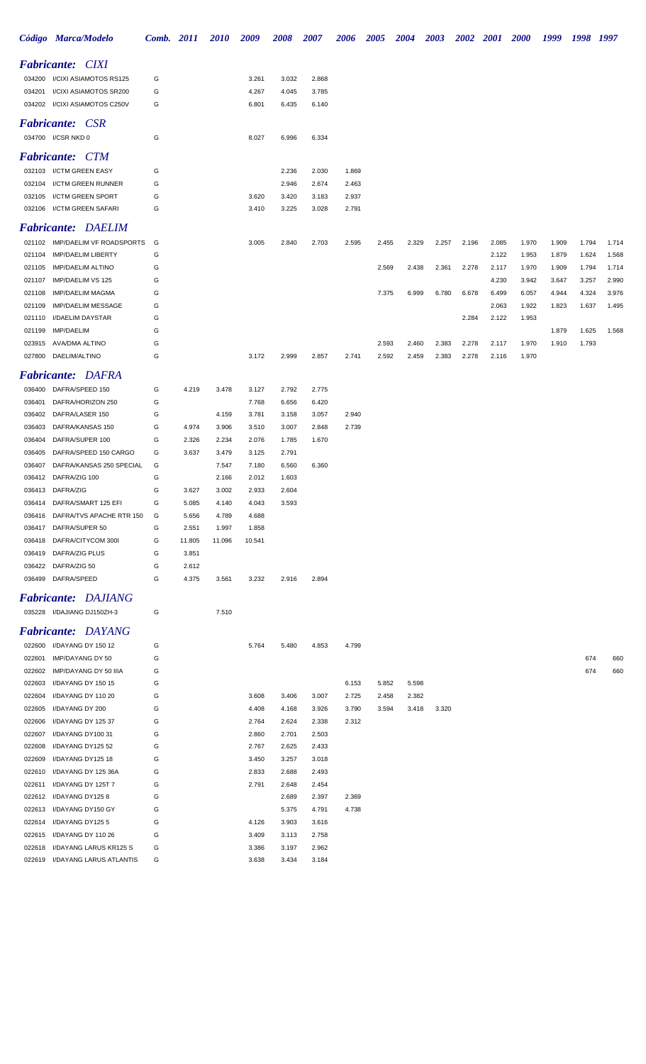|        | Código Marca/Modelo                                           | Comb. 2011 |                | <i>2010</i>    | 2009           | 2008  | 2007  | 2006  | <b>2005</b> | <b>2004</b> | <b>2003</b> | 2002  | <b>2001</b> | <b>2000</b> | 1999  | 1998  | 1997  |
|--------|---------------------------------------------------------------|------------|----------------|----------------|----------------|-------|-------|-------|-------------|-------------|-------------|-------|-------------|-------------|-------|-------|-------|
|        | <b>Fabricante: CIXI</b>                                       |            |                |                |                |       |       |       |             |             |             |       |             |             |       |       |       |
|        | 034200 I/CIXI ASIAMOTOS RS125                                 | G          |                |                | 3.261          | 3.032 | 2.868 |       |             |             |             |       |             |             |       |       |       |
| 034201 | I/CIXI ASIAMOTOS SR200                                        | G          |                |                | 4.267          | 4.045 | 3.785 |       |             |             |             |       |             |             |       |       |       |
|        | 034202 I/CIXI ASIAMOTOS C250V                                 | G          |                |                | 6.801          | 6.435 | 6.140 |       |             |             |             |       |             |             |       |       |       |
|        | <b>Fabricante: CSR</b>                                        |            |                |                |                |       |       |       |             |             |             |       |             |             |       |       |       |
|        | 034700 I/CSR NKD 0                                            | G          |                |                | 8.027          | 6.996 | 6.334 |       |             |             |             |       |             |             |       |       |       |
|        | <b>Fabricante: CTM</b>                                        |            |                |                |                |       |       |       |             |             |             |       |             |             |       |       |       |
|        | 032103 I/CTM GREEN EASY                                       | G          |                |                |                | 2.236 | 2.030 | 1.869 |             |             |             |       |             |             |       |       |       |
|        | 032104 I/CTM GREEN RUNNER                                     | G          |                |                |                | 2.946 | 2.674 | 2.463 |             |             |             |       |             |             |       |       |       |
|        | 032105 I/CTM GREEN SPORT                                      | G          |                |                | 3.620          | 3.420 | 3.183 | 2.937 |             |             |             |       |             |             |       |       |       |
|        | 032106 I/CTM GREEN SAFARI                                     | G          |                |                | 3.410          | 3.225 | 3.028 | 2.791 |             |             |             |       |             |             |       |       |       |
|        | <b>Fabricante: DAELIM</b>                                     |            |                |                |                |       |       |       |             |             |             |       |             |             |       |       |       |
|        | 021102 IMP/DAELIM VF ROADSPORTS                               | G          |                |                | 3.005          | 2.840 | 2.703 | 2.595 | 2.455       | 2.329       | 2.257       | 2.196 | 2.085       | 1.970       | 1.909 | 1.794 | 1.714 |
| 021104 | <b>IMP/DAELIM LIBERTY</b>                                     | G          |                |                |                |       |       |       |             |             |             |       | 2.122       | 1.953       | 1.879 | 1.624 | 1.568 |
| 021105 | <b>IMP/DAELIM ALTINO</b>                                      | G          |                |                |                |       |       |       | 2.569       | 2.438       | 2.361       | 2.278 | 2.117       | 1.970       | 1.909 | 1.794 | 1.714 |
| 021107 | IMP/DAELIM VS 125                                             | G          |                |                |                |       |       |       |             |             |             |       | 4.230       | 3.942       | 3.647 | 3.257 | 2.990 |
| 021108 | <b>IMP/DAELIM MAGMA</b>                                       | G          |                |                |                |       |       |       | 7.375       | 6.999       | 6.780       | 6.678 | 6.499       | 6.057       | 4.944 | 4.324 | 3.976 |
| 021109 | <b>IMP/DAELIM MESSAGE</b>                                     | G          |                |                |                |       |       |       |             |             |             |       | 2.063       | 1.922       | 1.823 | 1.637 | 1.495 |
| 021110 | I/DAELIM DAYSTAR                                              | G          |                |                |                |       |       |       |             |             |             | 2.284 | 2.122       | 1.953       |       |       |       |
| 021199 | IMP/DAELIM                                                    | G          |                |                |                |       |       |       |             |             |             |       |             |             | 1.879 | 1.625 | 1.568 |
| 023915 | AVA/DMA ALTINO                                                | G          |                |                |                |       |       |       | 2.593       | 2.460       | 2.383       | 2.278 | 2.117       | 1.970       | 1.910 | 1.793 |       |
|        | 027800 DAELIM/ALTINO                                          | G          |                |                | 3.172          | 2.999 | 2.857 | 2.741 | 2.592       | 2.459       | 2.383       | 2.278 | 2.116       | 1.970       |       |       |       |
|        | <b>Fabricante: DAFRA</b>                                      |            |                |                |                |       |       |       |             |             |             |       |             |             |       |       |       |
|        | 036400 DAFRA/SPEED 150                                        | G          | 4.219          | 3.478          | 3.127          | 2.792 | 2.775 |       |             |             |             |       |             |             |       |       |       |
| 036401 | DAFRA/HORIZON 250                                             | G          |                |                | 7.768          | 6.656 | 6.420 |       |             |             |             |       |             |             |       |       |       |
| 036402 | DAFRA/LASER 150                                               | G          |                | 4.159          | 3.781          | 3.158 | 3.057 | 2.940 |             |             |             |       |             |             |       |       |       |
| 036403 | DAFRA/KANSAS 150                                              | G          | 4.974          | 3.906          | 3.510          | 3.007 | 2.848 | 2.739 |             |             |             |       |             |             |       |       |       |
| 036404 | DAFRA/SUPER 100                                               | G          | 2.326          | 2.234          | 2.076          | 1.785 | 1.670 |       |             |             |             |       |             |             |       |       |       |
| 036405 | DAFRA/SPEED 150 CARGO                                         | G          | 3.637          | 3.479          | 3.125          | 2.791 |       |       |             |             |             |       |             |             |       |       |       |
| 036407 | DAFRA/KANSAS 250 SPECIAL                                      | G          |                | 7.547          | 7.180          | 6.560 | 6.360 |       |             |             |             |       |             |             |       |       |       |
| 036412 | DAFRA/ZIG 100                                                 | G          |                | 2.166          | 2.012          | 1.603 |       |       |             |             |             |       |             |             |       |       |       |
| 036413 | DAFRA/ZIG                                                     | G          | 3.627          | 3.002          | 2.933          | 2.604 |       |       |             |             |             |       |             |             |       |       |       |
|        | 036414 DAFRA/SMART 125 EFI<br>036416 DAFRA/TVS APACHE RTR 150 | G<br>G     | 5.085<br>5.656 | 4.140<br>4.789 | 4.043<br>4.688 | 3.593 |       |       |             |             |             |       |             |             |       |       |       |
|        | 036417 DAFRA/SUPER 50                                         | G          | 2.551          | 1.997          | 1.858          |       |       |       |             |             |             |       |             |             |       |       |       |
| 036418 | DAFRA/CITYCOM 300I                                            | G          | 11.805         | 11.096         | 10.541         |       |       |       |             |             |             |       |             |             |       |       |       |
| 036419 | DAFRA/ZIG PLUS                                                | G          | 3.851          |                |                |       |       |       |             |             |             |       |             |             |       |       |       |
|        | 036422 DAFRA/ZIG 50                                           | G          | 2.612          |                |                |       |       |       |             |             |             |       |             |             |       |       |       |
| 036499 | DAFRA/SPEED                                                   | G          | 4.375          | 3.561          | 3.232          | 2.916 | 2.894 |       |             |             |             |       |             |             |       |       |       |
|        | <b>Fabricante: DAJIANG</b>                                    |            |                |                |                |       |       |       |             |             |             |       |             |             |       |       |       |
|        | 035228 I/DAJIANG DJ150ZH-3                                    | G          |                | 7.510          |                |       |       |       |             |             |             |       |             |             |       |       |       |
|        | <b>Fabricante: DAYANG</b>                                     |            |                |                |                |       |       |       |             |             |             |       |             |             |       |       |       |
|        | 022600 I/DAYANG DY 150 12                                     | G          |                |                | 5.764          | 5.480 | 4.853 | 4.799 |             |             |             |       |             |             |       |       |       |
| 022601 | IMP/DAYANG DY 50                                              | G          |                |                |                |       |       |       |             |             |             |       |             |             |       | 674   | 660   |
| 022602 | IMP/DAYANG DY 50 IIIA                                         | G          |                |                |                |       |       |       |             |             |             |       |             |             |       | 674   | 660   |
| 022603 | I/DAYANG DY 150 15                                            | G          |                |                |                |       |       | 6.153 | 5.852       | 5.598       |             |       |             |             |       |       |       |
| 022604 | I/DAYANG DY 110 20                                            | G          |                |                | 3.608          | 3.406 | 3.007 | 2.725 | 2.458       | 2.382       |             |       |             |             |       |       |       |
| 022605 | I/DAYANG DY 200                                               | G          |                |                | 4.408          | 4.168 | 3.926 | 3.790 | 3.594       | 3.418       | 3.320       |       |             |             |       |       |       |
| 022606 | I/DAYANG DY 125 37                                            | G          |                |                | 2.764          | 2.624 | 2.338 | 2.312 |             |             |             |       |             |             |       |       |       |
| 022607 | I/DAYANG DY100 31                                             | G          |                |                | 2.860          | 2.701 | 2.503 |       |             |             |             |       |             |             |       |       |       |
| 022608 | I/DAYANG DY125 52                                             | G          |                |                | 2.767          | 2.625 | 2.433 |       |             |             |             |       |             |             |       |       |       |
| 022609 | I/DAYANG DY125 18                                             | G          |                |                | 3.450          | 3.257 | 3.018 |       |             |             |             |       |             |             |       |       |       |
| 022610 | I/DAYANG DY 125 36A                                           | G          |                |                | 2.833          | 2.688 | 2.493 |       |             |             |             |       |             |             |       |       |       |
| 022611 | I/DAYANG DY 125T 7                                            | G          |                |                | 2.791          | 2.648 | 2.454 |       |             |             |             |       |             |             |       |       |       |
| 022612 | I/DAYANG DY1258                                               | G          |                |                |                | 2.689 | 2.397 | 2.369 |             |             |             |       |             |             |       |       |       |
| 022613 | I/DAYANG DY150 GY                                             | G          |                |                |                | 5.375 | 4.791 | 4.738 |             |             |             |       |             |             |       |       |       |
| 022614 | I/DAYANG DY125 5                                              | G          |                |                | 4.126          | 3.903 | 3.616 |       |             |             |             |       |             |             |       |       |       |
| 022615 | I/DAYANG DY 110 26                                            | G          |                |                | 3.409          | 3.113 | 2.758 |       |             |             |             |       |             |             |       |       |       |
| 022618 | I/DAYANG LARUS KR125 S                                        | G          |                |                | 3.386          | 3.197 | 2.962 |       |             |             |             |       |             |             |       |       |       |
|        | 022619 I/DAYANG LARUS ATLANTIS                                | G          |                |                | 3.638          | 3.434 | 3.184 |       |             |             |             |       |             |             |       |       |       |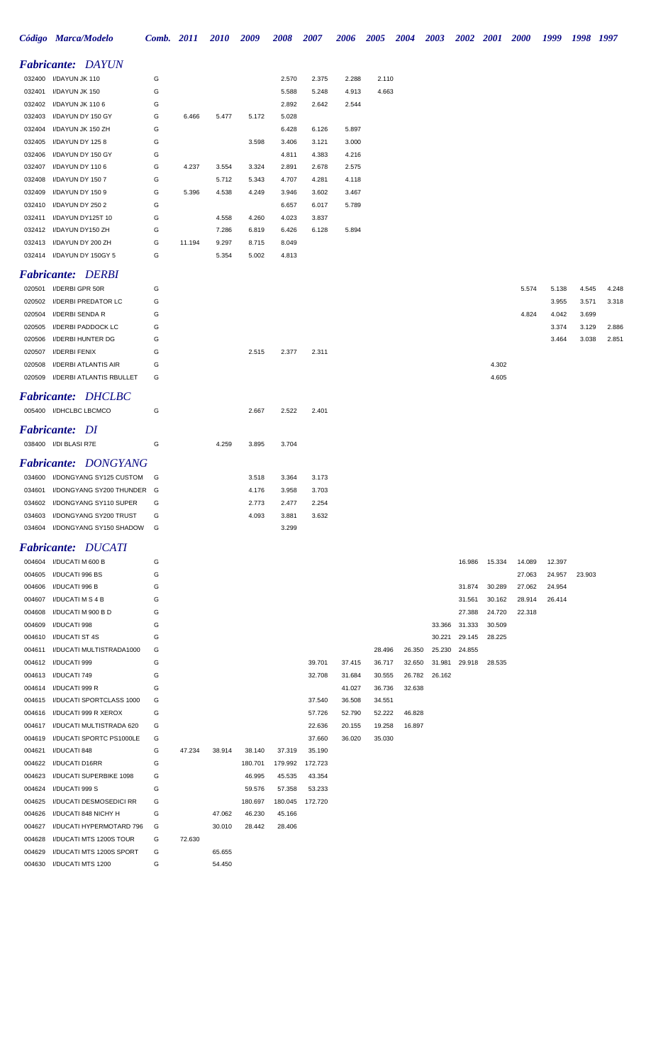|        | Código Marca/Modelo                                            |            | <b>Comb.</b> 2011 | <b>2010</b>    | 2009           | 2008           | 2007             | 2006             | <b>2005</b>      | <b>2004</b> | 2003   |        | 2002 2001 | <b>2000</b> | 1999           | 1998 1997      |       |
|--------|----------------------------------------------------------------|------------|-------------------|----------------|----------------|----------------|------------------|------------------|------------------|-------------|--------|--------|-----------|-------------|----------------|----------------|-------|
|        | <b>Fabricante: DAYUN</b>                                       |            |                   |                |                |                |                  |                  |                  |             |        |        |           |             |                |                |       |
|        | 032400 I/DAYUN JK 110                                          | G          |                   |                |                | 2.570          | 2.375            | 2.288            | 2.110            |             |        |        |           |             |                |                |       |
| 032401 | I/DAYUN JK 150                                                 | G          |                   |                |                | 5.588          | 5.248            | 4.913            | 4.663            |             |        |        |           |             |                |                |       |
|        | 032402 I/DAYUN JK 110 6                                        | G          |                   |                |                | 2.892          | 2.642            | 2.544            |                  |             |        |        |           |             |                |                |       |
| 032403 | I/DAYUN DY 150 GY                                              | G          | 6.466             | 5.477          | 5.172          | 5.028          |                  |                  |                  |             |        |        |           |             |                |                |       |
| 032404 | I/DAYUN JK 150 ZH                                              | G          |                   |                |                | 6.428          | 6.126            | 5.897            |                  |             |        |        |           |             |                |                |       |
|        | 032405 I/DAYUN DY 1258                                         | G          |                   |                | 3.598          | 3.406          | 3.121            | 3.000            |                  |             |        |        |           |             |                |                |       |
|        | 032406 I/DAYUN DY 150 GY                                       | G          |                   |                |                | 4.811          | 4.383            | 4.216            |                  |             |        |        |           |             |                |                |       |
|        | 032407 I/DAYUN DY 110 6                                        | G          | 4.237             | 3.554          | 3.324          | 2.891          | 2.678            | 2.575            |                  |             |        |        |           |             |                |                |       |
| 032408 | I/DAYUN DY 150 7                                               | G          |                   | 5.712          | 5.343          | 4.707          | 4.281            | 4.118            |                  |             |        |        |           |             |                |                |       |
| 032409 | I/DAYUN DY 1509                                                | G          | 5.396             | 4.538          | 4.249          | 3.946          | 3.602            | 3.467            |                  |             |        |        |           |             |                |                |       |
|        | 032410 I/DAYUN DY 250 2                                        | G          |                   |                |                | 6.657          | 6.017            | 5.789            |                  |             |        |        |           |             |                |                |       |
|        | 032411 I/DAYUN DY125T 10                                       | G          |                   | 4.558          | 4.260<br>6.819 | 4.023<br>6.426 | 3.837            |                  |                  |             |        |        |           |             |                |                |       |
|        | 032412 I/DAYUN DY150 ZH<br>032413 I/DAYUN DY 200 ZH            | G<br>G     | 11.194            | 7.286<br>9.297 | 8.715          | 8.049          | 6.128            | 5.894            |                  |             |        |        |           |             |                |                |       |
|        | 032414 I/DAYUN DY 150GY 5                                      | G          |                   | 5.354          | 5.002          | 4.813          |                  |                  |                  |             |        |        |           |             |                |                |       |
|        |                                                                |            |                   |                |                |                |                  |                  |                  |             |        |        |           |             |                |                |       |
|        | <b>Fabricante: DERBI</b>                                       |            |                   |                |                |                |                  |                  |                  |             |        |        |           |             |                |                |       |
|        | 020501 I/DERBI GPR 50R                                         | G          |                   |                |                |                |                  |                  |                  |             |        |        |           | 5.574       | 5.138          | 4.545          | 4.248 |
|        | 020502 I/DERBI PREDATOR LC<br>020504 I/DERBI SENDA R           | G<br>G     |                   |                |                |                |                  |                  |                  |             |        |        |           | 4.824       | 3.955          | 3.571          | 3.318 |
| 020505 | I/DERBI PADDOCK LC                                             | G          |                   |                |                |                |                  |                  |                  |             |        |        |           |             | 4.042<br>3.374 | 3.699<br>3.129 | 2.886 |
| 020506 | I/DERBI HUNTER DG                                              | G          |                   |                |                |                |                  |                  |                  |             |        |        |           |             | 3.464          | 3.038          | 2.851 |
| 020507 | I/DERBI FENIX                                                  | G          |                   |                | 2.515          | 2.377          | 2.311            |                  |                  |             |        |        |           |             |                |                |       |
| 020508 | I/DERBI ATLANTIS AIR                                           | G          |                   |                |                |                |                  |                  |                  |             |        |        | 4.302     |             |                |                |       |
|        | 020509 I/DERBI ATLANTIS RBULLET                                | G          |                   |                |                |                |                  |                  |                  |             |        |        | 4.605     |             |                |                |       |
|        | <b>Fabricante: DHCLBC</b>                                      |            |                   |                |                |                |                  |                  |                  |             |        |        |           |             |                |                |       |
|        | 005400 I/DHCLBC LBCMCO                                         | G          |                   |                | 2.667          | 2.522          | 2.401            |                  |                  |             |        |        |           |             |                |                |       |
|        |                                                                |            |                   |                |                |                |                  |                  |                  |             |        |        |           |             |                |                |       |
|        | <b>Fabricante: DI</b>                                          |            |                   |                |                |                |                  |                  |                  |             |        |        |           |             |                |                |       |
|        | 038400 I/DI BLASI R7E                                          | G          |                   | 4.259          | 3.895          | 3.704          |                  |                  |                  |             |        |        |           |             |                |                |       |
|        | <b>Fabricante: DONGYANG</b>                                    |            |                   |                |                |                |                  |                  |                  |             |        |        |           |             |                |                |       |
|        | 034600 I/DONGYANG SY125 CUSTOM                                 | G G        |                   |                | 3.518          | 3.364          | 3.173            |                  |                  |             |        |        |           |             |                |                |       |
|        | 034601 I/DONGYANG SY200 THUNDER G                              |            |                   |                | 4.176          | 3.958          | 3.703            |                  |                  |             |        |        |           |             |                |                |       |
|        | 034602 I/DONGYANG SY110 SUPER                                  | $\epsilon$ |                   |                | 2.773          | 2.477          | 2.254            |                  |                  |             |        |        |           |             |                |                |       |
|        | 034603 I/DONGYANG SY200 TRUST                                  | G          |                   |                | 4.093          | 3.881          | 3.632            |                  |                  |             |        |        |           |             |                |                |       |
|        | 034604 I/DONGYANG SY150 SHADOW                                 | G          |                   |                |                | 3.299          |                  |                  |                  |             |        |        |           |             |                |                |       |
|        | <b>Fabricante: DUCATI</b>                                      |            |                   |                |                |                |                  |                  |                  |             |        |        |           |             |                |                |       |
|        | 004604 I/DUCATI M 600 B                                        | G          |                   |                |                |                |                  |                  |                  |             |        | 16.986 | 15.334    | 14.089      | 12.397         |                |       |
|        | 004605 I/DUCATI 996 BS                                         | G          |                   |                |                |                |                  |                  |                  |             |        |        |           | 27.063      | 24.957         | 23.903         |       |
|        | 004606 I/DUCATI 996 B                                          | G          |                   |                |                |                |                  |                  |                  |             |        | 31.874 | 30.289    | 27.062      | 24.954         |                |       |
|        | 004607 I/DUCATI M S 4 B                                        | G          |                   |                |                |                |                  |                  |                  |             |        | 31.561 | 30.162    | 28.914      | 26.414         |                |       |
|        | 004608 I/DUCATI M 900 B D                                      | G          |                   |                |                |                |                  |                  |                  |             |        | 27.388 | 24.720    | 22.318      |                |                |       |
|        | 004609 I/DUCATI 998                                            | G          |                   |                |                |                |                  |                  |                  |             | 33.366 | 31.333 | 30.509    |             |                |                |       |
|        | 004610 I/DUCATI ST 4S                                          | G          |                   |                |                |                |                  |                  |                  |             | 30.221 | 29.145 | 28.225    |             |                |                |       |
|        | 004611 I/DUCATI MULTISTRADA1000                                | G          |                   |                |                |                |                  |                  | 28.496           | 26.350      | 25.230 | 24.855 |           |             |                |                |       |
|        | 004612 I/DUCATI 999                                            | G          |                   |                |                |                | 39.701           | 37.415           | 36.717           | 32.650      | 31.981 | 29.918 | 28.535    |             |                |                |       |
|        | 004613 I/DUCATI 749                                            | G          |                   |                |                |                | 32.708           | 31.684           | 30.555           | 26.782      | 26.162 |        |           |             |                |                |       |
|        | 004614 I/DUCATI 999 R                                          | G          |                   |                |                |                |                  | 41.027           | 36.736           | 32.638      |        |        |           |             |                |                |       |
|        | 004615 I/DUCATI SPORTCLASS 1000<br>004616 I/DUCATI 999 R XEROX | G<br>G     |                   |                |                |                | 37.540<br>57.726 | 36.508<br>52.790 | 34.551<br>52.222 | 46.828      |        |        |           |             |                |                |       |
|        | 004617 I/DUCATI MULTISTRADA 620                                | G          |                   |                |                |                | 22.636           | 20.155           | 19.258           | 16.897      |        |        |           |             |                |                |       |
|        | 004619 I/DUCATI SPORTC PS1000LE                                | G          |                   |                |                |                | 37.660           | 36.020           | 35.030           |             |        |        |           |             |                |                |       |
| 004621 | I/DUCATI 848                                                   | G          | 47.234            | 38.914         | 38.140         | 37.319         | 35.190           |                  |                  |             |        |        |           |             |                |                |       |
|        | 004622 I/DUCATI D16RR                                          | G          |                   |                | 180.701        | 179.992        | 172.723          |                  |                  |             |        |        |           |             |                |                |       |
|        | 004623 I/DUCATI SUPERBIKE 1098                                 | G          |                   |                | 46.995         | 45.535         | 43.354           |                  |                  |             |        |        |           |             |                |                |       |
|        | 004624 I/DUCATI 999 S                                          | G          |                   |                | 59.576         | 57.358         | 53.233           |                  |                  |             |        |        |           |             |                |                |       |
| 004625 | I/DUCATI DESMOSEDICI RR                                        | G          |                   |                | 180.697        | 180.045        | 172.720          |                  |                  |             |        |        |           |             |                |                |       |
| 004626 | I/DUCATI 848 NICHY H                                           | G          |                   | 47.062         | 46.230         | 45.166         |                  |                  |                  |             |        |        |           |             |                |                |       |
| 004627 | I/DUCATI HYPERMOTARD 796                                       | G          |                   | 30.010         | 28.442         | 28.406         |                  |                  |                  |             |        |        |           |             |                |                |       |
| 004628 | I/DUCATI MTS 1200S TOUR                                        | G          | 72.630            |                |                |                |                  |                  |                  |             |        |        |           |             |                |                |       |
| 004629 | I/DUCATI MTS 1200S SPORT                                       | G          |                   | 65.655         |                |                |                  |                  |                  |             |        |        |           |             |                |                |       |
|        | 004630 I/DUCATI MTS 1200                                       | G          |                   | 54.450         |                |                |                  |                  |                  |             |        |        |           |             |                |                |       |
|        |                                                                |            |                   |                |                |                |                  |                  |                  |             |        |        |           |             |                |                |       |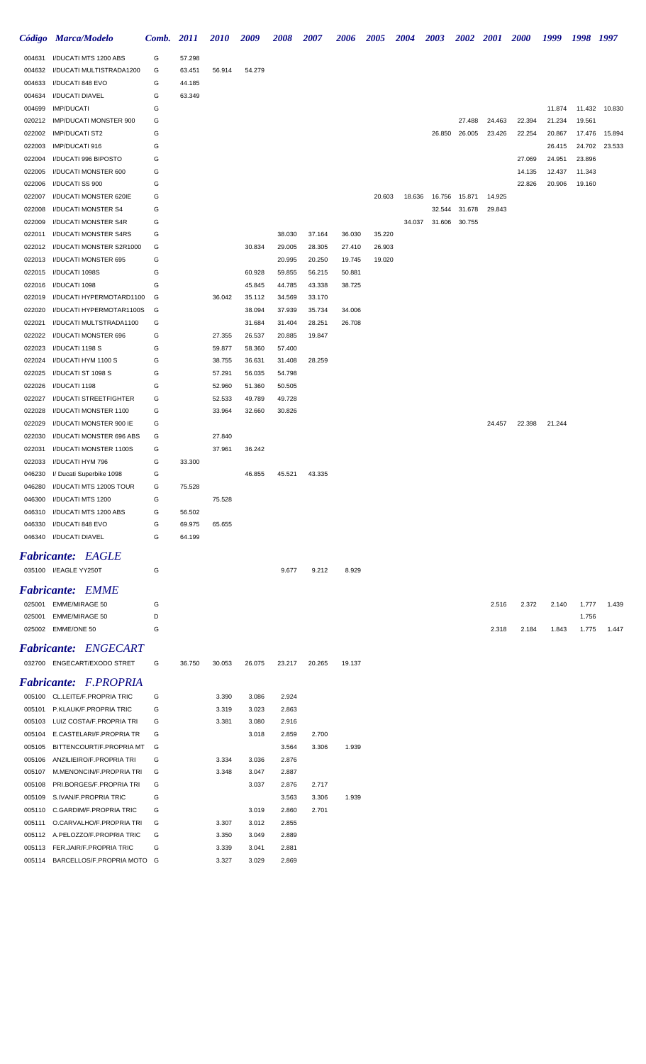|                  | Código Marca/Modelo                                  | Comb.  | 2011   | <b>2010</b>      | 2009             | <b>2008</b>      | <b>2007</b>    | 2006   | <b>2005</b> | <b>2004</b> | <b>2003</b> | <b>2002</b> | 2001   | <b>2000</b>      | 1999             | 1998             | 1997          |
|------------------|------------------------------------------------------|--------|--------|------------------|------------------|------------------|----------------|--------|-------------|-------------|-------------|-------------|--------|------------------|------------------|------------------|---------------|
| 004631           | I/DUCATI MTS 1200 ABS                                | G      | 57.298 |                  |                  |                  |                |        |             |             |             |             |        |                  |                  |                  |               |
| 004632           | I/DUCATI MULTISTRADA1200                             | G      | 63.451 | 56.914           | 54.279           |                  |                |        |             |             |             |             |        |                  |                  |                  |               |
| 004633           | I/DUCATI 848 EVO                                     | G      | 44.185 |                  |                  |                  |                |        |             |             |             |             |        |                  |                  |                  |               |
| 004634           | I/DUCATI DIAVEL                                      | G      | 63.349 |                  |                  |                  |                |        |             |             |             |             |        |                  |                  |                  |               |
| 004699           | <b>IMP/DUCATI</b>                                    | G      |        |                  |                  |                  |                |        |             |             |             |             |        |                  | 11.874           |                  | 11.432 10.830 |
| 020212           | IMP/DUCATI MONSTER 900                               | G      |        |                  |                  |                  |                |        |             |             |             | 27.488      | 24.463 | 22.394           | 21.234           | 19.561           |               |
| 022002           | <b>IMP/DUCATI ST2</b>                                | G      |        |                  |                  |                  |                |        |             |             | 26.850      | 26.005      | 23.426 | 22.254           | 20.867           | 17.476           | 15.894        |
| 022003           | IMP/DUCATI 916                                       | G      |        |                  |                  |                  |                |        |             |             |             |             |        |                  | 26.415           |                  | 24.702 23.533 |
| 022004           | I/DUCATI 996 BIPOSTO                                 | G      |        |                  |                  |                  |                |        |             |             |             |             |        | 27.069           | 24.951           | 23.896           |               |
| 022005<br>022006 | I/DUCATI MONSTER 600<br>I/DUCATI SS 900              | G<br>G |        |                  |                  |                  |                |        |             |             |             |             |        | 14.135<br>22.826 | 12.437<br>20.906 | 11.343<br>19.160 |               |
| 022007           | I/DUCATI MONSTER 620IE                               | G      |        |                  |                  |                  |                |        | 20.603      | 18.636      | 16.756      | 15.871      | 14.925 |                  |                  |                  |               |
| 022008           | I/DUCATI MONSTER S4                                  | G      |        |                  |                  |                  |                |        |             |             | 32.544      | 31.678      | 29.843 |                  |                  |                  |               |
| 022009           | I/DUCATI MONSTER S4R                                 | G      |        |                  |                  |                  |                |        |             | 34.037      | 31.606      | 30.755      |        |                  |                  |                  |               |
| 022011           | I/DUCATI MONSTER S4RS                                | G      |        |                  |                  | 38.030           | 37.164         | 36.030 | 35.220      |             |             |             |        |                  |                  |                  |               |
| 022012           | I/DUCATI MONSTER S2R1000                             | G      |        |                  | 30.834           | 29.005           | 28.305         | 27.410 | 26.903      |             |             |             |        |                  |                  |                  |               |
| 022013           | I/DUCATI MONSTER 695                                 | G      |        |                  |                  | 20.995           | 20.250         | 19.745 | 19.020      |             |             |             |        |                  |                  |                  |               |
| 022015           | I/DUCATI 1098S                                       | G      |        |                  | 60.928           | 59.855           | 56.215         | 50.881 |             |             |             |             |        |                  |                  |                  |               |
| 022016           | I/DUCATI 1098                                        | G      |        |                  | 45.845           | 44.785           | 43.338         | 38.725 |             |             |             |             |        |                  |                  |                  |               |
| 022019           | I/DUCATI HYPERMOTARD1100                             | G      |        | 36.042           | 35.112           | 34.569           | 33.170         |        |             |             |             |             |        |                  |                  |                  |               |
| 022020           | I/DUCATI HYPERMOTAR1100S                             | G      |        |                  | 38.094           | 37.939           | 35.734         | 34.006 |             |             |             |             |        |                  |                  |                  |               |
| 022021           | I/DUCATI MULTSTRADA1100                              | G      |        |                  | 31.684           | 31.404           | 28.251         | 26.708 |             |             |             |             |        |                  |                  |                  |               |
| 022022           | I/DUCATI MONSTER 696                                 | G      |        | 27.355           | 26.537           | 20.885           | 19.847         |        |             |             |             |             |        |                  |                  |                  |               |
| 022023           | I/DUCATI 1198 S                                      | G      |        | 59.877           | 58.360           | 57.400           |                |        |             |             |             |             |        |                  |                  |                  |               |
| 022024<br>022025 | I/DUCATI HYM 1100 S<br>I/DUCATI ST 1098 S            | G<br>G |        | 38.755<br>57.291 | 36.631<br>56.035 | 31.408<br>54.798 | 28.259         |        |             |             |             |             |        |                  |                  |                  |               |
| 022026           | I/DUCATI 1198                                        | G      |        | 52.960           | 51.360           | 50.505           |                |        |             |             |             |             |        |                  |                  |                  |               |
| 022027           | I/DUCATI STREETFIGHTER                               | G      |        | 52.533           | 49.789           | 49.728           |                |        |             |             |             |             |        |                  |                  |                  |               |
| 022028           | I/DUCATI MONSTER 1100                                | G      |        | 33.964           | 32.660           | 30.826           |                |        |             |             |             |             |        |                  |                  |                  |               |
| 022029           | I/DUCATI MONSTER 900 IE                              | G      |        |                  |                  |                  |                |        |             |             |             |             | 24.457 | 22.398           | 21.244           |                  |               |
| 022030           | I/DUCATI MONSTER 696 ABS                             | G      |        | 27.840           |                  |                  |                |        |             |             |             |             |        |                  |                  |                  |               |
| 022031           | I/DUCATI MONSTER 1100S                               | G      |        | 37.961           | 36.242           |                  |                |        |             |             |             |             |        |                  |                  |                  |               |
| 022033           | I/DUCATI HYM 796                                     | G      | 33.300 |                  |                  |                  |                |        |             |             |             |             |        |                  |                  |                  |               |
| 046230           | I/ Ducati Superbike 1098                             | G      |        |                  | 46.855           | 45.521           | 43.335         |        |             |             |             |             |        |                  |                  |                  |               |
| 046280           | I/DUCATI MTS 1200S TOUR                              | G      | 75.528 |                  |                  |                  |                |        |             |             |             |             |        |                  |                  |                  |               |
| 046300           | I/DUCATI MTS 1200                                    | G      |        | 75.528           |                  |                  |                |        |             |             |             |             |        |                  |                  |                  |               |
|                  | 046310 I/DUCATI MTS 1200 ABS                         | G      | 56.502 |                  |                  |                  |                |        |             |             |             |             |        |                  |                  |                  |               |
| 046330           | I/DUCATI 848 EVO                                     | G      | 69.975 | 65.655           |                  |                  |                |        |             |             |             |             |        |                  |                  |                  |               |
|                  | 046340 I/DUCATI DIAVEL                               | G      | 64.199 |                  |                  |                  |                |        |             |             |             |             |        |                  |                  |                  |               |
|                  | <b>Fabricante: EAGLE</b>                             |        |        |                  |                  |                  |                |        |             |             |             |             |        |                  |                  |                  |               |
|                  | 035100 I/EAGLE YY250T                                | G      |        |                  |                  | 9.677            | 9.212          | 8.929  |             |             |             |             |        |                  |                  |                  |               |
|                  | <b>Fabricante: EMME</b>                              |        |        |                  |                  |                  |                |        |             |             |             |             |        |                  |                  |                  |               |
|                  | 025001 EMME/MIRAGE 50                                | G      |        |                  |                  |                  |                |        |             |             |             |             | 2.516  | 2.372            | 2.140            | 1.777            | 1.439         |
| 025001           | <b>EMME/MIRAGE 50</b>                                | D      |        |                  |                  |                  |                |        |             |             |             |             |        |                  |                  | 1.756            |               |
|                  | 025002 EMME/ONE 50                                   | G      |        |                  |                  |                  |                |        |             |             |             |             | 2.318  | 2.184            | 1.843            | 1.775            | 1.447         |
|                  | <b>Fabricante: ENGECART</b>                          |        |        |                  |                  |                  |                |        |             |             |             |             |        |                  |                  |                  |               |
|                  | 032700 ENGECART/EXODO STRET                          | G      | 36.750 | 30.053           | 26.075           | 23.217           | 20.265         | 19.137 |             |             |             |             |        |                  |                  |                  |               |
|                  |                                                      |        |        |                  |                  |                  |                |        |             |             |             |             |        |                  |                  |                  |               |
|                  | <b>Fabricante: F.PROPRIA</b>                         |        |        |                  |                  |                  |                |        |             |             |             |             |        |                  |                  |                  |               |
|                  | 005100 CL.LEITE/F.PROPRIA TRIC                       | G      |        | 3.390            | 3.086            | 2.924            |                |        |             |             |             |             |        |                  |                  |                  |               |
|                  | 005101 P.KLAUK/F.PROPRIA TRIC                        | G      |        | 3.319            | 3.023            | 2.863            |                |        |             |             |             |             |        |                  |                  |                  |               |
| 005103<br>005104 | LUIZ COSTA/F.PROPRIA TRI<br>E.CASTELARI/F.PROPRIA TR | G<br>G |        | 3.381            | 3.080<br>3.018   | 2.916<br>2.859   |                |        |             |             |             |             |        |                  |                  |                  |               |
| 005105           | BITTENCOURT/F.PROPRIA MT                             | G      |        |                  |                  | 3.564            | 2.700<br>3.306 | 1.939  |             |             |             |             |        |                  |                  |                  |               |
| 005106           | ANZILIEIRO/F.PROPRIA TRI                             | G      |        | 3.334            | 3.036            | 2.876            |                |        |             |             |             |             |        |                  |                  |                  |               |
| 005107           | M.MENONCIN/F.PROPRIA TRI                             | G      |        | 3.348            | 3.047            | 2.887            |                |        |             |             |             |             |        |                  |                  |                  |               |
| 005108           | PRI.BORGES/F.PROPRIA TRI                             | G      |        |                  | 3.037            | 2.876            | 2.717          |        |             |             |             |             |        |                  |                  |                  |               |
| 005109           | S.IVAN/F.PROPRIA TRIC                                | G      |        |                  |                  | 3.563            | 3.306          | 1.939  |             |             |             |             |        |                  |                  |                  |               |
| 005110           | C.GARDIM/F.PROPRIA TRIC                              | G      |        |                  | 3.019            | 2.860            | 2.701          |        |             |             |             |             |        |                  |                  |                  |               |
| 005111           | O.CARVALHO/F.PROPRIA TRI                             | G      |        | 3.307            | 3.012            | 2.855            |                |        |             |             |             |             |        |                  |                  |                  |               |
| 005112           | A.PELOZZO/F.PROPRIA TRIC                             | G      |        | 3.350            | 3.049            | 2.889            |                |        |             |             |             |             |        |                  |                  |                  |               |
| 005113           | FER.JAIR/F.PROPRIA TRIC                              | G      |        | 3.339            | 3.041            | 2.881            |                |        |             |             |             |             |        |                  |                  |                  |               |
|                  | 005114 BARCELLOS/F.PROPRIA MOTO G                    |        |        | 3.327            | 3.029            | 2.869            |                |        |             |             |             |             |        |                  |                  |                  |               |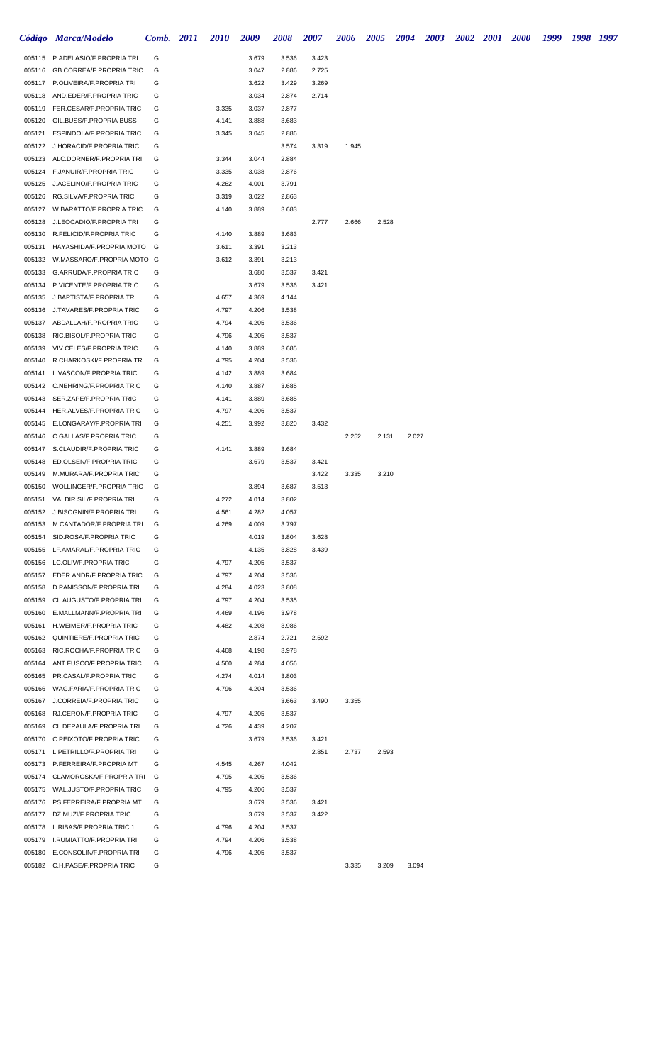|        | Código Marca/Modelo                                                |        | <b>Comb.</b> 2011 | <i>2010</i> | 2009           | <b>2008</b>    | 2007  | 2006  | <b>2005</b> | <b>2004</b> | <b>2003</b> | 2002 2001 2000 | 1999 | 1998 1997 |  |
|--------|--------------------------------------------------------------------|--------|-------------------|-------------|----------------|----------------|-------|-------|-------------|-------------|-------------|----------------|------|-----------|--|
|        | 005115 P.ADELASIO/F.PROPRIA TRI                                    | G      |                   |             | 3.679          | 3.536          | 3.423 |       |             |             |             |                |      |           |  |
| 005116 | <b>GB.CORREA/F.PROPRIA TRIC</b>                                    | G      |                   |             | 3.047          | 2.886          | 2.725 |       |             |             |             |                |      |           |  |
|        | 005117 P.OLIVEIRA/F.PROPRIA TRI                                    | G      |                   |             | 3.622          | 3.429          | 3.269 |       |             |             |             |                |      |           |  |
| 005118 | AND.EDER/F.PROPRIA TRIC                                            | G      |                   |             | 3.034          | 2.874          | 2.714 |       |             |             |             |                |      |           |  |
|        | 005119 FER.CESAR/F.PROPRIA TRIC                                    | G      |                   | 3.335       | 3.037          | 2.877          |       |       |             |             |             |                |      |           |  |
| 005120 | GIL.BUSS/F.PROPRIA BUSS                                            | G      |                   | 4.141       | 3.888          | 3.683          |       |       |             |             |             |                |      |           |  |
| 005121 | ESPINDOLA/F.PROPRIA TRIC                                           | G      |                   | 3.345       | 3.045          | 2.886          |       |       |             |             |             |                |      |           |  |
|        | 005122 J.HORACID/F.PROPRIA TRIC                                    | G      |                   |             |                | 3.574          | 3.319 | 1.945 |             |             |             |                |      |           |  |
|        | 005123 ALC.DORNER/F.PROPRIA TRI                                    | G      |                   | 3.344       | 3.044          | 2.884          |       |       |             |             |             |                |      |           |  |
|        | 005124 F.JANUIR/F.PROPRIA TRIC                                     | G      |                   | 3.335       | 3.038          | 2.876          |       |       |             |             |             |                |      |           |  |
| 005125 | J.ACELINO/F.PROPRIA TRIC                                           | G      |                   | 4.262       | 4.001          | 3.791          |       |       |             |             |             |                |      |           |  |
| 005126 | RG.SILVA/F.PROPRIA TRIC                                            | G      |                   | 3.319       | 3.022          | 2.863          |       |       |             |             |             |                |      |           |  |
| 005127 | W.BARATTO/F.PROPRIA TRIC                                           | G      |                   | 4.140       | 3.889          | 3.683          |       |       |             |             |             |                |      |           |  |
| 005128 | J.LEOCADIO/F.PROPRIA TRI                                           | G      |                   |             |                |                | 2.777 | 2.666 | 2.528       |             |             |                |      |           |  |
|        | 005130 R.FELICID/F.PROPRIA TRIC                                    | G      |                   | 4.140       | 3.889          | 3.683          |       |       |             |             |             |                |      |           |  |
|        | 005131 HAYASHIDA/F.PROPRIA MOTO                                    | G      |                   | 3.611       | 3.391          | 3.213          |       |       |             |             |             |                |      |           |  |
|        | 005132 W.MASSARO/F.PROPRIA MOTO G                                  |        |                   | 3.612       | 3.391          | 3.213          |       |       |             |             |             |                |      |           |  |
|        | 005133 G.ARRUDA/F.PROPRIA TRIC                                     | G      |                   |             | 3.680          | 3.537          | 3.421 |       |             |             |             |                |      |           |  |
|        | 005134 P.VICENTE/F.PROPRIA TRIC                                    | G      |                   |             | 3.679          | 3.536          | 3.421 |       |             |             |             |                |      |           |  |
|        | 005135 J.BAPTISTA/F.PROPRIA TRI                                    | G      |                   | 4.657       | 4.369          | 4.144          |       |       |             |             |             |                |      |           |  |
| 005136 | J.TAVARES/F.PROPRIA TRIC                                           | G      |                   | 4.797       | 4.206          | 3.538          |       |       |             |             |             |                |      |           |  |
| 005137 | ABDALLAH/F.PROPRIA TRIC                                            | G      |                   | 4.794       | 4.205          | 3.536          |       |       |             |             |             |                |      |           |  |
| 005138 | RIC.BISOL/F.PROPRIA TRIC                                           | G      |                   | 4.796       | 4.205          | 3.537          |       |       |             |             |             |                |      |           |  |
| 005139 | VIV.CELES/F.PROPRIA TRIC                                           | G      |                   | 4.140       | 3.889          | 3.685          |       |       |             |             |             |                |      |           |  |
| 005140 | R.CHARKOSKI/F.PROPRIA TR                                           | G      |                   | 4.795       | 4.204          | 3.536          |       |       |             |             |             |                |      |           |  |
| 005141 | L.VASCON/F.PROPRIA TRIC                                            | G      |                   | 4.142       | 3.889          | 3.684          |       |       |             |             |             |                |      |           |  |
| 005142 | C.NEHRING/F.PROPRIA TRIC                                           | G      |                   | 4.140       | 3.887          | 3.685          |       |       |             |             |             |                |      |           |  |
| 005143 | SER.ZAPE/F.PROPRIA TRIC                                            | G      |                   | 4.141       | 3.889          | 3.685          |       |       |             |             |             |                |      |           |  |
| 005144 | HER.ALVES/F.PROPRIA TRIC                                           | G      |                   | 4.797       | 4.206          | 3.537          |       |       |             |             |             |                |      |           |  |
| 005145 | E.LONGARAY/F.PROPRIA TRI                                           | G      |                   | 4.251       | 3.992          | 3.820          | 3.432 |       |             |             |             |                |      |           |  |
| 005146 | C.GALLAS/F.PROPRIA TRIC                                            | G      |                   |             |                |                |       | 2.252 | 2.131       |             | 2.027       |                |      |           |  |
|        | 005147 S.CLAUDIR/F.PROPRIA TRIC                                    | G      |                   | 4.141       | 3.889          | 3.684          |       |       |             |             |             |                |      |           |  |
| 005148 | ED.OLSEN/F.PROPRIA TRIC                                            | G      |                   |             | 3.679          | 3.537          | 3.421 |       |             |             |             |                |      |           |  |
| 005149 | M.MURARA/F.PROPRIA TRIC                                            | G<br>G |                   |             |                |                | 3.422 | 3.335 | 3.210       |             |             |                |      |           |  |
|        | 005150 WOLLINGER/F.PROPRIA TRIC<br>005151 VALDIR.SIL/F.PROPRIA TRI | G      |                   | 4.272       | 3.894<br>4.014 | 3.687<br>3.802 | 3.513 |       |             |             |             |                |      |           |  |
|        | 005152 J.BISOGNIN/F.PROPRIA TRI                                    | G      |                   | 4.561       | 4.282          | 4.057          |       |       |             |             |             |                |      |           |  |
|        | 005153 M.CANTADOR/F.PROPRIA TRI                                    | G      |                   | 4.269       | 4.009          | 3.797          |       |       |             |             |             |                |      |           |  |
|        | 005154 SID.ROSA/F.PROPRIA TRIC                                     | G      |                   |             | 4.019          | 3.804          | 3.628 |       |             |             |             |                |      |           |  |
|        | 005155 LF.AMARAL/F.PROPRIA TRIC                                    | G      |                   |             | 4.135          | 3.828          | 3.439 |       |             |             |             |                |      |           |  |
|        | 005156 LC.OLIV/F.PROPRIA TRIC                                      | G      |                   | 4.797       | 4.205          | 3.537          |       |       |             |             |             |                |      |           |  |
|        | 005157 EDER ANDR/F.PROPRIA TRIC                                    | G      |                   | 4.797       | 4.204          | 3.536          |       |       |             |             |             |                |      |           |  |
|        | 005158 D.PANISSON/F.PROPRIA TRI                                    | G      |                   | 4.284       | 4.023          | 3.808          |       |       |             |             |             |                |      |           |  |
|        | 005159 CL.AUGUSTO/F.PROPRIA TRI                                    | G      |                   | 4.797       | 4.204          | 3.535          |       |       |             |             |             |                |      |           |  |
|        | 005160 E.MALLMANN/F.PROPRIA TRI                                    | G      |                   | 4.469       | 4.196          | 3.978          |       |       |             |             |             |                |      |           |  |
|        | 005161 H.WEIMER/F.PROPRIA TRIC                                     | G      |                   | 4.482       | 4.208          | 3.986          |       |       |             |             |             |                |      |           |  |
|        | 005162 QUINTIERE/F.PROPRIA TRIC                                    | G      |                   |             | 2.874          | 2.721          | 2.592 |       |             |             |             |                |      |           |  |
|        | 005163 RIC.ROCHA/F.PROPRIA TRIC                                    | G      |                   | 4.468       | 4.198          | 3.978          |       |       |             |             |             |                |      |           |  |
|        | 005164 ANT.FUSCO/F.PROPRIA TRIC                                    | G      |                   | 4.560       | 4.284          | 4.056          |       |       |             |             |             |                |      |           |  |
|        | 005165 PR.CASAL/F.PROPRIA TRIC                                     | G      |                   | 4.274       | 4.014          | 3.803          |       |       |             |             |             |                |      |           |  |
| 005166 | WAG.FARIA/F.PROPRIA TRIC                                           | G      |                   | 4.796       | 4.204          | 3.536          |       |       |             |             |             |                |      |           |  |
| 005167 | J.CORREIA/F.PROPRIA TRIC                                           | G      |                   |             |                | 3.663          | 3.490 | 3.355 |             |             |             |                |      |           |  |
|        | 005168 RJ.CERON/F.PROPRIA TRIC                                     | G      |                   | 4.797       | 4.205          | 3.537          |       |       |             |             |             |                |      |           |  |
|        | 005169 CL.DEPAULA/F.PROPRIA TRI                                    | G      |                   | 4.726       | 4.439          | 4.207          |       |       |             |             |             |                |      |           |  |
|        | 005170 C.PEIXOTO/F.PROPRIA TRIC                                    | G      |                   |             | 3.679          | 3.536          | 3.421 |       |             |             |             |                |      |           |  |
|        | 005171 L.PETRILLO/F.PROPRIA TRI                                    | G      |                   |             |                |                | 2.851 | 2.737 | 2.593       |             |             |                |      |           |  |
|        | 005173 P.FERREIRA/F.PROPRIA MT                                     | G      |                   | 4.545       | 4.267          | 4.042          |       |       |             |             |             |                |      |           |  |
| 005174 | CLAMOROSKA/F.PROPRIA TRI                                           | G      |                   | 4.795       | 4.205          | 3.536          |       |       |             |             |             |                |      |           |  |
|        | 005175 WAL.JUSTO/F.PROPRIA TRIC                                    | G      |                   | 4.795       | 4.206          | 3.537          |       |       |             |             |             |                |      |           |  |
|        | 005176 PS.FERREIRA/F.PROPRIA MT                                    | G      |                   |             | 3.679          | 3.536          | 3.421 |       |             |             |             |                |      |           |  |
|        | 005177 DZ.MUZI/F.PROPRIA TRIC                                      | G      |                   |             | 3.679          | 3.537          | 3.422 |       |             |             |             |                |      |           |  |
|        | 005178 L.RIBAS/F.PROPRIA TRIC 1                                    | G      |                   | 4.796       | 4.204          | 3.537          |       |       |             |             |             |                |      |           |  |
|        | 005179 I.RUMIATTO/F.PROPRIA TRI                                    | G      |                   | 4.794       | 4.206          | 3.538          |       |       |             |             |             |                |      |           |  |
|        | 005180 E.CONSOLIN/F.PROPRIA TRI                                    | G      |                   | 4.796       | 4.205          | 3.537          |       |       |             |             |             |                |      |           |  |
|        | 005182 C.H.PASE/F.PROPRIA TRIC                                     | G      |                   |             |                |                |       | 3.335 | 3.209       |             | 3.094       |                |      |           |  |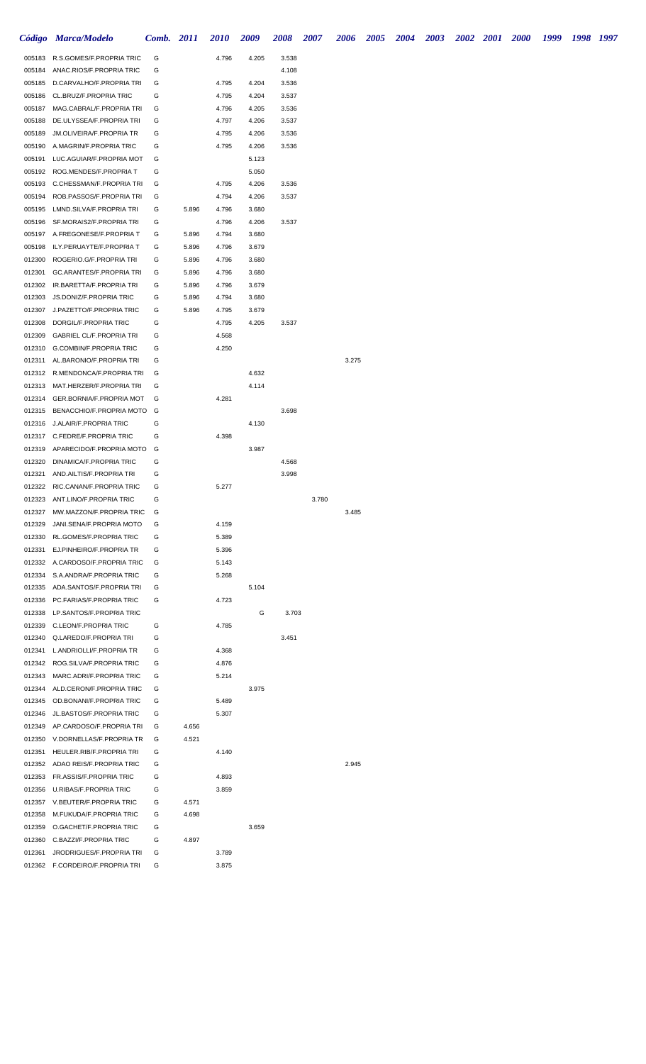|                  | Código Marca/Modelo                                      | Comb. 2011 |       | <b>2010</b>    | 2009           | 2008  | 2007  | 2006  | <b>2005</b> | <b>2004</b> | <b>2003</b> | 2002 2001 2000 | 1999 | 1998 1997 |  |
|------------------|----------------------------------------------------------|------------|-------|----------------|----------------|-------|-------|-------|-------------|-------------|-------------|----------------|------|-----------|--|
| 005183           | R.S.GOMES/F.PROPRIA TRIC                                 | G          |       | 4.796          | 4.205          | 3.538 |       |       |             |             |             |                |      |           |  |
| 005184           | ANAC.RIOS/F.PROPRIA TRIC                                 | G          |       |                |                | 4.108 |       |       |             |             |             |                |      |           |  |
| 005185           | D.CARVALHO/F.PROPRIA TRI                                 | G          |       | 4.795          | 4.204          | 3.536 |       |       |             |             |             |                |      |           |  |
| 005186           | CL.BRUZ/F.PROPRIA TRIC                                   | G          |       | 4.795          | 4.204          | 3.537 |       |       |             |             |             |                |      |           |  |
| 005187           | MAG.CABRAL/F.PROPRIA TRI                                 | G          |       | 4.796          | 4.205          | 3.536 |       |       |             |             |             |                |      |           |  |
| 005188           | DE.ULYSSEA/F.PROPRIA TRI                                 | G          |       | 4.797          | 4.206          | 3.537 |       |       |             |             |             |                |      |           |  |
| 005189           | JM.OLIVEIRA/F.PROPRIA TR                                 | G          |       | 4.795          | 4.206          | 3.536 |       |       |             |             |             |                |      |           |  |
| 005190           | A.MAGRIN/F.PROPRIA TRIC                                  | G          |       | 4.795          | 4.206          | 3.536 |       |       |             |             |             |                |      |           |  |
| 005191<br>005192 | LUC.AGUIAR/F.PROPRIA MOT<br>ROG.MENDES/F.PROPRIA T       | G<br>G     |       |                | 5.123<br>5.050 |       |       |       |             |             |             |                |      |           |  |
| 005193           | C.CHESSMAN/F.PROPRIA TRI                                 | G          |       | 4.795          | 4.206          | 3.536 |       |       |             |             |             |                |      |           |  |
| 005194           | ROB.PASSOS/F.PROPRIA TRI                                 | G          |       | 4.794          | 4.206          | 3.537 |       |       |             |             |             |                |      |           |  |
| 005195           | LMND.SILVA/F.PROPRIA TRI                                 | G          | 5.896 | 4.796          | 3.680          |       |       |       |             |             |             |                |      |           |  |
| 005196           | SF.MORAIS2/F.PROPRIA TRI                                 | G          |       | 4.796          | 4.206          | 3.537 |       |       |             |             |             |                |      |           |  |
|                  | 005197 A.FREGONESE/F.PROPRIA T                           | G          | 5.896 | 4.794          | 3.680          |       |       |       |             |             |             |                |      |           |  |
| 005198           | ILY.PERUAYTE/F.PROPRIA T                                 | G          | 5.896 | 4.796          | 3.679          |       |       |       |             |             |             |                |      |           |  |
| 012300           | ROGERIO.G/F.PROPRIA TRI                                  | G          | 5.896 | 4.796          | 3.680          |       |       |       |             |             |             |                |      |           |  |
| 012301           | GC.ARANTES/F.PROPRIA TRI                                 | G          | 5.896 | 4.796          | 3.680          |       |       |       |             |             |             |                |      |           |  |
| 012302           | IR.BARETTA/F.PROPRIA TRI                                 | G          | 5.896 | 4.796          | 3.679          |       |       |       |             |             |             |                |      |           |  |
| 012303           | JS.DONIZ/F.PROPRIA TRIC                                  | G          | 5.896 | 4.794          | 3.680          |       |       |       |             |             |             |                |      |           |  |
| 012307           | J.PAZETTO/F.PROPRIA TRIC                                 | G<br>G     | 5.896 | 4.795          | 3.679          |       |       |       |             |             |             |                |      |           |  |
| 012308<br>012309 | DORGIL/F.PROPRIA TRIC<br><b>GABRIEL CL/F.PROPRIA TRI</b> | G          |       | 4.795<br>4.568 | 4.205          | 3.537 |       |       |             |             |             |                |      |           |  |
| 012310           | G.COMBIN/F.PROPRIA TRIC                                  | G          |       | 4.250          |                |       |       |       |             |             |             |                |      |           |  |
| 012311           | AL.BARONIO/F.PROPRIA TRI                                 | G          |       |                |                |       |       | 3.275 |             |             |             |                |      |           |  |
| 012312           | R.MENDONCA/F.PROPRIA TRI                                 | G          |       |                | 4.632          |       |       |       |             |             |             |                |      |           |  |
| 012313           | MAT.HERZER/F.PROPRIA TRI                                 | G          |       |                | 4.114          |       |       |       |             |             |             |                |      |           |  |
| 012314           | GER.BORNIA/F.PROPRIA MOT                                 | G          |       | 4.281          |                |       |       |       |             |             |             |                |      |           |  |
| 012315           | BENACCHIO/F.PROPRIA MOTO                                 | G          |       |                |                | 3.698 |       |       |             |             |             |                |      |           |  |
| 012316           | J.ALAIR/F.PROPRIA TRIC                                   | G          |       |                | 4.130          |       |       |       |             |             |             |                |      |           |  |
|                  | 012317 C.FEDRE/F.PROPRIA TRIC                            | G          |       | 4.398          |                |       |       |       |             |             |             |                |      |           |  |
| 012319           | APARECIDO/F.PROPRIA MOTO                                 | G          |       |                | 3.987          |       |       |       |             |             |             |                |      |           |  |
| 012320           | DINAMICA/F.PROPRIA TRIC                                  | G          |       |                |                | 4.568 |       |       |             |             |             |                |      |           |  |
| 012321<br>012322 | AND.AILTIS/F.PROPRIA TRI<br>RIC.CANAN/F.PROPRIA TRIC     | G<br>G     |       | 5.277          |                | 3.998 |       |       |             |             |             |                |      |           |  |
| 012323           | ANT.LINO/F.PROPRIA TRIC                                  | G          |       |                |                |       | 3.780 |       |             |             |             |                |      |           |  |
| 012327           | MW.MAZZON/F.PROPRIA TRIC                                 | G          |       |                |                |       |       | 3.485 |             |             |             |                |      |           |  |
| 012329           | JANI.SENA/F.PROPRIA MOTO                                 | G          |       | 4.159          |                |       |       |       |             |             |             |                |      |           |  |
| 012330           | RL.GOMES/F.PROPRIA TRIC                                  | G          |       | 5.389          |                |       |       |       |             |             |             |                |      |           |  |
| 012331           | EJ.PINHEIRO/F.PROPRIA TR                                 | G          |       | 5.396          |                |       |       |       |             |             |             |                |      |           |  |
| 012332           | A.CARDOSO/F.PROPRIA TRIC                                 | G          |       | 5.143          |                |       |       |       |             |             |             |                |      |           |  |
| 012334           | S.A.ANDRA/F.PROPRIA TRIC                                 | G          |       | 5.268          |                |       |       |       |             |             |             |                |      |           |  |
| 012335           | ADA.SANTOS/F.PROPRIA TRI                                 | G          |       |                | 5.104          |       |       |       |             |             |             |                |      |           |  |
| 012336<br>012338 | PC.FARIAS/F.PROPRIA TRIC<br>LP.SANTOS/F.PROPRIA TRIC     | G          |       | 4.723          | G              | 3.703 |       |       |             |             |             |                |      |           |  |
| 012339           | C.LEON/F.PROPRIA TRIC                                    | G          |       | 4.785          |                |       |       |       |             |             |             |                |      |           |  |
| 012340           | Q.LAREDO/F.PROPRIA TRI                                   | G          |       |                |                | 3.451 |       |       |             |             |             |                |      |           |  |
| 012341           | L.ANDRIOLLI/F.PROPRIA TR                                 | G          |       | 4.368          |                |       |       |       |             |             |             |                |      |           |  |
| 012342           | ROG.SILVA/F.PROPRIA TRIC                                 | G          |       | 4.876          |                |       |       |       |             |             |             |                |      |           |  |
| 012343           | MARC.ADRI/F.PROPRIA TRIC                                 | G          |       | 5.214          |                |       |       |       |             |             |             |                |      |           |  |
| 012344           | ALD.CERON/F.PROPRIA TRIC                                 | G          |       |                | 3.975          |       |       |       |             |             |             |                |      |           |  |
| 012345           | OD.BONANI/F.PROPRIA TRIC                                 | G          |       | 5.489          |                |       |       |       |             |             |             |                |      |           |  |
| 012346           | JL.BASTOS/F.PROPRIA TRIC                                 | G          |       | 5.307          |                |       |       |       |             |             |             |                |      |           |  |
| 012349           | AP.CARDOSO/F.PROPRIA TRI                                 | G          | 4.656 |                |                |       |       |       |             |             |             |                |      |           |  |
| 012350           | V.DORNELLAS/F.PROPRIA TR                                 | G          | 4.521 |                |                |       |       |       |             |             |             |                |      |           |  |
| 012351<br>012352 | HEULER.RIB/F.PROPRIA TRI<br>ADAO REIS/F.PROPRIA TRIC     | G<br>G     |       | 4.140          |                |       |       | 2.945 |             |             |             |                |      |           |  |
| 012353           | FR.ASSIS/F.PROPRIA TRIC                                  | G          |       | 4.893          |                |       |       |       |             |             |             |                |      |           |  |
| 012356           | U.RIBAS/F.PROPRIA TRIC                                   | G          |       | 3.859          |                |       |       |       |             |             |             |                |      |           |  |
| 012357           | V.BEUTER/F.PROPRIA TRIC                                  | G          | 4.571 |                |                |       |       |       |             |             |             |                |      |           |  |
| 012358           | M.FUKUDA/F.PROPRIA TRIC                                  | G          | 4.698 |                |                |       |       |       |             |             |             |                |      |           |  |
| 012359           | O.GACHET/F.PROPRIA TRIC                                  | G          |       |                | 3.659          |       |       |       |             |             |             |                |      |           |  |
| 012360           | C.BAZZI/F.PROPRIA TRIC                                   | G          | 4.897 |                |                |       |       |       |             |             |             |                |      |           |  |
| 012361           | JRODRIGUES/F.PROPRIA TRI                                 | G          |       | 3.789          |                |       |       |       |             |             |             |                |      |           |  |
|                  | 012362 F.CORDEIRO/F.PROPRIA TRI                          | G          |       | 3.875          |                |       |       |       |             |             |             |                |      |           |  |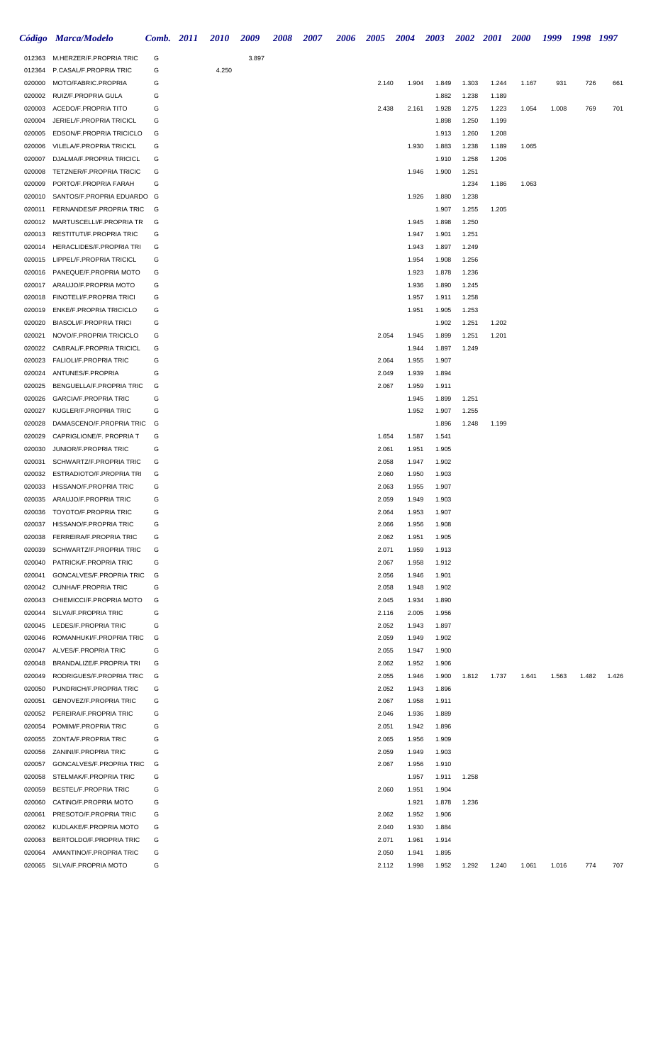|                  | Código Marca/Modelo                                         | Comb. 2011 | <b>2010</b> | 2009  | 2008 | 2007 | 2006 | 2005           | 2004           | 2003           | <b>2002</b>    | 2001  | <b>2000</b> | 1999  | 1998 1997 |       |
|------------------|-------------------------------------------------------------|------------|-------------|-------|------|------|------|----------------|----------------|----------------|----------------|-------|-------------|-------|-----------|-------|
| 012363           | M.HERZER/F.PROPRIA TRIC                                     | G          |             | 3.897 |      |      |      |                |                |                |                |       |             |       |           |       |
| 012364           | P.CASAL/F.PROPRIA TRIC                                      | G          | 4.250       |       |      |      |      |                |                |                |                |       |             |       |           |       |
| 020000           | MOTO/FABRIC.PROPRIA                                         | G          |             |       |      |      |      | 2.140          | 1.904          | 1.849          | 1.303          | 1.244 | 1.167       | 931   | 726       | 661   |
| 020002           | RUIZ/F.PROPRIA GULA                                         | G          |             |       |      |      |      |                |                | 1.882          | 1.238          | 1.189 |             |       |           |       |
| 020003           | ACEDO/F.PROPRIA TITO                                        | G          |             |       |      |      |      | 2.438          | 2.161          | 1.928          | 1.275          | 1.223 | 1.054       | 1.008 | 769       | 701   |
| 020004           | JERIEL/F.PROPRIA TRICICL                                    | G          |             |       |      |      |      |                |                | 1.898          | 1.250          | 1.199 |             |       |           |       |
| 020005           | EDSON/F.PROPRIA TRICICLO                                    | G          |             |       |      |      |      |                |                | 1.913          | 1.260          | 1.208 |             |       |           |       |
| 020006           | VILELA/F.PROPRIA TRICICL                                    | G          |             |       |      |      |      |                | 1.930          | 1.883          | 1.238          | 1.189 | 1.065       |       |           |       |
| 020007<br>020008 | DJALMA/F.PROPRIA TRICICL<br><b>TETZNER/F.PROPRIA TRICIC</b> | G<br>G     |             |       |      |      |      |                | 1.946          | 1.910<br>1.900 | 1.258<br>1.251 | 1.206 |             |       |           |       |
| 020009           | PORTO/F.PROPRIA FARAH                                       | G          |             |       |      |      |      |                |                |                | 1.234          | 1.186 | 1.063       |       |           |       |
| 020010           | SANTOS/F.PROPRIA EDUARDO G                                  |            |             |       |      |      |      |                | 1.926          | 1.880          | 1.238          |       |             |       |           |       |
| 020011           | FERNANDES/F.PROPRIA TRIC                                    | G          |             |       |      |      |      |                |                | 1.907          | 1.255          | 1.205 |             |       |           |       |
| 020012           | MARTUSCELLI/F.PROPRIA TR                                    | G          |             |       |      |      |      |                | 1.945          | 1.898          | 1.250          |       |             |       |           |       |
| 020013           | <b>RESTITUTI/F.PROPRIA TRIC</b>                             | G          |             |       |      |      |      |                | 1.947          | 1.901          | 1.251          |       |             |       |           |       |
| 020014           | HERACLIDES/F.PROPRIA TRI                                    | G          |             |       |      |      |      |                | 1.943          | 1.897          | 1.249          |       |             |       |           |       |
| 020015           | LIPPEL/F.PROPRIA TRICICL                                    | G          |             |       |      |      |      |                | 1.954          | 1.908          | 1.256          |       |             |       |           |       |
| 020016           | PANEQUE/F.PROPRIA MOTO                                      | G          |             |       |      |      |      |                | 1.923          | 1.878          | 1.236          |       |             |       |           |       |
| 020017           | ARAUJO/F.PROPRIA MOTO                                       | G          |             |       |      |      |      |                | 1.936          | 1.890          | 1.245          |       |             |       |           |       |
| 020018           | FINOTELI/F.PROPRIA TRICI                                    | G          |             |       |      |      |      |                | 1.957          | 1.911          | 1.258          |       |             |       |           |       |
| 020019           | <b>ENKE/F.PROPRIA TRICICLO</b>                              | G          |             |       |      |      |      |                | 1.951          | 1.905          | 1.253          |       |             |       |           |       |
| 020020           | <b>BIASOLI/F.PROPRIA TRICI</b>                              | G          |             |       |      |      |      |                |                | 1.902          | 1.251          | 1.202 |             |       |           |       |
| 020021           | NOVO/F.PROPRIA TRICICLO                                     | G          |             |       |      |      |      | 2.054          | 1.945          | 1.899          | 1.251          | 1.201 |             |       |           |       |
| 020022           | CABRAL/F.PROPRIA TRICICL                                    | G<br>G     |             |       |      |      |      |                | 1.944          | 1.897          | 1.249          |       |             |       |           |       |
| 020023<br>020024 | <b>FALIOLI/F.PROPRIA TRIC</b><br>ANTUNES/F.PROPRIA          | G          |             |       |      |      |      | 2.064<br>2.049 | 1.955<br>1.939 | 1.907<br>1.894 |                |       |             |       |           |       |
| 020025           | BENGUELLA/F.PROPRIA TRIC                                    | G          |             |       |      |      |      | 2.067          | 1.959          | 1.911          |                |       |             |       |           |       |
| 020026           | <b>GARCIA/F.PROPRIA TRIC</b>                                | G          |             |       |      |      |      |                | 1.945          | 1.899          | 1.251          |       |             |       |           |       |
| 020027           | KUGLER/F.PROPRIA TRIC                                       | G          |             |       |      |      |      |                | 1.952          | 1.907          | 1.255          |       |             |       |           |       |
| 020028           | DAMASCENO/F.PROPRIA TRIC                                    | G          |             |       |      |      |      |                |                | 1.896          | 1.248          | 1.199 |             |       |           |       |
| 020029           | CAPRIGLIONE/F. PROPRIA T                                    | G          |             |       |      |      |      | 1.654          | 1.587          | 1.541          |                |       |             |       |           |       |
| 020030           | JUNIOR/F.PROPRIA TRIC                                       | G          |             |       |      |      |      | 2.061          | 1.951          | 1.905          |                |       |             |       |           |       |
| 020031           | SCHWARTZ/F.PROPRIA TRIC                                     | G          |             |       |      |      |      | 2.058          | 1.947          | 1.902          |                |       |             |       |           |       |
| 020032           | ESTRADIOTO/F.PROPRIA TRI                                    | G          |             |       |      |      |      | 2.060          | 1.950          | 1.903          |                |       |             |       |           |       |
| 020033           | HISSANO/F.PROPRIA TRIC                                      | G          |             |       |      |      |      | 2.063          | 1.955          | 1.907          |                |       |             |       |           |       |
| 020035           | ARAUJO/F.PROPRIA TRIC                                       | G          |             |       |      |      |      | 2.059          | 1.949          | 1.903          |                |       |             |       |           |       |
| 020036           | TOYOTO/F.PROPRIA TRIC                                       | G          |             |       |      |      |      | 2.064          | 1.953          | 1.907          |                |       |             |       |           |       |
| 020037           | HISSANO/F.PROPRIA TRIC                                      | G          |             |       |      |      |      | 2.066          | 1.956          | 1.908          |                |       |             |       |           |       |
| 020038<br>020039 | FERREIRA/F.PROPRIA TRIC<br>SCHWARTZ/F.PROPRIA TRIC          | G<br>G     |             |       |      |      |      | 2.062<br>2.071 | 1.951<br>1.959 | 1.905<br>1.913 |                |       |             |       |           |       |
| 020040           | PATRICK/F.PROPRIA TRIC                                      | G          |             |       |      |      |      | 2.067          | 1.958          | 1.912          |                |       |             |       |           |       |
| 020041           | GONCALVES/F.PROPRIA TRIC                                    | G          |             |       |      |      |      | 2.056          | 1.946          | 1.901          |                |       |             |       |           |       |
| 020042           | <b>CUNHA/F.PROPRIA TRIC</b>                                 | G          |             |       |      |      |      | 2.058          | 1.948          | 1.902          |                |       |             |       |           |       |
| 020043           | CHIEMICCI/F.PROPRIA MOTO                                    | G          |             |       |      |      |      | 2.045          | 1.934          | 1.890          |                |       |             |       |           |       |
| 020044           | SILVA/F.PROPRIA TRIC                                        | G          |             |       |      |      |      | 2.116          | 2.005          | 1.956          |                |       |             |       |           |       |
| 020045           | LEDES/F.PROPRIA TRIC                                        | G          |             |       |      |      |      | 2.052          | 1.943          | 1.897          |                |       |             |       |           |       |
| 020046           | ROMANHUKI/F.PROPRIA TRIC                                    | G          |             |       |      |      |      | 2.059          | 1.949          | 1.902          |                |       |             |       |           |       |
|                  | 020047 ALVES/F.PROPRIA TRIC                                 | G          |             |       |      |      |      | 2.055          | 1.947          | 1.900          |                |       |             |       |           |       |
| 020048           | BRANDALIZE/F.PROPRIA TRI                                    | G          |             |       |      |      |      | 2.062          | 1.952          | 1.906          |                |       |             |       |           |       |
| 020049           | RODRIGUES/F.PROPRIA TRIC                                    | G          |             |       |      |      |      | 2.055          | 1.946          | 1.900          | 1.812          | 1.737 | 1.641       | 1.563 | 1.482     | 1.426 |
| 020050           | PUNDRICH/F.PROPRIA TRIC                                     | G          |             |       |      |      |      | 2.052          | 1.943          | 1.896          |                |       |             |       |           |       |
| 020051<br>020052 | <b>GENOVEZ/F.PROPRIA TRIC</b><br>PEREIRA/F.PROPRIA TRIC     | G<br>G     |             |       |      |      |      | 2.067<br>2.046 | 1.958<br>1.936 | 1.911<br>1.889 |                |       |             |       |           |       |
| 020054           | POMIM/F.PROPRIA TRIC                                        | G          |             |       |      |      |      | 2.051          | 1.942          | 1.896          |                |       |             |       |           |       |
| 020055           | ZONTA/F.PROPRIA TRIC                                        | G          |             |       |      |      |      | 2.065          | 1.956          | 1.909          |                |       |             |       |           |       |
| 020056           | ZANINI/F.PROPRIA TRIC                                       | G          |             |       |      |      |      | 2.059          | 1.949          | 1.903          |                |       |             |       |           |       |
| 020057           | GONCALVES/F.PROPRIA TRIC                                    | G          |             |       |      |      |      | 2.067          | 1.956          | 1.910          |                |       |             |       |           |       |
| 020058           | STELMAK/F.PROPRIA TRIC                                      | G          |             |       |      |      |      |                | 1.957          | 1.911          | 1.258          |       |             |       |           |       |
| 020059           | <b>BESTEL/F.PROPRIA TRIC</b>                                | G          |             |       |      |      |      | 2.060          | 1.951          | 1.904          |                |       |             |       |           |       |
| 020060           | CATINO/F.PROPRIA MOTO                                       | G          |             |       |      |      |      |                | 1.921          | 1.878          | 1.236          |       |             |       |           |       |
| 020061           | PRESOTO/F.PROPRIA TRIC                                      | G          |             |       |      |      |      | 2.062          | 1.952          | 1.906          |                |       |             |       |           |       |
|                  | 020062 KUDLAKE/F.PROPRIA MOTO                               | G          |             |       |      |      |      | 2.040          | 1.930          | 1.884          |                |       |             |       |           |       |
| 020063           | BERTOLDO/F.PROPRIA TRIC                                     | G          |             |       |      |      |      | 2.071          | 1.961          | 1.914          |                |       |             |       |           |       |
| 020064           | AMANTINO/F.PROPRIA TRIC                                     | G          |             |       |      |      |      | 2.050          | 1.941          | 1.895          |                |       |             |       |           |       |
| 020065           | SILVA/F.PROPRIA MOTO                                        | G          |             |       |      |      |      | 2.112          | 1.998          | 1.952          | 1.292          | 1.240 | 1.061       | 1.016 | 774       | 707   |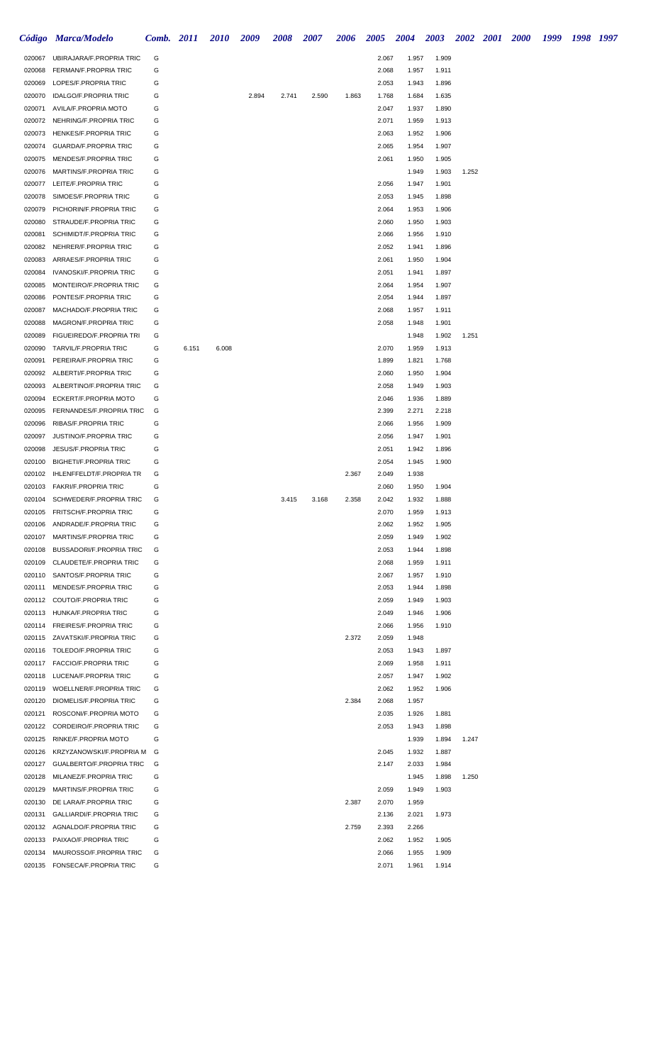|                  | Código Marca/Modelo                                             | Comb. 2011 |       | <b>2010</b> | 2009  | 2008  | 2007  | 2006  | <b>2005</b>    | 2004           | <b>2003</b>    | 2002 2001 2000 |  | 1999 | 1998 1997 |  |
|------------------|-----------------------------------------------------------------|------------|-------|-------------|-------|-------|-------|-------|----------------|----------------|----------------|----------------|--|------|-----------|--|
| 020067           | UBIRAJARA/F.PROPRIA TRIC                                        | G          |       |             |       |       |       |       | 2.067          | 1.957          | 1.909          |                |  |      |           |  |
| 020068           | FERMAN/F.PROPRIA TRIC                                           | G          |       |             |       |       |       |       | 2.068          | 1.957          | 1.911          |                |  |      |           |  |
| 020069           | LOPES/F.PROPRIA TRIC                                            | G          |       |             |       |       |       |       | 2.053          | 1.943          | 1.896          |                |  |      |           |  |
| 020070           | <b>IDALGO/F.PROPRIA TRIC</b>                                    | G          |       |             | 2.894 | 2.741 | 2.590 | 1.863 | 1.768          | 1.684          | 1.635          |                |  |      |           |  |
| 020071           | AVILA/F.PROPRIA MOTO                                            | G          |       |             |       |       |       |       | 2.047          | 1.937          | 1.890          |                |  |      |           |  |
| 020072           | NEHRING/F.PROPRIA TRIC                                          | G          |       |             |       |       |       |       | 2.071          | 1.959          | 1.913          |                |  |      |           |  |
| 020073<br>020074 | <b>HENKES/F.PROPRIA TRIC</b><br><b>GUARDA/F.PROPRIA TRIC</b>    | G<br>G     |       |             |       |       |       |       | 2.063<br>2.065 | 1.952          | 1.906          |                |  |      |           |  |
| 020075           | MENDES/F.PROPRIA TRIC                                           | G          |       |             |       |       |       |       | 2.061          | 1.954<br>1.950 | 1.907<br>1.905 |                |  |      |           |  |
| 020076           | MARTINS/F.PROPRIA TRIC                                          | G          |       |             |       |       |       |       |                | 1.949          | 1.903          | 1.252          |  |      |           |  |
| 020077           | LEITE/F.PROPRIA TRIC                                            | G          |       |             |       |       |       |       | 2.056          | 1.947          | 1.901          |                |  |      |           |  |
| 020078           | SIMOES/F.PROPRIA TRIC                                           | G          |       |             |       |       |       |       | 2.053          | 1.945          | 1.898          |                |  |      |           |  |
| 020079           | PICHORIN/F.PROPRIA TRIC                                         | G          |       |             |       |       |       |       | 2.064          | 1.953          | 1.906          |                |  |      |           |  |
| 020080           | STRAUDE/F.PROPRIA TRIC                                          | G          |       |             |       |       |       |       | 2.060          | 1.950          | 1.903          |                |  |      |           |  |
| 020081           | SCHIMIDT/F.PROPRIA TRIC                                         | G          |       |             |       |       |       |       | 2.066          | 1.956          | 1.910          |                |  |      |           |  |
| 020082           | NEHRER/F.PROPRIA TRIC                                           | G          |       |             |       |       |       |       | 2.052          | 1.941          | 1.896          |                |  |      |           |  |
| 020083<br>020084 | ARRAES/F.PROPRIA TRIC<br>IVANOSKI/F.PROPRIA TRIC                | G<br>G     |       |             |       |       |       |       | 2.061<br>2.051 | 1.950<br>1.941 | 1.904<br>1.897 |                |  |      |           |  |
| 020085           | MONTEIRO/F.PROPRIA TRIC                                         | G          |       |             |       |       |       |       | 2.064          | 1.954          | 1.907          |                |  |      |           |  |
| 020086           | PONTES/F.PROPRIA TRIC                                           | G          |       |             |       |       |       |       | 2.054          | 1.944          | 1.897          |                |  |      |           |  |
| 020087           | MACHADO/F.PROPRIA TRIC                                          | G          |       |             |       |       |       |       | 2.068          | 1.957          | 1.911          |                |  |      |           |  |
| 020088           | MAGRON/F.PROPRIA TRIC                                           | G          |       |             |       |       |       |       | 2.058          | 1.948          | 1.901          |                |  |      |           |  |
| 020089           | FIGUEIREDO/F.PROPRIA TRI                                        | G          |       |             |       |       |       |       |                | 1.948          | 1.902          | 1.251          |  |      |           |  |
| 020090           | TARVIL/F.PROPRIA TRIC                                           | G          | 6.151 | 6.008       |       |       |       |       | 2.070          | 1.959          | 1.913          |                |  |      |           |  |
| 020091           | PEREIRA/F.PROPRIA TRIC                                          | G          |       |             |       |       |       |       | 1.899          | 1.821          | 1.768          |                |  |      |           |  |
| 020092           | ALBERTI/F.PROPRIA TRIC                                          | G          |       |             |       |       |       |       | 2.060          | 1.950          | 1.904          |                |  |      |           |  |
| 020093<br>020094 | ALBERTINO/F.PROPRIA TRIC<br>ECKERT/F.PROPRIA MOTO               | G<br>G     |       |             |       |       |       |       | 2.058<br>2.046 | 1.949<br>1.936 | 1.903<br>1.889 |                |  |      |           |  |
| 020095           | FERNANDES/F.PROPRIA TRIC                                        | G          |       |             |       |       |       |       | 2.399          | 2.271          | 2.218          |                |  |      |           |  |
| 020096           | RIBAS/F.PROPRIA TRIC                                            | G          |       |             |       |       |       |       | 2.066          | 1.956          | 1.909          |                |  |      |           |  |
| 020097           | JUSTINO/F.PROPRIA TRIC                                          | G          |       |             |       |       |       |       | 2.056          | 1.947          | 1.901          |                |  |      |           |  |
| 020098           | <b>JESUS/F.PROPRIA TRIC</b>                                     | G          |       |             |       |       |       |       | 2.051          | 1.942          | 1.896          |                |  |      |           |  |
| 020100           | <b>BIGHETI/F.PROPRIA TRIC</b>                                   | G          |       |             |       |       |       |       | 2.054          | 1.945          | 1.900          |                |  |      |           |  |
| 020102           | <b>IHLENFFELDT/F.PROPRIA TR</b>                                 | G          |       |             |       |       |       | 2.367 | 2.049          | 1.938          |                |                |  |      |           |  |
|                  | 020103 FAKRI/F.PROPRIA TRIC                                     | G          |       |             |       |       |       |       | 2.060          | 1.950          | 1.904          |                |  |      |           |  |
| 020104           | SCHWEDER/F.PROPRIA TRIC<br>020105 FRITSCH/F.PROPRIA TRIC        | G<br>G     |       |             |       | 3.415 | 3.168 | 2.358 | 2.042<br>2.070 | 1.932<br>1.959 | 1.888<br>1.913 |                |  |      |           |  |
| 020106           | ANDRADE/F.PROPRIA TRIC                                          | G          |       |             |       |       |       |       | 2.062          | 1.952          | 1.905          |                |  |      |           |  |
| 020107           | MARTINS/F.PROPRIA TRIC                                          | G          |       |             |       |       |       |       | 2.059          | 1.949          | 1.902          |                |  |      |           |  |
| 020108           | BUSSADORI/F.PROPRIA TRIC                                        | G          |       |             |       |       |       |       | 2.053          | 1.944          | 1.898          |                |  |      |           |  |
| 020109           | CLAUDETE/F.PROPRIA TRIC                                         | G          |       |             |       |       |       |       | 2.068          | 1.959          | 1.911          |                |  |      |           |  |
| 020110           | SANTOS/F.PROPRIA TRIC                                           | G          |       |             |       |       |       |       | 2.067          | 1.957          | 1.910          |                |  |      |           |  |
| 020111           | MENDES/F.PROPRIA TRIC                                           | G          |       |             |       |       |       |       | 2.053          | 1.944          | 1.898          |                |  |      |           |  |
|                  | 020112 COUTO/F.PROPRIA TRIC                                     | G          |       |             |       |       |       |       | 2.059          | 1.949          | 1.903          |                |  |      |           |  |
|                  | 020113 HUNKA/F.PROPRIA TRIC                                     | G<br>G     |       |             |       |       |       |       | 2.049          | 1.946<br>1.956 | 1.906<br>1.910 |                |  |      |           |  |
|                  | 020114 FREIRES/F.PROPRIA TRIC<br>020115 ZAVATSKI/F.PROPRIA TRIC | G          |       |             |       |       |       | 2.372 | 2.066<br>2.059 | 1.948          |                |                |  |      |           |  |
|                  | 020116 TOLEDO/F.PROPRIA TRIC                                    | G          |       |             |       |       |       |       | 2.053          | 1.943          | 1.897          |                |  |      |           |  |
|                  | 020117 FACCIO/F.PROPRIA TRIC                                    | G          |       |             |       |       |       |       | 2.069          | 1.958          | 1.911          |                |  |      |           |  |
|                  | 020118 LUCENA/F.PROPRIA TRIC                                    | G          |       |             |       |       |       |       | 2.057          | 1.947          | 1.902          |                |  |      |           |  |
|                  | 020119 WOELLNER/F.PROPRIA TRIC                                  | G          |       |             |       |       |       |       | 2.062          | 1.952          | 1.906          |                |  |      |           |  |
|                  | 020120 DIOMELIS/F.PROPRIA TRIC                                  | G          |       |             |       |       |       | 2.384 | 2.068          | 1.957          |                |                |  |      |           |  |
|                  | 020121 ROSCONI/F.PROPRIA MOTO                                   | G          |       |             |       |       |       |       | 2.035          | 1.926          | 1.881          |                |  |      |           |  |
|                  | 020122 CORDEIRO/F.PROPRIA TRIC                                  | G          |       |             |       |       |       |       | 2.053          | 1.943          | 1.898          |                |  |      |           |  |
|                  | 020125 RINKE/F.PROPRIA MOTO<br>020126 KRZYZANOWSKI/F.PROPRIA M  | G<br>G     |       |             |       |       |       |       | 2.045          | 1.939<br>1.932 | 1.894<br>1.887 | 1.247          |  |      |           |  |
|                  | 020127 GUALBERTO/F.PROPRIA TRIC                                 | G          |       |             |       |       |       |       | 2.147          | 2.033          | 1.984          |                |  |      |           |  |
| 020128           | MILANEZ/F.PROPRIA TRIC                                          | G          |       |             |       |       |       |       |                | 1.945          | 1.898          | 1.250          |  |      |           |  |
|                  | 020129 MARTINS/F.PROPRIA TRIC                                   | G          |       |             |       |       |       |       | 2.059          | 1.949          | 1.903          |                |  |      |           |  |
| 020130           | DE LARA/F.PROPRIA TRIC                                          | G          |       |             |       |       |       | 2.387 | 2.070          | 1.959          |                |                |  |      |           |  |
| 020131           | <b>GALLIARDI/F.PROPRIA TRIC</b>                                 | G          |       |             |       |       |       |       | 2.136          | 2.021          | 1.973          |                |  |      |           |  |
|                  | 020132 AGNALDO/F.PROPRIA TRIC                                   | G          |       |             |       |       |       | 2.759 | 2.393          | 2.266          |                |                |  |      |           |  |
|                  | 020133 PAIXAO/F.PROPRIA TRIC                                    | G          |       |             |       |       |       |       | 2.062          | 1.952          | 1.905          |                |  |      |           |  |
| 020134           | MAUROSSO/F.PROPRIA TRIC<br>020135 FONSECA/F.PROPRIA TRIC        | G<br>G     |       |             |       |       |       |       | 2.066<br>2.071 | 1.955<br>1.961 | 1.909<br>1.914 |                |  |      |           |  |
|                  |                                                                 |            |       |             |       |       |       |       |                |                |                |                |  |      |           |  |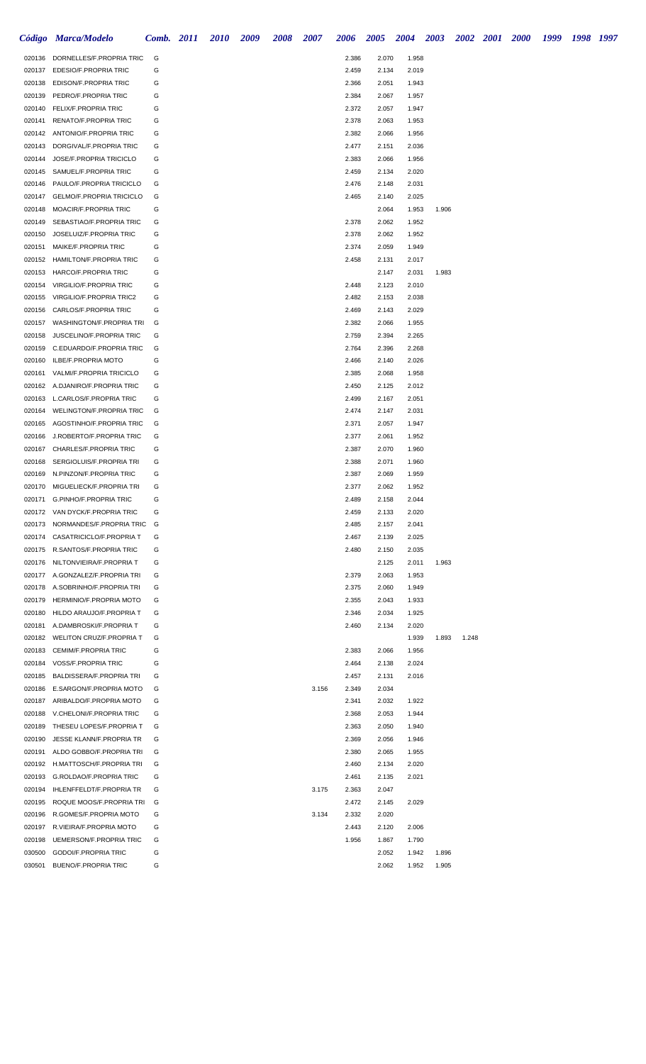|                  | Código Marca/Modelo                                               | Comb. 2011 | <b>2010</b> | <b>2009</b> | <b>2008</b> | <b>2007</b> | <b>2006</b>    | 2005           | 2004           | 2003  |       | 2002 2001 2000 | 1999 | 1998 1997 |  |
|------------------|-------------------------------------------------------------------|------------|-------------|-------------|-------------|-------------|----------------|----------------|----------------|-------|-------|----------------|------|-----------|--|
|                  | 020136 DORNELLES/F.PROPRIA TRIC                                   | G          |             |             |             |             | 2.386          | 2.070          | 1.958          |       |       |                |      |           |  |
|                  | 020137 EDESIO/F.PROPRIA TRIC                                      | G          |             |             |             |             | 2.459          | 2.134          | 2.019          |       |       |                |      |           |  |
|                  | 020138 EDISON/F.PROPRIA TRIC                                      | G          |             |             |             |             | 2.366          | 2.051          | 1.943          |       |       |                |      |           |  |
| 020139           | PEDRO/F.PROPRIA TRIC                                              | G          |             |             |             |             | 2.384          | 2.067          | 1.957          |       |       |                |      |           |  |
| 020140           | FELIX/F.PROPRIA TRIC                                              | G          |             |             |             |             | 2.372          | 2.057          | 1.947          |       |       |                |      |           |  |
| 020141           | RENATO/F.PROPRIA TRIC                                             | G          |             |             |             |             | 2.378          | 2.063          | 1.953          |       |       |                |      |           |  |
| 020142           | ANTONIO/F.PROPRIA TRIC                                            | G          |             |             |             |             | 2.382          | 2.066          | 1.956          |       |       |                |      |           |  |
| 020143           | DORGIVAL/F.PROPRIA TRIC<br>JOSE/F.PROPRIA TRICICLO                | G          |             |             |             |             | 2.477          | 2.151          | 2.036          |       |       |                |      |           |  |
| 020144<br>020145 | SAMUEL/F.PROPRIA TRIC                                             | G<br>G     |             |             |             |             | 2.383<br>2.459 | 2.066<br>2.134 | 1.956<br>2.020 |       |       |                |      |           |  |
| 020146           | PAULO/F.PROPRIA TRICICLO                                          | G          |             |             |             |             | 2.476          | 2.148          | 2.031          |       |       |                |      |           |  |
| 020147           | <b>GELMO/F.PROPRIA TRICICLO</b>                                   | G          |             |             |             |             | 2.465          | 2.140          | 2.025          |       |       |                |      |           |  |
| 020148           | MOACIR/F.PROPRIA TRIC                                             | G          |             |             |             |             |                | 2.064          | 1.953          | 1.906 |       |                |      |           |  |
| 020149           | SEBASTIAO/F.PROPRIA TRIC                                          | G          |             |             |             |             | 2.378          | 2.062          | 1.952          |       |       |                |      |           |  |
| 020150           | JOSELUIZ/F.PROPRIA TRIC                                           | G          |             |             |             |             | 2.378          | 2.062          | 1.952          |       |       |                |      |           |  |
|                  | 020151 MAIKE/F.PROPRIA TRIC                                       | G          |             |             |             |             | 2.374          | 2.059          | 1.949          |       |       |                |      |           |  |
|                  | 020152 HAMILTON/F.PROPRIA TRIC                                    | G          |             |             |             |             | 2.458          | 2.131          | 2.017          |       |       |                |      |           |  |
|                  | 020153 HARCO/F.PROPRIA TRIC                                       | G          |             |             |             |             |                | 2.147          | 2.031          | 1.983 |       |                |      |           |  |
| 020154           | <b>VIRGILIO/F.PROPRIA TRIC</b>                                    | G          |             |             |             |             | 2.448          | 2.123          | 2.010          |       |       |                |      |           |  |
|                  | 020155 VIRGILIO/F.PROPRIA TRIC2                                   | G          |             |             |             |             | 2.482          | 2.153          | 2.038          |       |       |                |      |           |  |
| 020156           | CARLOS/F.PROPRIA TRIC                                             | G          |             |             |             |             | 2.469          | 2.143          | 2.029          |       |       |                |      |           |  |
| 020157           | WASHINGTON/F.PROPRIA TRI                                          | G          |             |             |             |             | 2.382          | 2.066          | 1.955          |       |       |                |      |           |  |
| 020158           | JUSCELINO/F.PROPRIA TRIC                                          | G          |             |             |             |             | 2.759          | 2.394          | 2.265          |       |       |                |      |           |  |
|                  | 020159 C.EDUARDO/F.PROPRIA TRIC                                   | G          |             |             |             |             | 2.764          | 2.396          | 2.268          |       |       |                |      |           |  |
|                  | 020160 ILBE/F.PROPRIA MOTO                                        | G          |             |             |             |             | 2.466          | 2.140          | 2.026          |       |       |                |      |           |  |
|                  | 020161 VALMI/F.PROPRIA TRICICLO                                   | G          |             |             |             |             | 2.385          | 2.068          | 1.958          |       |       |                |      |           |  |
|                  | 020162 A.DJANIRO/F.PROPRIA TRIC                                   | G          |             |             |             |             | 2.450          | 2.125          | 2.012          |       |       |                |      |           |  |
|                  | 020163 L.CARLOS/F.PROPRIA TRIC                                    | G          |             |             |             |             | 2.499          | 2.167          | 2.051          |       |       |                |      |           |  |
| 020164           | <b>WELINGTON/F.PROPRIA TRIC</b>                                   | G          |             |             |             |             | 2.474          | 2.147          | 2.031          |       |       |                |      |           |  |
| 020165           | AGOSTINHO/F.PROPRIA TRIC                                          | G          |             |             |             |             | 2.371          | 2.057          | 1.947          |       |       |                |      |           |  |
| 020166           | J.ROBERTO/F.PROPRIA TRIC                                          | G          |             |             |             |             | 2.377          | 2.061          | 1.952          |       |       |                |      |           |  |
|                  | 020167 CHARLES/F.PROPRIA TRIC                                     | G          |             |             |             |             | 2.387          | 2.070          | 1.960          |       |       |                |      |           |  |
| 020168           | SERGIOLUIS/F.PROPRIA TRI                                          | G          |             |             |             |             | 2.388          | 2.071          | 1.960          |       |       |                |      |           |  |
|                  | 020169 N.PINZON/F.PROPRIA TRIC                                    | G          |             |             |             |             | 2.387          | 2.069          | 1.959          |       |       |                |      |           |  |
|                  | 020170 MIGUELIECK/F.PROPRIA TRI                                   | G          |             |             |             |             | 2.377          | 2.062          | 1.952          |       |       |                |      |           |  |
|                  | 020171 G.PINHO/F.PROPRIA TRIC                                     | G<br>G     |             |             |             |             | 2.489          | 2.158          | 2.044          |       |       |                |      |           |  |
|                  | 020172 VAN DYCK/F.PROPRIA TRIC<br>020173 NORMANDES/F.PROPRIA TRIC | G          |             |             |             |             | 2.459<br>2.485 | 2.133<br>2.157 | 2.020<br>2.041 |       |       |                |      |           |  |
|                  | 020174 CASATRICICLO/F.PROPRIA T                                   | G          |             |             |             |             | 2.467          | 2.139          | 2.025          |       |       |                |      |           |  |
|                  | 020175 R.SANTOS/F.PROPRIA TRIC                                    | G          |             |             |             |             | 2.480          | 2.150          | 2.035          |       |       |                |      |           |  |
|                  | 020176 NILTONVIEIRA/F.PROPRIA T                                   | G          |             |             |             |             |                | 2.125          | 2.011          | 1.963 |       |                |      |           |  |
|                  | 020177 A.GONZALEZ/F.PROPRIA TRI                                   | G          |             |             |             |             | 2.379          | 2.063          | 1.953          |       |       |                |      |           |  |
|                  | 020178 A.SOBRINHO/F.PROPRIA TRI                                   | G          |             |             |             |             | 2.375          | 2.060          | 1.949          |       |       |                |      |           |  |
|                  | 020179 HERMINIO/F.PROPRIA MOTO                                    | G          |             |             |             |             | 2.355          | 2.043          | 1.933          |       |       |                |      |           |  |
|                  | 020180 HILDO ARAUJO/F.PROPRIA T                                   | G          |             |             |             |             | 2.346          | 2.034          | 1.925          |       |       |                |      |           |  |
|                  | 020181 A.DAMBROSKI/F.PROPRIA T                                    | G          |             |             |             |             | 2.460          | 2.134          | 2.020          |       |       |                |      |           |  |
|                  | 020182 WELITON CRUZ/F.PROPRIA T                                   | G          |             |             |             |             |                |                | 1.939          | 1.893 | 1.248 |                |      |           |  |
|                  | 020183 CEMIM/F.PROPRIA TRIC                                       | G          |             |             |             |             | 2.383          | 2.066          | 1.956          |       |       |                |      |           |  |
|                  | 020184 VOSS/F.PROPRIA TRIC                                        | G          |             |             |             |             | 2.464          | 2.138          | 2.024          |       |       |                |      |           |  |
|                  | 020185 BALDISSERA/F.PROPRIA TRI                                   | G          |             |             |             |             | 2.457          | 2.131          | 2.016          |       |       |                |      |           |  |
|                  | 020186 E.SARGON/F.PROPRIA MOTO                                    | G          |             |             |             | 3.156       | 2.349          | 2.034          |                |       |       |                |      |           |  |
|                  | 020187 ARIBALDO/F.PROPRIA MOTO                                    | G          |             |             |             |             | 2.341          | 2.032          | 1.922          |       |       |                |      |           |  |
|                  | 020188 V.CHELONI/F.PROPRIA TRIC                                   | G          |             |             |             |             | 2.368          | 2.053          | 1.944          |       |       |                |      |           |  |
|                  | 020189 THESEU LOPES/F.PROPRIA T                                   | G          |             |             |             |             | 2.363          | 2.050          | 1.940          |       |       |                |      |           |  |
| 020190           | JESSE KLANN/F.PROPRIA TR                                          | G          |             |             |             |             | 2.369          | 2.056          | 1.946          |       |       |                |      |           |  |
|                  | 020191 ALDO GOBBO/F.PROPRIA TRI                                   | G          |             |             |             |             | 2.380          | 2.065          | 1.955          |       |       |                |      |           |  |
|                  | 020192 H.MATTOSCH/F.PROPRIA TRI                                   | G          |             |             |             |             | 2.460          | 2.134          | 2.020          |       |       |                |      |           |  |
| 020193<br>020194 | G.ROLDAO/F.PROPRIA TRIC<br>IHLENFFELDT/F.PROPRIA TR               | G<br>G     |             |             |             | 3.175       | 2.461<br>2.363 | 2.135<br>2.047 | 2.021          |       |       |                |      |           |  |
| 020195           | ROQUE MOOS/F.PROPRIA TRI                                          | G          |             |             |             |             | 2.472          | 2.145          | 2.029          |       |       |                |      |           |  |
| 020196           | R.GOMES/F.PROPRIA MOTO                                            | G          |             |             |             | 3.134       | 2.332          | 2.020          |                |       |       |                |      |           |  |
|                  | 020197 R.VIEIRA/F.PROPRIA MOTO                                    | G          |             |             |             |             | 2.443          | 2.120          | 2.006          |       |       |                |      |           |  |
| 020198           | <b>UEMERSON/F.PROPRIA TRIC</b>                                    | G          |             |             |             |             | 1.956          | 1.867          | 1.790          |       |       |                |      |           |  |
| 030500           | GODOI/F.PROPRIA TRIC                                              | G          |             |             |             |             |                | 2.052          | 1.942          | 1.896 |       |                |      |           |  |
| 030501           | <b>BUENO/F.PROPRIA TRIC</b>                                       | G          |             |             |             |             |                | 2.062          | 1.952          | 1.905 |       |                |      |           |  |
|                  |                                                                   |            |             |             |             |             |                |                |                |       |       |                |      |           |  |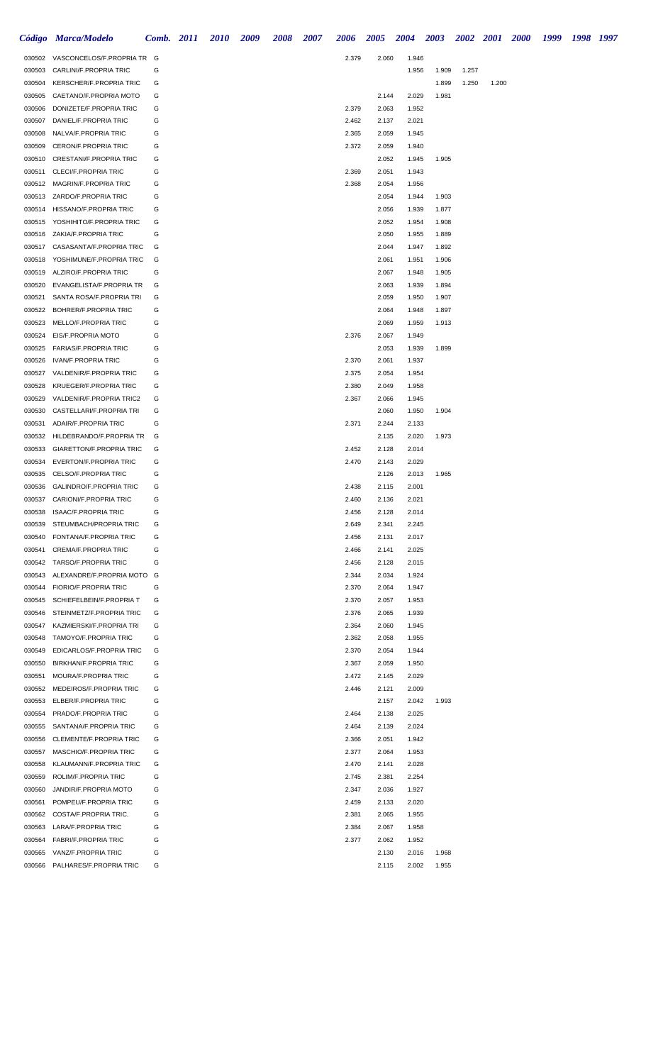|                  | Código Marca/Modelo                                         |        | <b>Comb.</b> 2011 | <b>2010</b> | 2009 | 2008 | 2007 | 2006           | 2005           | 2004           | 2003  |       | 2002 2001 2000 | 1999 | 1998 1997 |  |
|------------------|-------------------------------------------------------------|--------|-------------------|-------------|------|------|------|----------------|----------------|----------------|-------|-------|----------------|------|-----------|--|
|                  | 030502 VASCONCELOS/F.PROPRIA TR G                           |        |                   |             |      |      |      | 2.379          | 2.060          | 1.946          |       |       |                |      |           |  |
| 030503           | CARLINI/F.PROPRIA TRIC                                      | G      |                   |             |      |      |      |                |                | 1.956          | 1.909 | 1.257 |                |      |           |  |
| 030504           | KERSCHER/F.PROPRIA TRIC                                     | G      |                   |             |      |      |      |                |                |                | 1.899 | 1.250 | 1.200          |      |           |  |
| 030505           | CAETANO/F.PROPRIA MOTO                                      | G      |                   |             |      |      |      |                | 2.144          | 2.029          | 1.981 |       |                |      |           |  |
| 030506           | DONIZETE/F.PROPRIA TRIC                                     | G      |                   |             |      |      |      | 2.379          | 2.063          | 1.952          |       |       |                |      |           |  |
| 030507           | DANIEL/F.PROPRIA TRIC                                       | G      |                   |             |      |      |      | 2.462          | 2.137          | 2.021          |       |       |                |      |           |  |
| 030508           | NALVA/F.PROPRIA TRIC                                        | G      |                   |             |      |      |      | 2.365          | 2.059          | 1.945          |       |       |                |      |           |  |
| 030509           | <b>CERON/F.PROPRIA TRIC</b>                                 | G      |                   |             |      |      |      | 2.372          | 2.059          | 1.940          |       |       |                |      |           |  |
| 030510           | CRESTANI/F.PROPRIA TRIC                                     | G      |                   |             |      |      |      |                | 2.052          | 1.945          | 1.905 |       |                |      |           |  |
| 030511           | <b>CLECI/F.PROPRIA TRIC</b><br>030512 MAGRIN/F.PROPRIA TRIC | G<br>G |                   |             |      |      |      | 2.369          | 2.051<br>2.054 | 1.943          |       |       |                |      |           |  |
|                  | 030513 ZARDO/F.PROPRIA TRIC                                 | G      |                   |             |      |      |      | 2.368          | 2.054          | 1.956<br>1.944 | 1.903 |       |                |      |           |  |
| 030514           | HISSANO/F.PROPRIA TRIC                                      | G      |                   |             |      |      |      |                | 2.056          | 1.939          | 1.877 |       |                |      |           |  |
| 030515           | YOSHIHITO/F.PROPRIA TRIC                                    | G      |                   |             |      |      |      |                | 2.052          | 1.954          | 1.908 |       |                |      |           |  |
| 030516           | ZAKIA/F.PROPRIA TRIC                                        | G      |                   |             |      |      |      |                | 2.050          | 1.955          | 1.889 |       |                |      |           |  |
|                  | 030517 CASASANTA/F.PROPRIA TRIC                             | G      |                   |             |      |      |      |                | 2.044          | 1.947          | 1.892 |       |                |      |           |  |
| 030518           | YOSHIMUNE/F.PROPRIA TRIC                                    | G      |                   |             |      |      |      |                | 2.061          | 1.951          | 1.906 |       |                |      |           |  |
| 030519           | ALZIRO/F.PROPRIA TRIC                                       | G      |                   |             |      |      |      |                | 2.067          | 1.948          | 1.905 |       |                |      |           |  |
| 030520           | EVANGELISTA/F.PROPRIA TR                                    | G      |                   |             |      |      |      |                | 2.063          | 1.939          | 1.894 |       |                |      |           |  |
| 030521           | SANTA ROSA/F.PROPRIA TRI                                    | G      |                   |             |      |      |      |                | 2.059          | 1.950          | 1.907 |       |                |      |           |  |
| 030522           | BOHRER/F.PROPRIA TRIC                                       | G      |                   |             |      |      |      |                | 2.064          | 1.948          | 1.897 |       |                |      |           |  |
| 030523           | MELLO/F.PROPRIA TRIC                                        | G      |                   |             |      |      |      |                | 2.069          | 1.959          | 1.913 |       |                |      |           |  |
| 030524           | EIS/F.PROPRIA MOTO                                          | G      |                   |             |      |      |      | 2.376          | 2.067          | 1.949          |       |       |                |      |           |  |
| 030525           | <b>FARIAS/F.PROPRIA TRIC</b>                                | G      |                   |             |      |      |      |                | 2.053          | 1.939          | 1.899 |       |                |      |           |  |
| 030526           | <b>IVAN/F.PROPRIA TRIC</b>                                  | G      |                   |             |      |      |      | 2.370          | 2.061          | 1.937          |       |       |                |      |           |  |
| 030527           | VALDENIR/F.PROPRIA TRIC                                     | G      |                   |             |      |      |      | 2.375          | 2.054          | 1.954          |       |       |                |      |           |  |
| 030528           | KRUEGER/F.PROPRIA TRIC                                      | G      |                   |             |      |      |      | 2.380          | 2.049          | 1.958          |       |       |                |      |           |  |
| 030529           | VALDENIR/F.PROPRIA TRIC2                                    | G      |                   |             |      |      |      | 2.367          | 2.066          | 1.945          |       |       |                |      |           |  |
| 030530<br>030531 | CASTELLARI/F.PROPRIA TRI<br>ADAIR/F.PROPRIA TRIC            | G<br>G |                   |             |      |      |      | 2.371          | 2.060<br>2.244 | 1.950<br>2.133 | 1.904 |       |                |      |           |  |
| 030532           | HILDEBRANDO/F.PROPRIA TR                                    | G      |                   |             |      |      |      |                | 2.135          | 2.020          | 1.973 |       |                |      |           |  |
| 030533           | GIARETTON/F.PROPRIA TRIC                                    | G      |                   |             |      |      |      | 2.452          | 2.128          | 2.014          |       |       |                |      |           |  |
| 030534           | EVERTON/F.PROPRIA TRIC                                      | G      |                   |             |      |      |      | 2.470          | 2.143          | 2.029          |       |       |                |      |           |  |
| 030535           | <b>CELSO/F.PROPRIA TRIC</b>                                 | G      |                   |             |      |      |      |                | 2.126          | 2.013          | 1.965 |       |                |      |           |  |
| 030536           | <b>GALINDRO/F.PROPRIA TRIC</b>                              | G      |                   |             |      |      |      | 2.438          | 2.115          | 2.001          |       |       |                |      |           |  |
|                  | 030537 CARIONI/F.PROPRIA TRIC                               | G      |                   |             |      |      |      | 2.460          | 2.136          | 2.021          |       |       |                |      |           |  |
| 030538           | <b>ISAAC/F.PROPRIA TRIC</b>                                 | G      |                   |             |      |      |      | 2.456          | 2.128          | 2.014          |       |       |                |      |           |  |
| 030539           | STEUMBACH/PROPRIA TRIC                                      | G      |                   |             |      |      |      | 2.649          | 2.341          | 2.245          |       |       |                |      |           |  |
| 030540           | FONTANA/F.PROPRIA TRIC                                      | G      |                   |             |      |      |      | 2.456          | 2.131          | 2.017          |       |       |                |      |           |  |
| 030541           | CREMA/F.PROPRIA TRIC                                        | G      |                   |             |      |      |      | 2.466          | 2.141          | 2.025          |       |       |                |      |           |  |
|                  | 030542 TARSO/F.PROPRIA TRIC                                 | G      |                   |             |      |      |      | 2.456          | 2.128          | 2.015          |       |       |                |      |           |  |
| 030543           | ALEXANDRE/F.PROPRIA MOTO G                                  |        |                   |             |      |      |      | 2.344          | 2.034          | 1.924          |       |       |                |      |           |  |
| 030544           | FIORIO/F.PROPRIA TRIC                                       | G      |                   |             |      |      |      | 2.370          | 2.064          | 1.947          |       |       |                |      |           |  |
| 030545           | SCHIEFELBEIN/F.PROPRIA T                                    | G<br>G |                   |             |      |      |      | 2.370          | 2.057          | 1.953          |       |       |                |      |           |  |
| 030546<br>030547 | STEINMETZ/F.PROPRIA TRIC<br>KAZMIERSKI/F.PROPRIA TRI        | G      |                   |             |      |      |      | 2.376<br>2.364 | 2.065<br>2.060 | 1.939<br>1.945 |       |       |                |      |           |  |
| 030548           | TAMOYO/F.PROPRIA TRIC                                       | G      |                   |             |      |      |      | 2.362          | 2.058          | 1.955          |       |       |                |      |           |  |
| 030549           | EDICARLOS/F.PROPRIA TRIC                                    | G      |                   |             |      |      |      | 2.370          | 2.054          | 1.944          |       |       |                |      |           |  |
| 030550           | <b>BIRKHAN/F.PROPRIA TRIC</b>                               | G      |                   |             |      |      |      | 2.367          | 2.059          | 1.950          |       |       |                |      |           |  |
| 030551           | MOURA/F.PROPRIA TRIC                                        | G      |                   |             |      |      |      | 2.472          | 2.145          | 2.029          |       |       |                |      |           |  |
| 030552           | MEDEIROS/F.PROPRIA TRIC                                     | G      |                   |             |      |      |      | 2.446          | 2.121          | 2.009          |       |       |                |      |           |  |
| 030553           | ELBER/F.PROPRIA TRIC                                        | G      |                   |             |      |      |      |                | 2.157          | 2.042          | 1.993 |       |                |      |           |  |
| 030554           | PRADO/F.PROPRIA TRIC                                        | G      |                   |             |      |      |      | 2.464          | 2.138          | 2.025          |       |       |                |      |           |  |
| 030555           | SANTANA/F.PROPRIA TRIC                                      | G      |                   |             |      |      |      | 2.464          | 2.139          | 2.024          |       |       |                |      |           |  |
| 030556           | CLEMENTE/F.PROPRIA TRIC                                     | G      |                   |             |      |      |      | 2.366          | 2.051          | 1.942          |       |       |                |      |           |  |
| 030557           | MASCHIO/F.PROPRIA TRIC                                      | G      |                   |             |      |      |      | 2.377          | 2.064          | 1.953          |       |       |                |      |           |  |
| 030558           | KLAUMANN/F.PROPRIA TRIC                                     | G      |                   |             |      |      |      | 2.470          | 2.141          | 2.028          |       |       |                |      |           |  |
| 030559           | ROLIM/F.PROPRIA TRIC                                        | G      |                   |             |      |      |      | 2.745          | 2.381          | 2.254          |       |       |                |      |           |  |
| 030560           | JANDIR/F.PROPRIA MOTO                                       | G      |                   |             |      |      |      | 2.347          | 2.036          | 1.927          |       |       |                |      |           |  |
| 030561           | POMPEU/F.PROPRIA TRIC<br>030562 COSTA/F.PROPRIA TRIC.       | G<br>G |                   |             |      |      |      | 2.459          | 2.133          | 2.020          |       |       |                |      |           |  |
|                  | 030563 LARA/F.PROPRIA TRIC                                  | G      |                   |             |      |      |      | 2.381<br>2.384 | 2.065<br>2.067 | 1.955<br>1.958 |       |       |                |      |           |  |
|                  | 030564 FABRI/F.PROPRIA TRIC                                 | G      |                   |             |      |      |      | 2.377          | 2.062          | 1.952          |       |       |                |      |           |  |
| 030565           | VANZ/F.PROPRIA TRIC                                         | G      |                   |             |      |      |      |                | 2.130          | 2.016          | 1.968 |       |                |      |           |  |
| 030566           | PALHARES/F.PROPRIA TRIC                                     | G      |                   |             |      |      |      |                | 2.115          | 2.002          | 1.955 |       |                |      |           |  |
|                  |                                                             |        |                   |             |      |      |      |                |                |                |       |       |                |      |           |  |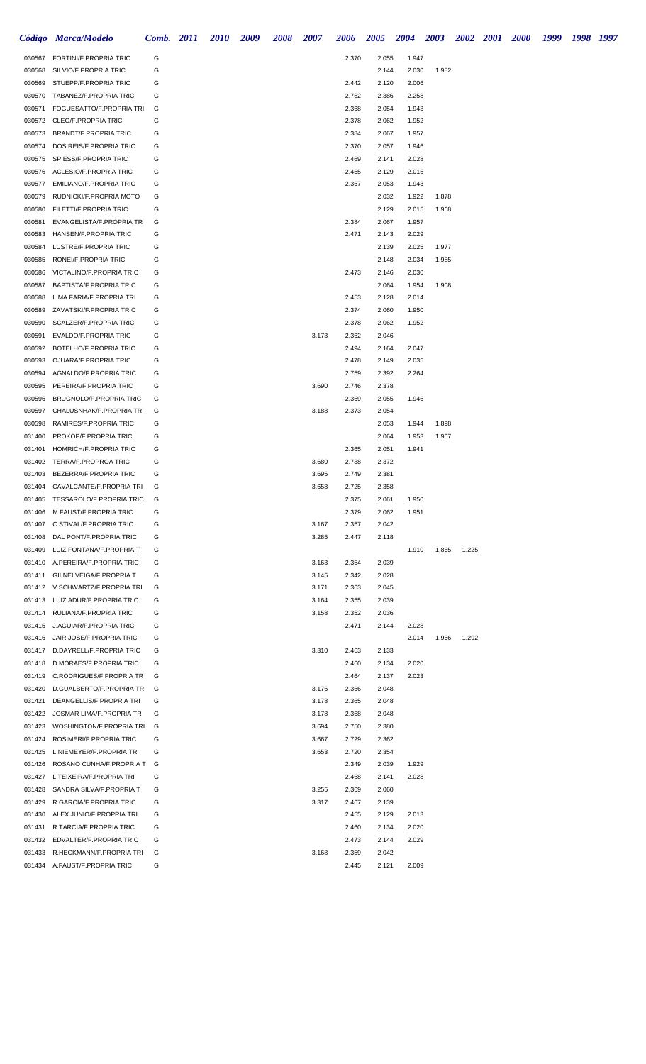|                  | Código Marca/Modelo                                                | Comb. 2011 | <b>2010</b> | <b>2009</b> | <b>2008</b> | <b>2007</b> | <b>2006</b>    | <b>2005</b>    | 2004           | 2003  |       | 2002 2001 2000 | 1999 | 1998 1997 |  |
|------------------|--------------------------------------------------------------------|------------|-------------|-------------|-------------|-------------|----------------|----------------|----------------|-------|-------|----------------|------|-----------|--|
|                  | 030567 FORTINI/F.PROPRIA TRIC                                      | G          |             |             |             |             | 2.370          | 2.055          | 1.947          |       |       |                |      |           |  |
| 030568           | SILVIO/F.PROPRIA TRIC                                              | G          |             |             |             |             |                | 2.144          | 2.030          | 1.982 |       |                |      |           |  |
| 030569           | STUEPP/F.PROPRIA TRIC                                              | G          |             |             |             |             | 2.442          | 2.120          | 2.006          |       |       |                |      |           |  |
|                  | 030570 TABANEZ/F.PROPRIA TRIC                                      | G          |             |             |             |             | 2.752          | 2.386          | 2.258          |       |       |                |      |           |  |
| 030571           | FOGUESATTO/F.PROPRIA TRI                                           | G          |             |             |             |             | 2.368          | 2.054          | 1.943          |       |       |                |      |           |  |
|                  | 030572 CLEO/F.PROPRIA TRIC                                         | G          |             |             |             |             | 2.378          | 2.062          | 1.952          |       |       |                |      |           |  |
| 030573<br>030574 | <b>BRANDT/F.PROPRIA TRIC</b><br>DOS REIS/F.PROPRIA TRIC            | G<br>G     |             |             |             |             | 2.384<br>2.370 | 2.067<br>2.057 | 1.957<br>1.946 |       |       |                |      |           |  |
|                  | 030575 SPIESS/F.PROPRIA TRIC                                       | G          |             |             |             |             | 2.469          | 2.141          | 2.028          |       |       |                |      |           |  |
| 030576           | ACLESIO/F.PROPRIA TRIC                                             | G          |             |             |             |             | 2.455          | 2.129          | 2.015          |       |       |                |      |           |  |
|                  | 030577 EMILIANO/F.PROPRIA TRIC                                     | G          |             |             |             |             | 2.367          | 2.053          | 1.943          |       |       |                |      |           |  |
|                  | 030579 RUDNICKI/F.PROPRIA MOTO                                     | G          |             |             |             |             |                | 2.032          | 1.922          | 1.878 |       |                |      |           |  |
|                  | 030580 FILETTI/F.PROPRIA TRIC                                      | G          |             |             |             |             |                | 2.129          | 2.015          | 1.968 |       |                |      |           |  |
|                  | 030581 EVANGELISTA/F.PROPRIA TR                                    | G          |             |             |             |             | 2.384          | 2.067          | 1.957          |       |       |                |      |           |  |
|                  | 030583 HANSEN/F.PROPRIA TRIC                                       | G          |             |             |             |             | 2.471          | 2.143          | 2.029          |       |       |                |      |           |  |
|                  | 030584 LUSTRE/F.PROPRIA TRIC                                       | G          |             |             |             |             |                | 2.139          | 2.025          | 1.977 |       |                |      |           |  |
|                  | 030585 RONEI/F.PROPRIA TRIC                                        | G          |             |             |             |             |                | 2.148          | 2.034          | 1.985 |       |                |      |           |  |
| 030586           | VICTALINO/F.PROPRIA TRIC                                           | G          |             |             |             |             | 2.473          | 2.146          | 2.030          |       |       |                |      |           |  |
|                  | 030587 BAPTISTA/F.PROPRIA TRIC                                     | G          |             |             |             |             |                | 2.064          | 1.954          | 1.908 |       |                |      |           |  |
|                  | 030588 LIMA FARIA/F.PROPRIA TRI                                    | G          |             |             |             |             | 2.453          | 2.128          | 2.014          |       |       |                |      |           |  |
|                  | 030589 ZAVATSKI/F.PROPRIA TRIC                                     | G          |             |             |             |             | 2.374          | 2.060          | 1.950          |       |       |                |      |           |  |
|                  | 030590 SCALZER/F.PROPRIA TRIC                                      | G          |             |             |             |             | 2.378          | 2.062          | 1.952          |       |       |                |      |           |  |
| 030591           | EVALDO/F.PROPRIA TRIC<br>BOTELHO/F.PROPRIA TRIC                    | G<br>G     |             |             |             | 3.173       | 2.362          | 2.046          |                |       |       |                |      |           |  |
| 030592<br>030593 | OJUARA/F.PROPRIA TRIC                                              | G          |             |             |             |             | 2.494<br>2.478 | 2.164<br>2.149 | 2.047<br>2.035 |       |       |                |      |           |  |
| 030594           | AGNALDO/F.PROPRIA TRIC                                             | G          |             |             |             |             | 2.759          | 2.392          | 2.264          |       |       |                |      |           |  |
| 030595           | PEREIRA/F.PROPRIA TRIC                                             | G          |             |             |             | 3.690       | 2.746          | 2.378          |                |       |       |                |      |           |  |
| 030596           | <b>BRUGNOLO/F.PROPRIA TRIC</b>                                     | G          |             |             |             |             | 2.369          | 2.055          | 1.946          |       |       |                |      |           |  |
| 030597           | CHALUSNHAK/F.PROPRIA TRI                                           | G          |             |             |             | 3.188       | 2.373          | 2.054          |                |       |       |                |      |           |  |
| 030598           | RAMIRES/F.PROPRIA TRIC                                             | G          |             |             |             |             |                | 2.053          | 1.944          | 1.898 |       |                |      |           |  |
| 031400           | PROKOP/F.PROPRIA TRIC                                              | G          |             |             |             |             |                | 2.064          | 1.953          | 1.907 |       |                |      |           |  |
| 031401           | HOMRICH/F.PROPRIA TRIC                                             | G          |             |             |             |             | 2.365          | 2.051          | 1.941          |       |       |                |      |           |  |
|                  | 031402 TERRA/F.PROPROA TRIC                                        | G          |             |             |             | 3.680       | 2.738          | 2.372          |                |       |       |                |      |           |  |
| 031403           | BEZERRA/F.PROPRIA TRIC                                             | G          |             |             |             | 3.695       | 2.749          | 2.381          |                |       |       |                |      |           |  |
|                  | 031404 CAVALCANTE/F.PROPRIA TRI                                    | G          |             |             |             | 3.658       | 2.725          | 2.358          |                |       |       |                |      |           |  |
|                  | 031405 TESSAROLO/F.PROPRIA TRIC                                    | G          |             |             |             |             | 2.375          | 2.061          | 1.950          |       |       |                |      |           |  |
|                  | 031406 M.FAUST/F.PROPRIA TRIC                                      | G          |             |             |             |             | 2.379          | 2.062          | 1.951          |       |       |                |      |           |  |
|                  | 031407 C.STIVAL/F.PROPRIA TRIC                                     | G          |             |             |             | 3.167       | 2.357          | 2.042          |                |       |       |                |      |           |  |
|                  | 031408 DAL PONT/F.PROPRIA TRIC                                     | G          |             |             |             | 3.285       | 2.447          | 2.118          |                |       |       |                |      |           |  |
|                  | 031409 LUIZ FONTANA/F.PROPRIA T<br>031410 A.PEREIRA/F.PROPRIA TRIC | G<br>G     |             |             |             | 3.163       | 2.354          | 2.039          | 1.910          | 1.865 | 1.225 |                |      |           |  |
|                  | 031411 GILNEI VEIGA/F.PROPRIA T                                    | G          |             |             |             | 3.145       | 2.342          | 2.028          |                |       |       |                |      |           |  |
|                  | 031412 V.SCHWARTZ/F.PROPRIA TRI                                    | G          |             |             |             | 3.171       | 2.363          | 2.045          |                |       |       |                |      |           |  |
|                  | 031413 LUIZ ADUR/F.PROPRIA TRIC                                    | G          |             |             |             | 3.164       | 2.355          | 2.039          |                |       |       |                |      |           |  |
|                  | 031414 RULIANA/F.PROPRIA TRIC                                      | G          |             |             |             | 3.158       | 2.352          | 2.036          |                |       |       |                |      |           |  |
|                  | 031415 J.AGUIAR/F.PROPRIA TRIC                                     | G          |             |             |             |             | 2.471          | 2.144          | 2.028          |       |       |                |      |           |  |
|                  | 031416 JAIR JOSE/F.PROPRIA TRIC                                    | G          |             |             |             |             |                |                | 2.014          | 1.966 | 1.292 |                |      |           |  |
|                  | 031417 D.DAYRELL/F.PROPRIA TRIC                                    | G          |             |             |             | 3.310       | 2.463          | 2.133          |                |       |       |                |      |           |  |
|                  | 031418 D.MORAES/F.PROPRIA TRIC                                     | G          |             |             |             |             | 2.460          | 2.134          | 2.020          |       |       |                |      |           |  |
|                  | 031419 C.RODRIGUES/F.PROPRIA TR                                    | G          |             |             |             |             | 2.464          | 2.137          | 2.023          |       |       |                |      |           |  |
|                  | 031420 D.GUALBERTO/F.PROPRIA TR                                    | G          |             |             |             | 3.176       | 2.366          | 2.048          |                |       |       |                |      |           |  |
| 031421           | DEANGELLIS/F.PROPRIA TRI                                           | G          |             |             |             | 3.178       | 2.365          | 2.048          |                |       |       |                |      |           |  |
| 031422           | JOSMAR LIMA/F.PROPRIA TR                                           | G          |             |             |             | 3.178       | 2.368          | 2.048          |                |       |       |                |      |           |  |
| 031423           | WOSHINGTON/F.PROPRIA TRI                                           | G          |             |             |             | 3.694       | 2.750          | 2.380          |                |       |       |                |      |           |  |
| 031424           | ROSIMERI/F.PROPRIA TRIC                                            | G          |             |             |             | 3.667       | 2.729          | 2.362          |                |       |       |                |      |           |  |
| 031425<br>031426 | L.NIEMEYER/F.PROPRIA TRI<br>ROSANO CUNHA/F.PROPRIA T               | G<br>G     |             |             |             | 3.653       | 2.720          | 2.354<br>2.039 | 1.929          |       |       |                |      |           |  |
|                  | 031427 L.TEIXEIRA/F.PROPRIA TRI                                    | G          |             |             |             |             | 2.349<br>2.468 | 2.141          | 2.028          |       |       |                |      |           |  |
|                  | 031428 SANDRA SILVA/F.PROPRIA T                                    | G          |             |             |             | 3.255       | 2.369          | 2.060          |                |       |       |                |      |           |  |
|                  | 031429 R.GARCIA/F.PROPRIA TRIC                                     | G          |             |             |             | 3.317       | 2.467          | 2.139          |                |       |       |                |      |           |  |
|                  | 031430 ALEX JUNIO/F.PROPRIA TRI                                    | G          |             |             |             |             | 2.455          | 2.129          | 2.013          |       |       |                |      |           |  |
|                  | 031431 R.TARCIA/F.PROPRIA TRIC                                     | G          |             |             |             |             | 2.460          | 2.134          | 2.020          |       |       |                |      |           |  |
|                  | 031432 EDVALTER/F.PROPRIA TRIC                                     | G          |             |             |             |             | 2.473          | 2.144          | 2.029          |       |       |                |      |           |  |
|                  | 031433 R.HECKMANN/F.PROPRIA TRI                                    | G          |             |             |             | 3.168       | 2.359          | 2.042          |                |       |       |                |      |           |  |
|                  | 031434 A.FAUST/F.PROPRIA TRIC                                      | G          |             |             |             |             | 2.445          | 2.121          | 2.009          |       |       |                |      |           |  |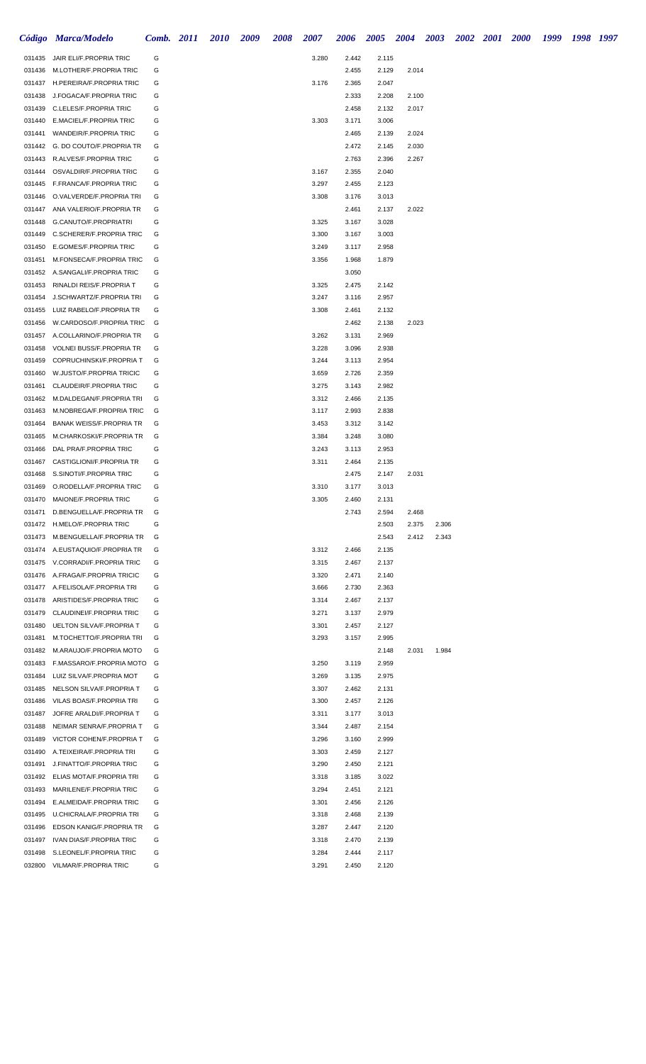|                  | Código Marca/Modelo                                                |        | <b>Comb.</b> 2011 | <b>2010</b> | 2009 | 2008 | 2007           | 2006           | 2005           | 2004  | 2003  | 2002 2001 2000 | 1999 | 1998 1997 |  |
|------------------|--------------------------------------------------------------------|--------|-------------------|-------------|------|------|----------------|----------------|----------------|-------|-------|----------------|------|-----------|--|
| 031435           | JAIR ELI/F.PROPRIA TRIC                                            | G      |                   |             |      |      | 3.280          | 2.442          | 2.115          |       |       |                |      |           |  |
| 031436           | M.LOTHER/F.PROPRIA TRIC                                            | G      |                   |             |      |      |                | 2.455          | 2.129          | 2.014 |       |                |      |           |  |
|                  | 031437 H.PEREIRA/F.PROPRIA TRIC                                    | G      |                   |             |      |      | 3.176          | 2.365          | 2.047          |       |       |                |      |           |  |
| 031438           | J.FOGACA/F.PROPRIA TRIC                                            | G      |                   |             |      |      |                | 2.333          | 2.208          | 2.100 |       |                |      |           |  |
| 031439           | C.LELES/F.PROPRIA TRIC                                             | G      |                   |             |      |      |                | 2.458          | 2.132          | 2.017 |       |                |      |           |  |
| 031440           | E.MACIEL/F.PROPRIA TRIC                                            | G      |                   |             |      |      | 3.303          | 3.171          | 3.006          |       |       |                |      |           |  |
| 031441           | WANDEIR/F.PROPRIA TRIC                                             | G      |                   |             |      |      |                | 2.465          | 2.139          | 2.024 |       |                |      |           |  |
|                  | 031442 G. DO COUTO/F.PROPRIA TR                                    | G      |                   |             |      |      |                | 2.472          | 2.145          | 2.030 |       |                |      |           |  |
| 031443<br>031444 | R.ALVES/F.PROPRIA TRIC<br>OSVALDIR/F.PROPRIA TRIC                  | G<br>G |                   |             |      |      | 3.167          | 2.763<br>2.355 | 2.396<br>2.040 | 2.267 |       |                |      |           |  |
|                  | 031445 F.FRANCA/F.PROPRIA TRIC                                     | G      |                   |             |      |      | 3.297          | 2.455          | 2.123          |       |       |                |      |           |  |
| 031446           | O.VALVERDE/F.PROPRIA TRI                                           | G      |                   |             |      |      | 3.308          | 3.176          | 3.013          |       |       |                |      |           |  |
| 031447           | ANA VALERIO/F.PROPRIA TR                                           | G      |                   |             |      |      |                | 2.461          | 2.137          | 2.022 |       |                |      |           |  |
| 031448           | G.CANUTO/F.PROPRIATRI                                              | G      |                   |             |      |      | 3.325          | 3.167          | 3.028          |       |       |                |      |           |  |
|                  | 031449 C.SCHERER/F.PROPRIA TRIC                                    | G      |                   |             |      |      | 3.300          | 3.167          | 3.003          |       |       |                |      |           |  |
|                  | 031450 E.GOMES/F.PROPRIA TRIC                                      | G      |                   |             |      |      | 3.249          | 3.117          | 2.958          |       |       |                |      |           |  |
| 031451           | M.FONSECA/F.PROPRIA TRIC                                           | G      |                   |             |      |      | 3.356          | 1.968          | 1.879          |       |       |                |      |           |  |
|                  | 031452 A.SANGALI/F.PROPRIA TRIC                                    | G      |                   |             |      |      |                | 3.050          |                |       |       |                |      |           |  |
| 031453           | RINALDI REIS/F.PROPRIA T                                           | G      |                   |             |      |      | 3.325          | 2.475          | 2.142          |       |       |                |      |           |  |
| 031454           | J.SCHWARTZ/F.PROPRIA TRI                                           | G      |                   |             |      |      | 3.247          | 3.116          | 2.957          |       |       |                |      |           |  |
|                  | 031455 LUIZ RABELO/F.PROPRIA TR                                    | G      |                   |             |      |      | 3.308          | 2.461          | 2.132          |       |       |                |      |           |  |
| 031456           | W.CARDOSO/F.PROPRIA TRIC                                           | G      |                   |             |      |      |                | 2.462          | 2.138          | 2.023 |       |                |      |           |  |
| 031457           | A.COLLARINO/F.PROPRIA TR                                           | G      |                   |             |      |      | 3.262          | 3.131          | 2.969          |       |       |                |      |           |  |
| 031458           | <b>VOLNEI BUSS/F.PROPRIA TR</b>                                    | G      |                   |             |      |      | 3.228          | 3.096          | 2.938          |       |       |                |      |           |  |
| 031459           | COPRUCHINSKI/F.PROPRIA T                                           | G<br>G |                   |             |      |      | 3.244          | 3.113          | 2.954          |       |       |                |      |           |  |
| 031460<br>031461 | W.JUSTO/F.PROPRIA TRICIC<br>CLAUDEIR/F.PROPRIA TRIC                | G      |                   |             |      |      | 3.659<br>3.275 | 2.726<br>3.143 | 2.359<br>2.982 |       |       |                |      |           |  |
| 031462           | M.DALDEGAN/F.PROPRIA TRI                                           | G      |                   |             |      |      | 3.312          | 2.466          | 2.135          |       |       |                |      |           |  |
| 031463           | M.NOBREGA/F.PROPRIA TRIC                                           | G      |                   |             |      |      | 3.117          | 2.993          | 2.838          |       |       |                |      |           |  |
| 031464           | <b>BANAK WEISS/F.PROPRIA TR</b>                                    | G      |                   |             |      |      | 3.453          | 3.312          | 3.142          |       |       |                |      |           |  |
| 031465           | M.CHARKOSKI/F.PROPRIA TR                                           | G      |                   |             |      |      | 3.384          | 3.248          | 3.080          |       |       |                |      |           |  |
| 031466           | DAL PRA/F.PROPRIA TRIC                                             | G      |                   |             |      |      | 3.243          | 3.113          | 2.953          |       |       |                |      |           |  |
| 031467           | CASTIGLIONI/F.PROPRIA TR                                           | G      |                   |             |      |      | 3.311          | 2.464          | 2.135          |       |       |                |      |           |  |
| 031468           | S.SINOTI/F.PROPRIA TRIC                                            | G      |                   |             |      |      |                | 2.475          | 2.147          | 2.031 |       |                |      |           |  |
| 031469           | O.RODELLA/F.PROPRIA TRIC                                           | G      |                   |             |      |      | 3.310          | 3.177          | 3.013          |       |       |                |      |           |  |
|                  | 031470 MAIONE/F.PROPRIA TRIC                                       | G      |                   |             |      |      | 3.305          | 2.460          | 2.131          |       |       |                |      |           |  |
| 031471           | D.BENGUELLA/F.PROPRIA TR                                           | G      |                   |             |      |      |                | 2.743          | 2.594          | 2.468 |       |                |      |           |  |
|                  | 031472 H.MELO/F.PROPRIA TRIC                                       | G      |                   |             |      |      |                |                | 2.503          | 2.375 | 2.306 |                |      |           |  |
|                  | 031473 M.BENGUELLA/F.PROPRIA TR<br>031474 A.EUSTAQUIO/F.PROPRIA TR | G<br>G |                   |             |      |      | 3.312          | 2.466          | 2.543<br>2.135 | 2.412 | 2.343 |                |      |           |  |
|                  | 031475 V.CORRADI/F.PROPRIA TRIC                                    | G      |                   |             |      |      | 3.315          | 2.467          | 2.137          |       |       |                |      |           |  |
|                  | 031476 A.FRAGA/F.PROPRIA TRICIC                                    | G      |                   |             |      |      | 3.320          | 2.471          | 2.140          |       |       |                |      |           |  |
|                  | 031477 A.FELISOLA/F.PROPRIA TRI                                    | G      |                   |             |      |      | 3.666          | 2.730          | 2.363          |       |       |                |      |           |  |
| 031478           | ARISTIDES/F.PROPRIA TRIC                                           | G      |                   |             |      |      | 3.314          | 2.467          | 2.137          |       |       |                |      |           |  |
| 031479           | CLAUDINEI/F.PROPRIA TRIC                                           | G      |                   |             |      |      | 3.271          | 3.137          | 2.979          |       |       |                |      |           |  |
| 031480           | UELTON SILVA/F.PROPRIA T                                           | G      |                   |             |      |      | 3.301          | 2.457          | 2.127          |       |       |                |      |           |  |
| 031481           | M.TOCHETTO/F.PROPRIA TRI                                           | G      |                   |             |      |      | 3.293          | 3.157          | 2.995          |       |       |                |      |           |  |
| 031482           | M.ARAUJO/F.PROPRIA MOTO                                            | G      |                   |             |      |      |                |                | 2.148          | 2.031 | 1.984 |                |      |           |  |
|                  | 031483 F.MASSARO/F.PROPRIA MOTO                                    | G      |                   |             |      |      | 3.250          | 3.119          | 2.959          |       |       |                |      |           |  |
| 031484           | LUIZ SILVA/F.PROPRIA MOT                                           | G      |                   |             |      |      | 3.269          | 3.135          | 2.975          |       |       |                |      |           |  |
| 031485           | NELSON SILVA/F.PROPRIA T                                           | G      |                   |             |      |      | 3.307          | 2.462          | 2.131          |       |       |                |      |           |  |
| 031486           | VILAS BOAS/F.PROPRIA TRI                                           | G      |                   |             |      |      | 3.300          | 2.457          | 2.126          |       |       |                |      |           |  |
| 031487<br>031488 | JOFRE ARALDI/F.PROPRIA T<br>NEIMAR SENRA/F.PROPRIA T               | G<br>G |                   |             |      |      | 3.311<br>3.344 | 3.177          | 3.013          |       |       |                |      |           |  |
| 031489           | VICTOR COHEN/F.PROPRIA T                                           | G      |                   |             |      |      | 3.296          | 2.487<br>3.160 | 2.154<br>2.999 |       |       |                |      |           |  |
| 031490           | A.TEIXEIRA/F.PROPRIA TRI                                           | G      |                   |             |      |      | 3.303          | 2.459          | 2.127          |       |       |                |      |           |  |
| 031491           | J.FINATTO/F.PROPRIA TRIC                                           | G      |                   |             |      |      | 3.290          | 2.450          | 2.121          |       |       |                |      |           |  |
| 031492           | ELIAS MOTA/F.PROPRIA TRI                                           | G      |                   |             |      |      | 3.318          | 3.185          | 3.022          |       |       |                |      |           |  |
| 031493           | MARILENE/F.PROPRIA TRIC                                            | G      |                   |             |      |      | 3.294          | 2.451          | 2.121          |       |       |                |      |           |  |
| 031494           | E.ALMEIDA/F.PROPRIA TRIC                                           | G      |                   |             |      |      | 3.301          | 2.456          | 2.126          |       |       |                |      |           |  |
| 031495           | U.CHICRALA/F.PROPRIA TRI                                           | G      |                   |             |      |      | 3.318          | 2.468          | 2.139          |       |       |                |      |           |  |
| 031496           | EDSON KANIG/F.PROPRIA TR                                           | G      |                   |             |      |      | 3.287          | 2.447          | 2.120          |       |       |                |      |           |  |
| 031497           | IVAN DIAS/F.PROPRIA TRIC                                           | G      |                   |             |      |      | 3.318          | 2.470          | 2.139          |       |       |                |      |           |  |
| 031498           | S.LEONEL/F.PROPRIA TRIC                                            | G      |                   |             |      |      | 3.284          | 2.444          | 2.117          |       |       |                |      |           |  |
|                  | 032800 VILMAR/F.PROPRIA TRIC                                       | G      |                   |             |      |      | 3.291          | 2.450          | 2.120          |       |       |                |      |           |  |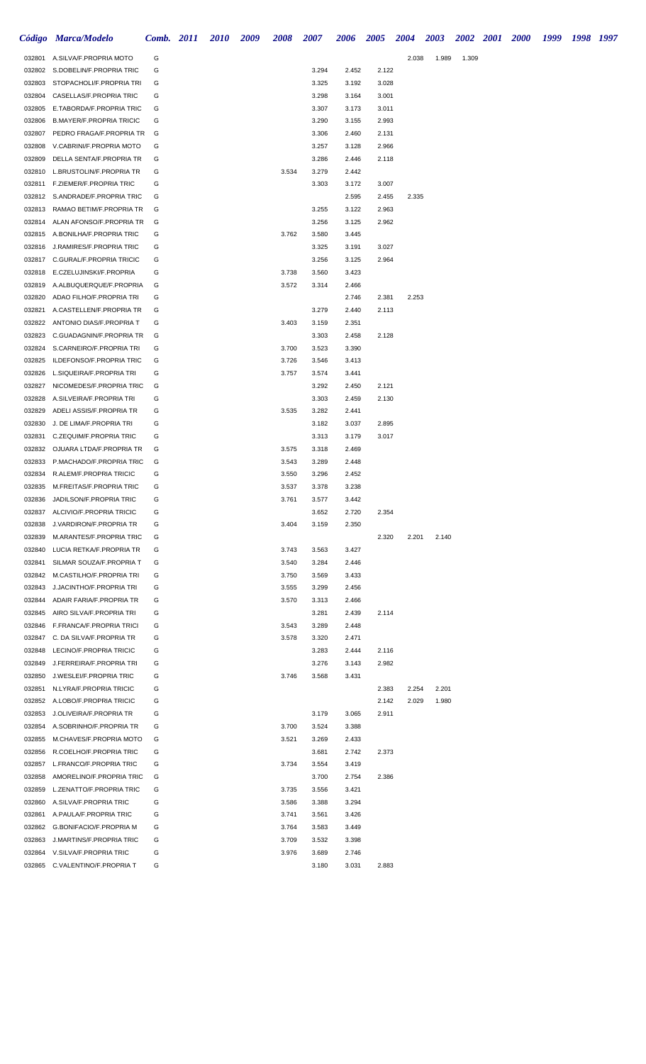|                  | Código Marca/Modelo                                                | Comb. 2011 | <i>2010</i> | 2009 | 2008           | 2007           | 2006           | 2005           | <b>2004</b> | 2003  | 2002  | 2001 | <b>2000</b> | 1999 | 1998 1997 |  |
|------------------|--------------------------------------------------------------------|------------|-------------|------|----------------|----------------|----------------|----------------|-------------|-------|-------|------|-------------|------|-----------|--|
| 032801           | A.SILVA/F.PROPRIA MOTO                                             | G          |             |      |                |                |                |                | 2.038       | 1.989 | 1.309 |      |             |      |           |  |
|                  | 032802 S.DOBELIN/F.PROPRIA TRIC                                    | G          |             |      |                | 3.294          | 2.452          | 2.122          |             |       |       |      |             |      |           |  |
|                  | 032803 STOPACHOLI/F.PROPRIA TRI                                    | G          |             |      |                | 3.325          | 3.192          | 3.028          |             |       |       |      |             |      |           |  |
| 032804           | CASELLAS/F.PROPRIA TRIC                                            | G          |             |      |                | 3.298          | 3.164          | 3.001          |             |       |       |      |             |      |           |  |
|                  | 032805 E.TABORDA/F.PROPRIA TRIC                                    | G          |             |      |                | 3.307          | 3.173          | 3.011          |             |       |       |      |             |      |           |  |
|                  | 032806 B.MAYER/F.PROPRIA TRICIC                                    | G          |             |      |                | 3.290          | 3.155          | 2.993          |             |       |       |      |             |      |           |  |
| 032807           | PEDRO FRAGA/F.PROPRIA TR<br>V.CABRINI/F.PROPRIA MOTO               | G<br>G     |             |      |                | 3.306          | 2.460          | 2.131          |             |       |       |      |             |      |           |  |
| 032808<br>032809 | DELLA SENTA/F.PROPRIA TR                                           | G          |             |      |                | 3.257<br>3.286 | 3.128<br>2.446 | 2.966<br>2.118 |             |       |       |      |             |      |           |  |
| 032810           | L.BRUSTOLIN/F.PROPRIA TR                                           | G          |             |      | 3.534          | 3.279          | 2.442          |                |             |       |       |      |             |      |           |  |
| 032811           | F.ZIEMER/F.PROPRIA TRIC                                            | G          |             |      |                | 3.303          | 3.172          | 3.007          |             |       |       |      |             |      |           |  |
|                  | 032812 S.ANDRADE/F.PROPRIA TRIC                                    | G          |             |      |                |                | 2.595          | 2.455          | 2.335       |       |       |      |             |      |           |  |
| 032813           | RAMAO BETIM/F.PROPRIA TR                                           | G          |             |      |                | 3.255          | 3.122          | 2.963          |             |       |       |      |             |      |           |  |
|                  | 032814 ALAN AFONSO/F.PROPRIA TR                                    | G          |             |      |                | 3.256          | 3.125          | 2.962          |             |       |       |      |             |      |           |  |
|                  | 032815 A.BONILHA/F.PROPRIA TRIC                                    | G          |             |      | 3.762          | 3.580          | 3.445          |                |             |       |       |      |             |      |           |  |
|                  | 032816 J.RAMIRES/F.PROPRIA TRIC                                    | G          |             |      |                | 3.325          | 3.191          | 3.027          |             |       |       |      |             |      |           |  |
|                  | 032817 C.GURAL/F.PROPRIA TRICIC                                    | G          |             |      |                | 3.256          | 3.125          | 2.964          |             |       |       |      |             |      |           |  |
|                  | 032818 E.CZELUJINSKI/F.PROPRIA                                     | G          |             |      | 3.738          | 3.560          | 3.423          |                |             |       |       |      |             |      |           |  |
|                  | 032819 A.ALBUQUERQUE/F.PROPRIA                                     | G          |             |      | 3.572          | 3.314          | 2.466          |                |             |       |       |      |             |      |           |  |
|                  | 032820 ADAO FILHO/F.PROPRIA TRI                                    | G          |             |      |                |                | 2.746          | 2.381          | 2.253       |       |       |      |             |      |           |  |
| 032821           | A.CASTELLEN/F.PROPRIA TR                                           | G          |             |      |                | 3.279          | 2.440          | 2.113          |             |       |       |      |             |      |           |  |
|                  | 032822 ANTONIO DIAS/F.PROPRIA T                                    | G          |             |      | 3.403          | 3.159          | 2.351          |                |             |       |       |      |             |      |           |  |
| 032823           | C.GUADAGNIN/F.PROPRIA TR                                           | G          |             |      |                | 3.303          | 2.458          | 2.128          |             |       |       |      |             |      |           |  |
|                  | 032824 S.CARNEIRO/F.PROPRIA TRI                                    | G          |             |      | 3.700          | 3.523          | 3.390          |                |             |       |       |      |             |      |           |  |
| 032825<br>032826 | ILDEFONSO/F.PROPRIA TRIC<br>L.SIQUEIRA/F.PROPRIA TRI               | G<br>G     |             |      | 3.726<br>3.757 | 3.546          | 3.413          |                |             |       |       |      |             |      |           |  |
| 032827           | NICOMEDES/F.PROPRIA TRIC                                           | G          |             |      |                | 3.574<br>3.292 | 3.441<br>2.450 | 2.121          |             |       |       |      |             |      |           |  |
|                  | 032828 A.SILVEIRA/F.PROPRIA TRI                                    | G          |             |      |                | 3.303          | 2.459          | 2.130          |             |       |       |      |             |      |           |  |
| 032829           | ADELI ASSIS/F.PROPRIA TR                                           | G          |             |      | 3.535          | 3.282          | 2.441          |                |             |       |       |      |             |      |           |  |
| 032830           | J. DE LIMA/F.PROPRIA TRI                                           | G          |             |      |                | 3.182          | 3.037          | 2.895          |             |       |       |      |             |      |           |  |
| 032831           | C.ZEQUIM/F.PROPRIA TRIC                                            | G          |             |      |                | 3.313          | 3.179          | 3.017          |             |       |       |      |             |      |           |  |
|                  | 032832 OJUARA LTDA/F.PROPRIA TR                                    | G          |             |      | 3.575          | 3.318          | 2.469          |                |             |       |       |      |             |      |           |  |
| 032833           | P.MACHADO/F.PROPRIA TRIC                                           | G          |             |      | 3.543          | 3.289          | 2.448          |                |             |       |       |      |             |      |           |  |
| 032834           | R.ALEM/F.PROPRIA TRICIC                                            | G          |             |      | 3.550          | 3.296          | 2.452          |                |             |       |       |      |             |      |           |  |
|                  | 032835 M.FREITAS/F.PROPRIA TRIC                                    | G          |             |      | 3.537          | 3.378          | 3.238          |                |             |       |       |      |             |      |           |  |
|                  | 032836 JADILSON/F.PROPRIA TRIC                                     | G          |             |      | 3.761          | 3.577          | 3.442          |                |             |       |       |      |             |      |           |  |
|                  | 032837 ALCIVIO/F.PROPRIA TRICIC                                    | G          |             |      |                | 3.652          | 2.720          | 2.354          |             |       |       |      |             |      |           |  |
| 032838           | J.VARDIRON/F.PROPRIA TR                                            | G          |             |      | 3.404          | 3.159          | 2.350          |                |             |       |       |      |             |      |           |  |
| 032839           | M.ARANTES/F.PROPRIA TRIC                                           | G          |             |      |                |                |                | 2.320          | 2.201       | 2.140 |       |      |             |      |           |  |
| 032840           | LUCIA RETKA/F.PROPRIA TR                                           | G          |             |      | 3.743          | 3.563          | 3.427          |                |             |       |       |      |             |      |           |  |
| 032841           | SILMAR SOUZA/F.PROPRIA T<br>032842 M.CASTILHO/F.PROPRIA TRI        | G<br>G     |             |      | 3.540<br>3.750 | 3.284<br>3.569 | 2.446<br>3.433 |                |             |       |       |      |             |      |           |  |
| 032843           | J.JACINTHO/F.PROPRIA TRI                                           | G          |             |      | 3.555          | 3.299          | 2.456          |                |             |       |       |      |             |      |           |  |
| 032844           | ADAIR FARIA/F.PROPRIA TR                                           | G          |             |      | 3.570          | 3.313          | 2.466          |                |             |       |       |      |             |      |           |  |
|                  | 032845 AIRO SILVA/F.PROPRIA TRI                                    | G          |             |      |                | 3.281          | 2.439          | 2.114          |             |       |       |      |             |      |           |  |
|                  | 032846 F.FRANCA/F.PROPRIA TRICI                                    | G          |             |      | 3.543          | 3.289          | 2.448          |                |             |       |       |      |             |      |           |  |
|                  | 032847 C. DA SILVA/F.PROPRIA TR                                    | G          |             |      | 3.578          | 3.320          | 2.471          |                |             |       |       |      |             |      |           |  |
| 032848           | LECINO/F.PROPRIA TRICIC                                            | G          |             |      |                | 3.283          | 2.444          | 2.116          |             |       |       |      |             |      |           |  |
|                  | 032849 J.FERREIRA/F.PROPRIA TRI                                    | G          |             |      |                | 3.276          | 3.143          | 2.982          |             |       |       |      |             |      |           |  |
|                  | 032850 J.WESLEI/F.PROPRIA TRIC                                     | G          |             |      | 3.746          | 3.568          | 3.431          |                |             |       |       |      |             |      |           |  |
| 032851           | N.LYRA/F.PROPRIA TRICIC                                            | G          |             |      |                |                |                | 2.383          | 2.254       | 2.201 |       |      |             |      |           |  |
|                  | 032852 A.LOBO/F.PROPRIA TRICIC                                     | G          |             |      |                |                |                | 2.142          | 2.029       | 1.980 |       |      |             |      |           |  |
|                  | 032853 J.OLIVEIRA/F.PROPRIA TR                                     | G          |             |      |                | 3.179          | 3.065          | 2.911          |             |       |       |      |             |      |           |  |
|                  | 032854 A.SOBRINHO/F.PROPRIA TR                                     | G          |             |      | 3.700          | 3.524          | 3.388          |                |             |       |       |      |             |      |           |  |
|                  | 032855 M.CHAVES/F.PROPRIA MOTO                                     | G          |             |      | 3.521          | 3.269          | 2.433          |                |             |       |       |      |             |      |           |  |
|                  | 032856 R.COELHO/F.PROPRIA TRIC                                     | G          |             |      |                | 3.681          | 2.742          | 2.373          |             |       |       |      |             |      |           |  |
|                  | 032857 L.FRANCO/F.PROPRIA TRIC                                     | G          |             |      | 3.734          | 3.554          | 3.419          |                |             |       |       |      |             |      |           |  |
|                  | 032858 AMORELINO/F.PROPRIA TRIC<br>032859 L.ZENATTO/F.PROPRIA TRIC | G<br>G     |             |      | 3.735          | 3.700<br>3.556 | 2.754<br>3.421 | 2.386          |             |       |       |      |             |      |           |  |
|                  | 032860 A.SILVA/F.PROPRIA TRIC                                      | G          |             |      | 3.586          | 3.388          | 3.294          |                |             |       |       |      |             |      |           |  |
|                  | 032861 A.PAULA/F.PROPRIA TRIC                                      | G          |             |      | 3.741          | 3.561          | 3.426          |                |             |       |       |      |             |      |           |  |
|                  | 032862 G.BONIFACIO/F.PROPRIA M                                     | G          |             |      | 3.764          | 3.583          | 3.449          |                |             |       |       |      |             |      |           |  |
|                  | 032863 J.MARTINS/F.PROPRIA TRIC                                    | G          |             |      | 3.709          | 3.532          | 3.398          |                |             |       |       |      |             |      |           |  |
|                  | 032864 V.SILVA/F.PROPRIA TRIC                                      | G          |             |      | 3.976          | 3.689          | 2.746          |                |             |       |       |      |             |      |           |  |
|                  | 032865 C.VALENTINO/F.PROPRIA T                                     | G          |             |      |                | 3.180          | 3.031          | 2.883          |             |       |       |      |             |      |           |  |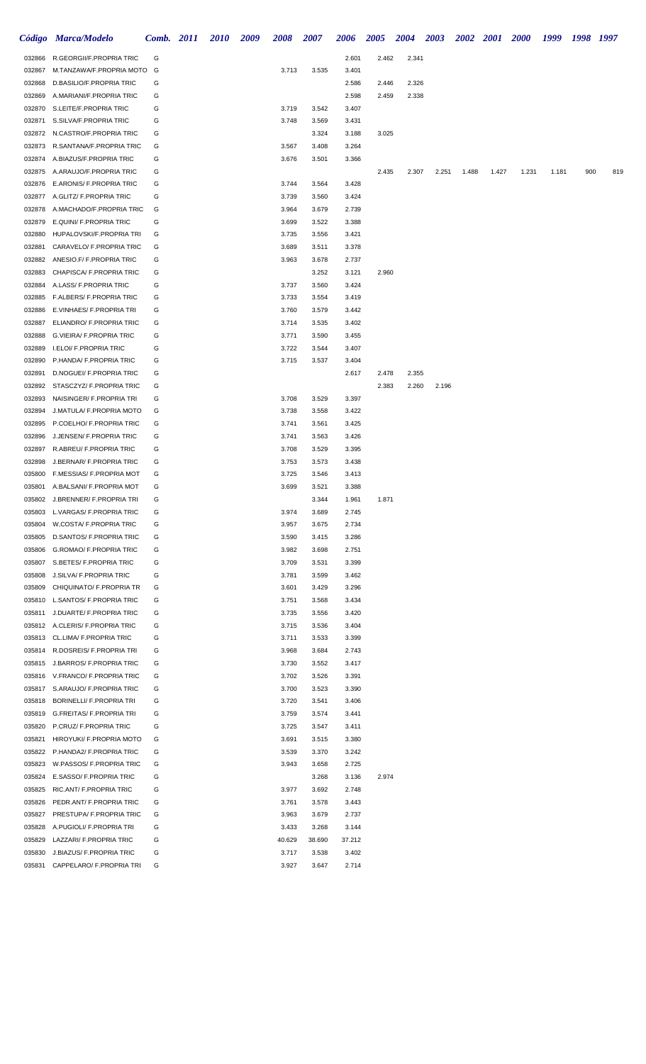|                  | Código Marca/Modelo                                                | Comb. 2011 | <i>2010</i> | 2009 | 2008           | 2007           | 2006           | <b>2005</b> | 2004  | 2003  | <b>2002</b> | <b>2001</b> | <b>2000</b> | 1999  | 1998 | 1997 |
|------------------|--------------------------------------------------------------------|------------|-------------|------|----------------|----------------|----------------|-------------|-------|-------|-------------|-------------|-------------|-------|------|------|
| 032866           | R.GEORGII/F.PROPRIA TRIC                                           | G          |             |      |                |                | 2.601          | 2.462       | 2.341 |       |             |             |             |       |      |      |
| 032867           | M.TANZAWA/F.PROPRIA MOTO                                           | G          |             |      | 3.713          | 3.535          | 3.401          |             |       |       |             |             |             |       |      |      |
| 032868           | D.BASILIO/F.PROPRIA TRIC                                           | G          |             |      |                |                | 2.586          | 2.446       | 2.326 |       |             |             |             |       |      |      |
| 032869           | A.MARIANI/F.PROPRIA TRIC                                           | G          |             |      |                |                | 2.598          | 2.459       | 2.338 |       |             |             |             |       |      |      |
| 032870           | S.LEITE/F.PROPRIA TRIC                                             | G          |             |      | 3.719          | 3.542          | 3.407          |             |       |       |             |             |             |       |      |      |
| 032871           | S.SILVA/F.PROPRIA TRIC                                             | G          |             |      | 3.748          | 3.569          | 3.431          |             |       |       |             |             |             |       |      |      |
| 032872           | N.CASTRO/F.PROPRIA TRIC                                            | G          |             |      |                | 3.324          | 3.188          | 3.025       |       |       |             |             |             |       |      |      |
| 032873           | R.SANTANA/F.PROPRIA TRIC                                           | G          |             |      | 3.567          | 3.408          | 3.264          |             |       |       |             |             |             |       |      |      |
| 032874<br>032875 | A.BIAZUS/F.PROPRIA TRIC                                            | G          |             |      | 3.676          | 3.501          | 3.366          |             |       |       |             |             |             |       |      |      |
| 032876           | A.ARAUJO/F.PROPRIA TRIC<br>E.ARONIS/ F.PROPRIA TRIC                | G<br>G     |             |      | 3.744          | 3.564          | 3.428          | 2.435       | 2.307 | 2.251 | 1.488       | 1.427       | 1.231       | 1.181 | 900  | 819  |
| 032877           | A.GLITZ/ F.PROPRIA TRIC                                            | G          |             |      | 3.739          | 3.560          | 3.424          |             |       |       |             |             |             |       |      |      |
| 032878           | A.MACHADO/F.PROPRIA TRIC                                           | G          |             |      | 3.964          | 3.679          | 2.739          |             |       |       |             |             |             |       |      |      |
| 032879           | E.QUINI/ F.PROPRIA TRIC                                            | G          |             |      | 3.699          | 3.522          | 3.388          |             |       |       |             |             |             |       |      |      |
| 032880           | HUPALOVSKI/F.PROPRIA TRI                                           | G          |             |      | 3.735          | 3.556          | 3.421          |             |       |       |             |             |             |       |      |      |
| 032881           | CARAVELO/ F.PROPRIA TRIC                                           | G          |             |      | 3.689          | 3.511          | 3.378          |             |       |       |             |             |             |       |      |      |
| 032882           | ANESIO.F/ F.PROPRIA TRIC                                           | G          |             |      | 3.963          | 3.678          | 2.737          |             |       |       |             |             |             |       |      |      |
| 032883           | CHAPISCA/ F.PROPRIA TRIC                                           | G          |             |      |                | 3.252          | 3.121          | 2.960       |       |       |             |             |             |       |      |      |
| 032884           | A.LASS/ F.PROPRIA TRIC                                             | G          |             |      | 3.737          | 3.560          | 3.424          |             |       |       |             |             |             |       |      |      |
| 032885           | F.ALBERS/ F.PROPRIA TRIC                                           | G          |             |      | 3.733          | 3.554          | 3.419          |             |       |       |             |             |             |       |      |      |
| 032886           | E.VINHAES/ F.PROPRIA TRI                                           | G          |             |      | 3.760          | 3.579          | 3.442          |             |       |       |             |             |             |       |      |      |
| 032887           | ELIANDRO/ F.PROPRIA TRIC                                           | G          |             |      | 3.714          | 3.535          | 3.402          |             |       |       |             |             |             |       |      |      |
| 032888           | <b>G.VIEIRA/ F.PROPRIA TRIC</b>                                    | G          |             |      | 3.771          | 3.590          | 3.455          |             |       |       |             |             |             |       |      |      |
| 032889           | I.ELOI/ F.PROPRIA TRIC                                             | G          |             |      | 3.722          | 3.544          | 3.407          |             |       |       |             |             |             |       |      |      |
| 032890           | P.HANDA/ F.PROPRIA TRIC                                            | G          |             |      | 3.715          | 3.537          | 3.404          |             |       |       |             |             |             |       |      |      |
| 032891           | D.NOGUEI/ F.PROPRIA TRIC                                           | G          |             |      |                |                | 2.617          | 2.478       | 2.355 |       |             |             |             |       |      |      |
| 032892           | STASCZYZ/ F.PROPRIA TRIC                                           | G          |             |      |                |                |                | 2.383       | 2.260 | 2.196 |             |             |             |       |      |      |
| 032893           | NAISINGER/ F.PROPRIA TRI                                           | G          |             |      | 3.708          | 3.529          | 3.397          |             |       |       |             |             |             |       |      |      |
| 032894           | J.MATULA/ F.PROPRIA MOTO                                           | G          |             |      | 3.738          | 3.558          | 3.422          |             |       |       |             |             |             |       |      |      |
| 032895           | P.COELHO/ F.PROPRIA TRIC                                           | G          |             |      | 3.741          | 3.561          | 3.425          |             |       |       |             |             |             |       |      |      |
| 032896           | J.JENSEN/ F.PROPRIA TRIC                                           | G<br>G     |             |      | 3.741          | 3.563          | 3.426          |             |       |       |             |             |             |       |      |      |
| 032897<br>032898 | R.ABREU/ F.PROPRIA TRIC<br>J.BERNAR/ F.PROPRIA TRIC                | G          |             |      | 3.708          | 3.529<br>3.573 | 3.395<br>3.438 |             |       |       |             |             |             |       |      |      |
| 035800           | F.MESSIAS/ F.PROPRIA MOT                                           | G          |             |      | 3.753<br>3.725 | 3.546          | 3.413          |             |       |       |             |             |             |       |      |      |
| 035801           | A.BALSANI/ F.PROPRIA MOT                                           | G          |             |      | 3.699          | 3.521          | 3.388          |             |       |       |             |             |             |       |      |      |
|                  | 035802 J.BRENNER/ F.PROPRIA TRI                                    | G          |             |      |                | 3.344          | 1.961          | 1.871       |       |       |             |             |             |       |      |      |
|                  | 035803 L.VARGAS/ F.PROPRIA TRIC                                    | G          |             |      | 3.974          | 3.689          | 2.745          |             |       |       |             |             |             |       |      |      |
| 035804           | W,COSTA/ F.PROPRIA TRIC                                            | G          |             |      | 3.957          | 3.675          | 2.734          |             |       |       |             |             |             |       |      |      |
| 035805           | D.SANTOS/ F.PROPRIA TRIC                                           | G          |             |      | 3.590          | 3.415          | 3.286          |             |       |       |             |             |             |       |      |      |
| 035806           | <b>G.ROMAO/ F.PROPRIA TRIC</b>                                     | G          |             |      | 3.982          | 3.698          | 2.751          |             |       |       |             |             |             |       |      |      |
| 035807           | S.BETES/ F.PROPRIA TRIC                                            | G          |             |      | 3.709          | 3.531          | 3.399          |             |       |       |             |             |             |       |      |      |
| 035808           | J.SILVA/ F.PROPRIA TRIC                                            | G          |             |      | 3.781          | 3.599          | 3.462          |             |       |       |             |             |             |       |      |      |
| 035809           | CHIQUINATO/ F.PROPRIA TR                                           | G          |             |      | 3.601          | 3.429          | 3.296          |             |       |       |             |             |             |       |      |      |
|                  | 035810 L.SANTOS/ F.PROPRIA TRIC                                    | G          |             |      | 3.751          | 3.568          | 3.434          |             |       |       |             |             |             |       |      |      |
|                  | 035811 J.DUARTE/ F.PROPRIA TRIC                                    | G          |             |      | 3.735          | 3.556          | 3.420          |             |       |       |             |             |             |       |      |      |
|                  | 035812 A.CLERIS/ F.PROPRIA TRIC                                    | G          |             |      | 3.715          | 3.536          | 3.404          |             |       |       |             |             |             |       |      |      |
|                  | 035813 CL.LIMA/ F.PROPRIA TRIC                                     | G          |             |      | 3.711          | 3.533          | 3.399          |             |       |       |             |             |             |       |      |      |
|                  | 035814 R.DOSREIS/ F.PROPRIA TRI                                    | G          |             |      | 3.968          | 3.684          | 2.743          |             |       |       |             |             |             |       |      |      |
|                  | 035815 J.BARROS/ F.PROPRIA TRIC                                    | G          |             |      | 3.730          | 3.552          | 3.417          |             |       |       |             |             |             |       |      |      |
|                  | 035816 V.FRANCO/ F.PROPRIA TRIC                                    | G          |             |      | 3.702          | 3.526          | 3.391          |             |       |       |             |             |             |       |      |      |
| 035818           | 035817 S.ARAUJO/ F.PROPRIA TRIC<br><b>BORINELLI/ F.PROPRIA TRI</b> | G<br>G     |             |      | 3.700<br>3.720 | 3.523<br>3.541 | 3.390<br>3.406 |             |       |       |             |             |             |       |      |      |
|                  | 035819 G.FREITAS/ F.PROPRIA TRI                                    | G          |             |      | 3.759          | 3.574          | 3.441          |             |       |       |             |             |             |       |      |      |
| 035820           | P.CRUZ/ F.PROPRIA TRIC                                             | G          |             |      | 3.725          | 3.547          | 3.411          |             |       |       |             |             |             |       |      |      |
|                  | 035821 HIROYUKI/ F.PROPRIA MOTO                                    | G          |             |      | 3.691          | 3.515          | 3.380          |             |       |       |             |             |             |       |      |      |
|                  | 035822 P.HANDA2/ F.PROPRIA TRIC                                    | G          |             |      | 3.539          | 3.370          | 3.242          |             |       |       |             |             |             |       |      |      |
|                  | 035823 W.PASSOS/ F.PROPRIA TRIC                                    | G          |             |      | 3.943          | 3.658          | 2.725          |             |       |       |             |             |             |       |      |      |
|                  | 035824 E.SASSO/ F.PROPRIA TRIC                                     | G          |             |      |                | 3.268          | 3.136          | 2.974       |       |       |             |             |             |       |      |      |
| 035825           | RIC.ANT/ F.PROPRIA TRIC                                            | G          |             |      | 3.977          | 3.692          | 2.748          |             |       |       |             |             |             |       |      |      |
| 035826           | PEDR.ANT/ F.PROPRIA TRIC                                           | G          |             |      | 3.761          | 3.578          | 3.443          |             |       |       |             |             |             |       |      |      |
| 035827           | PRESTUPA/ F.PROPRIA TRIC                                           | G          |             |      | 3.963          | 3.679          | 2.737          |             |       |       |             |             |             |       |      |      |
|                  | 035828 A.PUGIOLI/ F.PROPRIA TRI                                    | G          |             |      | 3.433          | 3.268          | 3.144          |             |       |       |             |             |             |       |      |      |
|                  | 035829 LAZZARI/ F.PROPRIA TRIC                                     | G          |             |      | 40.629         | 38.690         | 37.212         |             |       |       |             |             |             |       |      |      |
| 035830           | J.BIAZUS/ F.PROPRIA TRIC                                           | G          |             |      | 3.717          | 3.538          | 3.402          |             |       |       |             |             |             |       |      |      |
|                  | 035831 CAPPELARO/ F.PROPRIA TRI                                    | G          |             |      | 3.927          | 3.647          | 2.714          |             |       |       |             |             |             |       |      |      |
|                  |                                                                    |            |             |      |                |                |                |             |       |       |             |             |             |       |      |      |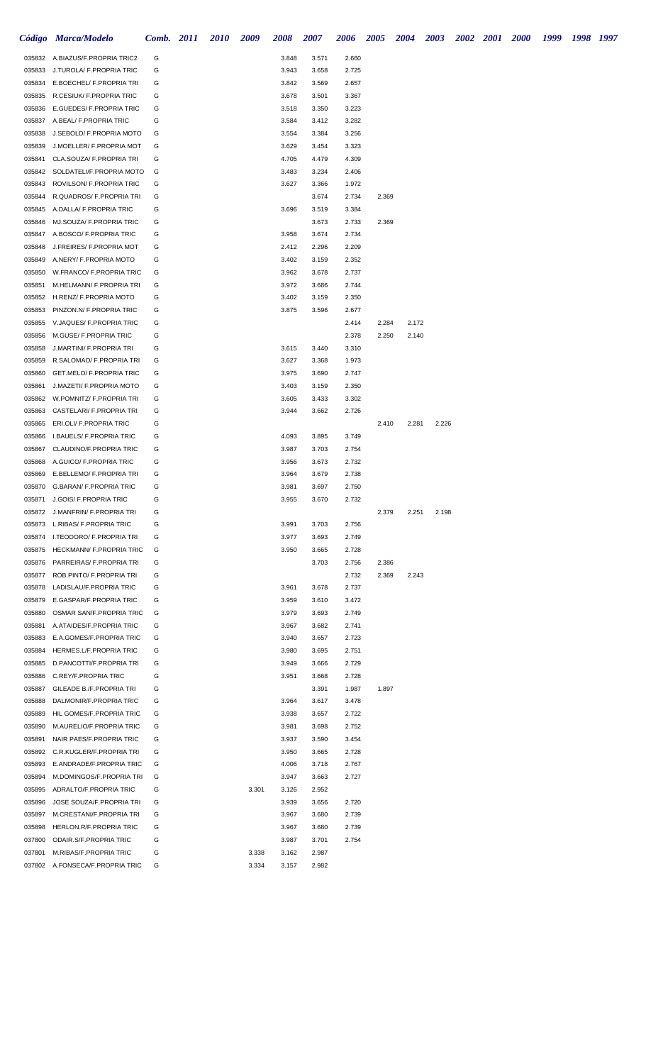|                  | Código Marca/Modelo                                                | <b>Comb.</b> 2011 | <b>2010</b> | 2009  | 2008           | 2007           | 2006           | 2005  | 2004  | 2003  | 2002 2001 2000 | 1999 | 1998 1997 |  |
|------------------|--------------------------------------------------------------------|-------------------|-------------|-------|----------------|----------------|----------------|-------|-------|-------|----------------|------|-----------|--|
| 035832           | A.BIAZUS/F.PROPRIA TRIC2                                           | G                 |             |       | 3.848          | 3.571          | 2.660          |       |       |       |                |      |           |  |
| 035833           | J.TUROLA/ F.PROPRIA TRIC                                           | G                 |             |       | 3.943          | 3.658          | 2.725          |       |       |       |                |      |           |  |
|                  | 035834 E.BOECHEL/ F.PROPRIA TRI                                    | G                 |             |       | 3.842          | 3.569          | 2.657          |       |       |       |                |      |           |  |
|                  | 035835 R.CESIUK/ F.PROPRIA TRIC                                    | G                 |             |       | 3.678          | 3.501          | 3.367          |       |       |       |                |      |           |  |
|                  | 035836 E.GUEDES/ F.PROPRIA TRIC                                    | G                 |             |       | 3.518          | 3.350          | 3.223          |       |       |       |                |      |           |  |
| 035837           | A.BEAL/ F.PROPRIA TRIC                                             | G                 |             |       | 3.584          | 3.412          | 3.282          |       |       |       |                |      |           |  |
| 035838           | J.SEBOLD/ F.PROPRIA MOTO                                           | G                 |             |       | 3.554          | 3.384          | 3.256          |       |       |       |                |      |           |  |
| 035839           | J.MOELLER/ F.PROPRIA MOT                                           | G                 |             |       | 3.629          | 3.454          | 3.323          |       |       |       |                |      |           |  |
| 035841<br>035842 | CLA.SOUZA/ F.PROPRIA TRI<br>SOLDATELI/F.PROPRIA MOTO               | G<br>G            |             |       | 4.705<br>3.483 | 4.479<br>3.234 | 4.309<br>2.406 |       |       |       |                |      |           |  |
| 035843           | ROVILSON/ F.PROPRIA TRIC                                           | G                 |             |       | 3.627          | 3.366          | 1.972          |       |       |       |                |      |           |  |
| 035844           | R.QUADROS/ F.PROPRIA TRI                                           | G                 |             |       |                | 3.674          | 2.734          | 2.369 |       |       |                |      |           |  |
| 035845           | A.DALLA/ F.PROPRIA TRIC                                            | G                 |             |       | 3.696          | 3.519          | 3.384          |       |       |       |                |      |           |  |
| 035846           | MJ.SOUZA/ F.PROPRIA TRIC                                           | G                 |             |       |                | 3.673          | 2.733          | 2.369 |       |       |                |      |           |  |
|                  | 035847 A.BOSCO/ F.PROPRIA TRIC                                     | G                 |             |       | 3.958          | 3.674          | 2.734          |       |       |       |                |      |           |  |
| 035848           | J.FREIRES/ F.PROPRIA MOT                                           | G                 |             |       | 2.412          | 2.296          | 2.209          |       |       |       |                |      |           |  |
| 035849           | A.NERY/ F.PROPRIA MOTO                                             | G                 |             |       | 3.402          | 3.159          | 2.352          |       |       |       |                |      |           |  |
| 035850           | W.FRANCO/ F.PROPRIA TRIC                                           | G                 |             |       | 3.962          | 3.678          | 2.737          |       |       |       |                |      |           |  |
| 035851           | M.HELMANN/ F.PROPRIA TRI                                           | G                 |             |       | 3.972          | 3.686          | 2.744          |       |       |       |                |      |           |  |
|                  | 035852 H.RENZ/ F.PROPRIA MOTO                                      | G                 |             |       | 3.402          | 3.159          | 2.350          |       |       |       |                |      |           |  |
| 035853           | PINZON.N/ F.PROPRIA TRIC                                           | G                 |             |       | 3.875          | 3.596          | 2.677          |       |       |       |                |      |           |  |
| 035855           | V.JAQUES/ F.PROPRIA TRIC                                           | G                 |             |       |                |                | 2.414          | 2.284 | 2.172 |       |                |      |           |  |
| 035856           | M.GUSE/ F.PROPRIA TRIC                                             | G                 |             |       |                |                | 2.378          | 2.250 | 2.140 |       |                |      |           |  |
| 035858           | J.MARTINI/ F.PROPRIA TRI                                           | G                 |             |       | 3.615          | 3.440          | 3.310          |       |       |       |                |      |           |  |
| 035859           | R.SALOMAO/ F.PROPRIA TRI<br>GET.MELO/ F.PROPRIA TRIC               | G<br>G            |             |       | 3.627          | 3.368          | 1.973          |       |       |       |                |      |           |  |
| 035860<br>035861 | J.MAZETI/ F.PROPRIA MOTO                                           | G                 |             |       | 3.975<br>3.403 | 3.690<br>3.159 | 2.747<br>2.350 |       |       |       |                |      |           |  |
| 035862           | W.POMNITZ/ F.PROPRIA TRI                                           | G                 |             |       | 3.605          | 3.433          | 3.302          |       |       |       |                |      |           |  |
| 035863           | CASTELARI/ F.PROPRIA TRI                                           | G                 |             |       | 3.944          | 3.662          | 2.726          |       |       |       |                |      |           |  |
| 035865           | ERI.OLI/ F.PROPRIA TRIC                                            | G                 |             |       |                |                |                | 2.410 | 2.281 | 2.226 |                |      |           |  |
| 035866           | <b>I.BAUELS/ F.PROPRIA TRIC</b>                                    | G                 |             |       | 4.093          | 3.895          | 3.749          |       |       |       |                |      |           |  |
| 035867           | CLAUDINO/F.PROPRIA TRIC                                            | G                 |             |       | 3.987          | 3.703          | 2.754          |       |       |       |                |      |           |  |
| 035868           | A.GUICO/ F.PROPRIA TRIC                                            | G                 |             |       | 3.956          | 3.673          | 2.732          |       |       |       |                |      |           |  |
| 035869           | E.BELLEMO/ F.PROPRIA TRI                                           | G                 |             |       | 3.964          | 3.679          | 2.738          |       |       |       |                |      |           |  |
| 035870           | G.BARAN/ F.PROPRIA TRIC                                            | G                 |             |       | 3.981          | 3.697          | 2.750          |       |       |       |                |      |           |  |
|                  | 035871 J.GOIS/ F.PROPRIA TRIC                                      | G                 |             |       | 3.955          | 3.670          | 2.732          |       |       |       |                |      |           |  |
|                  | 035872 J.MANFRIN/ F.PROPRIA TRI                                    | G                 |             |       |                |                |                | 2.379 | 2.251 | 2.198 |                |      |           |  |
| 035873           | L.RIBAS/ F.PROPRIA TRIC                                            | G                 |             |       | 3.991          | 3.703          | 2.756          |       |       |       |                |      |           |  |
|                  | 035874 I.TEODORO/ F.PROPRIA TRI<br>035875 HECKMANN/ F.PROPRIA TRIC | G                 |             |       | 3.977          | 3.693          | 2.749          |       |       |       |                |      |           |  |
| 035876           | PARREIRAS/ F.PROPRIA TRI                                           | G<br>G            |             |       | 3.950          | 3.665<br>3.703 | 2.728<br>2.756 | 2.386 |       |       |                |      |           |  |
| 035877           | ROB.PINTO/ F.PROPRIA TRI                                           | G                 |             |       |                |                | 2.732          | 2.369 | 2.243 |       |                |      |           |  |
| 035878           | LADISLAU/F.PROPRIA TRIC                                            | G                 |             |       | 3.961          | 3.678          | 2.737          |       |       |       |                |      |           |  |
| 035879           | E.GASPAR/F.PROPRIA TRIC                                            | G                 |             |       | 3.959          | 3.610          | 3.472          |       |       |       |                |      |           |  |
| 035880           | OSMAR SAN/F.PROPRIA TRIC                                           | G                 |             |       | 3.979          | 3.693          | 2.749          |       |       |       |                |      |           |  |
| 035881           | A.ATAIDES/F.PROPRIA TRIC                                           | G                 |             |       | 3.967          | 3.682          | 2.741          |       |       |       |                |      |           |  |
| 035883           | E.A.GOMES/F.PROPRIA TRIC                                           | G                 |             |       | 3.940          | 3.657          | 2.723          |       |       |       |                |      |           |  |
| 035884           | HERMES.L/F.PROPRIA TRIC                                            | G                 |             |       | 3.980          | 3.695          | 2.751          |       |       |       |                |      |           |  |
| 035885           | D.PANCOTTI/F.PROPRIA TRI                                           | G                 |             |       | 3.949          | 3.666          | 2.729          |       |       |       |                |      |           |  |
| 035886           | C.REY/F.PROPRIA TRIC                                               | G                 |             |       | 3.951          | 3.668          | 2.728          |       |       |       |                |      |           |  |
| 035887           | GILEADE B./F.PROPRIA TRI                                           | G                 |             |       |                | 3.391          | 1.987          | 1.897 |       |       |                |      |           |  |
| 035888           | DALMONIR/F.PROPRIA TRIC                                            | G                 |             |       | 3.964          | 3.617          | 3.478          |       |       |       |                |      |           |  |
| 035889           | HIL GOMES/F.PROPRIA TRIC                                           | G                 |             |       | 3.938          | 3.657          | 2.722          |       |       |       |                |      |           |  |
| 035890<br>035891 | M.AURELIO/F.PROPRIA TRIC                                           | G<br>G            |             |       | 3.981<br>3.937 | 3.698          | 2.752          |       |       |       |                |      |           |  |
| 035892           | NAIR PAES/F.PROPRIA TRIC<br>C.R.KUGLER/F.PROPRIA TRI               | G                 |             |       | 3.950          | 3.590<br>3.665 | 3.454<br>2.728 |       |       |       |                |      |           |  |
| 035893           | E.ANDRADE/F.PROPRIA TRIC                                           | G                 |             |       | 4.006          | 3.718          | 2.767          |       |       |       |                |      |           |  |
| 035894           | M.DOMINGOS/F.PROPRIA TRI                                           | G                 |             |       | 3.947          | 3.663          | 2.727          |       |       |       |                |      |           |  |
| 035895           | ADRALTO/F.PROPRIA TRIC                                             | G                 |             | 3.301 | 3.126          | 2.952          |                |       |       |       |                |      |           |  |
| 035896           | JOSE SOUZA/F.PROPRIA TRI                                           | G                 |             |       | 3.939          | 3.656          | 2.720          |       |       |       |                |      |           |  |
| 035897           | M.CRESTANI/F.PROPRIA TRI                                           | G                 |             |       | 3.967          | 3.680          | 2.739          |       |       |       |                |      |           |  |
| 035898           | HERLON.R/F.PROPRIA TRIC                                            | G                 |             |       | 3.967          | 3.680          | 2.739          |       |       |       |                |      |           |  |
| 037800           | ODAIR.S/F.PROPRIA TRIC                                             | G                 |             |       | 3.987          | 3.701          | 2.754          |       |       |       |                |      |           |  |
| 037801           | M.RIBAS/F.PROPRIA TRIC                                             | G                 |             | 3.338 | 3.162          | 2.987          |                |       |       |       |                |      |           |  |
|                  | 037802 A.FONSECA/F.PROPRIA TRIC                                    | G                 |             | 3.334 | 3.157          | 2.982          |                |       |       |       |                |      |           |  |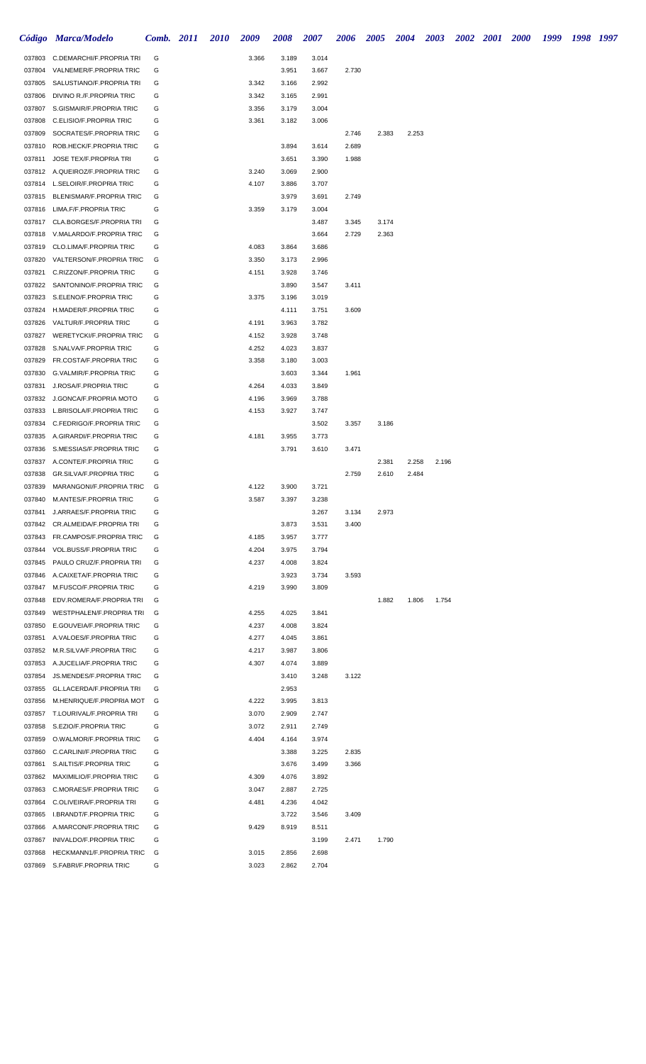|                  | Código Marca/Modelo                                        | Comb. 2011 | 2010 | 2009           | 2008           | 2007           | 2006  | <b>2005</b> | 2004  | <b>2003</b> | 2002 2001 | <b>2000</b> | 1999 | 1998 1997 |  |
|------------------|------------------------------------------------------------|------------|------|----------------|----------------|----------------|-------|-------------|-------|-------------|-----------|-------------|------|-----------|--|
| 037803           | C.DEMARCHI/F.PROPRIA TRI                                   | G          |      | 3.366          | 3.189          | 3.014          |       |             |       |             |           |             |      |           |  |
| 037804           | VALNEMER/F.PROPRIA TRIC                                    | G          |      |                | 3.951          | 3.667          | 2.730 |             |       |             |           |             |      |           |  |
| 037805           | SALUSTIANO/F.PROPRIA TRI                                   | G          |      | 3.342          | 3.166          | 2.992          |       |             |       |             |           |             |      |           |  |
| 037806           | DIVINO R./F.PROPRIA TRIC                                   | G          |      | 3.342          | 3.165          | 2.991          |       |             |       |             |           |             |      |           |  |
| 037807           | S.GISMAIR/F.PROPRIA TRIC                                   | G          |      | 3.356          | 3.179          | 3.004          |       |             |       |             |           |             |      |           |  |
| 037808           | C.ELISIO/F.PROPRIA TRIC                                    | G          |      | 3.361          | 3.182          | 3.006          |       |             |       |             |           |             |      |           |  |
| 037809           | SOCRATES/F.PROPRIA TRIC                                    | G          |      |                |                |                | 2.746 | 2.383       | 2.253 |             |           |             |      |           |  |
| 037810           | ROB.HECK/F.PROPRIA TRIC                                    | G          |      |                | 3.894          | 3.614          | 2.689 |             |       |             |           |             |      |           |  |
| 037811           | JOSE TEX/F.PROPRIA TRI                                     | G          |      |                | 3.651          | 3.390          | 1.988 |             |       |             |           |             |      |           |  |
|                  | 037812 A.QUEIROZ/F.PROPRIA TRIC                            | G          |      | 3.240          | 3.069          | 2.900          |       |             |       |             |           |             |      |           |  |
| 037814<br>037815 | L.SELOIR/F.PROPRIA TRIC<br>BLENISMAR/F.PROPRIA TRIC        | G<br>G     |      | 4.107          | 3.886<br>3.979 | 3.707<br>3.691 | 2.749 |             |       |             |           |             |      |           |  |
| 037816           | LIMA.F/F.PROPRIA TRIC                                      | G          |      | 3.359          | 3.179          | 3.004          |       |             |       |             |           |             |      |           |  |
| 037817           | CLA.BORGES/F.PROPRIA TRI                                   | G          |      |                |                | 3.487          | 3.345 | 3.174       |       |             |           |             |      |           |  |
| 037818           | V.MALARDO/F.PROPRIA TRIC                                   | G          |      |                |                | 3.664          | 2.729 | 2.363       |       |             |           |             |      |           |  |
| 037819           | CLO.LIMA/F.PROPRIA TRIC                                    | G          |      | 4.083          | 3.864          | 3.686          |       |             |       |             |           |             |      |           |  |
| 037820           | VALTERSON/F.PROPRIA TRIC                                   | G          |      | 3.350          | 3.173          | 2.996          |       |             |       |             |           |             |      |           |  |
| 037821           | C.RIZZON/F.PROPRIA TRIC                                    | G          |      | 4.151          | 3.928          | 3.746          |       |             |       |             |           |             |      |           |  |
| 037822           | SANTONINO/F.PROPRIA TRIC                                   | G          |      |                | 3.890          | 3.547          | 3.411 |             |       |             |           |             |      |           |  |
| 037823           | S.ELENO/F.PROPRIA TRIC                                     | G          |      | 3.375          | 3.196          | 3.019          |       |             |       |             |           |             |      |           |  |
| 037824           | H.MADER/F.PROPRIA TRIC                                     | G          |      |                | 4.111          | 3.751          | 3.609 |             |       |             |           |             |      |           |  |
| 037826           | VALTUR/F.PROPRIA TRIC                                      | G          |      | 4.191          | 3.963          | 3.782          |       |             |       |             |           |             |      |           |  |
| 037827           | WERETYCKI/F.PROPRIA TRIC                                   | G          |      | 4.152          | 3.928          | 3.748          |       |             |       |             |           |             |      |           |  |
| 037828           | S.NALVA/F.PROPRIA TRIC                                     | G          |      | 4.252          | 4.023          | 3.837          |       |             |       |             |           |             |      |           |  |
| 037829           | FR.COSTA/F.PROPRIA TRIC                                    | G          |      | 3.358          | 3.180          | 3.003          |       |             |       |             |           |             |      |           |  |
| 037830           | G.VALMIR/F.PROPRIA TRIC                                    | G          |      |                | 3.603          | 3.344          | 1.961 |             |       |             |           |             |      |           |  |
| 037831           | J.ROSA/F.PROPRIA TRIC                                      | G          |      | 4.264          | 4.033          | 3.849          |       |             |       |             |           |             |      |           |  |
| 037832           | J.GONCA/F.PROPRIA MOTO                                     | G          |      | 4.196          | 3.969          | 3.788          |       |             |       |             |           |             |      |           |  |
| 037833           | L.BRISOLA/F.PROPRIA TRIC                                   | G          |      | 4.153          | 3.927          | 3.747          |       |             |       |             |           |             |      |           |  |
| 037834           | C.FEDRIGO/F.PROPRIA TRIC                                   | G          |      |                |                | 3.502          | 3.357 | 3.186       |       |             |           |             |      |           |  |
| 037835           | A.GIRARDI/F.PROPRIA TRIC                                   | G          |      | 4.181          | 3.955          | 3.773          |       |             |       |             |           |             |      |           |  |
| 037836           | S.MESSIAS/F.PROPRIA TRIC                                   | G          |      |                | 3.791          | 3.610          | 3.471 |             |       |             |           |             |      |           |  |
| 037837           | A.CONTE/F.PROPRIA TRIC                                     | G          |      |                |                |                |       | 2.381       | 2.258 | 2.196       |           |             |      |           |  |
| 037838<br>037839 | <b>GR.SILVA/F.PROPRIA TRIC</b><br>MARANGONI/F.PROPRIA TRIC | G<br>G     |      | 4.122          | 3.900          | 3.721          | 2.759 | 2.610       | 2.484 |             |           |             |      |           |  |
|                  | 037840 M.ANTES/F.PROPRIA TRIC                              | G          |      | 3.587          | 3.397          | 3.238          |       |             |       |             |           |             |      |           |  |
| 037841           | J.ARRAES/F.PROPRIA TRIC                                    | G          |      |                |                | 3.267          | 3.134 | 2.973       |       |             |           |             |      |           |  |
| 037842           | CR.ALMEIDA/F.PROPRIA TRI                                   | G          |      |                | 3.873          | 3.531          | 3.400 |             |       |             |           |             |      |           |  |
|                  | 037843 FR.CAMPOS/F.PROPRIA TRIC                            | G          |      | 4.185          | 3.957          | 3.777          |       |             |       |             |           |             |      |           |  |
| 037844           | VOL.BUSS/F.PROPRIA TRIC                                    | G          |      | 4.204          | 3.975          | 3.794          |       |             |       |             |           |             |      |           |  |
| 037845           | PAULO CRUZ/F.PROPRIA TRI                                   | G          |      | 4.237          | 4.008          | 3.824          |       |             |       |             |           |             |      |           |  |
| 037846           | A.CAIXETA/F.PROPRIA TRIC                                   | G          |      |                | 3.923          | 3.734          | 3.593 |             |       |             |           |             |      |           |  |
|                  | 037847 M.FUSCO/F.PROPRIA TRIC                              | G          |      | 4.219          | 3.990          | 3.809          |       |             |       |             |           |             |      |           |  |
| 037848           | EDV.ROMERA/F.PROPRIA TRI                                   | G          |      |                |                |                |       | 1.882       | 1.806 | 1.754       |           |             |      |           |  |
| 037849           | WESTPHALEN/F.PROPRIA TRI                                   | G          |      | 4.255          | 4.025          | 3.841          |       |             |       |             |           |             |      |           |  |
|                  | 037850 E.GOUVEIA/F.PROPRIA TRIC                            | G          |      | 4.237          | 4.008          | 3.824          |       |             |       |             |           |             |      |           |  |
|                  | 037851 A.VALOES/F.PROPRIA TRIC                             | G          |      | 4.277          | 4.045          | 3.861          |       |             |       |             |           |             |      |           |  |
|                  | 037852 M.R.SILVA/F.PROPRIA TRIC                            | G          |      | 4.217          | 3.987          | 3.806          |       |             |       |             |           |             |      |           |  |
|                  | 037853 A.JUCELIA/F.PROPRIA TRIC                            | G          |      | 4.307          | 4.074          | 3.889          |       |             |       |             |           |             |      |           |  |
| 037854           | <b>JS.MENDES/F.PROPRIA TRIC</b>                            | G          |      |                | 3.410          | 3.248          | 3.122 |             |       |             |           |             |      |           |  |
| 037855           | GL.LACERDA/F.PROPRIA TRI                                   | G          |      |                | 2.953          |                |       |             |       |             |           |             |      |           |  |
| 037856           | M.HENRIQUE/F.PROPRIA MOT                                   | G          |      | 4.222          | 3.995          | 3.813          |       |             |       |             |           |             |      |           |  |
|                  | 037857 T.LOURIVAL/F.PROPRIA TRI                            | G          |      | 3.070          | 2.909          | 2.747          |       |             |       |             |           |             |      |           |  |
| 037858           | S.EZIO/F.PROPRIA TRIC                                      | G          |      | 3.072          | 2.911          | 2.749          |       |             |       |             |           |             |      |           |  |
| 037859           | O.WALMOR/F.PROPRIA TRIC                                    | G          |      | 4.404          | 4.164          | 3.974          |       |             |       |             |           |             |      |           |  |
| 037860           | C.CARLINI/F.PROPRIA TRIC                                   | G          |      |                | 3.388          | 3.225          | 2.835 |             |       |             |           |             |      |           |  |
| 037861           | S.AILTIS/F.PROPRIA TRIC                                    | G          |      |                | 3.676          | 3.499          | 3.366 |             |       |             |           |             |      |           |  |
| 037863           | 037862 MAXIMILIO/F.PROPRIA TRIC<br>C.MORAES/F.PROPRIA TRIC | G<br>G     |      | 4.309<br>3.047 | 4.076<br>2.887 | 3.892<br>2.725 |       |             |       |             |           |             |      |           |  |
| 037864           | C.OLIVEIRA/F.PROPRIA TRI                                   | G          |      | 4.481          | 4.236          | 4.042          |       |             |       |             |           |             |      |           |  |
| 037865           | I.BRANDT/F.PROPRIA TRIC                                    | G          |      |                | 3.722          | 3.546          | 3.409 |             |       |             |           |             |      |           |  |
| 037866           | A.MARCON/F.PROPRIA TRIC                                    | G          |      | 9.429          | 8.919          | 8.511          |       |             |       |             |           |             |      |           |  |
| 037867           | INIVALDO/F.PROPRIA TRIC                                    | G          |      |                |                | 3.199          | 2.471 | 1.790       |       |             |           |             |      |           |  |
| 037868           | HECKMANN1/F.PROPRIA TRIC                                   | G          |      | 3.015          | 2.856          | 2.698          |       |             |       |             |           |             |      |           |  |
|                  | 037869 S.FABRI/F.PROPRIA TRIC                              | G          |      | 3.023          | 2.862          | 2.704          |       |             |       |             |           |             |      |           |  |
|                  |                                                            |            |      |                |                |                |       |             |       |             |           |             |      |           |  |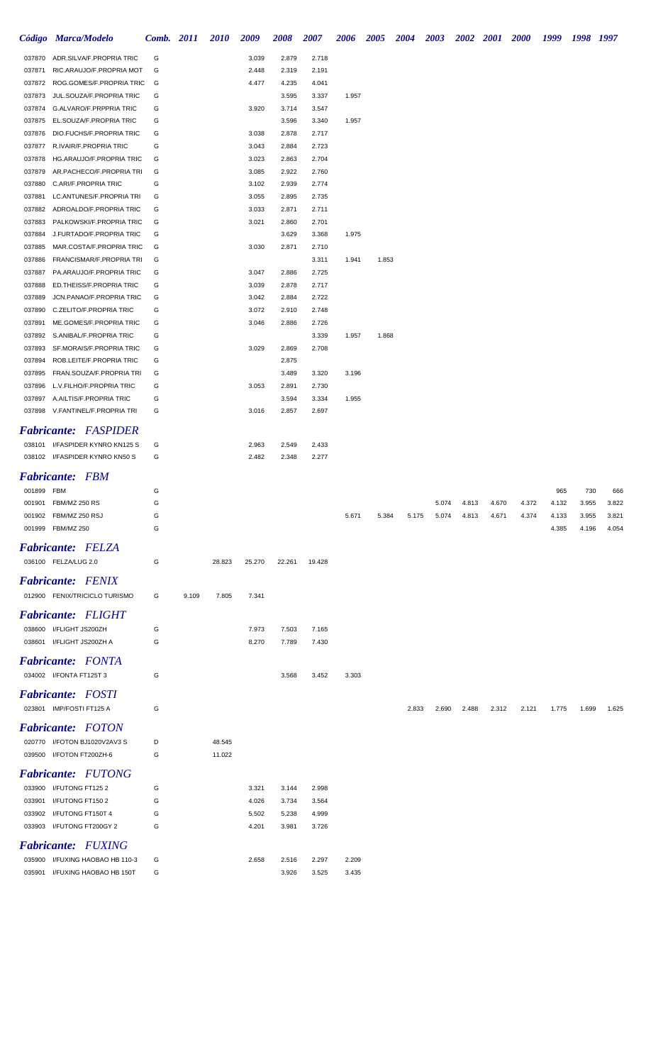|                  | Código Marca/Modelo                                  | <b>Comb.</b> 2011 |       | <b>2010</b> | 2009   | <b>2008</b> | 2007           | 2006  | 2005  | <b>2004</b> | <b>2003</b> |       | 2002 2001 2000 |       | 1999  | 1998 1997 |       |
|------------------|------------------------------------------------------|-------------------|-------|-------------|--------|-------------|----------------|-------|-------|-------------|-------------|-------|----------------|-------|-------|-----------|-------|
| 037870           | ADR.SILVA/F.PROPRIA TRIC                             | G                 |       |             | 3.039  | 2.879       | 2.718          |       |       |             |             |       |                |       |       |           |       |
| 037871           | RIC.ARAUJO/F.PROPRIA MOT                             | G                 |       |             | 2.448  | 2.319       | 2.191          |       |       |             |             |       |                |       |       |           |       |
| 037872           | ROG.GOMES/F.PROPRIA TRIC                             | G                 |       |             | 4.477  | 4.235       | 4.041          |       |       |             |             |       |                |       |       |           |       |
| 037873           | JUL.SOUZA/F.PROPRIA TRIC                             | G                 |       |             |        | 3.595       | 3.337          | 1.957 |       |             |             |       |                |       |       |           |       |
| 037874           | G.ALVARO/F.PRPPRIA TRIC                              | G                 |       |             | 3.920  | 3.714       | 3.547          |       |       |             |             |       |                |       |       |           |       |
| 037875           | EL.SOUZA/F.PROPRIA TRIC                              | G                 |       |             |        | 3.596       | 3.340          | 1.957 |       |             |             |       |                |       |       |           |       |
| 037876           | DIO.FUCHS/F.PROPRIA TRIC                             | G                 |       |             | 3.038  | 2.878       | 2.717          |       |       |             |             |       |                |       |       |           |       |
| 037877           | R.IVAIR/F.PROPRIA TRIC                               | G                 |       |             | 3.043  | 2.884       | 2.723          |       |       |             |             |       |                |       |       |           |       |
| 037878           | HG.ARAUJO/F.PROPRIA TRIC                             | G                 |       |             | 3.023  | 2.863       | 2.704          |       |       |             |             |       |                |       |       |           |       |
| 037879           | AR.PACHECO/F.PROPRIA TRI                             | G                 |       |             | 3.085  | 2.922       | 2.760          |       |       |             |             |       |                |       |       |           |       |
| 037880           | C.ARI/F.PROPRIA TRIC                                 | G                 |       |             | 3.102  | 2.939       | 2.774          |       |       |             |             |       |                |       |       |           |       |
| 037881           | LC.ANTUNES/F.PROPRIA TRI                             | G                 |       |             | 3.055  | 2.895       | 2.735          |       |       |             |             |       |                |       |       |           |       |
| 037882           | ADROALDO/F.PROPRIA TRIC                              | G                 |       |             | 3.033  | 2.871       | 2.711          |       |       |             |             |       |                |       |       |           |       |
| 037883           | PALKOWSKI/F.PROPRIA TRIC                             | G                 |       |             | 3.021  | 2.860       | 2.701          |       |       |             |             |       |                |       |       |           |       |
| 037884           | J.FURTADO/F.PROPRIA TRIC                             | G                 |       |             |        | 3.629       | 3.368          | 1.975 |       |             |             |       |                |       |       |           |       |
| 037885<br>037886 | MAR.COSTA/F.PROPRIA TRIC<br>FRANCISMAR/F.PROPRIA TRI | G<br>G            |       |             | 3.030  | 2.871       | 2.710<br>3.311 | 1.941 | 1.853 |             |             |       |                |       |       |           |       |
| 037887           | PA.ARAUJO/F.PROPRIA TRIC                             | G                 |       |             | 3.047  | 2.886       | 2.725          |       |       |             |             |       |                |       |       |           |       |
| 037888           | ED.THEISS/F.PROPRIA TRIC                             | G                 |       |             | 3.039  | 2.878       | 2.717          |       |       |             |             |       |                |       |       |           |       |
| 037889           | JCN.PANAO/F.PROPRIA TRIC                             | G                 |       |             | 3.042  | 2.884       | 2.722          |       |       |             |             |       |                |       |       |           |       |
| 037890           | C.ZELITO/F.PROPRIA TRIC                              | G                 |       |             | 3.072  | 2.910       | 2.748          |       |       |             |             |       |                |       |       |           |       |
| 037891           | ME.GOMES/F.PROPRIA TRIC                              | G                 |       |             | 3.046  | 2.886       | 2.726          |       |       |             |             |       |                |       |       |           |       |
| 037892           | S.ANIBAL/F.PROPRIA TRIC                              | G                 |       |             |        |             | 3.339          | 1.957 | 1.868 |             |             |       |                |       |       |           |       |
| 037893           | SF.MORAIS/F.PROPRIA TRIC                             | G                 |       |             | 3.029  | 2.869       | 2.708          |       |       |             |             |       |                |       |       |           |       |
| 037894           | ROB.LEITE/F.PROPRIA TRIC                             | G                 |       |             |        | 2.875       |                |       |       |             |             |       |                |       |       |           |       |
| 037895           | FRAN.SOUZA/F.PROPRIA TRI                             | G                 |       |             |        | 3.489       | 3.320          | 3.196 |       |             |             |       |                |       |       |           |       |
| 037896           | L.V.FILHO/F.PROPRIA TRIC                             | G                 |       |             | 3.053  | 2.891       | 2.730          |       |       |             |             |       |                |       |       |           |       |
| 037897           | A.AILTIS/F.PROPRIA TRIC                              | G                 |       |             |        | 3.594       | 3.334          | 1.955 |       |             |             |       |                |       |       |           |       |
|                  | 037898 V.FANTINEL/F.PROPRIA TRI                      | G                 |       |             | 3.016  | 2.857       | 2.697          |       |       |             |             |       |                |       |       |           |       |
|                  | <b>Fabricante: FASPIDER</b>                          |                   |       |             |        |             |                |       |       |             |             |       |                |       |       |           |       |
|                  | 038101 I/FASPIDER KYNRO KN125 S                      | G                 |       |             | 2.963  | 2.549       | 2.433          |       |       |             |             |       |                |       |       |           |       |
|                  | 038102 I/FASPIDER KYNRO KN50 S                       | G                 |       |             | 2.482  | 2.348       | 2.277          |       |       |             |             |       |                |       |       |           |       |
|                  | <b>Fabricante: FBM</b>                               |                   |       |             |        |             |                |       |       |             |             |       |                |       |       |           |       |
| 001899 FBM       |                                                      | G                 |       |             |        |             |                |       |       |             |             |       |                |       | 965   | 730       | 666   |
|                  | 001901 FBM/MZ 250 RS                                 | G                 |       |             |        |             |                |       |       |             | 5.074       | 4.813 | 4.670          | 4.372 | 4.132 | 3.955     | 3.822 |
| 001902           | FBM/MZ 250 RSJ                                       | G                 |       |             |        |             |                | 5.671 | 5.384 | 5.175       | 5.074       | 4.813 | 4.671          | 4.374 | 4.133 | 3.955     | 3.821 |
|                  | 001999 FBM/MZ 250                                    | G                 |       |             |        |             |                |       |       |             |             |       |                |       | 4.385 | 4.196     | 4.054 |
|                  |                                                      |                   |       |             |        |             |                |       |       |             |             |       |                |       |       |           |       |
|                  | <b>Fabricante: FELZA</b>                             |                   |       |             |        |             |                |       |       |             |             |       |                |       |       |           |       |
|                  | 036100 FELZA/LUG 2.0                                 | G                 |       | 28.823      | 25.270 | 22.261      | 19.428         |       |       |             |             |       |                |       |       |           |       |
|                  | <b>Fabricante: FENIX</b>                             |                   |       |             |        |             |                |       |       |             |             |       |                |       |       |           |       |
|                  | 012900 FENIX/TRICICLO TURISMO                        | G                 | 9.109 | 7.805       | 7.341  |             |                |       |       |             |             |       |                |       |       |           |       |
|                  |                                                      |                   |       |             |        |             |                |       |       |             |             |       |                |       |       |           |       |
|                  | <b>Fabricante: FLIGHT</b>                            |                   |       |             |        |             |                |       |       |             |             |       |                |       |       |           |       |
| 038600           | I/FLIGHT JS200ZH                                     | G<br>G            |       |             | 7.973  | 7.503       | 7.165          |       |       |             |             |       |                |       |       |           |       |
|                  | 038601 I/FLIGHT JS200ZH A                            |                   |       |             | 8.270  | 7.789       | 7.430          |       |       |             |             |       |                |       |       |           |       |
|                  | <b>Fabricante:</b> FONTA                             |                   |       |             |        |             |                |       |       |             |             |       |                |       |       |           |       |
|                  | 034002 I/FONTA FT125T 3                              | G                 |       |             |        | 3.568       | 3.452          | 3.303 |       |             |             |       |                |       |       |           |       |
|                  | <b>Fabricante: FOSTI</b>                             |                   |       |             |        |             |                |       |       |             |             |       |                |       |       |           |       |
|                  | 023801 IMP/FOSTI FT125 A                             | G                 |       |             |        |             |                |       |       | 2.833       | 2.690       | 2.488 | 2.312          | 2.121 | 1.775 | 1.699     | 1.625 |
|                  |                                                      |                   |       |             |        |             |                |       |       |             |             |       |                |       |       |           |       |
|                  | <b>Fabricante: FOTON</b>                             |                   |       |             |        |             |                |       |       |             |             |       |                |       |       |           |       |
|                  | 020770 I/FOTON BJ1020V2AV3 S                         | D                 |       | 48.545      |        |             |                |       |       |             |             |       |                |       |       |           |       |
|                  | 039500 I/FOTON FT200ZH-6                             | G                 |       | 11.022      |        |             |                |       |       |             |             |       |                |       |       |           |       |
|                  | <b>Fabricante:</b> FUTONG                            |                   |       |             |        |             |                |       |       |             |             |       |                |       |       |           |       |
|                  | 033900 I/FUTONG FT125 2                              | G                 |       |             | 3.321  | 3.144       | 2.998          |       |       |             |             |       |                |       |       |           |       |
| 033901           | I/FUTONG FT150 2                                     | G                 |       |             | 4.026  | 3.734       | 3.564          |       |       |             |             |       |                |       |       |           |       |
| 033902           | I/FUTONG FT150T 4                                    | G                 |       |             | 5.502  | 5.238       | 4.999          |       |       |             |             |       |                |       |       |           |       |
| 033903           | I/FUTONG FT200GY 2                                   | G                 |       |             | 4.201  | 3.981       | 3.726          |       |       |             |             |       |                |       |       |           |       |
|                  | <b>Fabricante: FUXING</b>                            |                   |       |             |        |             |                |       |       |             |             |       |                |       |       |           |       |
| 035900           | I/FUXING HAOBAO HB 110-3                             | G                 |       |             | 2.658  | 2.516       | 2.297          | 2.209 |       |             |             |       |                |       |       |           |       |
|                  | 035901 I/FUXING HAOBAO HB 150T                       | G                 |       |             |        | 3.926       | 3.525          | 3.435 |       |             |             |       |                |       |       |           |       |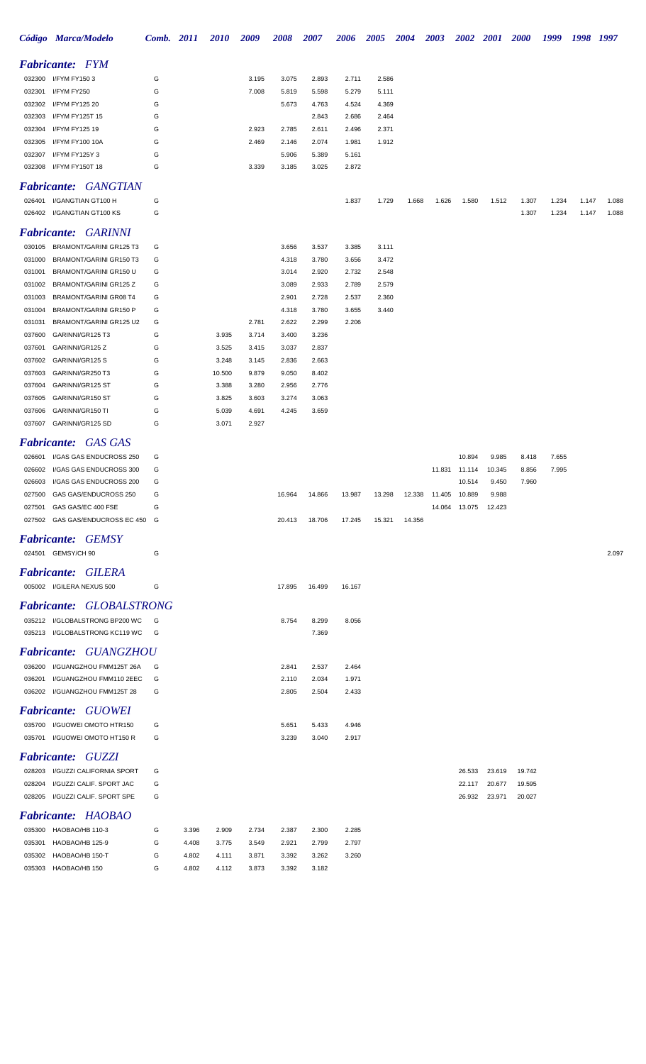|        | Código Marca/Modelo                                       | Comb. 2011 |       | <b>2010</b>    | 2009           | 2008           | 2007           | 2006   | 2005   | 2004   | 2003                   | <b>2002</b>   | 2001            | <b>2000</b> | 1999 1998 1997 |       |       |
|--------|-----------------------------------------------------------|------------|-------|----------------|----------------|----------------|----------------|--------|--------|--------|------------------------|---------------|-----------------|-------------|----------------|-------|-------|
|        | <b>Fabricante:</b> FYM                                    |            |       |                |                |                |                |        |        |        |                        |               |                 |             |                |       |       |
|        | 032300 I/FYM FY1503                                       | G          |       |                | 3.195          | 3.075          | 2.893          | 2.711  | 2.586  |        |                        |               |                 |             |                |       |       |
| 032301 | I/FYM FY250                                               | G          |       |                | 7.008          | 5.819          | 5.598          | 5.279  | 5.111  |        |                        |               |                 |             |                |       |       |
| 032302 | I/FYM FY125 20                                            | G          |       |                |                | 5.673          | 4.763          | 4.524  | 4.369  |        |                        |               |                 |             |                |       |       |
| 032303 | I/FYM FY125T 15                                           | G          |       |                |                |                | 2.843          | 2.686  | 2.464  |        |                        |               |                 |             |                |       |       |
| 032304 | I/FYM FY125 19                                            | G          |       |                | 2.923          | 2.785          | 2.611          | 2.496  | 2.371  |        |                        |               |                 |             |                |       |       |
| 032305 | I/FYM FY100 10A                                           | G          |       |                | 2.469          | 2.146          | 2.074          | 1.981  | 1.912  |        |                        |               |                 |             |                |       |       |
| 032307 | I/FYM FY125Y 3                                            | G          |       |                |                | 5.906          | 5.389          | 5.161  |        |        |                        |               |                 |             |                |       |       |
|        | 032308 I/FYM FY150T 18                                    | G          |       |                | 3.339          | 3.185          | 3.025          | 2.872  |        |        |                        |               |                 |             |                |       |       |
|        | <b>Fabricante: GANGTIAN</b>                               |            |       |                |                |                |                |        |        |        |                        |               |                 |             |                |       |       |
|        | 026401 I/GANGTIAN GT100 H                                 | G          |       |                |                |                |                | 1.837  | 1.729  | 1.668  | 1.626                  | 1.580         | 1.512           | 1.307       | 1.234          | 1.147 | 1.088 |
|        | 026402 I/GANGTIAN GT100 KS                                | G          |       |                |                |                |                |        |        |        |                        |               |                 | 1.307       | 1.234          | 1.147 | 1.088 |
|        | <b>Fabricante: GARINNI</b>                                |            |       |                |                |                |                |        |        |        |                        |               |                 |             |                |       |       |
|        | 030105 BRAMONT/GARINI GR125 T3                            | G          |       |                |                | 3.656          | 3.537          | 3.385  | 3.111  |        |                        |               |                 |             |                |       |       |
| 031000 | BRAMONT/GARINI GR150 T3                                   | G          |       |                |                | 4.318          | 3.780          | 3.656  | 3.472  |        |                        |               |                 |             |                |       |       |
| 031001 | BRAMONT/GARINI GR150 U                                    | G          |       |                |                | 3.014          | 2.920          | 2.732  | 2.548  |        |                        |               |                 |             |                |       |       |
| 031002 | BRAMONT/GARINI GR125 Z                                    | G          |       |                |                | 3.089          | 2.933          | 2.789  | 2.579  |        |                        |               |                 |             |                |       |       |
|        | 031003 BRAMONT/GARINI GR08 T4                             | G          |       |                |                | 2.901          | 2.728          | 2.537  | 2.360  |        |                        |               |                 |             |                |       |       |
| 031004 | BRAMONT/GARINI GR150 P                                    | G          |       |                |                | 4.318          | 3.780          | 3.655  | 3.440  |        |                        |               |                 |             |                |       |       |
| 031031 | BRAMONT/GARINI GR125 U2                                   | G          |       |                | 2.781          | 2.622          | 2.299          | 2.206  |        |        |                        |               |                 |             |                |       |       |
| 037600 | GARINNI/GR125 T3                                          | G          |       | 3.935          | 3.714          | 3.400          | 3.236          |        |        |        |                        |               |                 |             |                |       |       |
|        | 037601 GARINNI/GR125 Z                                    | G          |       | 3.525          | 3.415          | 3.037          | 2.837          |        |        |        |                        |               |                 |             |                |       |       |
|        | 037602 GARINNI/GR125 S                                    | G          |       | 3.248          | 3.145          | 2.836          | 2.663          |        |        |        |                        |               |                 |             |                |       |       |
|        | 037603 GARINNI/GR250 T3                                   | G          |       | 10.500         | 9.879          | 9.050          | 8.402          |        |        |        |                        |               |                 |             |                |       |       |
|        | 037604 GARINNI/GR125 ST                                   | G          |       | 3.388          | 3.280          | 2.956          | 2.776          |        |        |        |                        |               |                 |             |                |       |       |
|        | 037605 GARINNI/GR150 ST<br>037606 GARINNI/GR150 TI        | G<br>G     |       | 3.825<br>5.039 | 3.603<br>4.691 | 3.274<br>4.245 | 3.063<br>3.659 |        |        |        |                        |               |                 |             |                |       |       |
|        | 037607 GARINNI/GR125 SD                                   | G          |       | 3.071          | 2.927          |                |                |        |        |        |                        |               |                 |             |                |       |       |
|        |                                                           |            |       |                |                |                |                |        |        |        |                        |               |                 |             |                |       |       |
|        | <b>Fabricante: GAS GAS</b>                                |            |       |                |                |                |                |        |        |        |                        |               |                 |             |                |       |       |
|        | 026601 I/GAS GAS ENDUCROSS 250                            | G          |       |                |                |                |                |        |        |        |                        | 10.894        | 9.985           | 8.418       | 7.655          |       |       |
|        | 026602 I/GAS GAS ENDUCROSS 300                            | G          |       |                |                |                |                |        |        |        |                        | 11.831 11.114 | 10.345          | 8.856       | 7.995          |       |       |
|        | 026603 I/GAS GAS ENDUCROSS 200                            | G          |       |                |                |                |                |        |        |        |                        | 10.514        | 9.450           | 7.960       |                |       |       |
|        | 027500 GAS GAS/ENDUCROSS 250<br>027501 GAS GAS/EC 400 FSE | G<br>G     |       |                |                | 16.964         | 14.866         | 13.987 | 13.298 |        | 12.338  11.405  10.889 | 14.064 13.075 | 9.988<br>12.423 |             |                |       |       |
|        | 027502 GAS GAS/ENDUCROSS EC 450 G                         |            |       |                |                | 20.413         | 18.706         | 17.245 | 15.321 | 14.356 |                        |               |                 |             |                |       |       |
|        |                                                           |            |       |                |                |                |                |        |        |        |                        |               |                 |             |                |       |       |
|        | <b>Fabricante: GEMSY</b>                                  |            |       |                |                |                |                |        |        |        |                        |               |                 |             |                |       |       |
|        | 024501 GEMSY/CH 90                                        | G          |       |                |                |                |                |        |        |        |                        |               |                 |             |                |       | 2.097 |
|        | <b>Fabricante: GILERA</b>                                 |            |       |                |                |                |                |        |        |        |                        |               |                 |             |                |       |       |
|        | 005002 I/GILERA NEXUS 500                                 | G          |       |                |                | 17.895         | 16.499         | 16.167 |        |        |                        |               |                 |             |                |       |       |
|        | Fabricante: GLOBALSTRONG                                  |            |       |                |                |                |                |        |        |        |                        |               |                 |             |                |       |       |
|        | 035212 I/GLOBALSTRONG BP200 WC                            | G          |       |                |                | 8.754          | 8.299          | 8.056  |        |        |                        |               |                 |             |                |       |       |
|        | 035213 I/GLOBALSTRONG KC119 WC                            | G          |       |                |                |                | 7.369          |        |        |        |                        |               |                 |             |                |       |       |
|        | <b>Fabricante: GUANGZHOU</b>                              |            |       |                |                |                |                |        |        |        |                        |               |                 |             |                |       |       |
|        | 036200 I/GUANGZHOU FMM125T 26A                            | G          |       |                |                | 2.841          | 2.537          | 2.464  |        |        |                        |               |                 |             |                |       |       |
| 036201 | I/GUANGZHOU FMM110 2EEC                                   | G          |       |                |                | 2.110          | 2.034          | 1.971  |        |        |                        |               |                 |             |                |       |       |
|        | 036202 I/GUANGZHOU FMM125T 28                             | G          |       |                |                | 2.805          | 2.504          | 2.433  |        |        |                        |               |                 |             |                |       |       |
|        | <b>Fabricante: GUOWEI</b>                                 |            |       |                |                |                |                |        |        |        |                        |               |                 |             |                |       |       |
|        | 035700 I/GUOWEI OMOTO HTR150                              | G          |       |                |                | 5.651          | 5.433          | 4.946  |        |        |                        |               |                 |             |                |       |       |
|        | 035701 I/GUOWEI OMOTO HT150 R                             | G          |       |                |                | 3.239          | 3.040          | 2.917  |        |        |                        |               |                 |             |                |       |       |
|        |                                                           |            |       |                |                |                |                |        |        |        |                        |               |                 |             |                |       |       |
|        | <b>Fabricante: GUZZI</b>                                  |            |       |                |                |                |                |        |        |        |                        |               |                 |             |                |       |       |
|        | 028203 I/GUZZI CALIFORNIA SPORT                           | G          |       |                |                |                |                |        |        |        |                        | 26.533        | 23.619          | 19.742      |                |       |       |
| 028204 | I/GUZZI CALIF. SPORT JAC                                  | G          |       |                |                |                |                |        |        |        |                        | 22.117        | 20.677          | 19.595      |                |       |       |
| 028205 | I/GUZZI CALIF. SPORT SPE                                  | G          |       |                |                |                |                |        |        |        |                        | 26.932        | 23.971          | 20.027      |                |       |       |
|        | <b>Fabricante:</b> HAOBAO                                 |            |       |                |                |                |                |        |        |        |                        |               |                 |             |                |       |       |
|        | 035300 HAOBAO/HB 110-3                                    | G          | 3.396 | 2.909          | 2.734          | 2.387          | 2.300          | 2.285  |        |        |                        |               |                 |             |                |       |       |
| 035301 | HAOBAO/HB 125-9                                           | G          | 4.408 | 3.775          | 3.549          | 2.921          | 2.799          | 2.797  |        |        |                        |               |                 |             |                |       |       |
| 035302 | HAOBAO/HB 150-T                                           | G          | 4.802 | 4.111          | 3.871          | 3.392          | 3.262          | 3.260  |        |        |                        |               |                 |             |                |       |       |
|        | 035303 HAOBAO/HB 150                                      | G          | 4.802 | 4.112          | 3.873          | 3.392          | 3.182          |        |        |        |                        |               |                 |             |                |       |       |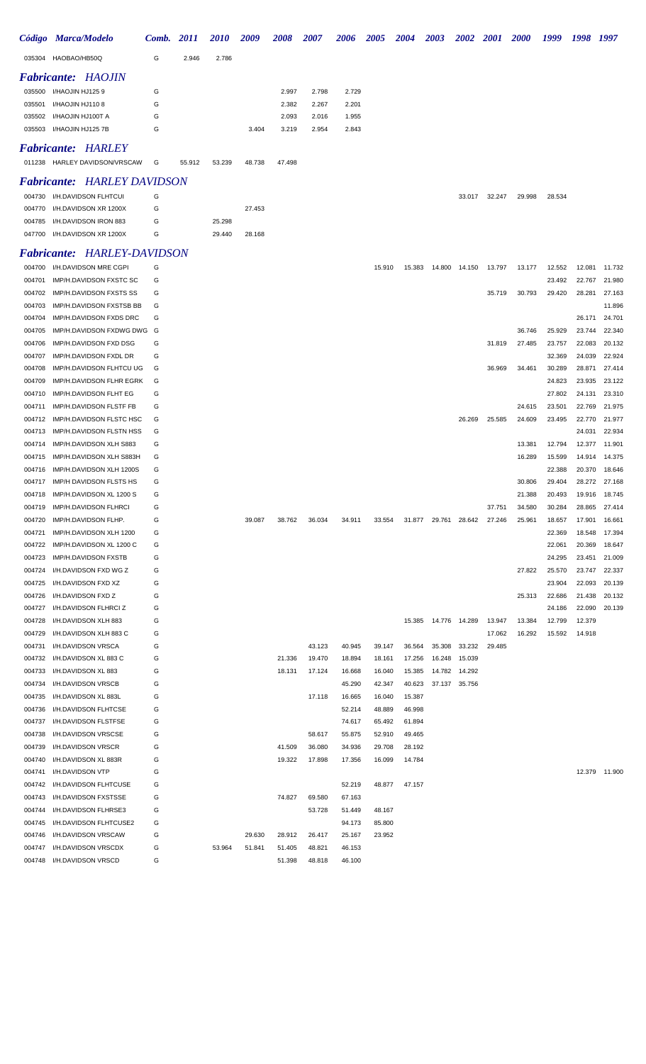|        | Código Marca/Modelo       | <b>Comb.</b> 2011 |        | <b>2010</b> | 2009   | 2008   | 2007  | 2006  | 2005 | 2004 | 2003 | <b>2002</b> | <i>2001</i> | <b>2000</b> | 1999 | 1998 | 1997 |
|--------|---------------------------|-------------------|--------|-------------|--------|--------|-------|-------|------|------|------|-------------|-------------|-------------|------|------|------|
| 035304 | HAOBAO/HB50Q              | G                 | 2.946  | 2.786       |        |        |       |       |      |      |      |             |             |             |      |      |      |
|        | <b>Fabricante: HAOJIN</b> |                   |        |             |        |        |       |       |      |      |      |             |             |             |      |      |      |
|        | 035500 I/HAOJIN HJ1259    | G                 |        |             |        | 2.997  | 2.798 | 2.729 |      |      |      |             |             |             |      |      |      |
| 035501 | I/HAOJIN HJ1108           | G                 |        |             |        | 2.382  | 2.267 | 2.201 |      |      |      |             |             |             |      |      |      |
|        | 035502 I/HAOJIN HJ100T A  | G                 |        |             |        | 2.093  | 2.016 | 1.955 |      |      |      |             |             |             |      |      |      |
|        | 035503 I/HAOJIN HJ125 7B  | G                 |        |             | 3.404  | 3.219  | 2.954 | 2.843 |      |      |      |             |             |             |      |      |      |
|        | <b>Fabricante: HARLEY</b> |                   |        |             |        |        |       |       |      |      |      |             |             |             |      |      |      |
| 011238 | HARLEY DAVIDSON/VRSCAW    | G                 | 55.912 | 53.239      | 48.738 | 47.498 |       |       |      |      |      |             |             |             |      |      |      |

### *Fabricante: HARLEY DAVIDSON*

| 004730 I/H.DAVIDSON FLHTCUI  | G |        |        |
|------------------------------|---|--------|--------|
| 004770 I/H.DAVIDSON XR 1200X | G |        | 27.453 |
| 004785 I/H.DAVIDSON IRON 883 | G | 25.298 |        |
| 047700 I/H.DAVIDSON XR 1200X | G | 29.440 | 28.168 |
|                              |   |        |        |

## *Fabricante: HARLEY-DAVIDSON*

| 004700 | I/H.DAVIDSON MRE CGPI       | G |        |        |        |        |        | 15.910 | 15.383 |               | 14.800  14.150  13.797 |        | 13.177 | 12.552 | 12.081        | 11.732 |
|--------|-----------------------------|---|--------|--------|--------|--------|--------|--------|--------|---------------|------------------------|--------|--------|--------|---------------|--------|
| 004701 | IMP/H.DAVIDSON FXSTC SC     | G |        |        |        |        |        |        |        |               |                        |        |        | 23.492 | 22.767        | 21.980 |
| 004702 | IMP/H.DAVIDSON FXSTS SS     | G |        |        |        |        |        |        |        |               |                        | 35.719 | 30.793 | 29.420 | 28.281        | 27.163 |
| 004703 | IMP/H.DAVIDSON FXSTSB BB    | G |        |        |        |        |        |        |        |               |                        |        |        |        |               | 11.896 |
| 004704 | IMP/H.DAVIDSON FXDS DRC     | G |        |        |        |        |        |        |        |               |                        |        |        |        | 26.171        | 24.701 |
| 004705 | IMP/H.DAVIDSON FXDWG DWG G  |   |        |        |        |        |        |        |        |               |                        |        | 36.746 | 25.929 | 23.744        | 22.340 |
| 004706 | IMP/H.DAVIDSON FXD DSG      | G |        |        |        |        |        |        |        |               |                        | 31.819 | 27.485 | 23.757 | 22.083        | 20.132 |
| 004707 | IMP/H.DAVIDSON FXDL DR      | G |        |        |        |        |        |        |        |               |                        |        |        | 32.369 | 24.039        | 22.924 |
| 004708 | IMP/H.DAVIDSON FLHTCU UG    | G |        |        |        |        |        |        |        |               |                        | 36.969 | 34.461 | 30.289 | 28.871        | 27.414 |
| 004709 | IMP/H.DAVIDSON FLHR EGRK    | G |        |        |        |        |        |        |        |               |                        |        |        | 24.823 | 23.935        | 23.122 |
| 004710 | IMP/H.DAVIDSON FLHT EG      | G |        |        |        |        |        |        |        |               |                        |        |        | 27.802 | 24.131        | 23.310 |
| 004711 | IMP/H.DAVIDSON FLSTF FB     | G |        |        |        |        |        |        |        |               |                        |        | 24.615 | 23.501 | 22.769        | 21.975 |
| 004712 | IMP/H.DAVIDSON FLSTC HSC    | G |        |        |        |        |        |        |        |               | 26.269                 | 25.585 | 24.609 | 23.495 | 22.770        | 21.977 |
| 004713 | IMP/H.DAVIDSON FLSTN HSS    | G |        |        |        |        |        |        |        |               |                        |        |        |        | 24.031        | 22.934 |
|        |                             | G |        |        |        |        |        |        |        |               |                        |        | 13.381 | 12.794 |               | 11.901 |
| 004714 | IMP/H.DAVIDSON XLH S883     |   |        |        |        |        |        |        |        |               |                        |        |        |        | 12.377        |        |
| 004715 | IMP/H.DAVIDSON XLH S883H    | G |        |        |        |        |        |        |        |               |                        |        | 16.289 | 15.599 | 14.914        | 14.375 |
| 004716 | IMP/H.DAVIDSON XLH 1200S    | G |        |        |        |        |        |        |        |               |                        |        |        | 22.388 | 20.370        | 18.646 |
| 004717 | IMP/H DAVIDSON FLSTS HS     | G |        |        |        |        |        |        |        |               |                        |        | 30.806 | 29.404 | 28.272        | 27.168 |
| 004718 | IMP/H.DAVIDSON XL 1200 S    | G |        |        |        |        |        |        |        |               |                        |        | 21.388 | 20.493 | 19.916        | 18.745 |
| 004719 | IMP/H.DAVIDSON FLHRCI       | G |        |        |        |        |        |        |        |               |                        | 37.751 | 34.580 | 30.284 | 28.865        | 27.414 |
| 004720 | IMP/H.DAVIDSON FLHP.        | G |        | 39.087 | 38.762 | 36.034 | 34.911 | 33.554 |        | 31.877 29.761 | 28.642                 | 27.246 | 25.961 | 18.657 | 17.901        | 16.661 |
| 004721 | IMP/H.DAVIDSON XLH 1200     | G |        |        |        |        |        |        |        |               |                        |        |        | 22.369 | 18.548        | 17.394 |
| 004722 | IMP/H.DAVIDSON XL 1200 C    | G |        |        |        |        |        |        |        |               |                        |        |        | 22.061 | 20.369        | 18.647 |
| 004723 | IMP/H.DAVIDSON FXSTB        | G |        |        |        |        |        |        |        |               |                        |        |        | 24.295 | 23.451        | 21.009 |
| 004724 | I/H.DAVIDSON FXD WG Z       | G |        |        |        |        |        |        |        |               |                        |        | 27.822 | 25.570 | 23.747        | 22.337 |
| 004725 | I/H.DAVIDSON FXD XZ         | G |        |        |        |        |        |        |        |               |                        |        |        | 23.904 | 22.093        | 20.139 |
| 004726 | I/H.DAVIDSON FXD Z          | G |        |        |        |        |        |        |        |               |                        |        | 25.313 | 22.686 | 21.438        | 20.132 |
| 004727 | I/H.DAVIDSON FLHRCI Z       | G |        |        |        |        |        |        |        |               |                        |        |        | 24.186 | 22.090        | 20.139 |
| 004728 | I/H.DAVIDSON XLH 883        | G |        |        |        |        |        |        | 15.385 | 14.776        | 14.289                 | 13.947 | 13.384 | 12.799 | 12.379        |        |
| 004729 | I/H.DAVIDSON XLH 883 C      | G |        |        |        |        |        |        |        |               |                        | 17.062 | 16.292 | 15.592 | 14.918        |        |
| 004731 | I/H.DAVIDSON VRSCA          | G |        |        |        | 43.123 | 40.945 | 39.147 | 36.564 | 35.308        | 33.232                 | 29.485 |        |        |               |        |
| 004732 | I/H.DAVIDSON XL 883 C       | G |        |        | 21.336 | 19.470 | 18.894 | 18.161 | 17.256 | 16.248        | 15.039                 |        |        |        |               |        |
| 004733 | I/H.DAVIDSON XL 883         | G |        |        | 18.131 | 17.124 | 16.668 | 16.040 | 15.385 | 14.782        | 14.292                 |        |        |        |               |        |
| 004734 | I/H.DAVIDSON VRSCB          | G |        |        |        |        | 45.290 | 42.347 | 40.623 | 37.137        | 35.756                 |        |        |        |               |        |
| 004735 | I/H.DAVIDSON XL 883L        | G |        |        |        | 17.118 | 16.665 | 16.040 | 15.387 |               |                        |        |        |        |               |        |
| 004736 | I/H.DAVIDSON FLHTCSE        | G |        |        |        |        | 52.214 | 48.889 | 46.998 |               |                        |        |        |        |               |        |
| 004737 | I/H.DAVIDSON FLSTFSE        | G |        |        |        |        | 74.617 | 65.492 | 61.894 |               |                        |        |        |        |               |        |
| 004738 | I/H.DAVIDSON VRSCSE         | G |        |        |        | 58.617 | 55.875 | 52.910 | 49.465 |               |                        |        |        |        |               |        |
| 004739 | I/H.DAVIDSON VRSCR          | G |        |        | 41.509 | 36.080 | 34.936 | 29.708 | 28.192 |               |                        |        |        |        |               |        |
| 004740 | I/H.DAVIDSON XL 883R        | G |        |        | 19.322 | 17.898 | 17.356 | 16.099 | 14.784 |               |                        |        |        |        |               |        |
| 004741 | I/H.DAVIDSON VTP            | G |        |        |        |        |        |        |        |               |                        |        |        |        | 12.379 11.900 |        |
| 004742 | I/H.DAVIDSON FLHTCUSE       | G |        |        |        |        | 52.219 | 48.877 | 47.157 |               |                        |        |        |        |               |        |
| 004743 | I/H.DAVIDSON FXSTSSE        | G |        |        | 74.827 | 69.580 | 67.163 |        |        |               |                        |        |        |        |               |        |
| 004744 | <b>I/H.DAVIDSON FLHRSE3</b> | G |        |        |        | 53.728 | 51.449 | 48.167 |        |               |                        |        |        |        |               |        |
| 004745 | I/H.DAVIDSON FLHTCUSE2      | G |        |        |        |        | 94.173 | 85.800 |        |               |                        |        |        |        |               |        |
| 004746 | I/H.DAVIDSON VRSCAW         | G |        | 29.630 | 28.912 | 26.417 | 25.167 | 23.952 |        |               |                        |        |        |        |               |        |
| 004747 | I/H.DAVIDSON VRSCDX         | G | 53.964 | 51.841 | 51.405 | 48.821 | 46.153 |        |        |               |                        |        |        |        |               |        |
|        | 004748 I/H.DAVIDSON VRSCD   | G |        |        | 51.398 | 48.818 | 46.100 |        |        |               |                        |        |        |        |               |        |
|        |                             |   |        |        |        |        |        |        |        |               |                        |        |        |        |               |        |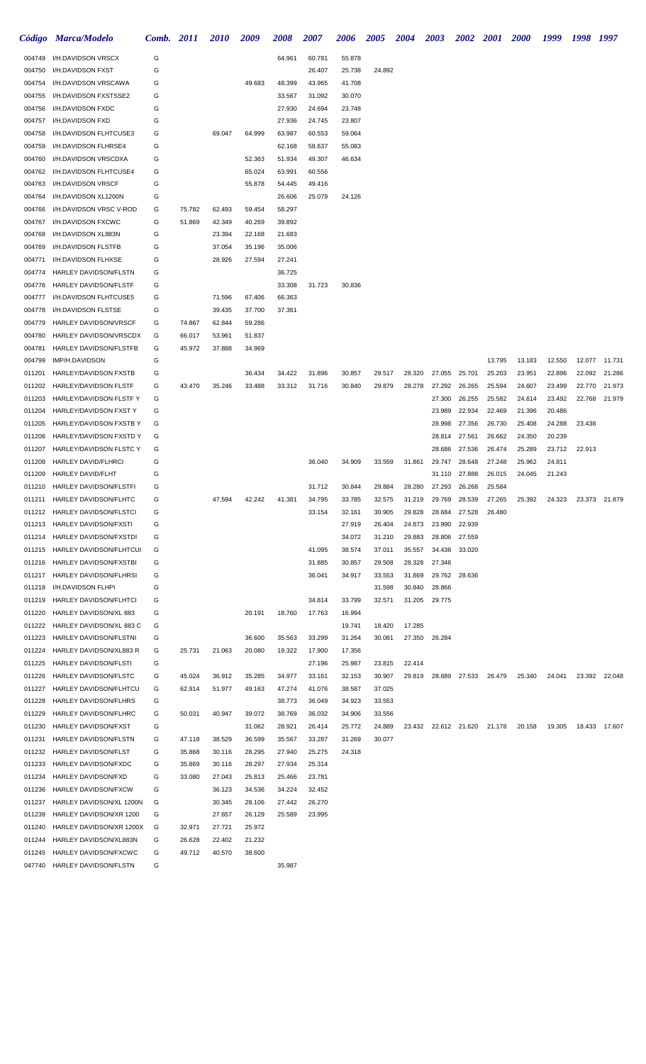|                  | Código Marca/Modelo                                    | Comb.  | 2011   | 2010             | 2009             | 2008             | 2007             | 2006             | <b>2005</b>      | <b>2004</b>      | <b>2003</b>      | <b>2002</b>      | <b>2001</b> | <b>2000</b> | 1999   | 1998   | 1997          |
|------------------|--------------------------------------------------------|--------|--------|------------------|------------------|------------------|------------------|------------------|------------------|------------------|------------------|------------------|-------------|-------------|--------|--------|---------------|
| 004749           | I/H.DAVIDSON VRSCX                                     | G      |        |                  |                  | 64.961           | 60.781           | 55.878           |                  |                  |                  |                  |             |             |        |        |               |
| 004750           | <b>I/H.DAVIDSON FXST</b>                               | G      |        |                  |                  |                  | 26.407           | 25.738           | 24.892           |                  |                  |                  |             |             |        |        |               |
| 004754           | I/H.DAVIDSON VRSCAWA                                   | G      |        |                  | 49.683           | 48.399           | 43.965           | 41.708           |                  |                  |                  |                  |             |             |        |        |               |
| 004755           | I/H.DAVIDSON FXSTSSE2                                  | G      |        |                  |                  | 33.567           | 31.092           | 30.070           |                  |                  |                  |                  |             |             |        |        |               |
| 004756           | I/H.DAVIDSON FXDC                                      | G      |        |                  |                  | 27.930           | 24.694           | 23.748           |                  |                  |                  |                  |             |             |        |        |               |
| 004757           | I/H.DAVIDSON FXD                                       | G      |        |                  |                  | 27.936           | 24.745           | 23.807           |                  |                  |                  |                  |             |             |        |        |               |
| 004758           | I/H.DAVIDSON FLHTCUSE3                                 | G      |        | 69.047           | 64.999           | 63.987           | 60.553           | 59.064           |                  |                  |                  |                  |             |             |        |        |               |
| 004759           | I/H.DAVIDSON FLHRSE4                                   | G      |        |                  |                  | 62.168           | 58.637           | 55.083           |                  |                  |                  |                  |             |             |        |        |               |
| 004760           | I/H.DAVIDSON VRSCDXA                                   | G      |        |                  | 52.363           | 51.934           | 49.307           | 46.634           |                  |                  |                  |                  |             |             |        |        |               |
| 004762           | I/H.DAVIDSON FLHTCUSE4                                 | G      |        |                  | 65.024           | 63.991           | 60.556           |                  |                  |                  |                  |                  |             |             |        |        |               |
| 004763           | I/H.DAVIDSON VRSCF                                     | G      |        |                  | 55.878           | 54.445           | 49.416           |                  |                  |                  |                  |                  |             |             |        |        |               |
| 004764           | I/H.DAVIDSON XL1200N                                   | G      |        |                  |                  | 26.606           | 25.079           | 24.126           |                  |                  |                  |                  |             |             |        |        |               |
| 004766           | I/H.DAVIDSON VRSC V-ROD                                | G      | 75.782 | 62.493           | 59.454           | 58.297           |                  |                  |                  |                  |                  |                  |             |             |        |        |               |
| 004767<br>004768 | I/H.DAVIDSON FXCWC<br>I/H.DAVIDSON XL883N              | G<br>G | 51.869 | 42.349<br>23.394 | 40.269<br>22.168 | 39.892<br>21.683 |                  |                  |                  |                  |                  |                  |             |             |        |        |               |
| 004769           | I/H.DAVIDSON FLSTFB                                    | G      |        | 37.054           | 35.196           | 35.006           |                  |                  |                  |                  |                  |                  |             |             |        |        |               |
| 004771           | I/H.DAVIDSON FLHXSE                                    | G      |        | 28.926           | 27.594           | 27.241           |                  |                  |                  |                  |                  |                  |             |             |        |        |               |
| 004774           | HARLEY DAVIDSON/FLSTN                                  | G      |        |                  |                  | 36.725           |                  |                  |                  |                  |                  |                  |             |             |        |        |               |
| 004776           | HARLEY DAVIDSON/FLSTF                                  | G      |        |                  |                  | 33.308           | 31.723           | 30.836           |                  |                  |                  |                  |             |             |        |        |               |
| 004777           | I/H.DAVIDSON FLHTCUSE5                                 | G      |        | 71.596           | 67.406           | 66.363           |                  |                  |                  |                  |                  |                  |             |             |        |        |               |
| 004778           | I/H.DAVIDSON FLSTSE                                    | G      |        | 39.435           | 37.700           | 37.361           |                  |                  |                  |                  |                  |                  |             |             |        |        |               |
| 004779           | HARLEY DAVIDSON/VRSCF                                  | G      | 74.867 | 62.844           | 59.286           |                  |                  |                  |                  |                  |                  |                  |             |             |        |        |               |
| 004780           | HARLEY DAVIDSON/VRSCDX                                 | G      | 66.017 | 53.961           | 51.837           |                  |                  |                  |                  |                  |                  |                  |             |             |        |        |               |
| 004781           | HARLEY DAVIDSON/FLSTFB                                 | G      | 45.972 | 37.888           | 34.969           |                  |                  |                  |                  |                  |                  |                  |             |             |        |        |               |
| 004799           | IMP/H.DAVIDSON                                         | G      |        |                  |                  |                  |                  |                  |                  |                  |                  |                  | 13.795      | 13.183      | 12.550 | 12.077 | 11.731        |
| 011201           | HARLEY/DAVIDSON FXSTB                                  | G      |        |                  | 36.434           | 34.422           | 31.896           | 30.857           | 29.517           | 28.320           | 27.055           | 25.701           | 25.203      | 23.951      | 22.896 | 22.092 | 21.286        |
| 011202           | HARLEY/DAVIDSON FLSTF                                  | G      | 43.470 | 35.246           | 33.488           | 33.312           | 31.716           | 30.840           | 29.879           | 28.278           | 27.292           | 26.265           | 25.594      | 24.607      | 23.499 | 22.770 | 21.973        |
| 011203           | HARLEY/DAVIDSON FLSTF Y                                | G      |        |                  |                  |                  |                  |                  |                  |                  | 27.300           | 26.255           | 25.582      | 24.614      | 23.492 | 22.768 | 21.979        |
| 011204           | HARLEY/DAVIDSON FXST Y                                 | G      |        |                  |                  |                  |                  |                  |                  |                  | 23.989           | 22.934           | 22.469      | 21.396      | 20.486 |        |               |
| 011205           | HARLEY/DAVIDSON FXSTB Y                                | G      |        |                  |                  |                  |                  |                  |                  |                  | 28.998           | 27.356           | 26.730      | 25.408      | 24.288 | 23.438 |               |
| 011206           | HARLEY/DAVIDSON FXSTD Y                                | G      |        |                  |                  |                  |                  |                  |                  |                  | 28.814           | 27.561           | 26.662      | 24.350      | 20.239 |        |               |
| 011207           | HARLEY/DAVIDSON FLSTC Y                                | G      |        |                  |                  |                  |                  |                  |                  |                  | 28.686           | 27.536           | 26.474      | 25.289      | 23.712 | 22.913 |               |
| 011208           | HARLEY DAVID/FLHRCI                                    | G      |        |                  |                  |                  | 36.040           | 34.909           | 33.559           | 31.861           | 29.747           | 28.648           | 27.248      | 25.962      | 24.811 |        |               |
| 011209           | <b>HARLEY DAVID/FLHT</b>                               | G      |        |                  |                  |                  |                  |                  |                  |                  | 31.110           | 27.888           | 26.015      | 24.045      | 21.243 |        |               |
| 011210           | HARLEY DAVIDSON/FLSTFI                                 | G      |        |                  |                  |                  | 31.712           | 30.844           | 29.884           | 28.280           | 27.293           | 26.268           | 25.584      |             |        |        |               |
| 011211           | HARLEY DAVIDSON/FLHTC                                  | G      |        | 47.594           | 42.242           | 41.381           | 34.795           | 33.785           | 32.575           | 31.219           | 29.769           | 28.539           | 27.265      | 25.392      | 24.323 |        | 23.373 21.879 |
| 011213           | 011212 HARLEY DAVIDSON/FLSTCI<br>HARLEY DAVIDSON/FXSTI | G<br>G |        |                  |                  |                  | 33.154           | 32.161<br>27.919 | 30.905<br>26.404 | 29.828<br>24.873 | 28.684<br>23.990 | 27.528<br>22.939 | 26.480      |             |        |        |               |
| 011214           | HARLEY DAVIDSON/FXSTDI                                 | G      |        |                  |                  |                  |                  | 34.072           | 31.210           | 29.883           | 28.806           | 27.559           |             |             |        |        |               |
| 011215           | <b>HARLEY DAVIDSON/FLHTCUI</b>                         | G      |        |                  |                  |                  | 41.095           | 38.574           | 37.011           | 35.557           | 34.436           | 33.020           |             |             |        |        |               |
| 011216           | HARLEY DAVIDSON/FXSTBI                                 | G      |        |                  |                  |                  | 31.885           | 30.857           | 29.508           | 28.328           | 27.346           |                  |             |             |        |        |               |
| 011217           | HARLEY DAVIDSON/FLHRSI                                 | G      |        |                  |                  |                  | 36.041           | 34.917           | 33.553           | 31.869           | 29.762           | 28.636           |             |             |        |        |               |
| 011218           | I/H.DAVIDSON FLHPI                                     | G      |        |                  |                  |                  |                  |                  | 31.598           | 30.840           | 28.866           |                  |             |             |        |        |               |
| 011219           | HARLEY DAVIDSON/FLHTCI                                 | G      |        |                  |                  |                  | 34.814           | 33.799           | 32.571           | 31.205           | 29.775           |                  |             |             |        |        |               |
| 011220           | HARLEY DAVIDSON/XL 883                                 | G      |        |                  | 20.191           | 18.760           | 17.763           | 16.994           |                  |                  |                  |                  |             |             |        |        |               |
| 011222           | HARLEY DAVIDSON/XL 883 C                               | G      |        |                  |                  |                  |                  | 19.741           | 18.420           | 17.285           |                  |                  |             |             |        |        |               |
| 011223           | HARLEY DAVIDSON/FLSTNI                                 | G      |        |                  | 36.600           | 35.563           | 33.299           | 31.264           | 30.081           | 27.350           | 26.284           |                  |             |             |        |        |               |
| 011224           | HARLEY DAVIDSON/XL883 R                                | G      | 25.731 | 21.063           | 20.080           | 19.322           | 17.900           | 17.356           |                  |                  |                  |                  |             |             |        |        |               |
| 011225           | HARLEY DAVIDSON/FLSTI                                  | G      |        |                  |                  |                  | 27.196           | 25.987           | 23.815           | 22.414           |                  |                  |             |             |        |        |               |
| 011226           | HARLEY DAVIDSON/FLSTC                                  | G      | 45.024 | 36.912           | 35.285           | 34.977           | 33.161           | 32.153           | 30.907           | 29.819           |                  | 28.689 27.533    | 26.479      | 25.340      | 24.041 | 23.392 | 22.048        |
| 011227           | HARLEY DAVIDSON/FLHTCU                                 | G      | 62.914 | 51.977           | 49.163           | 47.274           | 41.076           | 38.587           | 37.025           |                  |                  |                  |             |             |        |        |               |
| 011228           | HARLEY DAVIDSON/FLHRS                                  | G      |        |                  |                  | 38.773           | 36.049           | 34.923           | 33.553           |                  |                  |                  |             |             |        |        |               |
| 011229           | HARLEY DAVIDSON/FLHRC                                  | G      | 50.031 | 40.947           | 39.072           | 38.769           | 36.032           | 34.906           | 33.556           |                  |                  |                  |             |             |        |        |               |
| 011230           | HARLEY DAVIDSON/FXST                                   | G      |        |                  | 31.062           | 28.921           | 26.414           | 25.772           | 24.889           | 23.432           |                  | 22.612 21.620    | 21.178      | 20.158      | 19.305 |        | 18.433 17.607 |
| 011231           | HARLEY DAVIDSON/FLSTN                                  | G      | 47.118 | 38.529           | 36.599           | 35.567           | 33.287           | 31.269           | 30.077           |                  |                  |                  |             |             |        |        |               |
| 011232           | HARLEY DAVIDSON/FLST                                   | G      | 35.868 | 30.116           | 28.295           | 27.940           | 25.275           | 24.318           |                  |                  |                  |                  |             |             |        |        |               |
| 011233           | <b>HARLEY DAVIDSON/FXDC</b><br>HARLEY DAVIDSON/FXD     | G<br>G | 35.869 | 30.116<br>27.043 | 28.297<br>25.813 | 27.934<br>25.466 | 25.314<br>23.781 |                  |                  |                  |                  |                  |             |             |        |        |               |
| 011234<br>011236 | <b>HARLEY DAVIDSON/FXCW</b>                            | G      | 33.080 | 36.123           | 34.536           | 34.224           | 32.452           |                  |                  |                  |                  |                  |             |             |        |        |               |
| 011237           | HARLEY DAVIDSON/XL 1200N                               | G      |        | 30.345           | 28.106           | 27.442           | 26.270           |                  |                  |                  |                  |                  |             |             |        |        |               |
| 011239           | HARLEY DAVIDSON/XR 1200                                | G      |        | 27.657           | 26.129           | 25.589           | 23.995           |                  |                  |                  |                  |                  |             |             |        |        |               |
| 011240           | HARLEY DAVIDSON/XR 1200X                               | G      | 32.971 | 27.721           | 25.972           |                  |                  |                  |                  |                  |                  |                  |             |             |        |        |               |
| 011244           | HARLEY DAVIDSON/XL883N                                 | G      | 26.628 | 22.402           | 21.232           |                  |                  |                  |                  |                  |                  |                  |             |             |        |        |               |
| 011245           | <b>HARLEY DAVIDSON/FXCWC</b>                           | G      | 49.712 | 40.570           | 38.600           |                  |                  |                  |                  |                  |                  |                  |             |             |        |        |               |
| 047740           | HARLEY DAVIDSON/FLSTN                                  | G      |        |                  |                  | 35.987           |                  |                  |                  |                  |                  |                  |             |             |        |        |               |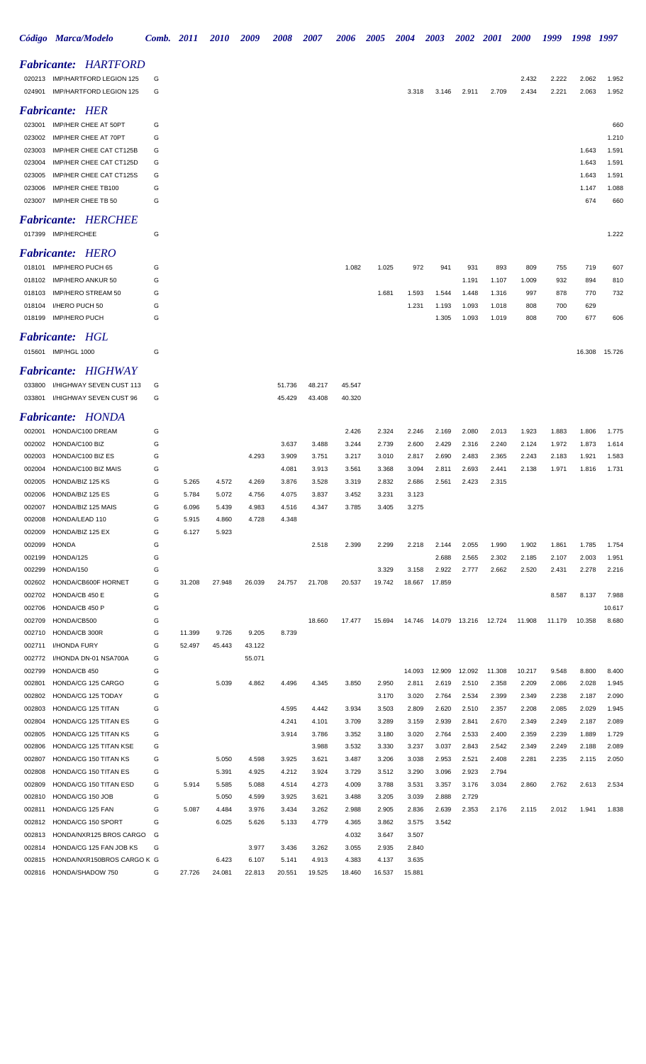|                  | Código Marca/Modelo                             | Comb. 2011 |        | <i><b>2010</b></i> | 2009   | 2008           | <i><b>2007</b></i> | 2006           | <i><b>2005</b></i> | 2004           | 2003           | 2002           | <b>2001</b>            | <b>2000</b>    | 1999           | 1998           | 1997           |
|------------------|-------------------------------------------------|------------|--------|--------------------|--------|----------------|--------------------|----------------|--------------------|----------------|----------------|----------------|------------------------|----------------|----------------|----------------|----------------|
|                  | <b>Fabricante: HARTFORD</b>                     |            |        |                    |        |                |                    |                |                    |                |                |                |                        |                |                |                |                |
|                  | 020213 IMP/HARTFORD LEGION 125                  | G          |        |                    |        |                |                    |                |                    |                |                |                |                        | 2.432          | 2.222          | 2.062          | 1.952          |
|                  | 024901 IMP/HARTFORD LEGION 125                  | G          |        |                    |        |                |                    |                |                    | 3.318          | 3.146          | 2.911          | 2.709                  | 2.434          | 2.221          | 2.063          | 1.952          |
|                  | <b>Fabricante: HER</b>                          |            |        |                    |        |                |                    |                |                    |                |                |                |                        |                |                |                |                |
|                  | 023001 IMP/HER CHEE AT 50PT                     | G          |        |                    |        |                |                    |                |                    |                |                |                |                        |                |                |                | 660            |
| 023002           | IMP/HER CHEE AT 70PT                            | G          |        |                    |        |                |                    |                |                    |                |                |                |                        |                |                |                | 1.210          |
| 023003           | IMP/HER CHEE CAT CT125B                         | G          |        |                    |        |                |                    |                |                    |                |                |                |                        |                |                | 1.643          | 1.591          |
| 023004           | IMP/HER CHEE CAT CT125D                         | G          |        |                    |        |                |                    |                |                    |                |                |                |                        |                |                | 1.643          | 1.591          |
| 023005           | IMP/HER CHEE CAT CT125S                         | G          |        |                    |        |                |                    |                |                    |                |                |                |                        |                |                | 1.643          | 1.591          |
| 023006           | IMP/HER CHEE TB100                              | G          |        |                    |        |                |                    |                |                    |                |                |                |                        |                |                | 1.147          | 1.088          |
| 023007           | IMP/HER CHEE TB 50                              | G          |        |                    |        |                |                    |                |                    |                |                |                |                        |                |                | 674            | 660            |
|                  | <b>Fabricante: HERCHEE</b>                      |            |        |                    |        |                |                    |                |                    |                |                |                |                        |                |                |                |                |
|                  | 017399 IMP/HERCHEE                              | G          |        |                    |        |                |                    |                |                    |                |                |                |                        |                |                |                | 1.222          |
|                  | <b>Fabricante: HERO</b>                         |            |        |                    |        |                |                    |                |                    |                |                |                |                        |                |                |                |                |
|                  | 018101 IMP/HERO PUCH 65                         | G          |        |                    |        |                |                    | 1.082          | 1.025              | 972            | 941            | 931            | 893                    | 809            | 755            | 719            | 607            |
| 018102           | IMP/HERO ANKUR 50                               | G          |        |                    |        |                |                    |                |                    |                |                | 1.191          | 1.107                  | 1.009          | 932            | 894            | 810            |
| 018103           | IMP/HERO STREAM 50                              | G          |        |                    |        |                |                    |                | 1.681              | 1.593          | 1.544          | 1.448          | 1.316                  | 997            | 878            | 770            | 732            |
|                  | 018104 I/HERO PUCH 50                           | G          |        |                    |        |                |                    |                |                    | 1.231          | 1.193          | 1.093          | 1.018                  | 808            | 700            | 629            |                |
|                  | 018199 IMP/HERO PUCH                            | G          |        |                    |        |                |                    |                |                    |                | 1.305          | 1.093          | 1.019                  | 808            | 700            | 677            | 606            |
|                  | <b>Fabricante: HGL</b>                          |            |        |                    |        |                |                    |                |                    |                |                |                |                        |                |                |                |                |
|                  | 015601 IMP/HGL 1000                             | G          |        |                    |        |                |                    |                |                    |                |                |                |                        |                |                | 16.308         | 15.726         |
|                  |                                                 |            |        |                    |        |                |                    |                |                    |                |                |                |                        |                |                |                |                |
|                  | <b>Fabricante: HIGHWAY</b>                      |            |        |                    |        |                |                    |                |                    |                |                |                |                        |                |                |                |                |
|                  | 033800 I/HIGHWAY SEVEN CUST 113                 | G          |        |                    |        | 51.736         | 48.217             | 45.547         |                    |                |                |                |                        |                |                |                |                |
|                  | 033801 I/HIGHWAY SEVEN CUST 96                  | G          |        |                    |        | 45.429         | 43.408             | 40.320         |                    |                |                |                |                        |                |                |                |                |
|                  | <b>Fabricante: HONDA</b>                        |            |        |                    |        |                |                    |                |                    |                |                |                |                        |                |                |                |                |
| 002001           | HONDA/C100 DREAM                                | G          |        |                    |        |                |                    | 2.426          | 2.324              | 2.246          | 2.169          | 2.080          | 2.013                  | 1.923          | 1.883          | 1.806          | 1.775          |
| 002002           | HONDA/C100 BIZ                                  | G          |        |                    |        | 3.637          | 3.488              | 3.244          | 2.739              | 2.600          | 2.429          | 2.316          | 2.240                  | 2.124          | 1.972          | 1.873          | 1.614          |
| 002003           | HONDA/C100 BIZ ES                               | G          |        |                    | 4.293  | 3.909          | 3.751              | 3.217          | 3.010              | 2.817          | 2.690          | 2.483          | 2.365                  | 2.243          | 2.183          | 1.921          | 1.583          |
| 002004           | HONDA/C100 BIZ MAIS                             | G          |        |                    |        | 4.081          | 3.913              | 3.561          | 3.368              | 3.094          | 2.811          | 2.693          | 2.441                  | 2.138          | 1.971          | 1.816          | 1.731          |
| 002005           | HONDA/BIZ 125 KS                                | G          | 5.265  | 4.572              | 4.269  | 3.876          | 3.528              | 3.319          | 2.832              | 2.686          | 2.561          | 2.423          | 2.315                  |                |                |                |                |
| 002006           | HONDA/BIZ 125 ES                                | G          | 5.784  | 5.072              | 4.756  | 4.075          | 3.837              | 3.452          | 3.231              | 3.123          |                |                |                        |                |                |                |                |
| 002007           | HONDA/BIZ 125 MAIS                              | G          | 6.096  | 5.439              | 4.983  | 4.516          | 4.347              | 3.785          | 3.405              | 3.275          |                |                |                        |                |                |                |                |
| 002008           | HONDA/LEAD 110                                  | G          | 5.915  | 4.860              | 4.728  | 4.348          |                    |                |                    |                |                |                |                        |                |                |                |                |
| 002009           | HONDA/BIZ 125 EX                                | G          | 6.127  | 5.923              |        |                |                    |                |                    |                |                |                |                        |                |                |                |                |
| 002099           | <b>HONDA</b>                                    | G          |        |                    |        |                | 2.518              | 2.399          | 2.299              | 2.218          | 2.144          | 2.055          | 1.990                  | 1.902          | 1.861          | 1.785          | 1.754          |
| 002199           | HONDA/125                                       | G          |        |                    |        |                |                    |                |                    |                | 2.688          | 2.565          | 2.302                  | 2.185          | 2.107          | 2.003          | 1.951          |
| 002299           | HONDA/150                                       | G          |        |                    |        |                |                    |                | 3.329              | 3.158          | 2.922          | 2.777          | 2.662                  | 2.520          | 2.431          | 2.278          | 2.216          |
| 002602           | HONDA/CB600F HORNET                             | G          | 31.208 | 27.948             | 26.039 | 24.757         | 21.708             | 20.537         | 19.742             | 18.667         | 17.859         |                |                        |                |                |                |                |
| 002702           | HONDA/CB 450 E                                  | G          |        |                    |        |                |                    |                |                    |                |                |                |                        |                | 8.587          | 8.137          | 7.988          |
| 002706           | HONDA/CB 450 P                                  | G          |        |                    |        |                |                    |                |                    |                |                |                |                        |                |                |                | 10.617         |
| 002709           | HONDA/CB500                                     | G          |        |                    |        |                | 18.660             | 17.477         | 15.694             | 14.746         |                |                | 14.079  13.216  12.724 | 11.908         | 11.179         | 10.358         | 8.680          |
| 002710           | HONDA/CB 300R                                   | G          | 11.399 | 9.726              | 9.205  | 8.739          |                    |                |                    |                |                |                |                        |                |                |                |                |
| 002711           | I/HONDA FURY                                    | G          | 52.497 | 45.443             | 43.122 |                |                    |                |                    |                |                |                |                        |                |                |                |                |
| 002772           | I/HONDA DN-01 NSA700A                           | G          |        |                    | 55.071 |                |                    |                |                    |                |                |                |                        |                |                |                |                |
| 002799           | HONDA/CB 450                                    | G          |        |                    |        |                |                    |                |                    | 14.093         | 12.909         | 12.092         | 11.308                 | 10.217         | 9.548          | 8.800          | 8.400          |
| 002801           | HONDA/CG 125 CARGO                              | G          |        | 5.039              | 4.862  | 4.496          | 4.345              | 3.850          | 2.950              | 2.811          | 2.619          | 2.510          | 2.358                  | 2.209          | 2.086          | 2.028          | 1.945          |
| 002802           | HONDA/CG 125 TODAY                              | G          |        |                    |        |                |                    |                | 3.170              | 3.020          | 2.764          | 2.534          | 2.399                  | 2.349          | 2.238          | 2.187          | 2.090          |
| 002803           | HONDA/CG 125 TITAN                              | G<br>G     |        |                    |        | 4.595          | 4.442              | 3.934          | 3.503              | 2.809          | 2.620          | 2.510          | 2.357                  | 2.208          | 2.085          | 2.029          | 1.945<br>2.089 |
| 002804<br>002805 | HONDA/CG 125 TITAN ES                           | G          |        |                    |        | 4.241<br>3.914 | 4.101              | 3.709          | 3.289              | 3.159          | 2.939          | 2.841          | 2.670                  | 2.349<br>2.359 | 2.249<br>2.239 | 2.187<br>1.889 | 1.729          |
| 002806           | HONDA/CG 125 TITAN KS<br>HONDA/CG 125 TITAN KSE | G          |        |                    |        |                | 3.786<br>3.988     | 3.352<br>3.532 | 3.180<br>3.330     | 3.020<br>3.237 | 2.764<br>3.037 | 2.533<br>2.843 | 2.400<br>2.542         | 2.349          | 2.249          | 2.188          | 2.089          |
| 002807           | HONDA/CG 150 TITAN KS                           | G          |        | 5.050              | 4.598  | 3.925          | 3.621              | 3.487          | 3.206              | 3.038          | 2.953          | 2.521          | 2.408                  | 2.281          | 2.235          | 2.115          | 2.050          |
| 002808           | HONDA/CG 150 TITAN ES                           | G          |        | 5.391              | 4.925  | 4.212          | 3.924              | 3.729          | 3.512              | 3.290          | 3.096          | 2.923          | 2.794                  |                |                |                |                |
| 002809           | HONDA/CG 150 TITAN ESD                          | G          | 5.914  | 5.585              | 5.088  | 4.514          | 4.273              | 4.009          | 3.788              | 3.531          | 3.357          | 3.176          | 3.034                  | 2.860          | 2.762          | 2.613          | 2.534          |
| 002810           | HONDA/CG 150 JOB                                | G          |        | 5.050              | 4.599  | 3.925          | 3.621              | 3.488          | 3.205              | 3.039          | 2.888          | 2.729          |                        |                |                |                |                |
| 002811           | HONDA/CG 125 FAN                                | G          | 5.087  | 4.484              | 3.976  | 3.434          | 3.262              | 2.988          | 2.905              | 2.836          | 2.639          | 2.353          | 2.176                  | 2.115          | 2.012          | 1.941          | 1.838          |
| 002812           | HONDA/CG 150 SPORT                              | G          |        | 6.025              | 5.626  | 5.133          | 4.779              | 4.365          | 3.862              | 3.575          | 3.542          |                |                        |                |                |                |                |
| 002813           | HONDA/NXR125 BROS CARGO                         | G          |        |                    |        |                |                    | 4.032          | 3.647              | 3.507          |                |                |                        |                |                |                |                |
| 002814           | HONDA/CG 125 FAN JOB KS                         | G          |        |                    | 3.977  | 3.436          | 3.262              | 3.055          | 2.935              | 2.840          |                |                |                        |                |                |                |                |
| 002815           | HONDA/NXR150BROS CARGO K G                      |            |        | 6.423              | 6.107  | 5.141          | 4.913              | 4.383          | 4.137              | 3.635          |                |                |                        |                |                |                |                |
| 002816           | HONDA/SHADOW 750                                | G          | 27.726 | 24.081             | 22.813 | 20.551         | 19.525             | 18.460         | 16.537             | 15.881         |                |                |                        |                |                |                |                |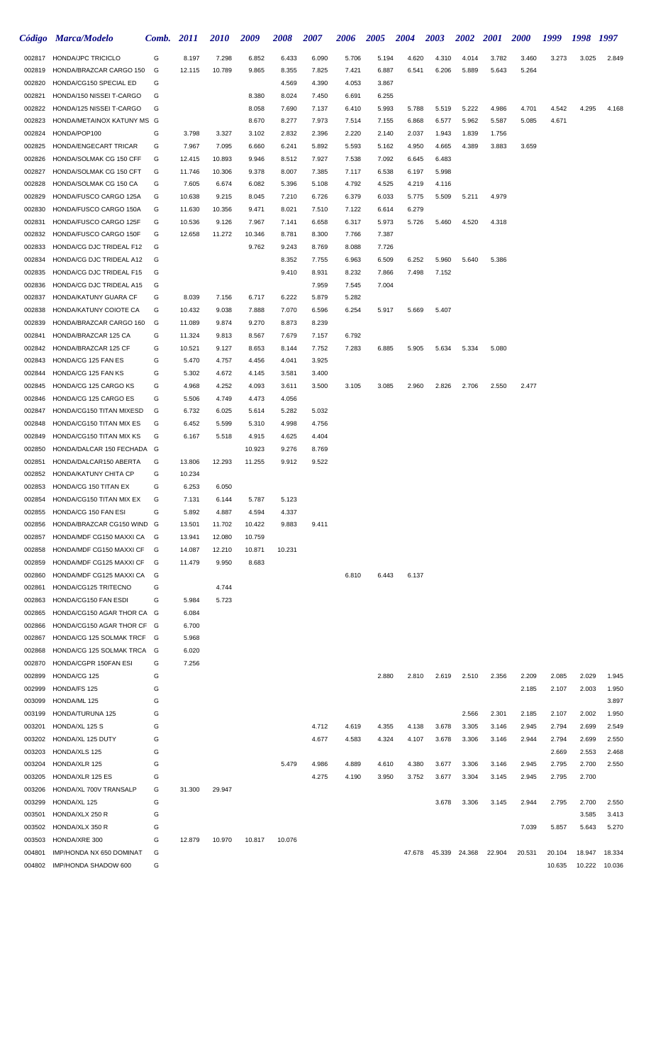|                  | Código Marca/Modelo                              | Comb.  | <b>2011</b>      | <i>2010</i>     | 2009           | <b>2008</b>    | 2007           | <b>2006</b>    | <b>2005</b>    | <b>2004</b>    | <b>2003</b> | <b>2002</b> | <b>2001</b> | <b>2000</b> | 1999   | 1998   | 1997          |
|------------------|--------------------------------------------------|--------|------------------|-----------------|----------------|----------------|----------------|----------------|----------------|----------------|-------------|-------------|-------------|-------------|--------|--------|---------------|
| 002817           | <b>HONDA/JPC TRICICLO</b>                        | G      | 8.197            | 7.298           | 6.852          | 6.433          | 6.090          | 5.706          | 5.194          | 4.620          | 4.310       | 4.014       | 3.782       | 3.460       | 3.273  | 3.025  | 2.849         |
| 002819           | HONDA/BRAZCAR CARGO 150                          | G      | 12.115           | 10.789          | 9.865          | 8.355          | 7.825          | 7.421          | 6.887          | 6.541          | 6.206       | 5.889       | 5.643       | 5.264       |        |        |               |
| 002820           | HONDA/CG150 SPECIAL ED                           | G      |                  |                 |                | 4.569          | 4.390          | 4.053          | 3.867          |                |             |             |             |             |        |        |               |
| 002821           | HONDA/150 NISSEI T-CARGO                         | G      |                  |                 | 8.380          | 8.024          | 7.450          | 6.691          | 6.255          |                |             |             |             |             |        |        |               |
| 002822           | HONDA/125 NISSEI T-CARGO                         | G      |                  |                 | 8.058          | 7.690          | 7.137          | 6.410          | 5.993          | 5.788          | 5.519       | 5.222       | 4.986       | 4.701       | 4.542  | 4.295  | 4.168         |
| 002823           | HONDA/METAINOX KATUNY MS G                       |        |                  |                 | 8.670          | 8.277          | 7.973          | 7.514          | 7.155          | 6.868          | 6.577       | 5.962       | 5.587       | 5.085       | 4.671  |        |               |
| 002824           | HONDA/POP100                                     | G      | 3.798            | 3.327           | 3.102          | 2.832          | 2.396          | 2.220          | 2.140          | 2.037          | 1.943       | 1.839       | 1.756       |             |        |        |               |
| 002825           | HONDA/ENGECART TRICAR                            | G      | 7.967            | 7.095           | 6.660          | 6.241          | 5.892          | 5.593          | 5.162          | 4.950          | 4.665       | 4.389       | 3.883       | 3.659       |        |        |               |
| 002826           | HONDA/SOLMAK CG 150 CFF                          | G      | 12.415           | 10.893          | 9.946          | 8.512          | 7.927          | 7.538          | 7.092          | 6.645          | 6.483       |             |             |             |        |        |               |
| 002827           | HONDA/SOLMAK CG 150 CFT                          | G      | 11.746           | 10.306          | 9.378          | 8.007          | 7.385          | 7.117          | 6.538          | 6.197          | 5.998       |             |             |             |        |        |               |
| 002828           | HONDA/SOLMAK CG 150 CA                           | G      | 7.605            | 6.674           | 6.082          | 5.396          | 5.108          | 4.792          | 4.525          | 4.219          | 4.116       |             |             |             |        |        |               |
| 002829<br>002830 | HONDA/FUSCO CARGO 125A<br>HONDA/FUSCO CARGO 150A | G<br>G | 10.638<br>11.630 | 9.215<br>10.356 | 8.045<br>9.471 | 7.210<br>8.021 | 6.726<br>7.510 | 6.379<br>7.122 | 6.033<br>6.614 | 5.775<br>6.279 | 5.509       | 5.211       | 4.979       |             |        |        |               |
| 002831           | HONDA/FUSCO CARGO 125F                           | G      | 10.536           | 9.126           | 7.967          | 7.141          | 6.658          | 6.317          | 5.973          | 5.726          | 5.460       | 4.520       | 4.318       |             |        |        |               |
| 002832           | HONDA/FUSCO CARGO 150F                           | G      | 12.658           | 11.272          | 10.346         | 8.781          | 8.300          | 7.766          | 7.387          |                |             |             |             |             |        |        |               |
| 002833           | HONDA/CG DJC TRIDEAL F12                         | G      |                  |                 | 9.762          | 9.243          | 8.769          | 8.088          | 7.726          |                |             |             |             |             |        |        |               |
| 002834           | HONDA/CG DJC TRIDEAL A12                         | G      |                  |                 |                | 8.352          | 7.755          | 6.963          | 6.509          | 6.252          | 5.960       | 5.640       | 5.386       |             |        |        |               |
| 002835           | HONDA/CG DJC TRIDEAL F15                         | G      |                  |                 |                | 9.410          | 8.931          | 8.232          | 7.866          | 7.498          | 7.152       |             |             |             |        |        |               |
| 002836           | HONDA/CG DJC TRIDEAL A15                         | G      |                  |                 |                |                | 7.959          | 7.545          | 7.004          |                |             |             |             |             |        |        |               |
| 002837           | HONDA/KATUNY GUARA CF                            | G      | 8.039            | 7.156           | 6.717          | 6.222          | 5.879          | 5.282          |                |                |             |             |             |             |        |        |               |
| 002838           | HONDA/KATUNY COIOTE CA                           | G      | 10.432           | 9.038           | 7.888          | 7.070          | 6.596          | 6.254          | 5.917          | 5.669          | 5.407       |             |             |             |        |        |               |
| 002839           | HONDA/BRAZCAR CARGO 160                          | G      | 11.089           | 9.874           | 9.270          | 8.873          | 8.239          |                |                |                |             |             |             |             |        |        |               |
| 002841           | HONDA/BRAZCAR 125 CA                             | G      | 11.324           | 9.813           | 8.567          | 7.679          | 7.157          | 6.792          |                |                |             |             |             |             |        |        |               |
| 002842           | HONDA/BRAZCAR 125 CF                             | G      | 10.521           | 9.127           | 8.653          | 8.144          | 7.752          | 7.283          | 6.885          | 5.905          | 5.634       | 5.334       | 5.080       |             |        |        |               |
| 002843           | HONDA/CG 125 FAN ES                              | G      | 5.470            | 4.757           | 4.456          | 4.041          | 3.925          |                |                |                |             |             |             |             |        |        |               |
| 002844           | HONDA/CG 125 FAN KS                              | G      | 5.302            | 4.672           | 4.145          | 3.581          | 3.400          |                |                |                |             |             |             |             |        |        |               |
| 002845           | HONDA/CG 125 CARGO KS                            | G      | 4.968            | 4.252           | 4.093          | 3.611          | 3.500          | 3.105          | 3.085          | 2.960          | 2.826       | 2.706       | 2.550       | 2.477       |        |        |               |
| 002846           | HONDA/CG 125 CARGO ES                            | G      | 5.506            | 4.749           | 4.473          | 4.056          |                |                |                |                |             |             |             |             |        |        |               |
| 002847           | HONDA/CG150 TITAN MIXESD                         | G      | 6.732            | 6.025           | 5.614          | 5.282          | 5.032          |                |                |                |             |             |             |             |        |        |               |
| 002848           | HONDA/CG150 TITAN MIX ES                         | G      | 6.452            | 5.599           | 5.310          | 4.998          | 4.756          |                |                |                |             |             |             |             |        |        |               |
| 002849           | HONDA/CG150 TITAN MIX KS                         | G      | 6.167            | 5.518           | 4.915          | 4.625          | 4.404          |                |                |                |             |             |             |             |        |        |               |
| 002850           | HONDA/DALCAR 150 FECHADA G                       |        |                  |                 | 10.923         | 9.276          | 8.769          |                |                |                |             |             |             |             |        |        |               |
| 002851           | HONDA/DALCAR150 ABERTA                           | G      | 13.806           | 12.293          | 11.255         | 9.912          | 9.522          |                |                |                |             |             |             |             |        |        |               |
| 002852<br>002853 | HONDA/KATUNY CHITA CP<br>HONDA/CG 150 TITAN EX   | G<br>G | 10.234<br>6.253  |                 |                |                |                |                |                |                |             |             |             |             |        |        |               |
| 002854           | HONDA/CG150 TITAN MIX EX                         | G      | 7.131            | 6.050<br>6.144  | 5.787          | 5.123          |                |                |                |                |             |             |             |             |        |        |               |
| 002855           | HONDA/CG 150 FAN ESI                             | G      | 5.892            | 4.887           | 4.594          | 4.337          |                |                |                |                |             |             |             |             |        |        |               |
| 002856           | HONDA/BRAZCAR CG150 WIND G                       |        | 13.501           | 11.702          | 10.422         | 9.883          | 9.411          |                |                |                |             |             |             |             |        |        |               |
| 002857           | HONDA/MDF CG150 MAXXI CA G                       |        | 13.941           | 12.080          | 10.759         |                |                |                |                |                |             |             |             |             |        |        |               |
| 002858           | HONDA/MDF CG150 MAXXI CF                         | G      | 14.087           | 12.210          | 10.871         | 10.231         |                |                |                |                |             |             |             |             |        |        |               |
| 002859           | HONDA/MDF CG125 MAXXI CF                         | G      | 11.479           | 9.950           | 8.683          |                |                |                |                |                |             |             |             |             |        |        |               |
| 002860           | HONDA/MDF CG125 MAXXI CA                         | G      |                  |                 |                |                |                | 6.810          | 6.443          | 6.137          |             |             |             |             |        |        |               |
| 002861           | HONDA/CG125 TRITECNO                             | G      |                  | 4.744           |                |                |                |                |                |                |             |             |             |             |        |        |               |
| 002863           | HONDA/CG150 FAN ESDI                             | G      | 5.984            | 5.723           |                |                |                |                |                |                |             |             |             |             |        |        |               |
| 002865           | HONDA/CG150 AGAR THOR CA G                       |        | 6.084            |                 |                |                |                |                |                |                |             |             |             |             |        |        |               |
| 002866           | HONDA/CG150 AGAR THOR CF G                       |        | 6.700            |                 |                |                |                |                |                |                |             |             |             |             |        |        |               |
| 002867           | HONDA/CG 125 SOLMAK TRCF G                       |        | 5.968            |                 |                |                |                |                |                |                |             |             |             |             |        |        |               |
| 002868           | HONDA/CG 125 SOLMAK TRCA G                       |        | 6.020            |                 |                |                |                |                |                |                |             |             |             |             |        |        |               |
| 002870           | HONDA/CGPR 150FAN ESI                            | G      | 7.256            |                 |                |                |                |                |                |                |             |             |             |             |        |        |               |
| 002899           | HONDA/CG 125                                     | G      |                  |                 |                |                |                |                | 2.880          | 2.810          | 2.619       | 2.510       | 2.356       | 2.209       | 2.085  | 2.029  | 1.945         |
| 002999           | HONDA/FS 125                                     | G      |                  |                 |                |                |                |                |                |                |             |             |             | 2.185       | 2.107  | 2.003  | 1.950         |
| 003099           | HONDA/ML 125                                     | G      |                  |                 |                |                |                |                |                |                |             |             |             |             |        |        | 3.897         |
| 003199           | HONDA/TURUNA 125                                 | G      |                  |                 |                |                |                |                |                |                |             | 2.566       | 2.301       | 2.185       | 2.107  | 2.002  | 1.950         |
| 003201           | HONDA/XL 125 S                                   | G      |                  |                 |                |                | 4.712          | 4.619          | 4.355          | 4.138          | 3.678       | 3.305       | 3.146       | 2.945       | 2.794  | 2.699  | 2.549         |
| 003202           | HONDA/XL 125 DUTY                                | G      |                  |                 |                |                | 4.677          | 4.583          | 4.324          | 4.107          | 3.678       | 3.306       | 3.146       | 2.944       | 2.794  | 2.699  | 2.550         |
| 003203           | HONDA/XLS 125                                    | G      |                  |                 |                |                |                |                |                |                |             |             |             |             | 2.669  | 2.553  | 2.468         |
| 003204           | HONDA/XLR 125                                    | G      |                  |                 |                | 5.479          | 4.986          | 4.889          | 4.610          | 4.380          | 3.677       | 3.306       | 3.146       | 2.945       | 2.795  | 2.700  | 2.550         |
| 003205<br>003206 | HONDA/XLR 125 ES                                 | G<br>G | 31.300           | 29.947          |                |                | 4.275          | 4.190          | 3.950          | 3.752          | 3.677       | 3.304       | 3.145       | 2.945       | 2.795  | 2.700  |               |
| 003299           | HONDA/XL 700V TRANSALP<br>HONDA/XL 125           | G      |                  |                 |                |                |                |                |                |                | 3.678       | 3.306       | 3.145       | 2.944       | 2.795  | 2.700  | 2.550         |
| 003501           | HONDA/XLX 250 R                                  | G      |                  |                 |                |                |                |                |                |                |             |             |             |             |        | 3.585  | 3.413         |
| 003502           | HONDA/XLX 350 R                                  | G      |                  |                 |                |                |                |                |                |                |             |             |             | 7.039       | 5.857  | 5.643  | 5.270         |
| 003503           | HONDA/XRE 300                                    | G      | 12.879           | 10.970          | 10.817         | 10.076         |                |                |                |                |             |             |             |             |        |        |               |
| 004801           | IMP/HONDA NX 650 DOMINAT                         | G      |                  |                 |                |                |                |                |                | 47.678         | 45.339      | 24.368      | 22.904      | 20.531      | 20.104 | 18.947 | 18.334        |
|                  | 004802 IMP/HONDA SHADOW 600                      | G      |                  |                 |                |                |                |                |                |                |             |             |             |             | 10.635 |        | 10.222 10.036 |
|                  |                                                  |        |                  |                 |                |                |                |                |                |                |             |             |             |             |        |        |               |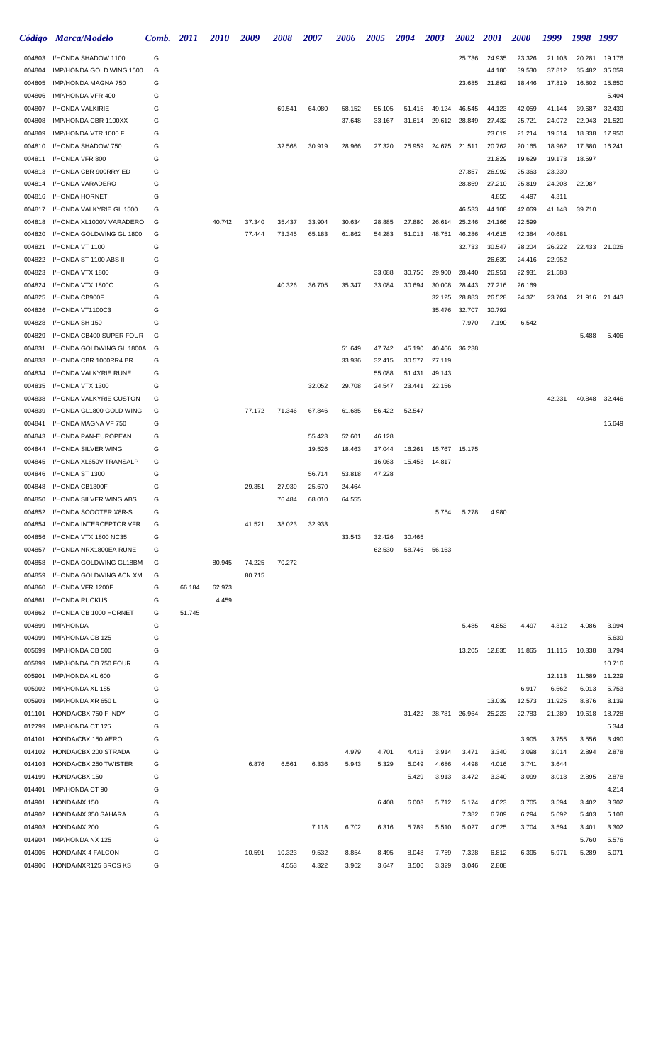|                  | Código Marca/Modelo                          | Comb.  | <b>2011</b> | <i>2010</i> | 2009   | 2008   | 2007   | 2006   | <b>2005</b> | <b>2004</b> | <b>2003</b>   | 2002          | <i>2001</i>     | <b>2000</b>     | 1999            | 1998   | 1997           |
|------------------|----------------------------------------------|--------|-------------|-------------|--------|--------|--------|--------|-------------|-------------|---------------|---------------|-----------------|-----------------|-----------------|--------|----------------|
| 004803           | I/HONDA SHADOW 1100                          | G      |             |             |        |        |        |        |             |             |               | 25.736        | 24.935          | 23.326          | 21.103          | 20.281 | 19.176         |
| 004804           | IMP/HONDA GOLD WING 1500                     | G      |             |             |        |        |        |        |             |             |               |               | 44.180          | 39.530          | 37.812          | 35.482 | 35.059         |
| 004805           | IMP/HONDA MAGNA 750                          | G      |             |             |        |        |        |        |             |             |               | 23.685        | 21.862          | 18.446          | 17.819          | 16.802 | 15.650         |
| 004806           | IMP/HONDA VFR 400                            | G      |             |             |        |        |        |        |             |             |               |               |                 |                 |                 |        | 5.404          |
| 004807           | I/HONDA VALKIRIE                             | G      |             |             |        | 69.541 | 64.080 | 58.152 | 55.105      | 51.415      | 49.124        | 46.545        | 44.123          | 42.059          | 41.144          | 39.687 | 32.439         |
| 004808           | IMP/HONDA CBR 1100XX                         | G      |             |             |        |        |        | 37.648 | 33.167      | 31.614      | 29.612        | 28.849        | 27.432          | 25.721          | 24.072          | 22.943 | 21.520         |
| 004809           | IMP/HONDA VTR 1000 F                         | G      |             |             |        |        |        |        |             |             |               |               | 23.619          | 21.214          | 19.514          | 18.338 | 17.950         |
| 004810           | I/HONDA SHADOW 750                           | G      |             |             |        | 32.568 | 30.919 | 28.966 | 27.320      | 25.959      | 24.675        | 21.511        | 20.762          | 20.165          | 18.962          | 17.380 | 16.241         |
| 004811           | I/HONDA VFR 800                              | G      |             |             |        |        |        |        |             |             |               |               | 21.829          | 19.629          | 19.173          | 18.597 |                |
| 004813           | I/HONDA CBR 900RRY ED                        | G<br>G |             |             |        |        |        |        |             |             |               | 27.857        | 26.992          | 25.363          | 23.230          |        |                |
| 004814<br>004816 | I/HONDA VARADERO<br>I/HONDA HORNET           | G      |             |             |        |        |        |        |             |             |               | 28.869        | 27.210<br>4.855 | 25.819<br>4.497 | 24.208<br>4.311 | 22.987 |                |
| 004817           | I/HONDA VALKYRIE GL 1500                     | G      |             |             |        |        |        |        |             |             |               | 46.533        | 44.108          | 42.069          | 41.148          | 39.710 |                |
| 004818           | I/HONDA XL1000V VARADERO                     | G      |             | 40.742      | 37.340 | 35.437 | 33.904 | 30.634 | 28.885      | 27.880      | 26.614        | 25.246        | 24.166          | 22.599          |                 |        |                |
| 004820           | I/HONDA GOLDWING GL 1800                     | G      |             |             | 77.444 | 73.345 | 65.183 | 61.862 | 54.283      | 51.013      | 48.751        | 46.286        | 44.615          | 42.384          | 40.681          |        |                |
| 004821           | I/HONDA VT 1100                              | G      |             |             |        |        |        |        |             |             |               | 32.733        | 30.547          | 28.204          | 26.222          | 22.433 | 21.026         |
| 004822           | I/HONDA ST 1100 ABS II                       | G      |             |             |        |        |        |        |             |             |               |               | 26.639          | 24.416          | 22.952          |        |                |
| 004823           | I/HONDA VTX 1800                             | G      |             |             |        |        |        |        | 33.088      | 30.756      | 29.900        | 28.440        | 26.951          | 22.931          | 21.588          |        |                |
| 004824           | I/HONDA VTX 1800C                            | G      |             |             |        | 40.326 | 36.705 | 35.347 | 33.084      | 30.694      | 30.008        | 28.443        | 27.216          | 26.169          |                 |        |                |
| 004825           | I/HONDA CB900F                               | G      |             |             |        |        |        |        |             |             | 32.125        | 28.883        | 26.528          | 24.371          | 23.704          | 21.916 | 21.443         |
| 004826           | I/HONDA VT1100C3                             | G      |             |             |        |        |        |        |             |             | 35.476        | 32.707        | 30.792          |                 |                 |        |                |
| 004828           | I/HONDA SH 150                               | G      |             |             |        |        |        |        |             |             |               | 7.970         | 7.190           | 6.542           |                 |        |                |
| 004829           | I/HONDA CB400 SUPER FOUR                     | G      |             |             |        |        |        |        |             |             |               |               |                 |                 |                 | 5.488  | 5.406          |
| 004831           | I/HONDA GOLDWING GL 1800A                    | G      |             |             |        |        |        | 51.649 | 47.742      | 45.190      | 40.466        | 36.238        |                 |                 |                 |        |                |
| 004833           | I/HONDA CBR 1000RR4 BR                       | G      |             |             |        |        |        | 33.936 | 32.415      | 30.577      | 27.119        |               |                 |                 |                 |        |                |
| 004834           | I/HONDA VALKYRIE RUNE                        | G      |             |             |        |        |        |        | 55.088      | 51.431      | 49.143        |               |                 |                 |                 |        |                |
| 004835           | I/HONDA VTX 1300                             | G      |             |             |        |        | 32.052 | 29.708 | 24.547      | 23.441      | 22.156        |               |                 |                 |                 |        |                |
| 004838           | I/HONDA VALKYRIE CUSTON                      | G      |             |             |        |        |        |        |             |             |               |               |                 |                 | 42.231          | 40.848 | 32.446         |
| 004839<br>004841 | I/HONDA GL1800 GOLD WING                     | G<br>G |             |             | 77.172 | 71.346 | 67.846 | 61.685 | 56.422      | 52.547      |               |               |                 |                 |                 |        | 15.649         |
| 004843           | I/HONDA MAGNA VF 750<br>I/HONDA PAN-EUROPEAN | G      |             |             |        |        | 55.423 | 52.601 | 46.128      |             |               |               |                 |                 |                 |        |                |
| 004844           | I/HONDA SILVER WING                          | G      |             |             |        |        | 19.526 | 18.463 | 17.044      | 16.261      |               | 15.767 15.175 |                 |                 |                 |        |                |
| 004845           | I/HONDA XL650V TRANSALP                      | G      |             |             |        |        |        |        | 16.063      | 15.453      | 14.817        |               |                 |                 |                 |        |                |
| 004846           | I/HONDA ST 1300                              | G      |             |             |        |        | 56.714 | 53.818 | 47.228      |             |               |               |                 |                 |                 |        |                |
| 004848           | I/HONDA CB1300F                              | G      |             |             | 29.351 | 27.939 | 25.670 | 24.464 |             |             |               |               |                 |                 |                 |        |                |
| 004850           | I/HONDA SILVER WING ABS                      | G      |             |             |        | 76.484 | 68.010 | 64.555 |             |             |               |               |                 |                 |                 |        |                |
| 004852           | I/HONDA SCOOTER X8R-S                        | G      |             |             |        |        |        |        |             |             | 5.754         | 5.278         | 4.980           |                 |                 |        |                |
| 004854           | I/HONDA INTERCEPTOR VFR                      | G      |             |             | 41.521 | 38.023 | 32.933 |        |             |             |               |               |                 |                 |                 |        |                |
| 004856           | I/HONDA VTX 1800 NC35                        | G      |             |             |        |        |        | 33.543 | 32.426      | 30.465      |               |               |                 |                 |                 |        |                |
| 004857           | I/HONDA NRX1800EA RUNE                       | G      |             |             |        |        |        |        | 62.530      | 58.746      | 56.163        |               |                 |                 |                 |        |                |
| 004858           | I/HONDA GOLDWING GL18BM                      | G      |             | 80.945      | 74.225 | 70.272 |        |        |             |             |               |               |                 |                 |                 |        |                |
| 004859           | I/HONDA GOLDWING ACN XM                      | G      |             |             | 80.715 |        |        |        |             |             |               |               |                 |                 |                 |        |                |
| 004860           | I/HONDA VFR 1200F                            | G      | 66.184      | 62.973      |        |        |        |        |             |             |               |               |                 |                 |                 |        |                |
| 004861           | I/HONDA RUCKUS                               | G      |             | 4.459       |        |        |        |        |             |             |               |               |                 |                 |                 |        |                |
| 004862           | I/HONDA CB 1000 HORNET                       | G      | 51.745      |             |        |        |        |        |             |             |               |               |                 |                 |                 |        |                |
| 004899           | <b>IMP/HONDA</b>                             | G      |             |             |        |        |        |        |             |             |               | 5.485         | 4.853           | 4.497           | 4.312           | 4.086  | 3.994          |
| 004999           | IMP/HONDA CB 125<br>IMP/HONDA CB 500         | G<br>G |             |             |        |        |        |        |             |             |               | 13.205        | 12.835          | 11.865          |                 | 10.338 | 5.639<br>8.794 |
| 005699<br>005899 | IMP/HONDA CB 750 FOUR                        | G      |             |             |        |        |        |        |             |             |               |               |                 |                 | 11.115          |        | 10.716         |
| 005901           | IMP/HONDA XL 600                             | G      |             |             |        |        |        |        |             |             |               |               |                 |                 | 12.113          | 11.689 | 11.229         |
| 005902           | IMP/HONDA XL 185                             | G      |             |             |        |        |        |        |             |             |               |               |                 | 6.917           | 6.662           | 6.013  | 5.753          |
| 005903           | IMP/HONDA XR 650 L                           | G      |             |             |        |        |        |        |             |             |               |               | 13.039          | 12.573          | 11.925          | 8.876  | 8.139          |
| 011101           | HONDA/CBX 750 F INDY                         | G      |             |             |        |        |        |        |             |             | 31.422 28.781 | 26.964        | 25.223          | 22.783          | 21.289          | 19.618 | 18.728         |
| 012799           | IMP/HONDA CT 125                             | G      |             |             |        |        |        |        |             |             |               |               |                 |                 |                 |        | 5.344          |
| 014101           | HONDA/CBX 150 AERO                           | G      |             |             |        |        |        |        |             |             |               |               |                 | 3.905           | 3.755           | 3.556  | 3.490          |
| 014102           | HONDA/CBX 200 STRADA                         | G      |             |             |        |        |        | 4.979  | 4.701       | 4.413       | 3.914         | 3.471         | 3.340           | 3.098           | 3.014           | 2.894  | 2.878          |
| 014103           | HONDA/CBX 250 TWISTER                        | G      |             |             | 6.876  | 6.561  | 6.336  | 5.943  | 5.329       | 5.049       | 4.686         | 4.498         | 4.016           | 3.741           | 3.644           |        |                |
| 014199           | HONDA/CBX 150                                | G      |             |             |        |        |        |        |             | 5.429       | 3.913         | 3.472         | 3.340           | 3.099           | 3.013           | 2.895  | 2.878          |
| 014401           | IMP/HONDA CT 90                              | G      |             |             |        |        |        |        |             |             |               |               |                 |                 |                 |        | 4.214          |
| 014901           | HONDA/NX 150                                 | G      |             |             |        |        |        |        | 6.408       | 6.003       | 5.712         | 5.174         | 4.023           | 3.705           | 3.594           | 3.402  | 3.302          |
| 014902           | HONDA/NX 350 SAHARA                          | G      |             |             |        |        |        |        |             |             |               | 7.382         | 6.709           | 6.294           | 5.692           | 5.403  | 5.108          |
| 014903           | HONDA/NX 200                                 | G      |             |             |        |        | 7.118  | 6.702  | 6.316       | 5.789       | 5.510         | 5.027         | 4.025           | 3.704           | 3.594           | 3.401  | 3.302          |
| 014904           | IMP/HONDA NX 125                             | G      |             |             |        |        |        |        |             |             |               |               |                 |                 |                 | 5.760  | 5.576          |
| 014905           | HONDA/NX-4 FALCON                            | G      |             |             | 10.591 | 10.323 | 9.532  | 8.854  | 8.495       | 8.048       | 7.759         | 7.328         | 6.812           | 6.395           | 5.971           | 5.289  | 5.071          |
| 014906           | HONDA/NXR125 BROS KS                         | G      |             |             |        | 4.553  | 4.322  | 3.962  | 3.647       | 3.506       | 3.329         | 3.046         | 2.808           |                 |                 |        |                |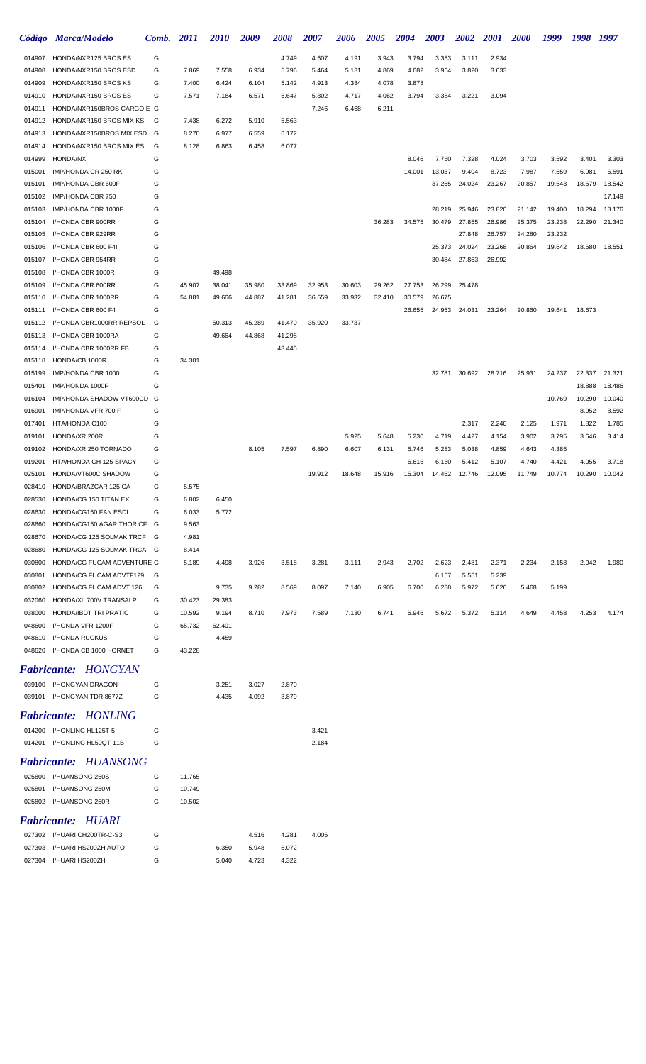|                  | Código Marca/Modelo                                      | Comb. 2011 |                | <i>2010</i> | 2009   | 2008   | 2007   | 2006   | 2005   | <b>2004</b> | 2003   | <b>2002</b> | <b>2001</b> | <i>2000</i> | 1999   | 1998   | - 1997           |
|------------------|----------------------------------------------------------|------------|----------------|-------------|--------|--------|--------|--------|--------|-------------|--------|-------------|-------------|-------------|--------|--------|------------------|
| 014907           | HONDA/NXR125 BROS ES                                     | G          |                |             |        | 4.749  | 4.507  | 4.191  | 3.943  | 3.794       | 3.383  | 3.111       | 2.934       |             |        |        |                  |
| 014908           | HONDA/NXR150 BROS ESD                                    | G          | 7.869          | 7.558       | 6.934  | 5.796  | 5.464  | 5.131  | 4.869  | 4.682       | 3.964  | 3.820       | 3.633       |             |        |        |                  |
| 014909           | HONDA/NXR150 BROS KS                                     | G          | 7.400          | 6.424       | 6.104  | 5.142  | 4.913  | 4.384  | 4.078  | 3.878       |        |             |             |             |        |        |                  |
| 014910           | HONDA/NXR150 BROS ES                                     | G          | 7.571          | 7.184       | 6.571  | 5.647  | 5.302  | 4.717  | 4.062  | 3.794       | 3.384  | 3.221       | 3.094       |             |        |        |                  |
| 014911           | HONDA/NXR150BROS CARGO E G                               |            |                |             |        |        | 7.246  | 6.468  | 6.211  |             |        |             |             |             |        |        |                  |
| 014912           | HONDA/NXR150 BROS MIX KS                                 | G          | 7.438          | 6.272       | 5.910  | 5.563  |        |        |        |             |        |             |             |             |        |        |                  |
| 014913           | HONDA/NXR150BROS MIX ESD                                 | G          | 8.270          | 6.977       | 6.559  | 6.172  |        |        |        |             |        |             |             |             |        |        |                  |
| 014914           | HONDA/NXR150 BROS MIX ES                                 | G          | 8.128          | 6.863       | 6.458  | 6.077  |        |        |        |             |        |             |             |             |        |        |                  |
| 014999           | <b>HONDA/NX</b>                                          | G          |                |             |        |        |        |        |        | 8.046       | 7.760  | 7.328       | 4.024       | 3.703       | 3.592  | 3.401  | 3.303            |
| 015001           | IMP/HONDA CR 250 RK                                      | G          |                |             |        |        |        |        |        | 14.001      | 13.037 | 9.404       | 8.723       | 7.987       | 7.559  | 6.981  | 6.591            |
| 015101<br>015102 | IMP/HONDA CBR 600F<br>IMP/HONDA CBR 750                  | G<br>G     |                |             |        |        |        |        |        |             | 37.255 | 24.024      | 23.267      | 20.857      | 19.643 | 18.679 | 18.542<br>17.149 |
| 015103           | IMP/HONDA CBR 1000F                                      | G          |                |             |        |        |        |        |        |             | 28.219 | 25.946      | 23.820      | 21.142      | 19.400 | 18.294 | 18.176           |
| 015104           | I/HONDA CBR 900RR                                        | G          |                |             |        |        |        |        | 36.283 | 34.575      | 30.479 | 27.855      | 26.986      | 25.375      | 23.238 | 22.290 | 21.340           |
| 015105           | I/HONDA CBR 929RR                                        | G          |                |             |        |        |        |        |        |             |        | 27.848      | 26.757      | 24.280      | 23.232 |        |                  |
| 015106           | I/HONDA CBR 600 F4I                                      | G          |                |             |        |        |        |        |        |             | 25.373 | 24.024      | 23.268      | 20.864      | 19.642 | 18.680 | 18.551           |
| 015107           | I/HONDA CBR 954RR                                        | G          |                |             |        |        |        |        |        |             | 30.484 | 27.853      | 26.992      |             |        |        |                  |
| 015108           | I/HONDA CBR 1000R                                        | G          |                | 49.498      |        |        |        |        |        |             |        |             |             |             |        |        |                  |
| 015109           | I/HONDA CBR 600RR                                        | G          | 45.907         | 38.041      | 35.980 | 33.869 | 32.953 | 30.603 | 29.262 | 27.753      | 26.299 | 25.478      |             |             |        |        |                  |
| 015110           | I/HONDA CBR 1000RR                                       | G          | 54.881         | 49.666      | 44.887 | 41.281 | 36.559 | 33.932 | 32.410 | 30.579      | 26.675 |             |             |             |        |        |                  |
| 015111           | I/HONDA CBR 600 F4                                       | G          |                |             |        |        |        |        |        | 26.655      | 24.953 | 24.031      | 23.264      | 20.860      | 19.641 | 18.673 |                  |
| 015112           | I/HONDA CBR1000RR REPSOL                                 | G          |                | 50.313      | 45.289 | 41.470 | 35.920 | 33.737 |        |             |        |             |             |             |        |        |                  |
| 015113           | I/HONDA CBR 1000RA                                       | G          |                | 49.664      | 44.868 | 41.298 |        |        |        |             |        |             |             |             |        |        |                  |
| 015114           | I/HONDA CBR 1000RR FB                                    | G          |                |             |        | 43.445 |        |        |        |             |        |             |             |             |        |        |                  |
| 015118           | HONDA/CB 1000R                                           | G          | 34.301         |             |        |        |        |        |        |             |        |             |             |             |        |        |                  |
| 015199           | IMP/HONDA CBR 1000                                       | G          |                |             |        |        |        |        |        |             | 32.781 | 30.692      | 28.716      | 25.931      | 24.237 | 22.337 | 21.321           |
| 015401           | IMP/HONDA 1000F                                          | G          |                |             |        |        |        |        |        |             |        |             |             |             |        | 18.888 | 18.486           |
| 016104           | IMP/HONDA SHADOW VT600CD                                 | G          |                |             |        |        |        |        |        |             |        |             |             |             | 10.769 | 10.290 | 10.040           |
| 016901           | IMP/HONDA VFR 700 F                                      | G          |                |             |        |        |        |        |        |             |        |             |             |             |        | 8.952  | 8.592            |
| 017401           | HTA/HONDA C100                                           | G          |                |             |        |        |        |        |        |             |        | 2.317       | 2.240       | 2.125       | 1.971  | 1.822  | 1.785            |
| 019101           | HONDA/XR 200R                                            | G          |                |             |        |        |        | 5.925  | 5.648  | 5.230       | 4.719  | 4.427       | 4.154       | 3.902       | 3.795  | 3.646  | 3.414            |
| 019102           | HONDA/XR 250 TORNADO                                     | G          |                |             | 8.105  | 7.597  | 6.890  | 6.607  | 6.131  | 5.746       | 5.283  | 5.038       | 4.859       | 4.643       | 4.385  |        |                  |
| 019201           | HTA/HONDA CH 125 SPACY                                   | G          |                |             |        |        |        |        |        | 6.616       | 6.160  | 5.412       | 5.107       | 4.740       | 4.421  | 4.055  | 3.718            |
| 025101           | HONDA/VT600C SHADOW                                      | G          |                |             |        |        | 19.912 | 18.648 | 15.916 | 15.304      | 14.452 | 12.746      | 12.095      | 11.749      | 10.774 | 10.290 | 10.042           |
| 028410           | HONDA/BRAZCAR 125 CA                                     | G          | 5.575          |             |        |        |        |        |        |             |        |             |             |             |        |        |                  |
| 028530           | HONDA/CG 150 TITAN EX                                    | G          | 6.802          | 6.450       |        |        |        |        |        |             |        |             |             |             |        |        |                  |
| 028630           | HONDA/CG150 FAN ESDI                                     | G          | 6.033          | 5.772       |        |        |        |        |        |             |        |             |             |             |        |        |                  |
| 028660<br>028670 | HONDA/CG150 AGAR THOR CF G<br>HONDA/CG 125 SOLMAK TRCF G |            | 9.563<br>4.981 |             |        |        |        |        |        |             |        |             |             |             |        |        |                  |
| 028680           | HONDA/CG 125 SOLMAK TRCA G                               |            | 8.414          |             |        |        |        |        |        |             |        |             |             |             |        |        |                  |
| 030800           | HONDA/CG FUCAM ADVENTURE G                               |            | 5.189          | 4.498       | 3.926  | 3.518  | 3.281  | 3.111  | 2.943  | 2.702       | 2.623  | 2.481       | 2.371       | 2.234       | 2.158  | 2.042  | 1.980            |
| 030801           | HONDA/CG FUCAM ADVTF129                                  | G          |                |             |        |        |        |        |        |             | 6.157  | 5.551       | 5.239       |             |        |        |                  |
| 030802           | HONDA/CG FUCAM ADVT 126                                  | G          |                | 9.735       | 9.282  | 8.569  | 8.097  | 7.140  | 6.905  | 6.700       | 6.238  | 5.972       | 5.626       | 5.468       | 5.199  |        |                  |
| 032060           | HONDA/XL 700V TRANSALP                                   | G          | 30.423         | 29.383      |        |        |        |        |        |             |        |             |             |             |        |        |                  |
| 038000           | HONDA/IBDT TRI PRATIC                                    | G          | 10.592         | 9.194       | 8.710  | 7.973  | 7.589  | 7.130  | 6.741  | 5.946       | 5.672  | 5.372       | 5.114       | 4.649       | 4.458  | 4.253  | 4.174            |
| 048600           | I/HONDA VFR 1200F                                        | G          | 65.732         | 62.401      |        |        |        |        |        |             |        |             |             |             |        |        |                  |
| 048610           | I/HONDA RUCKUS                                           | G          |                | 4.459       |        |        |        |        |        |             |        |             |             |             |        |        |                  |
| 048620           | I/HONDA CB 1000 HORNET                                   | G          | 43.228         |             |        |        |        |        |        |             |        |             |             |             |        |        |                  |
|                  | <b>Fabricante: HONGYAN</b>                               |            |                |             |        |        |        |        |        |             |        |             |             |             |        |        |                  |
|                  |                                                          |            |                |             |        |        |        |        |        |             |        |             |             |             |        |        |                  |
|                  | 039100 I/HONGYAN DRAGON                                  | G          |                | 3.251       | 3.027  | 2.870  |        |        |        |             |        |             |             |             |        |        |                  |
|                  | 039101 I/HONGYAN TDR 8677Z                               | G          |                | 4.435       | 4.092  | 3.879  |        |        |        |             |        |             |             |             |        |        |                  |
|                  | <b>Fabricante: HONLING</b>                               |            |                |             |        |        |        |        |        |             |        |             |             |             |        |        |                  |
| 014200           | I/HONLING HL125T-5                                       | G          |                |             |        |        | 3.421  |        |        |             |        |             |             |             |        |        |                  |
|                  | 014201 I/HONLING HL50QT-11B                              | G          |                |             |        |        | 2.184  |        |        |             |        |             |             |             |        |        |                  |
|                  | <b>Fabricante: HUANSONG</b>                              |            |                |             |        |        |        |        |        |             |        |             |             |             |        |        |                  |
|                  | 025800 I/HUANSONG 250S                                   | G          | 11.765         |             |        |        |        |        |        |             |        |             |             |             |        |        |                  |
| 025801           | I/HUANSONG 250M                                          | G          | 10.749         |             |        |        |        |        |        |             |        |             |             |             |        |        |                  |
| 025802           | I/HUANSONG 250R                                          | G          | 10.502         |             |        |        |        |        |        |             |        |             |             |             |        |        |                  |
|                  |                                                          |            |                |             |        |        |        |        |        |             |        |             |             |             |        |        |                  |
|                  | <b>Fabricante: HUARI</b>                                 |            |                |             |        |        |        |        |        |             |        |             |             |             |        |        |                  |
| 027302           | I/HUARI CH200TR-C-S3                                     | G          |                |             | 4.516  | 4.281  | 4.005  |        |        |             |        |             |             |             |        |        |                  |
| 027303           | I/HUARI HS200ZH AUTO                                     | G          |                | 6.350       | 5.948  | 5.072  |        |        |        |             |        |             |             |             |        |        |                  |
| 027304           | I/HUARI HS200ZH                                          | G          |                | 5.040       | 4.723  | 4.322  |        |        |        |             |        |             |             |             |        |        |                  |
|                  |                                                          |            |                |             |        |        |        |        |        |             |        |             |             |             |        |        |                  |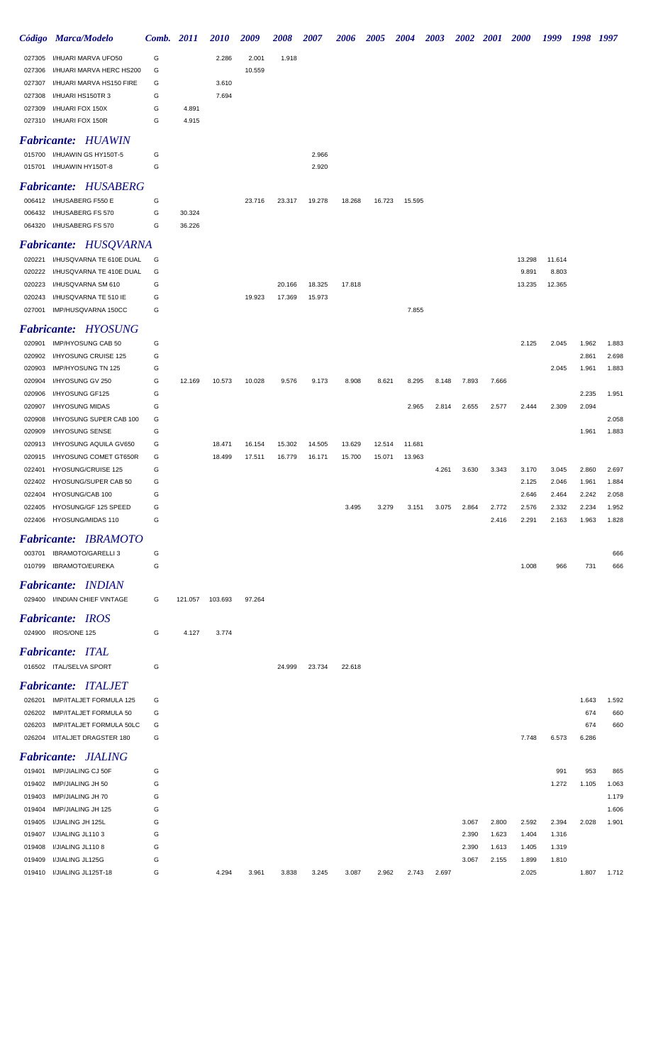|                  | Código Marca/Modelo                          | Comb.  | 2011    | <i>2010</i> | 2009   | 2008   | 2007   | <b>2006</b> | <b>2005</b> | <b>2004</b> | <b>2003</b> | <b>2002</b> | <b>2001</b> | <b>2000</b> | 1999   | 1998  | 1997  |
|------------------|----------------------------------------------|--------|---------|-------------|--------|--------|--------|-------------|-------------|-------------|-------------|-------------|-------------|-------------|--------|-------|-------|
| 027305           | I/HUARI MARVA UFO50                          | G      |         | 2.286       | 2.001  | 1.918  |        |             |             |             |             |             |             |             |        |       |       |
| 027306           | I/HUARI MARVA HERC HS200                     | G      |         |             | 10.559 |        |        |             |             |             |             |             |             |             |        |       |       |
| 027307           | I/HUARI MARVA HS150 FIRE                     | G      |         | 3.610       |        |        |        |             |             |             |             |             |             |             |        |       |       |
| 027308           | I/HUARI HS150TR 3                            | G      |         | 7.694       |        |        |        |             |             |             |             |             |             |             |        |       |       |
| 027309           | I/HUARI FOX 150X                             | G      | 4.891   |             |        |        |        |             |             |             |             |             |             |             |        |       |       |
|                  | 027310 I/HUARI FOX 150R                      | G      | 4.915   |             |        |        |        |             |             |             |             |             |             |             |        |       |       |
|                  | <b>Fabricante: HUAWIN</b>                    |        |         |             |        |        |        |             |             |             |             |             |             |             |        |       |       |
|                  | 015700 I/HUAWIN GS HY150T-5                  | G      |         |             |        |        | 2.966  |             |             |             |             |             |             |             |        |       |       |
|                  | 015701 I/HUAWIN HY150T-8                     | G      |         |             |        |        | 2.920  |             |             |             |             |             |             |             |        |       |       |
|                  | <b>Fabricante: HUSABERG</b>                  |        |         |             |        |        |        |             |             |             |             |             |             |             |        |       |       |
|                  | 006412 I/HUSABERG F550 E                     | G      |         |             | 23.716 | 23.317 | 19.278 | 18.268      | 16.723      | 15.595      |             |             |             |             |        |       |       |
|                  | 006432 I/HUSABERG FS 570                     | G      | 30.324  |             |        |        |        |             |             |             |             |             |             |             |        |       |       |
|                  | 064320 I/HUSABERG FS 570                     | G      | 36.226  |             |        |        |        |             |             |             |             |             |             |             |        |       |       |
|                  |                                              |        |         |             |        |        |        |             |             |             |             |             |             |             |        |       |       |
|                  | <b>Fabricante: HUSQVARNA</b>                 |        |         |             |        |        |        |             |             |             |             |             |             |             |        |       |       |
|                  | 020221 I/HUSQVARNA TE 610E DUAL              | G      |         |             |        |        |        |             |             |             |             |             |             | 13.298      | 11.614 |       |       |
| 020222           | I/HUSQVARNA TE 410E DUAL                     | G      |         |             |        |        |        |             |             |             |             |             |             | 9.891       | 8.803  |       |       |
| 020223           | I/HUSQVARNA SM 610                           | G<br>G |         |             |        | 20.166 | 18.325 | 17.818      |             |             |             |             |             | 13.235      | 12.365 |       |       |
| 020243<br>027001 | I/HUSQVARNA TE 510 IE<br>IMP/HUSQVARNA 150CC | G      |         |             | 19.923 | 17.369 | 15.973 |             |             | 7.855       |             |             |             |             |        |       |       |
|                  |                                              |        |         |             |        |        |        |             |             |             |             |             |             |             |        |       |       |
|                  | <b>Fabricante: HYOSUNG</b>                   |        |         |             |        |        |        |             |             |             |             |             |             |             |        |       |       |
| 020901           | IMP/HYOSUNG CAB 50                           | G      |         |             |        |        |        |             |             |             |             |             |             | 2.125       | 2.045  | 1.962 | 1.883 |
|                  | 020902 I/HYOSUNG CRUISE 125                  | G      |         |             |        |        |        |             |             |             |             |             |             |             |        | 2.861 | 2.698 |
| 020903           | IMP/HYOSUNG TN 125                           | G      |         |             |        |        |        |             |             |             |             |             |             |             | 2.045  | 1.961 | 1.883 |
| 020904           | I/HYOSUNG GV 250                             | G      | 12.169  | 10.573      | 10.028 | 9.576  | 9.173  | 8.908       | 8.621       | 8.295       | 8.148       | 7.893       | 7.666       |             |        |       |       |
| 020906           | I/HYOSUNG GF125                              | G      |         |             |        |        |        |             |             |             |             |             |             |             |        | 2.235 | 1.951 |
| 020907<br>020908 | I/HYOSUNG MIDAS<br>I/HYOSUNG SUPER CAB 100   | G<br>G |         |             |        |        |        |             |             | 2.965       | 2.814       | 2.655       | 2.577       | 2.444       | 2.309  | 2.094 | 2.058 |
| 020909           | I/HYOSUNG SENSE                              | G      |         |             |        |        |        |             |             |             |             |             |             |             |        | 1.961 | 1.883 |
| 020913           | I/HYOSUNG AQUILA GV650                       | G      |         | 18.471      | 16.154 | 15.302 | 14.505 | 13.629      | 12.514      | 11.681      |             |             |             |             |        |       |       |
| 020915           | I/HYOSUNG COMET GT650R                       | G      |         | 18.499      | 17.511 | 16.779 | 16.171 | 15.700      | 15.071      | 13.963      |             |             |             |             |        |       |       |
| 022401           | HYOSUNG/CRUISE 125                           | G      |         |             |        |        |        |             |             |             | 4.261       | 3.630       | 3.343       | 3.170       | 3.045  | 2.860 | 2.697 |
| 022402           | HYOSUNG/SUPER CAB 50                         | G      |         |             |        |        |        |             |             |             |             |             |             | 2.125       | 2.046  | 1.961 | 1.884 |
| 022404           | HYOSUNG/CAB 100                              | G      |         |             |        |        |        |             |             |             |             |             |             | 2.646       | 2.464  | 2.242 | 2.058 |
|                  | 022405 HYOSUNG/GF 125 SPEED                  | G      |         |             |        |        |        | 3.495       | 3.279       | 3.151       | 3.075       | 2.864       | 2.772       | 2.576       | 2.332  | 2.234 | 1.952 |
|                  | 022406 HYOSUNG/MIDAS 110                     | G      |         |             |        |        |        |             |             |             |             |             | 2.416       | 2.291       | 2.163  | 1.963 | 1.828 |
|                  | <b>Fabricante: IBRAMOTO</b>                  |        |         |             |        |        |        |             |             |             |             |             |             |             |        |       |       |
| 003701           | <b>IBRAMOTO/GARELLI 3</b>                    | G      |         |             |        |        |        |             |             |             |             |             |             |             |        |       | 666   |
|                  | 010799 IBRAMOTO/EUREKA                       | G      |         |             |        |        |        |             |             |             |             |             |             | 1.008       | 966    | 731   | 666   |
|                  |                                              |        |         |             |        |        |        |             |             |             |             |             |             |             |        |       |       |
|                  | <b>Fabricante: INDIAN</b>                    |        |         |             |        |        |        |             |             |             |             |             |             |             |        |       |       |
|                  | 029400 I/INDIAN CHIEF VINTAGE                | G      | 121.057 | 103.693     | 97.264 |        |        |             |             |             |             |             |             |             |        |       |       |
|                  | <b>Fabricante: IROS</b>                      |        |         |             |        |        |        |             |             |             |             |             |             |             |        |       |       |
|                  | 024900 IROS/ONE 125                          | G      | 4.127   | 3.774       |        |        |        |             |             |             |             |             |             |             |        |       |       |
|                  | <b>Fabricante: ITAL</b>                      |        |         |             |        |        |        |             |             |             |             |             |             |             |        |       |       |
|                  |                                              |        |         |             |        |        |        |             |             |             |             |             |             |             |        |       |       |
|                  | 016502 ITAL/SELVA SPORT                      | G      |         |             |        | 24.999 | 23.734 | 22.618      |             |             |             |             |             |             |        |       |       |
|                  | <b>Fabricante: ITALJET</b>                   |        |         |             |        |        |        |             |             |             |             |             |             |             |        |       |       |
| 026201           | IMP/ITALJET FORMULA 125                      | G      |         |             |        |        |        |             |             |             |             |             |             |             |        | 1.643 | 1.592 |
|                  | 026202 IMP/ITALJET FORMULA 50                | G      |         |             |        |        |        |             |             |             |             |             |             |             |        | 674   | 660   |
| 026203           | IMP/ITALJET FORMULA 50LC                     | G      |         |             |        |        |        |             |             |             |             |             |             |             |        | 674   | 660   |
|                  | 026204 I/ITALJET DRAGSTER 180                | G      |         |             |        |        |        |             |             |             |             |             |             | 7.748       | 6.573  | 6.286 |       |
|                  | <b>Fabricante: JIALING</b>                   |        |         |             |        |        |        |             |             |             |             |             |             |             |        |       |       |
| 019401           | IMP/JIALING CJ 50F                           | G      |         |             |        |        |        |             |             |             |             |             |             |             | 991    | 953   | 865   |
| 019402           | IMP/JIALING JH 50                            | G      |         |             |        |        |        |             |             |             |             |             |             |             | 1.272  | 1.105 | 1.063 |
| 019403           | IMP/JIALING JH 70                            | G      |         |             |        |        |        |             |             |             |             |             |             |             |        |       | 1.179 |
| 019404           | IMP/JIALING JH 125                           | G      |         |             |        |        |        |             |             |             |             |             |             |             |        |       | 1.606 |
| 019405           | I/JIALING JH 125L                            | G      |         |             |        |        |        |             |             |             |             | 3.067       | 2.800       | 2.592       | 2.394  | 2.028 | 1.901 |
| 019407           | I/JIALING JL1103                             | G      |         |             |        |        |        |             |             |             |             | 2.390       | 1.623       | 1.404       | 1.316  |       |       |
| 019408           | I/JIALING JL1108                             | G      |         |             |        |        |        |             |             |             |             | 2.390       | 1.613       | 1.405       | 1.319  |       |       |
| 019409           | I/JIALING JL125G                             | G      |         |             |        |        |        |             |             |             |             | 3.067       | 2.155       | 1.899       | 1.810  |       |       |
|                  | 019410 I/JIALING JL125T-18                   | G      |         | 4.294       | 3.961  | 3.838  | 3.245  | 3.087       | 2.962       | 2.743       | 2.697       |             |             | 2.025       |        | 1.807 | 1.712 |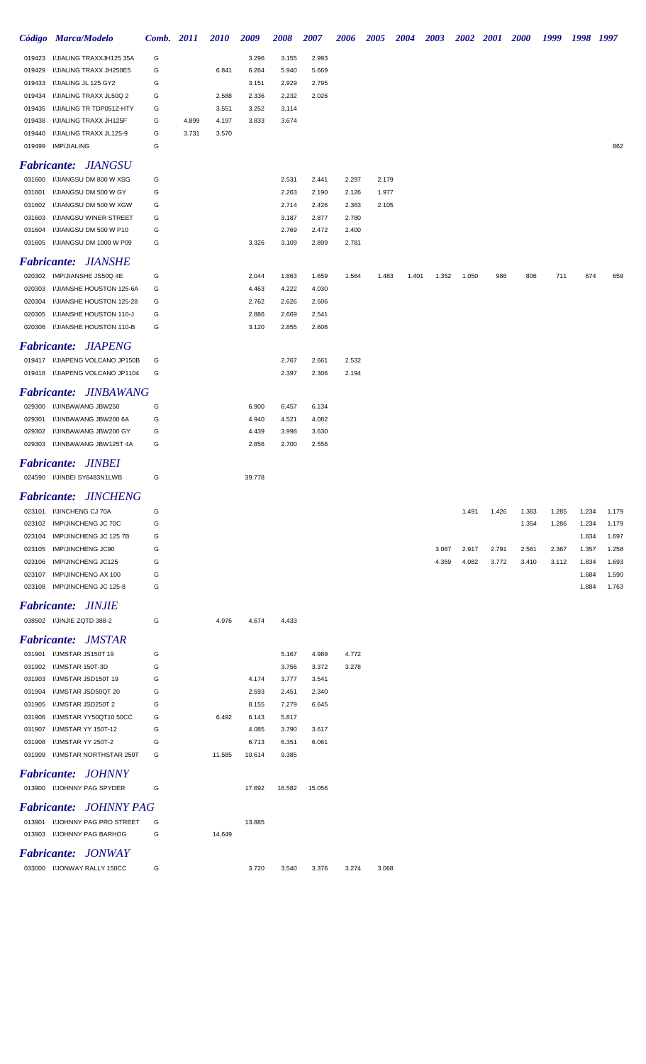|                  | Código Marca/Modelo        |                                                   | Comb. 2011 |       | <b>2010</b> | 2009   | 2008           | 2007           | 2006           | <b>2005</b> | 2004  | 2003  | 2002  | <b>2001</b> | <b>2000</b> | 1999  | 1998  | 1997  |
|------------------|----------------------------|---------------------------------------------------|------------|-------|-------------|--------|----------------|----------------|----------------|-------------|-------|-------|-------|-------------|-------------|-------|-------|-------|
| 019423           |                            | I/JIALING TRAXXJH125 35A                          | G          |       |             | 3.296  | 3.155          | 2.993          |                |             |       |       |       |             |             |       |       |       |
| 019429           |                            | I/JIALING TRAXX JH250E5                           | G          |       | 6.841       | 6.264  | 5.940          | 5.669          |                |             |       |       |       |             |             |       |       |       |
| 019433           | I/JIALING JL 125 GY2       |                                                   | G          |       |             | 3.151  | 2.929          | 2.795          |                |             |       |       |       |             |             |       |       |       |
| 019434           |                            | I/JIALING TRAXX JL50Q 2                           | G          |       | 2.588       | 2.336  | 2.232          | 2.026          |                |             |       |       |       |             |             |       |       |       |
| 019435           |                            | I/JIALING TR TDP051Z-HTY                          | G          |       | 3.551       | 3.252  | 3.114          |                |                |             |       |       |       |             |             |       |       |       |
| 019438           |                            | I/JIALING TRAXX JH125F                            | G          | 4.899 | 4.197       | 3.833  | 3.674          |                |                |             |       |       |       |             |             |       |       |       |
| 019440           |                            | I/JIALING TRAXX JL125-9                           | G          | 3.731 | 3.570       |        |                |                |                |             |       |       |       |             |             |       |       |       |
| 019499           | <b>IMP/JIALING</b>         |                                                   | G          |       |             |        |                |                |                |             |       |       |       |             |             |       |       | 862   |
|                  |                            | <b>Fabricante: JIANGSU</b>                        |            |       |             |        |                |                |                |             |       |       |       |             |             |       |       |       |
|                  |                            | I/JIANGSU DM 800 W XSG                            |            |       |             |        |                |                |                |             |       |       |       |             |             |       |       |       |
| 031600           |                            |                                                   | G          |       |             |        | 2.531          | 2.441          | 2.297          | 2.179       |       |       |       |             |             |       |       |       |
| 031601           |                            | I/JIANGSU DM 500 W GY                             | G          |       |             |        | 2.263          | 2.190          | 2.126          | 1.977       |       |       |       |             |             |       |       |       |
| 031602           |                            | I/JIANGSU DM 500 W XGW                            | G          |       |             |        | 2.714          | 2.426          | 2.363          | 2.105       |       |       |       |             |             |       |       |       |
| 031603           |                            | I/JIANGSU WINER STREET                            | G          |       |             |        | 3.187          | 2.877          | 2.780          |             |       |       |       |             |             |       |       |       |
| 031604<br>031605 |                            | I/JIANGSU DM 500 W P10<br>I/JIANGSU DM 1000 W P09 | G<br>G     |       |             | 3.326  | 2.769<br>3.109 | 2.472<br>2.899 | 2.400<br>2.781 |             |       |       |       |             |             |       |       |       |
|                  |                            |                                                   |            |       |             |        |                |                |                |             |       |       |       |             |             |       |       |       |
|                  |                            | <b>Fabricante: JIANSHE</b>                        |            |       |             |        |                |                |                |             |       |       |       |             |             |       |       |       |
|                  |                            | 020302 IMP/JIANSHE JS50Q 4E                       | G          |       |             | 2.044  | 1.863          | 1.659          | 1.564          | 1.483       | 1.401 | 1.352 | 1.050 | 986         | 806         | 711   | 674   | 659   |
| 020303           |                            | I/JIANSHE HOUSTON 125-6A                          | G          |       |             | 4.463  | 4.222          | 4.030          |                |             |       |       |       |             |             |       |       |       |
| 020304           |                            | I/JIANSHE HOUSTON 125-28                          | G          |       |             | 2.762  | 2.626          | 2.506          |                |             |       |       |       |             |             |       |       |       |
| 020305           |                            | I/JIANSHE HOUSTON 110-J                           | G          |       |             | 2.886  | 2.669          | 2.541          |                |             |       |       |       |             |             |       |       |       |
|                  |                            | 020306 I/JIANSHE HOUSTON 110-B                    | G          |       |             | 3.120  | 2.855          | 2.606          |                |             |       |       |       |             |             |       |       |       |
|                  |                            | <b>Fabricante: JIAPENG</b>                        |            |       |             |        |                |                |                |             |       |       |       |             |             |       |       |       |
|                  |                            |                                                   |            |       |             |        |                |                |                |             |       |       |       |             |             |       |       |       |
|                  |                            | 019417 I/JIAPENG VOLCANO JP150B                   | G          |       |             |        | 2.767          | 2.661          | 2.532          |             |       |       |       |             |             |       |       |       |
|                  |                            | 019418 I/JIAPENG VOLCANO JP1104                   | G          |       |             |        | 2.397          | 2.306          | 2.194          |             |       |       |       |             |             |       |       |       |
|                  |                            | <b>Fabricante: JINBAWANG</b>                      |            |       |             |        |                |                |                |             |       |       |       |             |             |       |       |       |
| 029300           | I/JINBAWANG JBW250         |                                                   | G          |       |             | 6.900  | 6.457          | 6.134          |                |             |       |       |       |             |             |       |       |       |
| 029301           |                            | I/JINBAWANG JBW200 6A                             | G          |       |             | 4.940  | 4.521          | 4.082          |                |             |       |       |       |             |             |       |       |       |
| 029302           |                            | I/JINBAWANG JBW200 GY                             | G          |       |             | 4.439  | 3.998          | 3.630          |                |             |       |       |       |             |             |       |       |       |
|                  |                            | 029303 I/JINBAWANG JBW125T 4A                     | G          |       |             | 2.856  | 2.700          | 2.556          |                |             |       |       |       |             |             |       |       |       |
|                  | <b>Fabricante: JINBEI</b>  |                                                   |            |       |             |        |                |                |                |             |       |       |       |             |             |       |       |       |
|                  |                            |                                                   |            |       |             |        |                |                |                |             |       |       |       |             |             |       |       |       |
|                  |                            | 024590 I/JINBEI SY6483N1LWB                       | G          |       |             | 39.778 |                |                |                |             |       |       |       |             |             |       |       |       |
|                  |                            | <b>Fabricante: JINCHENG</b>                       |            |       |             |        |                |                |                |             |       |       |       |             |             |       |       |       |
| 023101           | I/JINCHENG CJ 70A          |                                                   | G          |       |             |        |                |                |                |             |       |       | 1.491 | 1.426       | 1.363       | 1.285 | 1.234 | 1.179 |
|                  | 023102 IMP/JINCHENG JC 70C |                                                   | G          |       |             |        |                |                |                |             |       |       |       |             | 1.354       | 1.286 | 1.234 | 1.179 |
| 023104           |                            | IMP/JINCHENG JC 125 7B                            | G          |       |             |        |                |                |                |             |       |       |       |             |             |       | 1.834 | 1.697 |
| 023105           | IMP/JINCHENG JC90          |                                                   | G          |       |             |        |                |                |                |             |       | 3.067 | 2.917 | 2.791       | 2.561       | 2.367 | 1.357 | 1.258 |
|                  | 023106 IMP/JINCHENG JC125  |                                                   | G          |       |             |        |                |                |                |             |       | 4.359 | 4.082 | 3.772       | 3.410       | 3.112 | 1.834 | 1.693 |
| 023107           | IMP/JINCHENG AX 100        |                                                   | G          |       |             |        |                |                |                |             |       |       |       |             |             |       | 1.684 | 1.590 |
|                  |                            | 023108 IMP/JINCHENG JC 125-8                      | G          |       |             |        |                |                |                |             |       |       |       |             |             |       | 1.884 | 1.763 |
|                  | <b>Fabricante: JINJIE</b>  |                                                   |            |       |             |        |                |                |                |             |       |       |       |             |             |       |       |       |
|                  | 038502 I/JINJIE ZQTD 388-2 |                                                   | G          |       | 4.976       | 4.674  | 4.433          |                |                |             |       |       |       |             |             |       |       |       |
|                  |                            |                                                   |            |       |             |        |                |                |                |             |       |       |       |             |             |       |       |       |
|                  |                            | <b>Fabricante: JMSTAR</b>                         |            |       |             |        |                |                |                |             |       |       |       |             |             |       |       |       |
|                  | 031901 I/JMSTAR JS150T 19  |                                                   | G          |       |             |        | 5.167          | 4.989          | 4.772          |             |       |       |       |             |             |       |       |       |
|                  | 031902 I/JMSTAR 150T-3D    |                                                   | G          |       |             |        | 3.756          | 3.372          | 3.278          |             |       |       |       |             |             |       |       |       |
| 031903           | I/JMSTAR JSD150T 19        |                                                   | G          |       |             | 4.174  | 3.777          | 3.541          |                |             |       |       |       |             |             |       |       |       |
| 031904           | I/JMSTAR JSD50QT 20        |                                                   | G          |       |             | 2.593  | 2.451          | 2.340          |                |             |       |       |       |             |             |       |       |       |
| 031905           | I/JMSTAR JSD250T 2         |                                                   | G          |       |             | 8.155  | 7.279          | 6.645          |                |             |       |       |       |             |             |       |       |       |
| 031906           |                            | I/JMSTAR YY50QT10 50CC                            | G          |       | 6.492       | 6.143  | 5.817          |                |                |             |       |       |       |             |             |       |       |       |
| 031907           | I/JMSTAR YY 150T-12        |                                                   | G          |       |             | 4.085  | 3.790          | 3.617          |                |             |       |       |       |             |             |       |       |       |
| 031908           | I/JMSTAR YY 250T-2         |                                                   | G          |       |             | 6.713  | 6.351          | 6.061          |                |             |       |       |       |             |             |       |       |       |
|                  |                            | 031909 I/JMSTAR NORTHSTAR 250T                    | G          |       | 11.585      | 10.614 | 9.385          |                |                |             |       |       |       |             |             |       |       |       |
|                  |                            | <b>Fabricante: JOHNNY</b>                         |            |       |             |        |                |                |                |             |       |       |       |             |             |       |       |       |
|                  |                            | 013900 I/JOHNNY PAG SPYDER                        | G          |       |             | 17.692 | 16.582         | 15.056         |                |             |       |       |       |             |             |       |       |       |
|                  |                            |                                                   |            |       |             |        |                |                |                |             |       |       |       |             |             |       |       |       |
|                  |                            | <b>Fabricante: JOHNNY PAG</b>                     |            |       |             |        |                |                |                |             |       |       |       |             |             |       |       |       |
|                  |                            | 013901 I/JOHNNY PAG PRO STREET                    | G          |       |             | 13.885 |                |                |                |             |       |       |       |             |             |       |       |       |
|                  |                            | 013903 I/JOHNNY PAG BARHOG                        | G          |       | 14.649      |        |                |                |                |             |       |       |       |             |             |       |       |       |
|                  |                            | <b>Fabricante: JONWAY</b>                         |            |       |             |        |                |                |                |             |       |       |       |             |             |       |       |       |

033000 I/JONWAY RALLY 150CC G C 3.720 3.540 3.376 3.274 3.068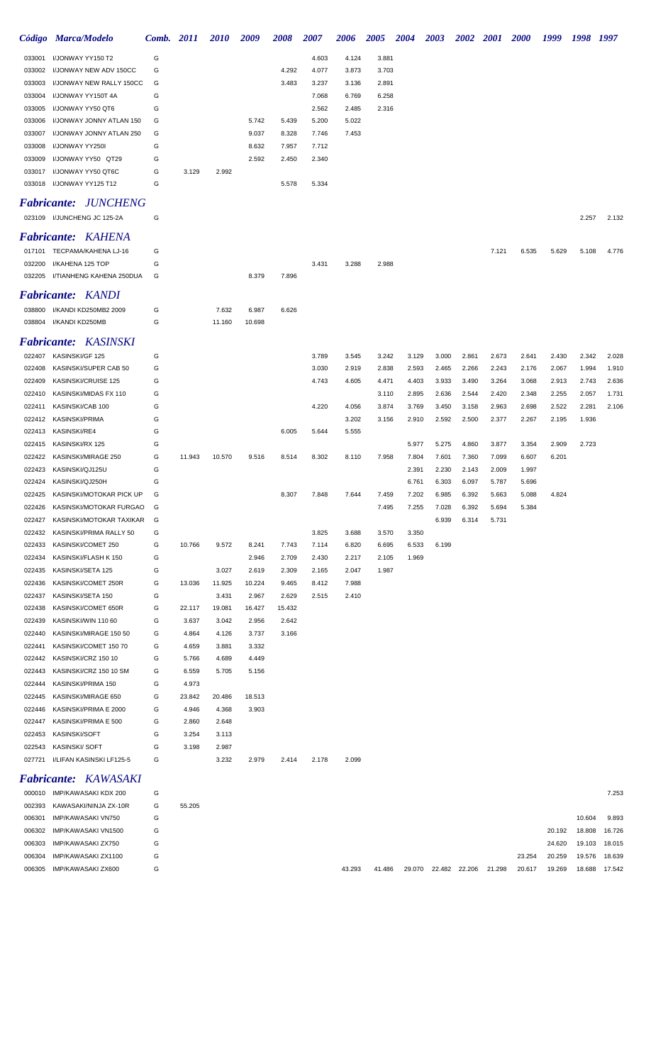|                  | Código Marca/Modelo                          | Comb. 2011 |                | <i>2010</i>    | 2009           | <b>2008</b>    | <b>2007</b>    | 2006           | <b>2005</b>    | <b>2004</b>    | <b>2003</b>          |                |                | 2002 2001 2000 | 1999             | 1998             | 1997             |
|------------------|----------------------------------------------|------------|----------------|----------------|----------------|----------------|----------------|----------------|----------------|----------------|----------------------|----------------|----------------|----------------|------------------|------------------|------------------|
| 033001           | I/JONWAY YY150 T2                            | G          |                |                |                |                | 4.603          | 4.124          | 3.881          |                |                      |                |                |                |                  |                  |                  |
| 033002           | I/JONWAY NEW ADV 150CC                       | G          |                |                |                | 4.292          | 4.077          | 3.873          | 3.703          |                |                      |                |                |                |                  |                  |                  |
| 033003           | I/JONWAY NEW RALLY 150CC                     | G          |                |                |                | 3.483          | 3.237          | 3.136          | 2.891          |                |                      |                |                |                |                  |                  |                  |
| 033004           | I/JONWAY YY150T 4A                           | G          |                |                |                |                | 7.068          | 6.769          | 6.258          |                |                      |                |                |                |                  |                  |                  |
| 033005           | I/JONWAY YY50 QT6                            | G          |                |                |                |                | 2.562          | 2.485          | 2.316          |                |                      |                |                |                |                  |                  |                  |
| 033006           | I/JONWAY JONNY ATLAN 150                     | G          |                |                | 5.742          | 5.439          | 5.200          | 5.022          |                |                |                      |                |                |                |                  |                  |                  |
| 033007<br>033008 | I/JONWAY JONNY ATLAN 250<br>I/JONWAY YY250I  | G<br>G     |                |                | 9.037<br>8.632 | 8.328<br>7.957 | 7.746<br>7.712 | 7.453          |                |                |                      |                |                |                |                  |                  |                  |
| 033009           | I/JONWAY YY50 QT29                           | G          |                |                | 2.592          | 2.450          | 2.340          |                |                |                |                      |                |                |                |                  |                  |                  |
| 033017           | I/JONWAY YY50 QT6C                           | G          | 3.129          | 2.992          |                |                |                |                |                |                |                      |                |                |                |                  |                  |                  |
|                  | 033018 I/JONWAY YY125 T12                    | G          |                |                |                | 5.578          | 5.334          |                |                |                |                      |                |                |                |                  |                  |                  |
|                  |                                              |            |                |                |                |                |                |                |                |                |                      |                |                |                |                  |                  |                  |
|                  | <b>Fabricante: JUNCHENG</b>                  |            |                |                |                |                |                |                |                |                |                      |                |                |                |                  |                  |                  |
|                  | 023109 I/JUNCHENG JC 125-2A                  | G          |                |                |                |                |                |                |                |                |                      |                |                |                |                  | 2.257            | 2.132            |
|                  | <b>Fabricante: KAHENA</b>                    |            |                |                |                |                |                |                |                |                |                      |                |                |                |                  |                  |                  |
|                  | 017101 TECPAMA/KAHENA LJ-16                  | G          |                |                |                |                |                |                |                |                |                      |                | 7.121          | 6.535          | 5.629            | 5.108            | 4.776            |
| 032200           | I/KAHENA 125 TOP                             | G          |                |                |                |                | 3.431          | 3.288          | 2.988          |                |                      |                |                |                |                  |                  |                  |
| 032205           | I/TIANHENG KAHENA 250DUA                     | G          |                |                | 8.379          | 7.896          |                |                |                |                |                      |                |                |                |                  |                  |                  |
|                  | <b>Fabricante: KANDI</b>                     |            |                |                |                |                |                |                |                |                |                      |                |                |                |                  |                  |                  |
|                  | 038800 I/KANDI KD250MB2 2009                 | G          |                | 7.632          | 6.987          | 6.626          |                |                |                |                |                      |                |                |                |                  |                  |                  |
|                  | 038804 I/KANDI KD250MB                       | G          |                | 11.160         | 10.698         |                |                |                |                |                |                      |                |                |                |                  |                  |                  |
|                  |                                              |            |                |                |                |                |                |                |                |                |                      |                |                |                |                  |                  |                  |
|                  | Fabricante: KASINSKI                         |            |                |                |                |                |                |                |                |                |                      |                |                |                |                  |                  |                  |
|                  | 022407 KASINSKI/GF 125                       | G          |                |                |                |                | 3.789          | 3.545          | 3.242          | 3.129          | 3.000                | 2.861          | 2.673          | 2.641          | 2.430            | 2.342            | 2.028            |
| 022408<br>022409 | KASINSKI/SUPER CAB 50<br>KASINSKI/CRUISE 125 | G<br>G     |                |                |                |                | 3.030<br>4.743 | 2.919<br>4.605 | 2.838<br>4.471 | 2.593<br>4.403 | 2.465<br>3.933       | 2.266<br>3.490 | 2.243<br>3.264 | 2.176<br>3.068 | 2.067<br>2.913   | 1.994<br>2.743   | 1.910<br>2.636   |
| 022410           | KASINSKI/MIDAS FX 110                        | G          |                |                |                |                |                |                | 3.110          | 2.895          | 2.636                | 2.544          | 2.420          | 2.348          | 2.255            | 2.057            | 1.731            |
| 022411           | KASINSKI/CAB 100                             | G          |                |                |                |                | 4.220          | 4.056          | 3.874          | 3.769          | 3.450                | 3.158          | 2.963          | 2.698          | 2.522            | 2.281            | 2.106            |
| 022412           | <b>KASINSKI/PRIMA</b>                        | G          |                |                |                |                |                | 3.202          | 3.156          | 2.910          | 2.592                | 2.500          | 2.377          | 2.267          | 2.195            | 1.936            |                  |
| 022413           | KASINSKI/RE4                                 | G          |                |                |                | 6.005          | 5.644          | 5.555          |                |                |                      |                |                |                |                  |                  |                  |
| 022415           | KASINSKI/RX 125                              | G          |                |                |                |                |                |                |                | 5.977          | 5.275                | 4.860          | 3.877          | 3.354          | 2.909            | 2.723            |                  |
| 022422           | KASINSKI/MIRAGE 250                          | G          | 11.943         | 10.570         | 9.516          | 8.514          | 8.302          | 8.110          | 7.958          | 7.804          | 7.601                | 7.360          | 7.099          | 6.607          | 6.201            |                  |                  |
| 022423           | KASINSKI/QJ125U                              | G          |                |                |                |                |                |                |                | 2.391          | 2.230                | 2.143          | 2.009          | 1.997          |                  |                  |                  |
| 022424           | KASINSKI/QJ250H                              | G          |                |                |                |                |                |                |                | 6.761          | 6.303                | 6.097          | 5.787          | 5.696          |                  |                  |                  |
|                  | 022425 KASINSKI/MOTOKAR PICK UP              | G          |                |                |                | 8.307          | 7.848          | 7.644          | 7.459          | 7.202          | 6.985                | 6.392          | 5.663          | 5.088          | 4.824            |                  |                  |
|                  | 022426 KASINSKI/MOTOKAR FURGAO               | G          |                |                |                |                |                |                | 7.495          | 7.255          | 7.028                | 6.392          | 5.694          | 5.384          |                  |                  |                  |
|                  | 022427 KASINSKI/MOTOKAR TAXIKAR              | G          |                |                |                |                |                |                |                |                | 6.939                | 6.314          | 5.731          |                |                  |                  |                  |
| 022432           | KASINSKI/PRIMA RALLY 50                      | G          |                |                |                |                | 3.825          | 3.688          | 3.570          | 3.350          |                      |                |                |                |                  |                  |                  |
| 022433           | KASINSKI/COMET 250                           | G          | 10.766         | 9.572          | 8.241          | 7.743          | 7.114          | 6.820          | 6.695          | 6.533          | 6.199                |                |                |                |                  |                  |                  |
| 022434<br>022435 | KASINSKI/FLASH K 150<br>KASINSKI/SETA 125    | G<br>G     |                | 3.027          | 2.946<br>2.619 | 2.709<br>2.309 | 2.430<br>2.165 | 2.217<br>2.047 | 2.105<br>1.987 | 1.969          |                      |                |                |                |                  |                  |                  |
| 022436           | KASINSKI/COMET 250R                          | G          | 13.036         | 11.925         | 10.224         | 9.465          | 8.412          | 7.988          |                |                |                      |                |                |                |                  |                  |                  |
| 022437           | KASINSKI/SETA 150                            | G          |                | 3.431          | 2.967          | 2.629          | 2.515          | 2.410          |                |                |                      |                |                |                |                  |                  |                  |
| 022438           | KASINSKI/COMET 650R                          | G          | 22.117         | 19.081         | 16.427         | 15.432         |                |                |                |                |                      |                |                |                |                  |                  |                  |
| 022439           | KASINSKI/WIN 110 60                          | G          | 3.637          | 3.042          | 2.956          | 2.642          |                |                |                |                |                      |                |                |                |                  |                  |                  |
| 022440           | KASINSKI/MIRAGE 150 50                       | G          | 4.864          | 4.126          | 3.737          | 3.166          |                |                |                |                |                      |                |                |                |                  |                  |                  |
| 022441           | KASINSKI/COMET 150 70                        | G          | 4.659          | 3.881          | 3.332          |                |                |                |                |                |                      |                |                |                |                  |                  |                  |
| 022442           | KASINSKI/CRZ 150 10                          | G          | 5.766          | 4.689          | 4.449          |                |                |                |                |                |                      |                |                |                |                  |                  |                  |
| 022443           | KASINSKI/CRZ 150 10 SM                       | G          | 6.559          | 5.705          | 5.156          |                |                |                |                |                |                      |                |                |                |                  |                  |                  |
| 022444           | KASINSKI/PRIMA 150                           | G          | 4.973          |                |                |                |                |                |                |                |                      |                |                |                |                  |                  |                  |
| 022445           | KASINSKI/MIRAGE 650                          | G          | 23.842         | 20.486         | 18.513         |                |                |                |                |                |                      |                |                |                |                  |                  |                  |
| 022446           | KASINSKI/PRIMA E 2000                        | G          | 4.946          | 4.368          | 3.903          |                |                |                |                |                |                      |                |                |                |                  |                  |                  |
| 022447           | KASINSKI/PRIMA E 500                         | G          | 2.860          | 2.648          |                |                |                |                |                |                |                      |                |                |                |                  |                  |                  |
| 022453           | KASINSKI/SOFT<br>022543 KASINSKI/SOFT        | G<br>G     | 3.254<br>3.198 | 3.113<br>2.987 |                |                |                |                |                |                |                      |                |                |                |                  |                  |                  |
|                  | 027721 I/LIFAN KASINSKI LF125-5              | G          |                | 3.232          | 2.979          | 2.414          | 2.178          | 2.099          |                |                |                      |                |                |                |                  |                  |                  |
|                  |                                              |            |                |                |                |                |                |                |                |                |                      |                |                |                |                  |                  |                  |
|                  | Fabricante: KAWASAKI                         |            |                |                |                |                |                |                |                |                |                      |                |                |                |                  |                  |                  |
|                  | 000010 IMP/KAWASAKI KDX 200                  | G          |                |                |                |                |                |                |                |                |                      |                |                |                |                  |                  | 7.253            |
|                  | 002393 KAWASAKI/NINJA ZX-10R                 | G          | 55.205         |                |                |                |                |                |                |                |                      |                |                |                |                  |                  |                  |
| 006301           | IMP/KAWASAKI VN750                           | G          |                |                |                |                |                |                |                |                |                      |                |                |                |                  | 10.604           | 9.893            |
| 006302<br>006303 | IMP/KAWASAKI VN1500<br>IMP/KAWASAKI ZX750    | G<br>G     |                |                |                |                |                |                |                |                |                      |                |                |                | 20.192<br>24.620 | 18.808<br>19.103 | 16.726<br>18.015 |
| 006304           | IMP/KAWASAKI ZX1100                          | G          |                |                |                |                |                |                |                |                |                      |                |                | 23.254         | 20.259           | 19.576           | 18.639           |
|                  | 006305 IMP/KAWASAKI ZX600                    | G          |                |                |                |                |                | 43.293         | 41.486         |                | 29.070 22.482 22.206 |                | 21.298         | 20.617         | 19.269           | 18.688           | 17.542           |
|                  |                                              |            |                |                |                |                |                |                |                |                |                      |                |                |                |                  |                  |                  |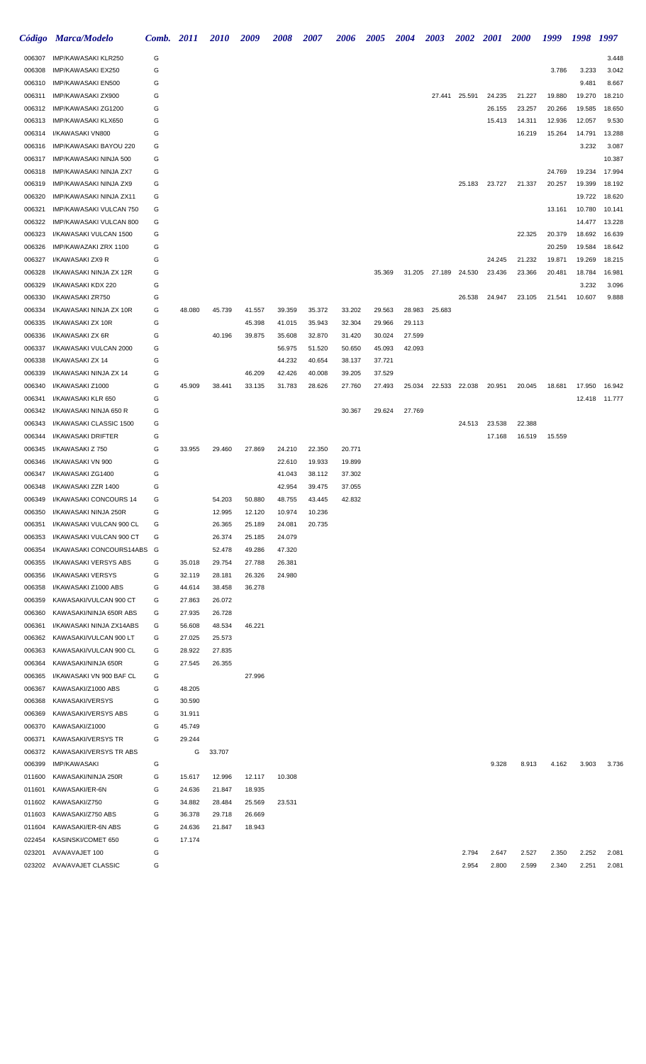|                  | Código Marca/Modelo                              | <b>Comb.</b> 2011 |                  | <b>2010</b>      | 2009             | 2008             | 2007             | <b>2006</b>      | <b>2005</b>      | <b>2004</b> | <b>2003</b>   | <b>2002</b>   | <b>2001</b> | <b>2000</b> | 1999   | 1998   | 1997            |
|------------------|--------------------------------------------------|-------------------|------------------|------------------|------------------|------------------|------------------|------------------|------------------|-------------|---------------|---------------|-------------|-------------|--------|--------|-----------------|
| 006307           | IMP/KAWASAKI KLR250                              | G                 |                  |                  |                  |                  |                  |                  |                  |             |               |               |             |             |        |        | 3.448           |
| 006308           | IMP/KAWASAKI EX250                               | G                 |                  |                  |                  |                  |                  |                  |                  |             |               |               |             |             | 3.786  | 3.233  | 3.042           |
| 006310           | IMP/KAWASAKI EN500                               | G                 |                  |                  |                  |                  |                  |                  |                  |             |               |               |             |             |        | 9.481  | 8.667           |
| 006311           | IMP/KAWASAKI ZX900                               | G                 |                  |                  |                  |                  |                  |                  |                  |             | 27.441        | 25.591        | 24.235      | 21.227      | 19.880 | 19.270 | 18.210          |
| 006312           | IMP/KAWASAKI ZG1200                              | G                 |                  |                  |                  |                  |                  |                  |                  |             |               |               | 26.155      | 23.257      | 20.266 | 19.585 | 18.650          |
| 006313           | IMP/KAWASAKI KLX650                              | G                 |                  |                  |                  |                  |                  |                  |                  |             |               |               | 15.413      | 14.311      | 12.936 | 12.057 | 9.530           |
| 006314           | I/KAWASAKI VN800                                 | G                 |                  |                  |                  |                  |                  |                  |                  |             |               |               |             | 16.219      | 15.264 | 14.791 | 13.288          |
| 006316           | IMP/KAWASAKI BAYOU 220                           | G                 |                  |                  |                  |                  |                  |                  |                  |             |               |               |             |             |        | 3.232  | 3.087<br>10.387 |
| 006317<br>006318 | IMP/KAWASAKI NINJA 500<br>IMP/KAWASAKI NINJA ZX7 | G<br>G            |                  |                  |                  |                  |                  |                  |                  |             |               |               |             |             | 24.769 | 19.234 | 17.994          |
| 006319           | IMP/KAWASAKI NINJA ZX9                           | G                 |                  |                  |                  |                  |                  |                  |                  |             |               | 25.183        | 23.727      | 21.337      | 20.257 | 19.399 | 18.192          |
| 006320           | IMP/KAWASAKI NINJA ZX11                          | G                 |                  |                  |                  |                  |                  |                  |                  |             |               |               |             |             |        | 19.722 | 18.620          |
| 006321           | IMP/KAWASAKI VULCAN 750                          | G                 |                  |                  |                  |                  |                  |                  |                  |             |               |               |             |             | 13.161 | 10.780 | 10.141          |
| 006322           | IMP/KAWASAKI VULCAN 800                          | G                 |                  |                  |                  |                  |                  |                  |                  |             |               |               |             |             |        | 14.477 | 13.228          |
| 006323           | I/KAWASAKI VULCAN 1500                           | G                 |                  |                  |                  |                  |                  |                  |                  |             |               |               |             | 22.325      | 20.379 | 18.692 | 16.639          |
| 006326           | IMP/KAWAZAKI ZRX 1100                            | G                 |                  |                  |                  |                  |                  |                  |                  |             |               |               |             |             | 20.259 | 19.584 | 18.642          |
| 006327           | I/KAWASAKI ZX9 R                                 | G                 |                  |                  |                  |                  |                  |                  |                  |             |               |               | 24.245      | 21.232      | 19.871 | 19.269 | 18.215          |
| 006328           | I/KAWASAKI NINJA ZX 12R                          | G                 |                  |                  |                  |                  |                  |                  | 35.369           |             | 31.205 27.189 | 24.530        | 23.436      | 23.366      | 20.481 | 18.784 | 16.981          |
| 006329           | I/KAWASAKI KDX 220                               | G                 |                  |                  |                  |                  |                  |                  |                  |             |               |               |             |             |        | 3.232  | 3.096           |
| 006330           | I/KAWASAKI ZR750                                 | G                 |                  |                  |                  |                  |                  |                  |                  |             |               | 26.538        | 24.947      | 23.105      | 21.541 | 10.607 | 9.888           |
| 006334           | I/KAWASAKI NINJA ZX 10R                          | G                 | 48.080           | 45.739           | 41.557           | 39.359           | 35.372           | 33.202           | 29.563           | 28.983      | 25.683        |               |             |             |        |        |                 |
| 006335           | I/KAWASAKI ZX 10R                                | G                 |                  |                  | 45.398           | 41.015           | 35.943           | 32.304           | 29.966           | 29.113      |               |               |             |             |        |        |                 |
| 006336           | I/KAWASAKI ZX 6R                                 | G                 |                  | 40.196           | 39.875           | 35.608           | 32.870           | 31.420           | 30.024           | 27.599      |               |               |             |             |        |        |                 |
| 006337           | I/KAWASAKI VULCAN 2000                           | G                 |                  |                  |                  | 56.975           | 51.520           | 50.650           | 45.093           | 42.093      |               |               |             |             |        |        |                 |
| 006338           | I/KAWASAKI ZX 14<br>I/KAWASAKI NINJA ZX 14       | G<br>G            |                  |                  | 46.209           | 44.232<br>42.426 | 40.654<br>40.008 | 38.137<br>39.205 | 37.721<br>37.529 |             |               |               |             |             |        |        |                 |
| 006339<br>006340 | I/KAWASAKI Z1000                                 | G                 | 45.909           | 38.441           | 33.135           | 31.783           | 28.626           | 27.760           | 27.493           | 25.034      |               | 22.533 22.038 | 20.951      | 20.045      | 18.681 | 17.950 | 16.942          |
| 006341           | I/KAWASAKI KLR 650                               | G                 |                  |                  |                  |                  |                  |                  |                  |             |               |               |             |             |        | 12.418 | 11.777          |
| 006342           | I/KAWASAKI NINJA 650 R                           | G                 |                  |                  |                  |                  |                  | 30.367           | 29.624           | 27.769      |               |               |             |             |        |        |                 |
| 006343           | I/KAWASAKI CLASSIC 1500                          | G                 |                  |                  |                  |                  |                  |                  |                  |             |               | 24.513        | 23.538      | 22.388      |        |        |                 |
| 006344           | I/KAWASAKI DRIFTER                               | G                 |                  |                  |                  |                  |                  |                  |                  |             |               |               | 17.168      | 16.519      | 15.559 |        |                 |
| 006345           | I/KAWASAKI Z 750                                 | G                 | 33.955           | 29.460           | 27.869           | 24.210           | 22.350           | 20.771           |                  |             |               |               |             |             |        |        |                 |
| 006346           | I/KAWASAKI VN 900                                | G                 |                  |                  |                  | 22.610           | 19.933           | 19.899           |                  |             |               |               |             |             |        |        |                 |
| 006347           | I/KAWASAKI ZG1400                                | G                 |                  |                  |                  | 41.043           | 38.112           | 37.302           |                  |             |               |               |             |             |        |        |                 |
| 006348           | I/KAWASAKI ZZR 1400                              | G                 |                  |                  |                  | 42.954           | 39.475           | 37.055           |                  |             |               |               |             |             |        |        |                 |
| 006349           | I/KAWASAKI CONCOURS 14                           | G                 |                  | 54.203           | 50.880           | 48.755           | 43.445           | 42.832           |                  |             |               |               |             |             |        |        |                 |
| 006350           | I/KAWASAKI NINJA 250R                            | G                 |                  | 12.995           | 12.120           | 10.974           | 10.236           |                  |                  |             |               |               |             |             |        |        |                 |
| 006351           | I/KAWASAKI VULCAN 900 CL                         | G                 |                  | 26.365           | 25.189           | 24.081           | 20.735           |                  |                  |             |               |               |             |             |        |        |                 |
| 006353           | I/KAWASAKI VULCAN 900 CT                         | G                 |                  | 26.374           | 25.185           | 24.079           |                  |                  |                  |             |               |               |             |             |        |        |                 |
| 006354           | I/KAWASAKI CONCOURS14ABS                         | G                 |                  | 52.478           | 49.286           | 47.320           |                  |                  |                  |             |               |               |             |             |        |        |                 |
| 006355           | I/KAWASAKI VERSYS ABS<br>I/KAWASAKI VERSYS       | G                 | 35.018           | 29.754           | 27.788<br>26.326 | 26.381           |                  |                  |                  |             |               |               |             |             |        |        |                 |
| 006356<br>006358 | I/KAWASAKI Z1000 ABS                             | G<br>G            | 32.119<br>44.614 | 28.181<br>38.458 | 36.278           | 24.980           |                  |                  |                  |             |               |               |             |             |        |        |                 |
| 006359           | KAWASAKI/VULCAN 900 CT                           | G                 | 27.863           | 26.072           |                  |                  |                  |                  |                  |             |               |               |             |             |        |        |                 |
| 006360           | KAWASAKI/NINJA 650R ABS                          | G                 | 27.935           | 26.728           |                  |                  |                  |                  |                  |             |               |               |             |             |        |        |                 |
| 006361           | I/KAWASAKI NINJA ZX14ABS                         | G                 | 56.608           | 48.534           | 46.221           |                  |                  |                  |                  |             |               |               |             |             |        |        |                 |
| 006362           | KAWASAKI/VULCAN 900 LT                           | G                 | 27.025           | 25.573           |                  |                  |                  |                  |                  |             |               |               |             |             |        |        |                 |
| 006363           | KAWASAKI/VULCAN 900 CL                           | G                 | 28.922           | 27.835           |                  |                  |                  |                  |                  |             |               |               |             |             |        |        |                 |
| 006364           | KAWASAKI/NINJA 650R                              | G                 | 27.545           | 26.355           |                  |                  |                  |                  |                  |             |               |               |             |             |        |        |                 |
| 006365           | I/KAWASAKI VN 900 BAF CL                         | G                 |                  |                  | 27.996           |                  |                  |                  |                  |             |               |               |             |             |        |        |                 |
| 006367           | KAWASAKI/Z1000 ABS                               | G                 | 48.205           |                  |                  |                  |                  |                  |                  |             |               |               |             |             |        |        |                 |
| 006368           | KAWASAKI/VERSYS                                  | G                 | 30.590           |                  |                  |                  |                  |                  |                  |             |               |               |             |             |        |        |                 |
| 006369           | KAWASAKI/VERSYS ABS                              | G                 | 31.911           |                  |                  |                  |                  |                  |                  |             |               |               |             |             |        |        |                 |
| 006370           | KAWASAKI/Z1000                                   | G                 | 45.749           |                  |                  |                  |                  |                  |                  |             |               |               |             |             |        |        |                 |
| 006371           | <b>KAWASAKI/VERSYS TR</b>                        | G                 | 29.244           |                  |                  |                  |                  |                  |                  |             |               |               |             |             |        |        |                 |
| 006372           | KAWASAKI/VERSYS TR ABS                           |                   | G                | 33.707           |                  |                  |                  |                  |                  |             |               |               |             |             |        |        |                 |
| 006399<br>011600 | <b>IMP/KAWASAKI</b><br>KAWASAKI/NINJA 250R       | G                 |                  |                  |                  |                  |                  |                  |                  |             |               |               | 9.328       | 8.913       | 4.162  | 3.903  | 3.736           |
| 011601           | KAWASAKI/ER-6N                                   | G<br>G            | 15.617<br>24.636 | 12.996<br>21.847 | 12.117<br>18.935 | 10.308           |                  |                  |                  |             |               |               |             |             |        |        |                 |
| 011602           | KAWASAKI/Z750                                    | G                 | 34.882           | 28.484           | 25.569           | 23.531           |                  |                  |                  |             |               |               |             |             |        |        |                 |
| 011603           | KAWASAKI/Z750 ABS                                | G                 | 36.378           | 29.718           | 26.669           |                  |                  |                  |                  |             |               |               |             |             |        |        |                 |
| 011604           | KAWASAKI/ER-6N ABS                               | G                 | 24.636           | 21.847           | 18.943           |                  |                  |                  |                  |             |               |               |             |             |        |        |                 |
| 022454           | KASINSKI/COMET 650                               | G                 | 17.174           |                  |                  |                  |                  |                  |                  |             |               |               |             |             |        |        |                 |
| 023201           | AVA/AVAJET 100                                   | G                 |                  |                  |                  |                  |                  |                  |                  |             |               | 2.794         | 2.647       | 2.527       | 2.350  | 2.252  | 2.081           |
| 023202           | AVA/AVAJET CLASSIC                               | G                 |                  |                  |                  |                  |                  |                  |                  |             |               | 2.954         | 2.800       | 2.599       | 2.340  | 2.251  | 2.081           |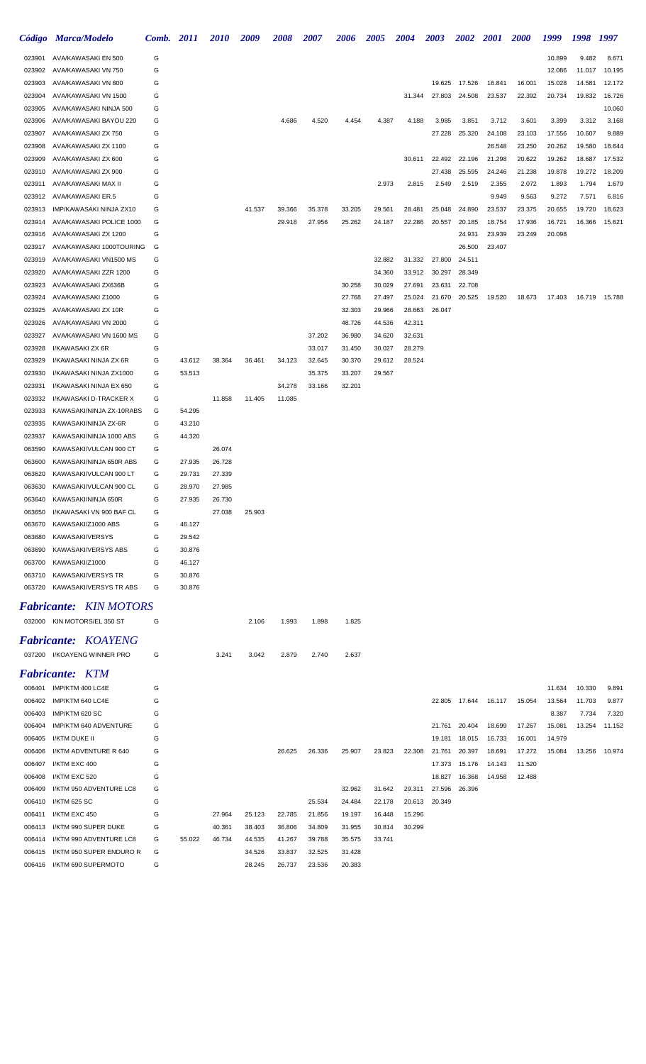| Código           | <b>Marca/Modelo</b>                           | Comb.  | <b>2011</b>      | 2010             | 2009   | 2008   | 2007   | 2006             | 2005             | 2004             | 2003             | 2002             | <b>2001</b>      | <i>2000</i>      | 1999             | 1998            | 1997           |
|------------------|-----------------------------------------------|--------|------------------|------------------|--------|--------|--------|------------------|------------------|------------------|------------------|------------------|------------------|------------------|------------------|-----------------|----------------|
| 023901           | AVA/KAWASAKI EN 500                           | G      |                  |                  |        |        |        |                  |                  |                  |                  |                  |                  |                  | 10.899           | 9.482           | 8.671          |
| 023902           | AVA/KAWASAKI VN 750                           | G      |                  |                  |        |        |        |                  |                  |                  |                  |                  |                  |                  | 12.086           | 11.017          | 10.195         |
| 023903           | AVA/KAWASAKI VN 800                           | G      |                  |                  |        |        |        |                  |                  |                  | 19.625           | 17.526           | 16.841           | 16.001           | 15.028           | 14.581          | 12.172         |
| 023904           | AVA/KAWASAKI VN 1500                          | G      |                  |                  |        |        |        |                  |                  | 31.344           | 27.803           | 24.508           | 23.537           | 22.392           | 20.734           | 19.832          | 16.726         |
| 023905           | AVA/KAWASAKI NINJA 500                        | G      |                  |                  |        |        |        |                  |                  |                  |                  |                  |                  |                  |                  |                 | 10.060         |
| 023906<br>023907 | AVA/KAWASAKI BAYOU 220<br>AVA/KAWASAKI ZX 750 | G<br>G |                  |                  |        | 4.686  | 4.520  | 4.454            | 4.387            | 4.188            | 3.985<br>27.228  | 3.851<br>25.320  | 3.712<br>24.108  | 3.601<br>23.103  | 3.399<br>17.556  | 3.312<br>10.607 | 3.168<br>9.889 |
| 023908           | AVA/KAWASAKI ZX 1100                          | G      |                  |                  |        |        |        |                  |                  |                  |                  |                  | 26.548           | 23.250           | 20.262           | 19.580          | 18.644         |
| 023909           | AVA/KAWASAKI ZX 600                           | G      |                  |                  |        |        |        |                  |                  | 30.611           | 22.492           | 22.196           | 21.298           | 20.622           | 19.262           | 18.687          | 17.532         |
| 023910           | AVA/KAWASAKI ZX 900                           | G      |                  |                  |        |        |        |                  |                  |                  | 27.438           | 25.595           | 24.246           | 21.238           | 19.878           | 19.272          | 18.209         |
| 023911           | AVA/KAWASAKI MAX II                           | G      |                  |                  |        |        |        |                  | 2.973            | 2.815            | 2.549            | 2.519            | 2.355            | 2.072            | 1.893            | 1.794           | 1.679          |
| 023912           | AVA/KAWASAKI ER.5                             | G      |                  |                  |        |        |        |                  |                  |                  |                  |                  | 9.949            | 9.563            | 9.272            | 7.571           | 6.816          |
| 023913           | IMP/KAWASAKI NINJA ZX10                       | G      |                  |                  | 41.537 | 39.366 | 35.378 | 33.205           | 29.561           | 28.481           | 25.048           | 24.890           | 23.537           | 23.375           | 20.655           | 19.720          | 18.623         |
| 023914           | AVA/KAWASAKI POLICE 1000                      | G      |                  |                  |        | 29.918 | 27.956 | 25.262           | 24.187           | 22.286           | 20.557           | 20.185           | 18.754           | 17.936           | 16.721           | 16.366          | 15.621         |
| 023916           | AVA/KAWASAKI ZX 1200                          | G      |                  |                  |        |        |        |                  |                  |                  |                  | 24.931           | 23.939           | 23.249           | 20.098           |                 |                |
| 023917           | AVA/KAWASAKI 1000TOURING                      | G      |                  |                  |        |        |        |                  |                  |                  |                  | 26.500           | 23.407           |                  |                  |                 |                |
| 023919           | AVA/KAWASAKI VN1500 MS                        | G      |                  |                  |        |        |        |                  | 32.882           | 31.332           | 27.800           | 24.511           |                  |                  |                  |                 |                |
| 023920           | AVA/KAWASAKI ZZR 1200                         | G      |                  |                  |        |        |        |                  | 34.360           | 33.912           | 30.297           | 28.349           |                  |                  |                  |                 |                |
| 023923           | AVA/KAWASAKI ZX636B                           | G      |                  |                  |        |        |        | 30.258           | 30.029           | 27.691           | 23.631           | 22.708           |                  |                  |                  |                 |                |
| 023924<br>023925 | AVA/KAWASAKI Z1000<br>AVA/KAWASAKI ZX 10R     | G<br>G |                  |                  |        |        |        | 27.768           | 27.497<br>29.966 | 25.024<br>28.663 | 21.670<br>26.047 | 20.525           | 19.520           | 18.673           | 17.403           | 16.719          | 15.788         |
| 023926           | AVA/KAWASAKI VN 2000                          | G      |                  |                  |        |        |        | 32.303<br>48.726 | 44.536           | 42.311           |                  |                  |                  |                  |                  |                 |                |
| 023927           | AVA/KAWASAKI VN 1600 MS                       | G      |                  |                  |        |        | 37.202 | 36.980           | 34.620           | 32.631           |                  |                  |                  |                  |                  |                 |                |
| 023928           | I/KAWASAKI ZX 6R                              | G      |                  |                  |        |        | 33.017 | 31.450           | 30.027           | 28.279           |                  |                  |                  |                  |                  |                 |                |
| 023929           | I/KAWASAKI NINJA ZX 6R                        | G      | 43.612           | 38.364           | 36.461 | 34.123 | 32.645 | 30.370           | 29.612           | 28.524           |                  |                  |                  |                  |                  |                 |                |
| 023930           | I/KAWASAKI NINJA ZX1000                       | G      | 53.513           |                  |        |        | 35.375 | 33.207           | 29.567           |                  |                  |                  |                  |                  |                  |                 |                |
| 023931           | I/KAWASAKI NINJA EX 650                       | G      |                  |                  |        | 34.278 | 33.166 | 32.201           |                  |                  |                  |                  |                  |                  |                  |                 |                |
| 023932           | I/KAWASAKI D-TRACKER X                        | G      |                  | 11.858           | 11.405 | 11.085 |        |                  |                  |                  |                  |                  |                  |                  |                  |                 |                |
| 023933           | KAWASAKI/NINJA ZX-10RABS                      | G      | 54.295           |                  |        |        |        |                  |                  |                  |                  |                  |                  |                  |                  |                 |                |
| 023935           | KAWASAKI/NINJA ZX-6R                          | G      | 43.210           |                  |        |        |        |                  |                  |                  |                  |                  |                  |                  |                  |                 |                |
| 023937           | KAWASAKI/NINJA 1000 ABS                       | G      | 44.320           |                  |        |        |        |                  |                  |                  |                  |                  |                  |                  |                  |                 |                |
| 063590           | KAWASAKI/VULCAN 900 CT                        | G      |                  | 26.074           |        |        |        |                  |                  |                  |                  |                  |                  |                  |                  |                 |                |
| 063600           | KAWASAKI/NINJA 650R ABS                       | G      | 27.935           | 26.728           |        |        |        |                  |                  |                  |                  |                  |                  |                  |                  |                 |                |
| 063620           | KAWASAKI/VULCAN 900 LT                        | G      | 29.731           | 27.339           |        |        |        |                  |                  |                  |                  |                  |                  |                  |                  |                 |                |
| 063630<br>063640 | KAWASAKI/VULCAN 900 CL<br>KAWASAKI/NINJA 650R | G<br>G | 28.970<br>27.935 | 27.985<br>26.730 |        |        |        |                  |                  |                  |                  |                  |                  |                  |                  |                 |                |
| 063650           | I/KAWASAKI VN 900 BAF CL                      | G      |                  | 27.038           | 25.903 |        |        |                  |                  |                  |                  |                  |                  |                  |                  |                 |                |
| 063670           | KAWASAKI/Z1000 ABS                            | G      | 46.127           |                  |        |        |        |                  |                  |                  |                  |                  |                  |                  |                  |                 |                |
| 063680           | KAWASAKI/VERSYS                               | G      | 29.542           |                  |        |        |        |                  |                  |                  |                  |                  |                  |                  |                  |                 |                |
| 063690           | KAWASAKI/VERSYS ABS                           | G      | 30.876           |                  |        |        |        |                  |                  |                  |                  |                  |                  |                  |                  |                 |                |
| 063700           | KAWASAKI/Z1000                                | G      | 46.127           |                  |        |        |        |                  |                  |                  |                  |                  |                  |                  |                  |                 |                |
| 063710           | KAWASAKI/VERSYS TR                            | G      | 30.876           |                  |        |        |        |                  |                  |                  |                  |                  |                  |                  |                  |                 |                |
| 063720           | KAWASAKI/VERSYS TR ABS                        | G      | 30.876           |                  |        |        |        |                  |                  |                  |                  |                  |                  |                  |                  |                 |                |
|                  | <b>Fabricante: KIN MOTORS</b>                 |        |                  |                  |        |        |        |                  |                  |                  |                  |                  |                  |                  |                  |                 |                |
|                  | 032000 KIN MOTORS/EL 350 ST                   | G      |                  |                  | 2.106  | 1.993  | 1.898  | 1.825            |                  |                  |                  |                  |                  |                  |                  |                 |                |
|                  |                                               |        |                  |                  |        |        |        |                  |                  |                  |                  |                  |                  |                  |                  |                 |                |
|                  | <b>Fabricante: KOAYENG</b>                    |        |                  |                  |        |        |        |                  |                  |                  |                  |                  |                  |                  |                  |                 |                |
|                  | 037200 I/KOAYENG WINNER PRO                   | G      |                  | 3.241            | 3.042  | 2.879  | 2.740  | 2.637            |                  |                  |                  |                  |                  |                  |                  |                 |                |
|                  | <b>Fabricante: KTM</b>                        |        |                  |                  |        |        |        |                  |                  |                  |                  |                  |                  |                  |                  |                 |                |
|                  | 006401 IMP/KTM 400 LC4E                       | G      |                  |                  |        |        |        |                  |                  |                  |                  |                  |                  |                  | 11.634           | 10.330          | 9.891          |
| 006402           | IMP/KTM 640 LC4E                              | G      |                  |                  |        |        |        |                  |                  |                  |                  | 22.805 17.644    | 16.117           | 15.054           | 13.564           | 11.703          | 9.877          |
| 006403           | IMP/KTM 620 SC                                | G      |                  |                  |        |        |        |                  |                  |                  |                  |                  |                  |                  | 8.387            | 7.734           | 7.320          |
| 006404<br>006405 | IMP/KTM 640 ADVENTURE<br>I/KTM DUKE II        | G<br>G |                  |                  |        |        |        |                  |                  |                  | 21.761<br>19.181 | 20.404<br>18.015 | 18.699<br>16.733 | 17.267<br>16.001 | 15.081<br>14.979 | 13.254          | 11.152         |
| 006406           | I/KTM ADVENTURE R 640                         | G      |                  |                  |        | 26.625 | 26.336 | 25.907           | 23.823           | 22.308           | 21.761           | 20.397           | 18.691           | 17.272           | 15.084           | 13.256          | 10.974         |
| 006407           | I/KTM EXC 400                                 | G      |                  |                  |        |        |        |                  |                  |                  | 17.373           | 15.176           | 14.143           | 11.520           |                  |                 |                |
| 006408           | I/KTM EXC 520                                 | G      |                  |                  |        |        |        |                  |                  |                  | 18.827           | 16.368           | 14.958           | 12.488           |                  |                 |                |
| 006409           | I/KTM 950 ADVENTURE LC8                       | G      |                  |                  |        |        |        | 32.962           | 31.642           | 29.311           | 27.596           | 26.396           |                  |                  |                  |                 |                |
| 006410           | I/KTM 625 SC                                  | G      |                  |                  |        |        | 25.534 | 24.484           | 22.178           | 20.613           | 20.349           |                  |                  |                  |                  |                 |                |
| 006411           | I/KTM EXC 450                                 | G      |                  | 27.964           | 25.123 | 22.785 | 21.856 | 19.197           | 16.448           | 15.296           |                  |                  |                  |                  |                  |                 |                |
| 006413           | I/KTM 990 SUPER DUKE                          | G      |                  | 40.361           | 38.403 | 36.806 | 34.809 | 31.955           | 30.814           | 30.299           |                  |                  |                  |                  |                  |                 |                |
| 006414           | I/KTM 990 ADVENTURE LC8                       | G      | 55.022           | 46.734           | 44.535 | 41.267 | 39.788 | 35.575           | 33.741           |                  |                  |                  |                  |                  |                  |                 |                |
| 006415           | I/KTM 950 SUPER ENDURO R                      | G      |                  |                  | 34.526 | 33.837 | 32.525 | 31.428           |                  |                  |                  |                  |                  |                  |                  |                 |                |
|                  | 006416 I/KTM 690 SUPERMOTO                    | G      |                  |                  | 28.245 | 26.737 | 23.536 | 20.383           |                  |                  |                  |                  |                  |                  |                  |                 |                |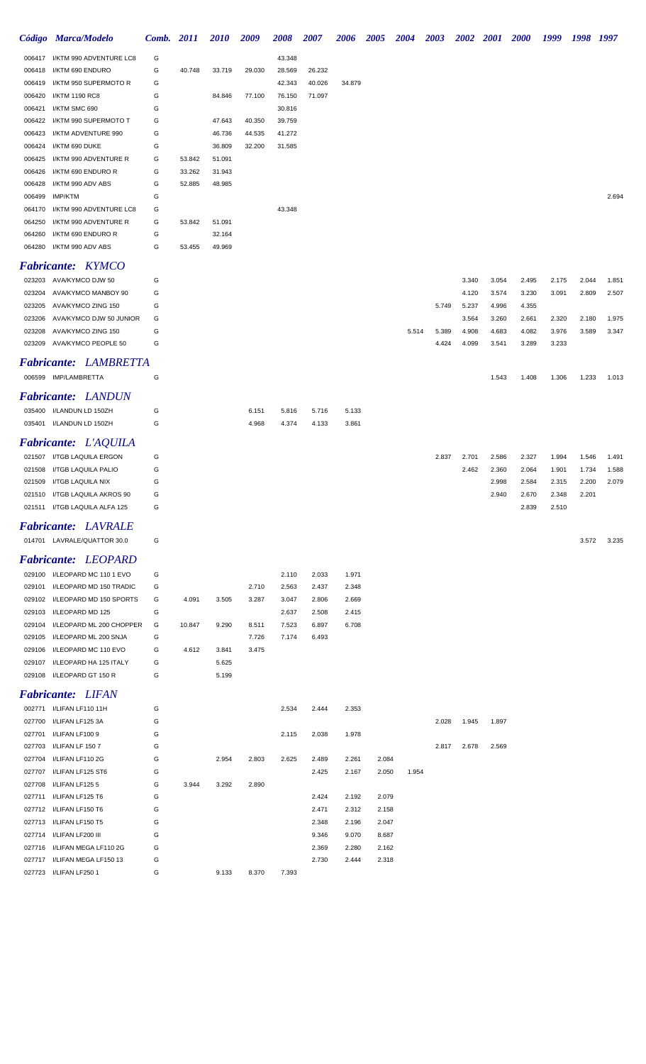|        | Código Marca/Modelo           | Comb. 2011 |        | 2010   | 2009   | 2008   | <i><b>2007</b></i> | 2006   | 2005  | 2004  | <b>2003</b> | <b>2002</b> | <i>2001</i> | <b>2000</b> | 1999  | 1998  | 1997  |
|--------|-------------------------------|------------|--------|--------|--------|--------|--------------------|--------|-------|-------|-------------|-------------|-------------|-------------|-------|-------|-------|
|        |                               |            |        |        |        |        |                    |        |       |       |             |             |             |             |       |       |       |
| 006417 | I/KTM 990 ADVENTURE LC8       | G          |        |        |        | 43.348 |                    |        |       |       |             |             |             |             |       |       |       |
| 006418 | I/KTM 690 ENDURO              | G          | 40.748 | 33.719 | 29.030 | 28.569 | 26.232             |        |       |       |             |             |             |             |       |       |       |
| 006419 | I/KTM 950 SUPERMOTO R         | G          |        |        |        | 42.343 | 40.026             | 34.879 |       |       |             |             |             |             |       |       |       |
| 006420 | I/KTM 1190 RC8                | G          |        | 84.846 | 77.100 | 76.150 | 71.097             |        |       |       |             |             |             |             |       |       |       |
| 006421 | I/KTM SMC 690                 | G          |        |        |        | 30.816 |                    |        |       |       |             |             |             |             |       |       |       |
| 006422 | I/KTM 990 SUPERMOTO T         | G          |        | 47.643 | 40.350 | 39.759 |                    |        |       |       |             |             |             |             |       |       |       |
| 006423 | I/KTM ADVENTURE 990           | G          |        | 46.736 | 44.535 | 41.272 |                    |        |       |       |             |             |             |             |       |       |       |
| 006424 | I/KTM 690 DUKE                | G          |        | 36.809 | 32.200 | 31.585 |                    |        |       |       |             |             |             |             |       |       |       |
|        |                               |            |        |        |        |        |                    |        |       |       |             |             |             |             |       |       |       |
| 006425 | I/KTM 990 ADVENTURE R         | G          | 53.842 | 51.091 |        |        |                    |        |       |       |             |             |             |             |       |       |       |
| 006426 | I/KTM 690 ENDURO R            | G          | 33.262 | 31.943 |        |        |                    |        |       |       |             |             |             |             |       |       |       |
| 006428 | I/KTM 990 ADV ABS             | G          | 52.885 | 48.985 |        |        |                    |        |       |       |             |             |             |             |       |       |       |
| 006499 | IMP/KTM                       | G          |        |        |        |        |                    |        |       |       |             |             |             |             |       |       | 2.694 |
| 064170 | I/KTM 990 ADVENTURE LC8       | G          |        |        |        | 43.348 |                    |        |       |       |             |             |             |             |       |       |       |
| 064250 | I/KTM 990 ADVENTURE R         | G          | 53.842 | 51.091 |        |        |                    |        |       |       |             |             |             |             |       |       |       |
| 064260 | I/KTM 690 ENDURO R            | G          |        | 32.164 |        |        |                    |        |       |       |             |             |             |             |       |       |       |
|        | 064280 I/KTM 990 ADV ABS      | G          | 53.455 | 49.969 |        |        |                    |        |       |       |             |             |             |             |       |       |       |
|        |                               |            |        |        |        |        |                    |        |       |       |             |             |             |             |       |       |       |
|        | <b>Fabricante: KYMCO</b>      |            |        |        |        |        |                    |        |       |       |             |             |             |             |       |       |       |
|        | 023203 AVA/KYMCO DJW 50       | G          |        |        |        |        |                    |        |       |       |             | 3.340       | 3.054       | 2.495       | 2.175 | 2.044 | 1.851 |
|        | AVA/KYMCO MANBOY 90           | G          |        |        |        |        |                    |        |       |       |             |             |             |             |       |       |       |
| 023204 |                               |            |        |        |        |        |                    |        |       |       |             | 4.120       | 3.574       | 3.230       | 3.091 | 2.809 | 2.507 |
| 023205 | AVA/KYMCO ZING 150            | G          |        |        |        |        |                    |        |       |       | 5.749       | 5.237       | 4.996       | 4.355       |       |       |       |
| 023206 | AVA/KYMCO DJW 50 JUNIOR       | G          |        |        |        |        |                    |        |       |       |             | 3.564       | 3.260       | 2.661       | 2.320 | 2.180 | 1.975 |
| 023208 | AVA/KYMCO ZING 150            | G          |        |        |        |        |                    |        |       | 5.514 | 5.389       | 4.908       | 4.683       | 4.082       | 3.976 | 3.589 | 3.347 |
| 023209 | AVA/KYMCO PEOPLE 50           | G          |        |        |        |        |                    |        |       |       | 4.424       | 4.099       | 3.541       | 3.289       | 3.233 |       |       |
|        |                               |            |        |        |        |        |                    |        |       |       |             |             |             |             |       |       |       |
|        | <b>Fabricante: LAMBRETTA</b>  |            |        |        |        |        |                    |        |       |       |             |             |             |             |       |       |       |
|        | 006599 IMP/LAMBRETTA          | G          |        |        |        |        |                    |        |       |       |             |             | 1.543       | 1.408       | 1.306 | 1.233 | 1.013 |
|        |                               |            |        |        |        |        |                    |        |       |       |             |             |             |             |       |       |       |
|        | <b>Fabricante: LANDUN</b>     |            |        |        |        |        |                    |        |       |       |             |             |             |             |       |       |       |
|        | 035400 I/LANDUN LD 150ZH      | G          |        |        | 6.151  | 5.816  | 5.716              | 5.133  |       |       |             |             |             |             |       |       |       |
|        | 035401 I/LANDUN LD 150ZH      | G          |        |        | 4.968  | 4.374  | 4.133              | 3.861  |       |       |             |             |             |             |       |       |       |
|        |                               |            |        |        |        |        |                    |        |       |       |             |             |             |             |       |       |       |
|        | Fabricante: L'AQUILA          |            |        |        |        |        |                    |        |       |       |             |             |             |             |       |       |       |
| 021507 | I/TGB LAQUILA ERGON           | G          |        |        |        |        |                    |        |       |       | 2.837       | 2.701       | 2.586       | 2.327       | 1.994 | 1.546 | 1.491 |
| 021508 | I/TGB LAQUILA PALIO           | G          |        |        |        |        |                    |        |       |       |             | 2.462       | 2.360       | 2.064       | 1.901 | 1.734 | 1.588 |
| 021509 | I/TGB LAQUILA NIX             | G          |        |        |        |        |                    |        |       |       |             |             | 2.998       | 2.584       | 2.315 | 2.200 | 2.079 |
|        | 021510 I/TGB LAQUILA AKROS 90 | G          |        |        |        |        |                    |        |       |       |             |             | 2.940       | 2.670       | 2.348 | 2.201 |       |
|        | 021511 I/TGB LAQUILA ALFA 125 | G          |        |        |        |        |                    |        |       |       |             |             |             | 2.839       | 2.510 |       |       |
|        |                               |            |        |        |        |        |                    |        |       |       |             |             |             |             |       |       |       |
|        | <b>Fabricante: LAVRALE</b>    |            |        |        |        |        |                    |        |       |       |             |             |             |             |       |       |       |
|        | 014701 LAVRALE/QUATTOR 30.0   | G          |        |        |        |        |                    |        |       |       |             |             |             |             |       | 3.572 | 3.235 |
|        |                               |            |        |        |        |        |                    |        |       |       |             |             |             |             |       |       |       |
|        | <b>Fabricante: LEOPARD</b>    |            |        |        |        |        |                    |        |       |       |             |             |             |             |       |       |       |
|        | 029100 I/LEOPARD MC 110 1 EVO | G          |        |        |        | 2.110  | 2.033              | 1.971  |       |       |             |             |             |             |       |       |       |
| 029101 | I/LEOPARD MD 150 TRADIC       | G          |        |        | 2.710  | 2.563  | 2.437              | 2.348  |       |       |             |             |             |             |       |       |       |
| 029102 | I/LEOPARD MD 150 SPORTS       | G          | 4.091  | 3.505  | 3.287  | 3.047  | 2.806              | 2.669  |       |       |             |             |             |             |       |       |       |
|        |                               |            |        |        |        |        |                    |        |       |       |             |             |             |             |       |       |       |
| 029103 | I/LEOPARD MD 125              | G          |        |        |        | 2.637  | 2.508              | 2.415  |       |       |             |             |             |             |       |       |       |
| 029104 | I/LEOPARD ML 200 CHOPPER      | G          | 10.847 | 9.290  | 8.511  | 7.523  | 6.897              | 6.708  |       |       |             |             |             |             |       |       |       |
| 029105 | I/LEOPARD ML 200 SNJA         | G          |        |        | 7.726  | 7.174  | 6.493              |        |       |       |             |             |             |             |       |       |       |
| 029106 | I/LEOPARD MC 110 EVO          | G          | 4.612  | 3.841  | 3.475  |        |                    |        |       |       |             |             |             |             |       |       |       |
| 029107 | I/LEOPARD HA 125 ITALY        | G          |        | 5.625  |        |        |                    |        |       |       |             |             |             |             |       |       |       |
| 029108 | I/LEOPARD GT 150 R            | G          |        | 5.199  |        |        |                    |        |       |       |             |             |             |             |       |       |       |
|        |                               |            |        |        |        |        |                    |        |       |       |             |             |             |             |       |       |       |
|        | <b>Fabricante: LIFAN</b>      |            |        |        |        |        |                    |        |       |       |             |             |             |             |       |       |       |
| 002771 | I/LIFAN LF110 11H             | G          |        |        |        | 2.534  | 2.444              | 2.353  |       |       |             |             |             |             |       |       |       |
| 027700 | I/LIFAN LF125 3A              | G          |        |        |        |        |                    |        |       |       | 2.028       | 1.945       | 1.897       |             |       |       |       |
| 027701 | I/LIFAN LF100 9               | G          |        |        |        | 2.115  | 2.038              | 1.978  |       |       |             |             |             |             |       |       |       |
| 027703 | I/LIFAN LF 1507               | G          |        |        |        |        |                    |        |       |       | 2.817       | 2.678       | 2.569       |             |       |       |       |
|        |                               |            |        |        |        |        |                    |        |       |       |             |             |             |             |       |       |       |
| 027704 | I/LIFAN LF110 2G              | G          |        | 2.954  | 2.803  | 2.625  | 2.489              | 2.261  | 2.084 |       |             |             |             |             |       |       |       |
| 027707 | I/LIFAN LF125 ST6             | G          |        |        |        |        | 2.425              | 2.167  | 2.050 | 1.954 |             |             |             |             |       |       |       |
| 027708 | I/LIFAN LF125 5               | G          | 3.944  | 3.292  | 2.890  |        |                    |        |       |       |             |             |             |             |       |       |       |
| 027711 | I/LIFAN LF125 T6              | G          |        |        |        |        | 2.424              | 2.192  | 2.079 |       |             |             |             |             |       |       |       |
|        | 027712 I/LIFAN LF150 T6       | G          |        |        |        |        | 2.471              | 2.312  | 2.158 |       |             |             |             |             |       |       |       |
| 027713 | I/LIFAN LF150 T5              | G          |        |        |        |        | 2.348              | 2.196  | 2.047 |       |             |             |             |             |       |       |       |
| 027714 | I/LIFAN LF200 III             | G          |        |        |        |        | 9.346              | 9.070  | 8.687 |       |             |             |             |             |       |       |       |
| 027716 | I/LIFAN MEGA LF110 2G         | G          |        |        |        |        | 2.369              | 2.280  | 2.162 |       |             |             |             |             |       |       |       |
|        | 027717 I/LIFAN MEGA LF150 13  | G          |        |        |        |        | 2.730              | 2.444  | 2.318 |       |             |             |             |             |       |       |       |
|        | 027723 I/LIFAN LF250 1        | G          |        | 9.133  | 8.370  | 7.393  |                    |        |       |       |             |             |             |             |       |       |       |
|        |                               |            |        |        |        |        |                    |        |       |       |             |             |             |             |       |       |       |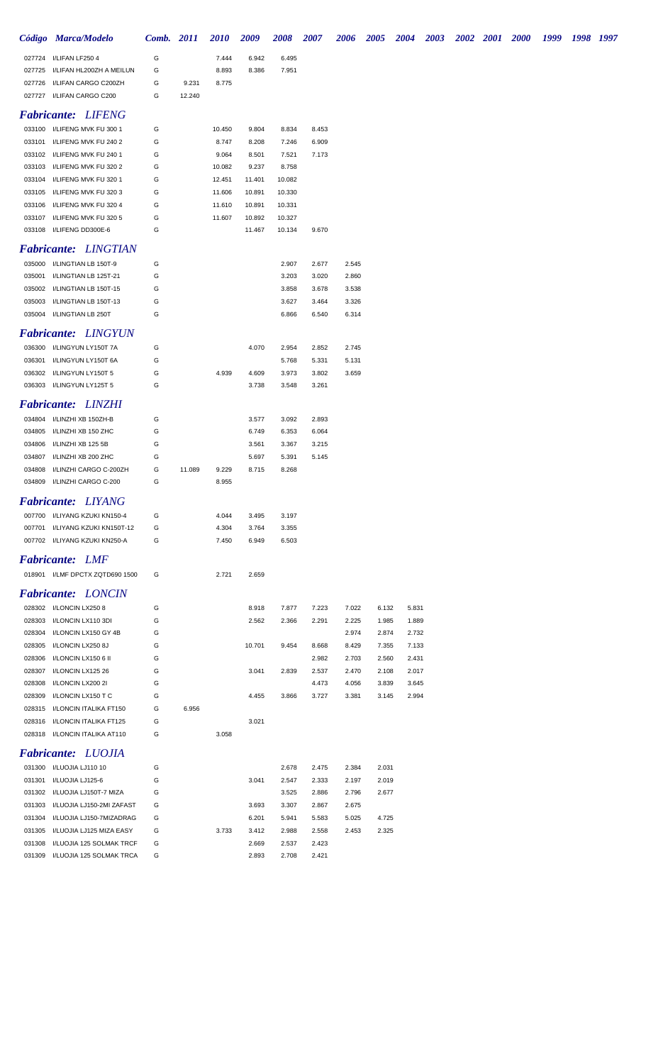|                  | Código Marca/Modelo                          | Comb. 2011 |        | <b>2010</b> | 2009   | 2008   | 2007  | <b>2006</b> | <b>2005</b> | <b>2004</b> | 2003 | 2002 2001 | <b>2000</b> | 1999 | 1998 1997 |  |
|------------------|----------------------------------------------|------------|--------|-------------|--------|--------|-------|-------------|-------------|-------------|------|-----------|-------------|------|-----------|--|
|                  | 027724 I/LIFAN LF250 4                       | G          |        | 7.444       | 6.942  | 6.495  |       |             |             |             |      |           |             |      |           |  |
|                  | 027725 I/LIFAN HL200ZH A MEILUN              | G          |        | 8.893       | 8.386  | 7.951  |       |             |             |             |      |           |             |      |           |  |
|                  | 027726 I/LIFAN CARGO C200ZH                  | G          | 9.231  | 8.775       |        |        |       |             |             |             |      |           |             |      |           |  |
|                  | 027727 I/LIFAN CARGO C200                    | G          | 12.240 |             |        |        |       |             |             |             |      |           |             |      |           |  |
|                  | <b>Fabricante: LIFENG</b>                    |            |        |             |        |        |       |             |             |             |      |           |             |      |           |  |
|                  | 033100 I/LIFENG MVK FU 300 1                 | G          |        | 10.450      | 9.804  | 8.834  | 8.453 |             |             |             |      |           |             |      |           |  |
|                  | 033101 I/LIFENG MVK FU 240 2                 | G          |        | 8.747       | 8.208  | 7.246  | 6.909 |             |             |             |      |           |             |      |           |  |
|                  | 033102 I/LIFENG MVK FU 240 1                 | G          |        | 9.064       | 8.501  | 7.521  | 7.173 |             |             |             |      |           |             |      |           |  |
|                  | 033103 I/LIFENG MVK FU 320 2                 | G          |        | 10.082      | 9.237  | 8.758  |       |             |             |             |      |           |             |      |           |  |
|                  | 033104 I/LIFENG MVK FU 320 1                 | G          |        | 12.451      | 11.401 | 10.082 |       |             |             |             |      |           |             |      |           |  |
|                  | 033105 I/LIFENG MVK FU 320 3                 | G          |        | 11.606      | 10.891 | 10.330 |       |             |             |             |      |           |             |      |           |  |
|                  | 033106 I/LIFENG MVK FU 320 4                 | G          |        | 11.610      | 10.891 | 10.331 |       |             |             |             |      |           |             |      |           |  |
|                  | 033107 I/LIFENG MVK FU 320 5                 | G          |        | 11.607      | 10.892 | 10.327 |       |             |             |             |      |           |             |      |           |  |
|                  | 033108 I/LIFENG DD300E-6                     | G          |        |             | 11.467 | 10.134 | 9.670 |             |             |             |      |           |             |      |           |  |
|                  | <b>Fabricante: LINGTIAN</b>                  |            |        |             |        |        |       |             |             |             |      |           |             |      |           |  |
|                  | 035000 I/LINGTIAN LB 150T-9                  | G          |        |             |        | 2.907  | 2.677 | 2.545       |             |             |      |           |             |      |           |  |
| 035001           | I/LINGTIAN LB 125T-21                        | G          |        |             |        | 3.203  | 3.020 | 2.860       |             |             |      |           |             |      |           |  |
| 035002           | I/LINGTIAN LB 150T-15                        | G          |        |             |        | 3.858  | 3.678 | 3.538       |             |             |      |           |             |      |           |  |
|                  | 035003 I/LINGTIAN LB 150T-13                 | G          |        |             |        | 3.627  | 3.464 | 3.326       |             |             |      |           |             |      |           |  |
|                  | 035004 I/LINGTIAN LB 250T                    | G          |        |             |        | 6.866  | 6.540 | 6.314       |             |             |      |           |             |      |           |  |
|                  | <b>Fabricante: LINGYUN</b>                   |            |        |             |        |        |       |             |             |             |      |           |             |      |           |  |
|                  | 036300 I/LINGYUN LY150T 7A                   | G          |        |             | 4.070  | 2.954  | 2.852 | 2.745       |             |             |      |           |             |      |           |  |
| 036301           | I/LINGYUN LY150T 6A                          | G          |        |             |        | 5.768  | 5.331 | 5.131       |             |             |      |           |             |      |           |  |
| 036302           | I/LINGYUN LY150T 5                           | G          |        | 4.939       | 4.609  | 3.973  | 3.802 | 3.659       |             |             |      |           |             |      |           |  |
|                  | 036303 I/LINGYUN LY125T 5                    | G          |        |             | 3.738  | 3.548  | 3.261 |             |             |             |      |           |             |      |           |  |
|                  | <b>Fabricante: LINZHI</b>                    |            |        |             |        |        |       |             |             |             |      |           |             |      |           |  |
|                  | 034804 I/LINZHI XB 150ZH-B                   | G          |        |             | 3.577  | 3.092  | 2.893 |             |             |             |      |           |             |      |           |  |
| 034805           | I/LINZHI XB 150 ZHC                          | G          |        |             | 6.749  | 6.353  | 6.064 |             |             |             |      |           |             |      |           |  |
| 034806           | I/LINZHI XB 125 5B                           | G          |        |             | 3.561  | 3.367  | 3.215 |             |             |             |      |           |             |      |           |  |
| 034807           | I/LINZHI XB 200 ZHC                          | G          |        |             | 5.697  | 5.391  | 5.145 |             |             |             |      |           |             |      |           |  |
| 034808           | I/LINZHI CARGO C-200ZH                       | G          | 11.089 | 9.229       | 8.715  | 8.268  |       |             |             |             |      |           |             |      |           |  |
|                  | 034809 I/LINZHI CARGO C-200                  | G          |        | 8.955       |        |        |       |             |             |             |      |           |             |      |           |  |
|                  | <b>Fabricante: LIYANG</b>                    |            |        |             |        |        |       |             |             |             |      |           |             |      |           |  |
|                  | 007700 I/LIYANG KZUKI KN150-4                | G          |        | 4.044       | 3.495  | 3.197  |       |             |             |             |      |           |             |      |           |  |
|                  | 007701 I/LIYANG KZUKI KN150T-12              | G          |        | 4.304       | 3.764  | 3.355  |       |             |             |             |      |           |             |      |           |  |
|                  | 007702 I/LIYANG KZUKI KN250-A                | G          |        | 7.450       | 6.949  | 6.503  |       |             |             |             |      |           |             |      |           |  |
|                  | <b>Fabricante: LMF</b>                       |            |        |             |        |        |       |             |             |             |      |           |             |      |           |  |
|                  | 018901 I/LMF DPCTX ZQTD690 1500              | G          |        | 2.721       | 2.659  |        |       |             |             |             |      |           |             |      |           |  |
|                  | <b>Fabricante: LONCIN</b>                    |            |        |             |        |        |       |             |             |             |      |           |             |      |           |  |
|                  | 028302 I/LONCIN LX250 8                      | G          |        |             | 8.918  | 7.877  | 7.223 | 7.022       | 6.132       | 5.831       |      |           |             |      |           |  |
| 028303           | I/LONCIN LX110 3DI                           | G          |        |             | 2.562  | 2.366  | 2.291 | 2.225       | 1.985       | 1.889       |      |           |             |      |           |  |
| 028304           | I/LONCIN LX150 GY 4B                         | G          |        |             |        |        |       | 2.974       | 2.874       | 2.732       |      |           |             |      |           |  |
| 028305           | I/LONCIN LX250 8J                            | G          |        |             | 10.701 | 9.454  | 8.668 | 8.429       | 7.355       | 7.133       |      |           |             |      |           |  |
| 028306           | I/LONCIN LX150 6 II                          | G          |        |             |        |        | 2.982 | 2.703       | 2.560       | 2.431       |      |           |             |      |           |  |
| 028307           | I/LONCIN LX125 26                            | G          |        |             | 3.041  | 2.839  | 2.537 | 2.470       | 2.108       | 2.017       |      |           |             |      |           |  |
| 028308           | I/LONCIN LX200 2I                            | G          |        |             |        |        | 4.473 | 4.056       | 3.839       | 3.645       |      |           |             |      |           |  |
| 028309<br>028315 | I/LONCIN LX150 T C<br>I/LONCIN ITALIKA FT150 | G<br>G     | 6.956  |             | 4.455  | 3.866  | 3.727 | 3.381       | 3.145       | 2.994       |      |           |             |      |           |  |
| 028316           | I/LONCIN ITALIKA FT125                       | G          |        |             | 3.021  |        |       |             |             |             |      |           |             |      |           |  |
|                  | 028318 I/LONCIN ITALIKA AT110                | G          |        | 3.058       |        |        |       |             |             |             |      |           |             |      |           |  |
|                  | <b>Fabricante: LUOJIA</b>                    |            |        |             |        |        |       |             |             |             |      |           |             |      |           |  |
|                  | 031300 I/LUOJIA LJ110 10                     | G          |        |             |        | 2.678  | 2.475 | 2.384       | 2.031       |             |      |           |             |      |           |  |
|                  | 031301 I/LUOJIA LJ125-6                      | G          |        |             | 3.041  | 2.547  | 2.333 | 2.197       | 2.019       |             |      |           |             |      |           |  |
| 031302           | I/LUOJIA LJ150T-7 MIZA                       | G          |        |             |        | 3.525  | 2.886 | 2.796       | 2.677       |             |      |           |             |      |           |  |
| 031303           | I/LUOJIA LJ150-2MI ZAFAST                    | G          |        |             | 3.693  | 3.307  | 2.867 | 2.675       |             |             |      |           |             |      |           |  |
| 031304           | I/LUOJIA LJ150-7MIZADRAG                     | G          |        |             | 6.201  | 5.941  | 5.583 | 5.025       | 4.725       |             |      |           |             |      |           |  |
| 031305           | I/LUOJIA LJ125 MIZA EASY                     | G          |        | 3.733       | 3.412  | 2.988  | 2.558 | 2.453       | 2.325       |             |      |           |             |      |           |  |
| 031308           | I/LUOJIA 125 SOLMAK TRCF                     | G          |        |             | 2.669  | 2.537  | 2.423 |             |             |             |      |           |             |      |           |  |
|                  | 031309 I/LUOJIA 125 SOLMAK TRCA              | G          |        |             | 2.893  | 2.708  | 2.421 |             |             |             |      |           |             |      |           |  |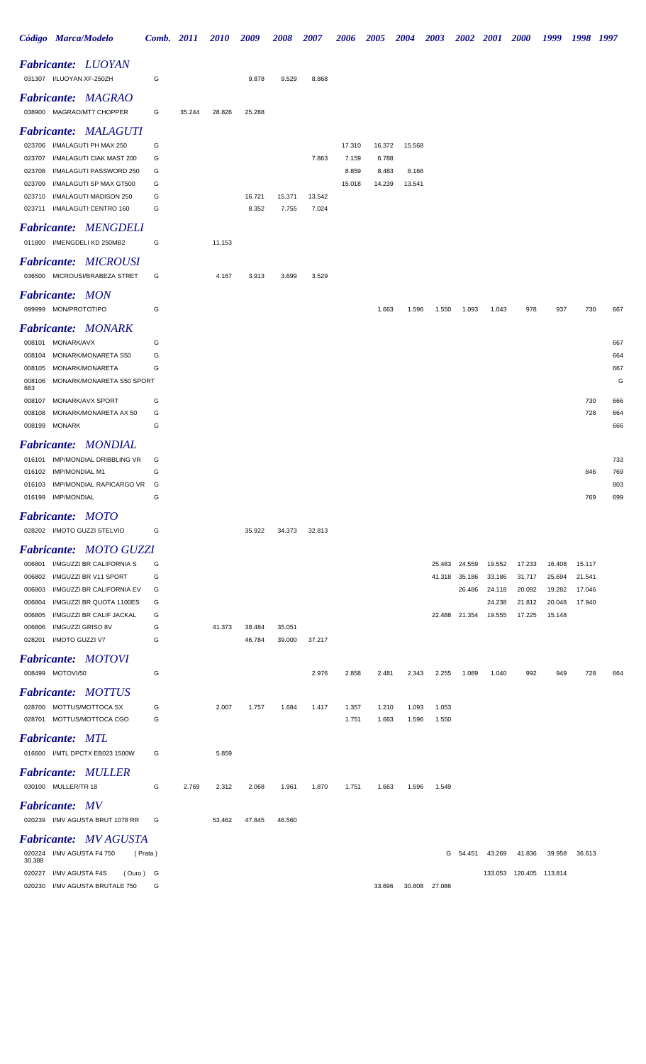|                  | Código Marca/Modelo                                    |          | Comb. 2011 |        | <i>2010</i> | 2009   | <b>2008</b> | 2007   | <b>2006</b>    | <b>2005</b>    | <b>2004</b> | <b>2003</b>      | <b>2002</b>      | <b>2001</b>      | <b>2000</b>             | 1999             | 1998             | 1997       |
|------------------|--------------------------------------------------------|----------|------------|--------|-------------|--------|-------------|--------|----------------|----------------|-------------|------------------|------------------|------------------|-------------------------|------------------|------------------|------------|
|                  | <b>Fabricante: LUOYAN</b>                              |          |            |        |             |        |             |        |                |                |             |                  |                  |                  |                         |                  |                  |            |
|                  | 031307 I/LUOYAN XF-250ZH                               |          | G          |        |             | 9.878  | 9.529       | 8.868  |                |                |             |                  |                  |                  |                         |                  |                  |            |
|                  | <b>Fabricante: MAGRAO</b>                              |          |            |        |             |        |             |        |                |                |             |                  |                  |                  |                         |                  |                  |            |
|                  | 038900 MAGRAO/MT7 CHOPPER                              |          | G          | 35.244 | 28.826      | 25.288 |             |        |                |                |             |                  |                  |                  |                         |                  |                  |            |
|                  | <b>Fabricante: MALAGUTI</b>                            |          |            |        |             |        |             |        |                |                |             |                  |                  |                  |                         |                  |                  |            |
| 023706           | I/MALAGUTI PH MAX 250                                  |          | G          |        |             |        |             |        | 17.310         | 16.372         | 15.568      |                  |                  |                  |                         |                  |                  |            |
| 023707<br>023708 | I/MALAGUTI CIAK MAST 200<br>I/MALAGUTI PASSWORD 250    |          | G<br>G     |        |             |        |             | 7.863  | 7.159<br>8.859 | 6.788<br>8.483 | 8.166       |                  |                  |                  |                         |                  |                  |            |
| 023709           | I/MALAGUTI SP MAX GT500                                |          | G          |        |             |        |             |        | 15.018         | 14.239         | 13.541      |                  |                  |                  |                         |                  |                  |            |
| 023710           | I/MALAGUTI MADISON 250                                 |          | G          |        |             | 16.721 | 15.371      | 13.542 |                |                |             |                  |                  |                  |                         |                  |                  |            |
|                  | 023711 I/MALAGUTI CENTRO 160                           |          | G          |        |             | 8.352  | 7.755       | 7.024  |                |                |             |                  |                  |                  |                         |                  |                  |            |
|                  | <b>Fabricante: MENGDELI</b>                            |          |            |        |             |        |             |        |                |                |             |                  |                  |                  |                         |                  |                  |            |
|                  | 011800 I/MENGDELI KD 250MB2                            |          | G          |        | 11.153      |        |             |        |                |                |             |                  |                  |                  |                         |                  |                  |            |
|                  | <b>Fabricante: MICROUSI</b>                            |          |            |        |             |        |             |        |                |                |             |                  |                  |                  |                         |                  |                  |            |
|                  | 036500 MICROUSI/BRABEZA STRET                          |          | G          |        | 4.167       | 3.913  | 3.699       | 3.529  |                |                |             |                  |                  |                  |                         |                  |                  |            |
|                  | <b>Fabricante: MON</b>                                 |          |            |        |             |        |             |        |                |                |             |                  |                  |                  |                         |                  |                  |            |
|                  | 099999 MON/PROTOTIPO                                   |          | G          |        |             |        |             |        |                | 1.663          | 1.596       | 1.550            | 1.093            | 1.043            | 978                     | 937              | 730              | 667        |
|                  | <b>Fabricante: MONARK</b>                              |          |            |        |             |        |             |        |                |                |             |                  |                  |                  |                         |                  |                  |            |
|                  | 008101 MONARK/AVX                                      |          | G          |        |             |        |             |        |                |                |             |                  |                  |                  |                         |                  |                  | 667        |
| 008104           | MONARK/MONARETA S50                                    |          | G          |        |             |        |             |        |                |                |             |                  |                  |                  |                         |                  |                  | 664        |
| 008105           | MONARK/MONARETA                                        |          | G          |        |             |        |             |        |                |                |             |                  |                  |                  |                         |                  |                  | 667        |
| 663              | 008106 MONARK/MONARETA S50 SPORT                       |          |            |        |             |        |             |        |                |                |             |                  |                  |                  |                         |                  |                  | G          |
| 008107           | MONARK/AVX SPORT                                       |          | G          |        |             |        |             |        |                |                |             |                  |                  |                  |                         |                  | 730              | 666        |
| 008108           | MONARK/MONARETA AX 50                                  |          | G          |        |             |        |             |        |                |                |             |                  |                  |                  |                         |                  | 728              | 664        |
|                  | 008199 MONARK                                          |          | G          |        |             |        |             |        |                |                |             |                  |                  |                  |                         |                  |                  | 666        |
|                  | <b>Fabricante: MONDIAL</b>                             |          |            |        |             |        |             |        |                |                |             |                  |                  |                  |                         |                  |                  |            |
| 016101           | IMP/MONDIAL DRIBBLING VR                               |          | G          |        |             |        |             |        |                |                |             |                  |                  |                  |                         |                  |                  | 733        |
|                  | 016102 IMP/MONDIAL M1                                  |          | G          |        |             |        |             |        |                |                |             |                  |                  |                  |                         |                  | 846              | 769        |
| 016103           | IMP/MONDIAL RAPICARGO VR<br>016199 IMP/MONDIAL         |          | G<br>G     |        |             |        |             |        |                |                |             |                  |                  |                  |                         |                  | 769              | 803<br>699 |
|                  |                                                        |          |            |        |             |        |             |        |                |                |             |                  |                  |                  |                         |                  |                  |            |
|                  | <b>Fabricante: MOTO</b><br>028202 I/MOTO GUZZI STELVIO |          | G          |        |             | 35.922 | 34.373      | 32.813 |                |                |             |                  |                  |                  |                         |                  |                  |            |
|                  |                                                        |          |            |        |             |        |             |        |                |                |             |                  |                  |                  |                         |                  |                  |            |
|                  | <b>Fabricante: MOTO GUZZI</b>                          |          |            |        |             |        |             |        |                |                |             |                  |                  |                  |                         |                  |                  |            |
| 006801<br>006802 | I/MGUZZI BR CALIFORNIA S<br>I/MGUZZI BR V11 SPORT      |          | G<br>G     |        |             |        |             |        |                |                |             | 25.483<br>41.318 | 24.559<br>35.186 | 19.552<br>33.186 | 17.233<br>31.717        | 16.408<br>25.694 | 15.117<br>21.541 |            |
| 006803           | I/MGUZZI BR CALIFORNIA EV                              |          | G          |        |             |        |             |        |                |                |             |                  | 26.486           | 24.118           | 20.092                  | 19.282           | 17.046           |            |
| 006804           | I/MGUZZI BR QUOTA 1100ES                               |          | G          |        |             |        |             |        |                |                |             |                  |                  | 24.238           | 21.812                  | 20.048           | 17.940           |            |
| 006805           | I/MGUZZI BR CALIF JACKAL                               |          | G          |        |             |        |             |        |                |                |             | 22.488           | 21.354           | 19.555           | 17.225                  | 15.148           |                  |            |
| 006806           | I/MGUZZI GRISO 8V                                      |          | G          |        | 41.373      | 38.484 | 35.051      |        |                |                |             |                  |                  |                  |                         |                  |                  |            |
| 028201           | I/MOTO GUZZI V7                                        |          | G          |        |             | 46.784 | 39.000      | 37.217 |                |                |             |                  |                  |                  |                         |                  |                  |            |
|                  | <b>Fabricante: MOTOVI</b>                              |          |            |        |             |        |             |        |                |                |             |                  |                  |                  |                         |                  |                  |            |
|                  | 008499 MOTOVI/50                                       |          | G          |        |             |        |             | 2.976  | 2.858          | 2.481          | 2.343       | 2.255            | 1.089            | 1.040            | 992                     | 949              | 728              | 664        |
|                  | <b>Fabricante: MOTTUS</b>                              |          |            |        |             |        |             |        |                |                |             |                  |                  |                  |                         |                  |                  |            |
|                  | 028700 MOTTUS/MOTTOCA SX                               |          | G          |        | 2.007       | 1.757  | 1.684       | 1.417  | 1.357          | 1.210          | 1.093       | 1.053            |                  |                  |                         |                  |                  |            |
|                  | 028701 MOTTUS/MOTTOCA CGO                              |          | G          |        |             |        |             |        | 1.751          | 1.663          | 1.596       | 1.550            |                  |                  |                         |                  |                  |            |
|                  | <b>Fabricante: MTL</b>                                 |          |            |        |             |        |             |        |                |                |             |                  |                  |                  |                         |                  |                  |            |
|                  | 016600 I/MTL DPCTX EB023 1500W                         |          | G          |        | 5.859       |        |             |        |                |                |             |                  |                  |                  |                         |                  |                  |            |
|                  | <b>Fabricante: MULLER</b>                              |          |            |        |             |        |             |        |                |                |             |                  |                  |                  |                         |                  |                  |            |
|                  | 030100 MULLER/TR 18                                    |          | G          | 2.769  | 2.312       | 2.068  | 1.961       | 1.870  | 1.751          | 1.663          | 1.596       | 1.549            |                  |                  |                         |                  |                  |            |
|                  | <b>Fabricante: MV</b>                                  |          |            |        |             |        |             |        |                |                |             |                  |                  |                  |                         |                  |                  |            |
|                  | 020239 I/MV AGUSTA BRUT 1078 RR                        |          | G          |        | 53.462      | 47.845 | 46.560      |        |                |                |             |                  |                  |                  |                         |                  |                  |            |
|                  | <b>Fabricante: MV AGUSTA</b>                           |          |            |        |             |        |             |        |                |                |             |                  |                  |                  |                         |                  |                  |            |
|                  | 020224 I/MV AGUSTA F4 750                              | (Prata)  |            |        |             |        |             |        |                |                |             |                  | G 54.451         | 43.269           | 41.836                  | 39.958           | 36.613           |            |
| 30.388           | I/MV AGUSTA F4S                                        |          |            |        |             |        |             |        |                |                |             |                  |                  |                  |                         |                  |                  |            |
| 020227           | 020230 I/MV AGUSTA BRUTALE 750                         | (Ouro) G | G          |        |             |        |             |        |                | 33.696         |             | 30.808 27.086    |                  |                  | 133.053 120.405 113.814 |                  |                  |            |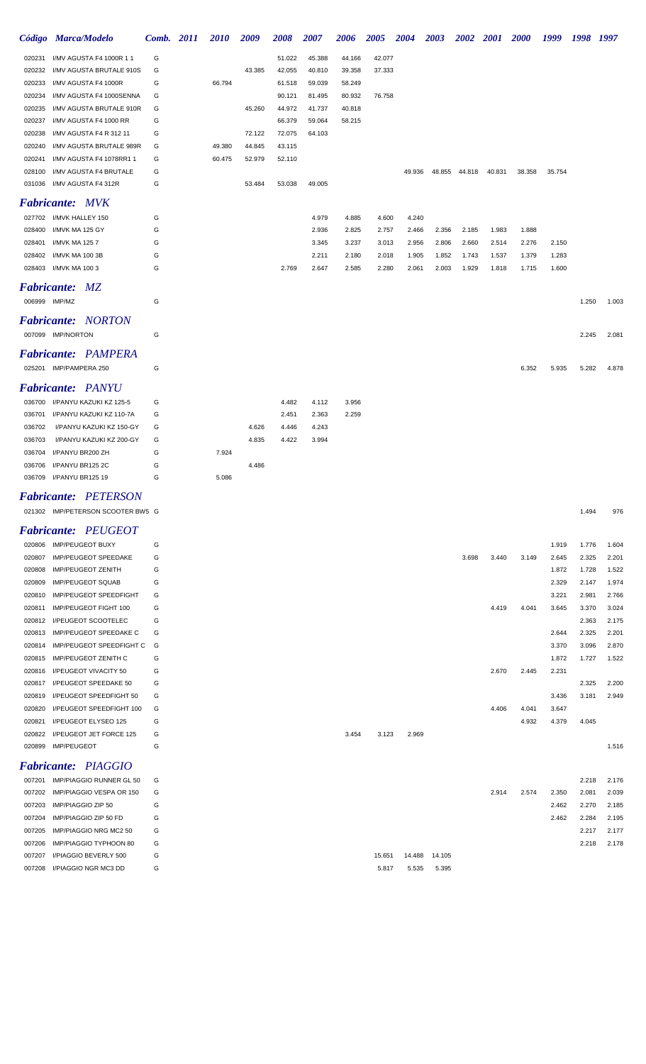|                    | Código Marca/Modelo        | Comb. 2011 | <i>2010</i> | 2009   | 2008   | 2007   | 2006   | 2005   | <b>2004</b> | <b>2003</b> | <b>2002</b> | 2001   | <b>2000</b> | 1999   | 1998 1997 |       |
|--------------------|----------------------------|------------|-------------|--------|--------|--------|--------|--------|-------------|-------------|-------------|--------|-------------|--------|-----------|-------|
| 020231             | I/MV AGUSTA F4 1000R 1 1   | G          |             |        | 51.022 | 45.388 | 44.166 | 42.077 |             |             |             |        |             |        |           |       |
| 020232             | I/MV AGUSTA BRUTALE 910S   | G          |             | 43.385 | 42.055 | 40.810 | 39.358 | 37.333 |             |             |             |        |             |        |           |       |
| 020233             | I/MV AGUSTA F4 1000R       | G          | 66.794      |        | 61.518 | 59.039 | 58.249 |        |             |             |             |        |             |        |           |       |
| 020234             | I/MV AGUSTA F4 1000SENNA   | G          |             |        | 90.121 | 81.495 | 80.932 | 76.758 |             |             |             |        |             |        |           |       |
| 020235             | I/MV AGUSTA BRUTALE 910R   | G          |             | 45.260 | 44.972 | 41.737 | 40.818 |        |             |             |             |        |             |        |           |       |
| 020237             | I/MV AGUSTA F4 1000 RR     | G          |             |        | 66.379 | 59.064 | 58.215 |        |             |             |             |        |             |        |           |       |
| 020238             | I/MV AGUSTA F4 R 312 11    | G          |             | 72.122 | 72.075 | 64.103 |        |        |             |             |             |        |             |        |           |       |
| 020240             | I/MV AGUSTA BRUTALE 989R   | G          | 49.380      | 44.845 | 43.115 |        |        |        |             |             |             |        |             |        |           |       |
| 020241             | I/MV AGUSTA F4 1078RR1 1   | G          | 60.475      | 52.979 | 52.110 |        |        |        |             |             |             |        |             |        |           |       |
| 028100             | I/MV AGUSTA F4 BRUTALE     | G          |             |        |        |        |        |        | 49.936      | 48.855      | 44.818      | 40.831 | 38.358      | 35.754 |           |       |
| 031036             | I/MV AGUSTA F4 312R        | G          |             | 53.484 | 53.038 | 49.005 |        |        |             |             |             |        |             |        |           |       |
|                    | <b>Fabricante: MVK</b>     |            |             |        |        |        |        |        |             |             |             |        |             |        |           |       |
|                    | 027702 I/MVK HALLEY 150    | G          |             |        |        | 4.979  | 4.885  | 4.600  | 4.240       |             |             |        |             |        |           |       |
| 028400             | I/MVK MA 125 GY            | G          |             |        |        | 2.936  | 2.825  | 2.757  | 2.466       | 2.356       | 2.185       | 1.983  | 1.888       |        |           |       |
| 028401             | <b>I/MVK MA 1257</b>       | G          |             |        |        | 3.345  | 3.237  | 3.013  | 2.956       | 2.806       | 2.660       | 2.514  | 2.276       | 2.150  |           |       |
| 028402             | I/MVK MA 100 3B            | G          |             |        |        | 2.211  | 2.180  | 2.018  | 1.905       | 1.852       | 1.743       | 1.537  | 1.379       | 1.283  |           |       |
| 028403             | I/MVK MA 100 3             | G          |             |        | 2.769  | 2.647  | 2.585  | 2.280  | 2.061       | 2.003       | 1.929       | 1.818  | 1.715       | 1.600  |           |       |
| <b>Fabricante:</b> | MZ                         |            |             |        |        |        |        |        |             |             |             |        |             |        |           |       |
| 006999 IMP/MZ      |                            | G          |             |        |        |        |        |        |             |             |             |        |             |        | 1.250     | 1.003 |
|                    | <b>Fabricante: NORTON</b>  |            |             |        |        |        |        |        |             |             |             |        |             |        |           |       |
|                    | 007099 IMP/NORTON          | G          |             |        |        |        |        |        |             |             |             |        |             |        | 2.245     | 2.081 |
|                    | <b>Fabricante: PAMPERA</b> |            |             |        |        |        |        |        |             |             |             |        |             |        |           |       |
|                    | 025201 IMP/PAMPERA 250     | G          |             |        |        |        |        |        |             |             |             |        | 6.352       | 5.935  | 5.282     | 4.878 |
|                    | <b>Fabricante: PANYU</b>   |            |             |        |        |        |        |        |             |             |             |        |             |        |           |       |
| 036700             | I/PANYU KAZUKI KZ 125-5    | G          |             |        | 4.482  | 4.112  | 3.956  |        |             |             |             |        |             |        |           |       |
| 036701             | I/PANYU KAZUKI KZ 110-7A   | G          |             |        | 2.451  | 2.363  | 2.259  |        |             |             |             |        |             |        |           |       |
| 036702             | I/PANYU KAZUKI KZ 150-GY   | G          |             | 4.626  | 4.446  | 4.243  |        |        |             |             |             |        |             |        |           |       |
| 036703             | I/PANYU KAZUKI KZ 200-GY   | G          |             | 4.835  | 4.422  | 3.994  |        |        |             |             |             |        |             |        |           |       |
| 036704             | I/PANYU BR200 ZH           | G          | 7.924       |        |        |        |        |        |             |             |             |        |             |        |           |       |
| 036706             | I/PANYU BR125 2C           | G          |             | 4.486  |        |        |        |        |             |             |             |        |             |        |           |       |
| 036709             | I/PANYU BR125 19           | G          | 5.086       |        |        |        |        |        |             |             |             |        |             |        |           |       |
|                    |                            |            |             |        |        |        |        |        |             |             |             |        |             |        |           |       |

# *Fabricante: PETERSON*

| 021302 IMP/PETERSON SCOOTER BW5 G | .494، | 976 |
|-----------------------------------|-------|-----|
|-----------------------------------|-------|-----|

|        | <b>Fabricante: PEUGEOT</b>     |   |                         |       |       |       |       |
|--------|--------------------------------|---|-------------------------|-------|-------|-------|-------|
| 020806 | <b>IMP/PEUGEOT BUXY</b>        | G |                         |       | 1.919 | 1.776 | 1.604 |
| 020807 | IMP/PEUGEOT SPEEDAKE           | G | 3.698<br>3.440          | 3.149 | 2.645 | 2.325 | 2.201 |
| 020808 | <b>IMP/PEUGEOT ZENITH</b>      | G |                         |       | 1.872 | 1.728 | 1.522 |
| 020809 | <b>IMP/PEUGEOT SQUAB</b>       | G |                         |       | 2.329 | 2.147 | 1.974 |
| 020810 | <b>IMP/PEUGEOT SPEEDFIGHT</b>  | G |                         |       | 3.221 | 2.981 | 2.766 |
| 020811 | IMP/PEUGEOT FIGHT 100          | G | 4.419                   | 4.041 | 3.645 | 3.370 | 3.024 |
| 020812 | <b>I/PEUGEOT SCOOTELEC</b>     | G |                         |       |       | 2.363 | 2.175 |
| 020813 | IMP/PEUGEOT SPEEDAKE C         | G |                         |       | 2.644 | 2.325 | 2.201 |
| 020814 | IMP/PEUGEOT SPEEDFIGHT C       | G |                         |       | 3.370 | 3.096 | 2.870 |
| 020815 | <b>IMP/PEUGEOT ZENITH C</b>    | G |                         |       | 1.872 | 1.727 | 1.522 |
| 020816 | <b>I/PEUGEOT VIVACITY 50</b>   | G | 2.670                   | 2.445 | 2.231 |       |       |
| 020817 | <b>I/PEUGEOT SPEEDAKE 50</b>   | G |                         |       |       | 2.325 | 2.200 |
| 020819 | I/PEUGEOT SPEEDFIGHT 50        | G |                         |       | 3.436 | 3.181 | 2.949 |
| 020820 | I/PEUGEOT SPEEDFIGHT 100       | G | 4.406                   | 4.041 | 3.647 |       |       |
| 020821 | I/PEUGEOT ELYSEO 125           | G |                         | 4.932 | 4.379 | 4.045 |       |
| 020822 | <b>I/PEUGEOT JET FORCE 125</b> | G | 3.123<br>2.969<br>3.454 |       |       |       |       |
| 020899 | <b>IMP/PEUGEOT</b>             | G |                         |       |       |       | 1.516 |
|        | <b>Fabricante: PIAGGIO</b>     |   |                         |       |       |       |       |

| 007201 | IMP/PIAGGIO RUNNER GL 50        | G |                            |       |       | 2.218 | 2.176 |
|--------|---------------------------------|---|----------------------------|-------|-------|-------|-------|
|        | 007202 IMP/PIAGGIO VESPA OR 150 | G | 2.914                      | 2.574 | 2.350 | 2.081 | 2.039 |
|        | 007203 IMP/PIAGGIO ZIP 50       | G |                            |       | 2.462 | 2.270 | 2.185 |
|        | 007204 IMP/PIAGGIO ZIP 50 FD    | G |                            |       | 2.462 | 2.284 | 2.195 |
|        | 007205 IMP/PIAGGIO NRG MC2 50   | G |                            |       |       | 2.217 | 2.177 |
|        | 007206 IMP/PIAGGIO TYPHOON 80   | G |                            |       |       | 2.218 | 2.178 |
| 007207 | I/PIAGGIO BEVERLY 500           | G | 14.105<br>15.651<br>14.488 |       |       |       |       |
| 007208 | I/PIAGGIO NGR MC3 DD            | G | 5.395<br>5.535<br>5.817    |       |       |       |       |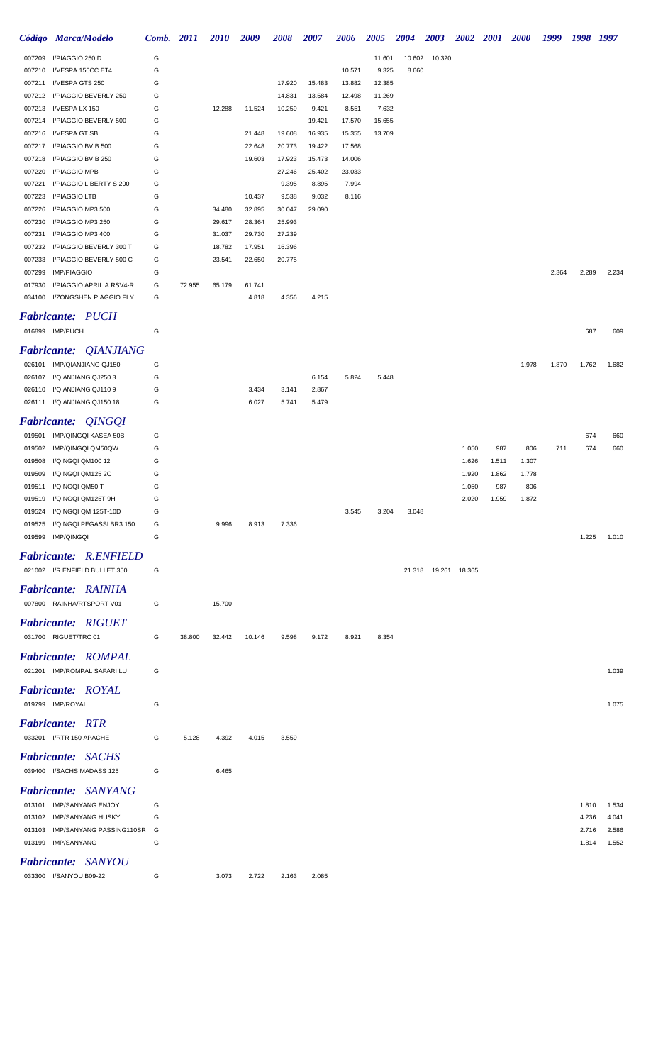|                  | Código Marca/Modelo                                     | Comb. 2011 |        | <i>2010</i> | 2009   | <b>2008</b> | <b>2007</b> | <b>2006</b> | <b>2005</b> | <b>2004</b> | 2003                   |       | 2002 2001 | <b>2000</b> | 1999  | 1998           | 1997           |
|------------------|---------------------------------------------------------|------------|--------|-------------|--------|-------------|-------------|-------------|-------------|-------------|------------------------|-------|-----------|-------------|-------|----------------|----------------|
| 007209           | I/PIAGGIO 250 D                                         | G          |        |             |        |             |             |             | 11.601      | 10.602      | 10.320                 |       |           |             |       |                |                |
| 007210           | I/VESPA 150CC ET4                                       | G          |        |             |        |             |             | 10.571      | 9.325       | 8.660       |                        |       |           |             |       |                |                |
| 007211           | I/VESPA GTS 250                                         | G          |        |             |        | 17.920      | 15.483      | 13.882      | 12.385      |             |                        |       |           |             |       |                |                |
| 007212           | I/PIAGGIO BEVERLY 250                                   | G          |        |             |        | 14.831      | 13.584      | 12.498      | 11.269      |             |                        |       |           |             |       |                |                |
| 007213           | I/VESPA LX 150                                          | G          |        | 12.288      | 11.524 | 10.259      | 9.421       | 8.551       | 7.632       |             |                        |       |           |             |       |                |                |
| 007214           | I/PIAGGIO BEVERLY 500                                   | G          |        |             |        |             | 19.421      | 17.570      | 15.655      |             |                        |       |           |             |       |                |                |
| 007216           | I/VESPA GT SB                                           | G          |        |             | 21.448 | 19.608      | 16.935      | 15.355      | 13.709      |             |                        |       |           |             |       |                |                |
| 007217           | I/PIAGGIO BV B 500                                      | G          |        |             | 22.648 | 20.773      | 19.422      | 17.568      |             |             |                        |       |           |             |       |                |                |
| 007218           | I/PIAGGIO BV B 250                                      | G          |        |             | 19.603 | 17.923      | 15.473      | 14.006      |             |             |                        |       |           |             |       |                |                |
| 007220           | I/PIAGGIO MPB                                           | G          |        |             |        | 27.246      | 25.402      | 23.033      |             |             |                        |       |           |             |       |                |                |
| 007221           | I/PIAGGIO LIBERTY S 200                                 | G          |        |             |        | 9.395       | 8.895       | 7.994       |             |             |                        |       |           |             |       |                |                |
| 007223           | I/PIAGGIO LTB                                           | G          |        |             | 10.437 | 9.538       | 9.032       | 8.116       |             |             |                        |       |           |             |       |                |                |
| 007226           | I/PIAGGIO MP3 500                                       | G          |        | 34.480      | 32.895 | 30.047      | 29.090      |             |             |             |                        |       |           |             |       |                |                |
| 007230           | I/PIAGGIO MP3 250                                       | G          |        | 29.617      | 28.364 | 25.993      |             |             |             |             |                        |       |           |             |       |                |                |
| 007231           | I/PIAGGIO MP3 400                                       | G          |        | 31.037      | 29.730 | 27.239      |             |             |             |             |                        |       |           |             |       |                |                |
| 007232           | I/PIAGGIO BEVERLY 300 T                                 | G          |        | 18.782      | 17.951 | 16.396      |             |             |             |             |                        |       |           |             |       |                |                |
| 007233           | I/PIAGGIO BEVERLY 500 C                                 | G          |        | 23.541      | 22.650 | 20.775      |             |             |             |             |                        |       |           |             |       |                |                |
| 007299           | <b>IMP/PIAGGIO</b>                                      | G          |        |             |        |             |             |             |             |             |                        |       |           |             | 2.364 | 2.289          | 2.234          |
| 017930           | I/PIAGGIO APRILIA RSV4-R                                | G          | 72.955 | 65.179      | 61.741 |             |             |             |             |             |                        |       |           |             |       |                |                |
|                  | 034100 I/ZONGSHEN PIAGGIO FLY                           | G          |        |             | 4.818  | 4.356       | 4.215       |             |             |             |                        |       |           |             |       |                |                |
|                  | <b>Fabricante: PUCH</b>                                 |            |        |             |        |             |             |             |             |             |                        |       |           |             |       |                |                |
|                  | 016899 IMP/PUCH                                         | G          |        |             |        |             |             |             |             |             |                        |       |           |             |       | 687            | 609            |
|                  |                                                         |            |        |             |        |             |             |             |             |             |                        |       |           |             |       |                |                |
|                  | <b>Fabricante: QIANJIANG</b>                            |            |        |             |        |             |             |             |             |             |                        |       |           |             |       |                |                |
|                  | 026101 IMP/QIANJIANG QJ150                              | G          |        |             |        |             |             |             |             |             |                        |       |           | 1.978       | 1.870 | 1.762          | 1.682          |
| 026107           | I/QIANJIANG QJ2503                                      | G          |        |             |        |             | 6.154       | 5.824       | 5.448       |             |                        |       |           |             |       |                |                |
| 026110           | I/QIANJIANG QJ1109                                      | G          |        |             | 3.434  | 3.141       | 2.867       |             |             |             |                        |       |           |             |       |                |                |
|                  | 026111 I/QIANJIANG QJ150 18                             | G          |        |             | 6.027  | 5.741       | 5.479       |             |             |             |                        |       |           |             |       |                |                |
|                  | <b>Fabricante: QINGQI</b>                               |            |        |             |        |             |             |             |             |             |                        |       |           |             |       |                |                |
|                  |                                                         |            |        |             |        |             |             |             |             |             |                        |       |           |             |       |                |                |
| 019501           | IMP/QINGQI KASEA 50B                                    | G          |        |             |        |             |             |             |             |             |                        |       |           |             |       | 674            | 660            |
| 019502           | IMP/QINGQI QM50QW                                       | G          |        |             |        |             |             |             |             |             |                        | 1.050 | 987       | 806         | 711   | 674            | 660            |
| 019508           | I/QINGQI QM100 12                                       | G          |        |             |        |             |             |             |             |             |                        | 1.626 | 1.511     | 1.307       |       |                |                |
| 019509           | I/QINGQI QM125 2C                                       | G          |        |             |        |             |             |             |             |             |                        | 1.920 | 1.862     | 1.778       |       |                |                |
| 019511           | I/QINGQI QM50 T                                         | G          |        |             |        |             |             |             |             |             |                        | 1.050 | 987       | 806         |       |                |                |
| 019519           | I/QINGQI QM125T 9H                                      | G          |        |             |        |             |             |             |             |             |                        | 2.020 | 1.959     | 1.872       |       |                |                |
|                  | 019524 I/QINGQI QM 125T-10D<br>I/QINGQI PEGASSI BR3 150 | G<br>G     |        |             |        |             |             | 3.545       | 3.204       | 3.048       |                        |       |           |             |       |                |                |
| 019525<br>019599 | <b>IMP/QINGQI</b>                                       | G          |        | 9.996       | 8.913  | 7.336       |             |             |             |             |                        |       |           |             |       | 1.225          | 1.010          |
|                  |                                                         |            |        |             |        |             |             |             |             |             |                        |       |           |             |       |                |                |
|                  | <b>Fabricante: R.ENFIELD</b>                            |            |        |             |        |             |             |             |             |             |                        |       |           |             |       |                |                |
|                  | 021002 I/R.ENFIELD BULLET 350                           | G          |        |             |        |             |             |             |             |             | 21.318  19.261  18.365 |       |           |             |       |                |                |
|                  |                                                         |            |        |             |        |             |             |             |             |             |                        |       |           |             |       |                |                |
|                  | <b>Fabricante: RAINHA</b>                               |            |        |             |        |             |             |             |             |             |                        |       |           |             |       |                |                |
|                  | 007800 RAINHA/RTSPORT V01                               | G          |        | 15.700      |        |             |             |             |             |             |                        |       |           |             |       |                |                |
|                  | <b>Fabricante: RIGUET</b>                               |            |        |             |        |             |             |             |             |             |                        |       |           |             |       |                |                |
|                  | 031700 RIGUET/TRC 01                                    | G          | 38.800 | 32.442      | 10.146 | 9.598       | 9.172       | 8.921       | 8.354       |             |                        |       |           |             |       |                |                |
|                  |                                                         |            |        |             |        |             |             |             |             |             |                        |       |           |             |       |                |                |
|                  | <b>Fabricante: ROMPAL</b>                               |            |        |             |        |             |             |             |             |             |                        |       |           |             |       |                |                |
|                  | 021201 IMP/ROMPAL SAFARI LU                             | G          |        |             |        |             |             |             |             |             |                        |       |           |             |       |                | 1.039          |
|                  | <b>Fabricante: ROYAL</b>                                |            |        |             |        |             |             |             |             |             |                        |       |           |             |       |                |                |
|                  |                                                         |            |        |             |        |             |             |             |             |             |                        |       |           |             |       |                |                |
|                  | 019799 IMP/ROYAL                                        | G          |        |             |        |             |             |             |             |             |                        |       |           |             |       |                | 1.075          |
|                  | <b>Fabricante: RTR</b>                                  |            |        |             |        |             |             |             |             |             |                        |       |           |             |       |                |                |
|                  | 033201 I/RTR 150 APACHE                                 | G          | 5.128  | 4.392       | 4.015  | 3.559       |             |             |             |             |                        |       |           |             |       |                |                |
|                  |                                                         |            |        |             |        |             |             |             |             |             |                        |       |           |             |       |                |                |
|                  | <b>Fabricante: SACHS</b>                                |            |        |             |        |             |             |             |             |             |                        |       |           |             |       |                |                |
|                  | 039400 I/SACHS MADASS 125                               | G          |        | 6.465       |        |             |             |             |             |             |                        |       |           |             |       |                |                |
|                  | <b>Fabricante:</b> SANYANG                              |            |        |             |        |             |             |             |             |             |                        |       |           |             |       |                |                |
|                  |                                                         | G          |        |             |        |             |             |             |             |             |                        |       |           |             |       |                |                |
|                  | 013101 IMP/SANYANG ENJOY<br>013102 IMP/SANYANG HUSKY    | G          |        |             |        |             |             |             |             |             |                        |       |           |             |       | 1.810<br>4.236 | 1.534<br>4.041 |
|                  | 013103 IMP/SANYANG PASSING110SR                         | G          |        |             |        |             |             |             |             |             |                        |       |           |             |       | 2.716          | 2.586          |
|                  | 013199 IMP/SANYANG                                      | G          |        |             |        |             |             |             |             |             |                        |       |           |             |       | 1.814          | 1.552          |
|                  |                                                         |            |        |             |        |             |             |             |             |             |                        |       |           |             |       |                |                |
|                  | <b>Fabricante:</b> SANYOU                               |            |        |             |        |             |             |             |             |             |                        |       |           |             |       |                |                |
|                  | 033300 I/SANYOU B09-22                                  | G          |        | 3.073       | 2.722  | 2.163       | 2.085       |             |             |             |                        |       |           |             |       |                |                |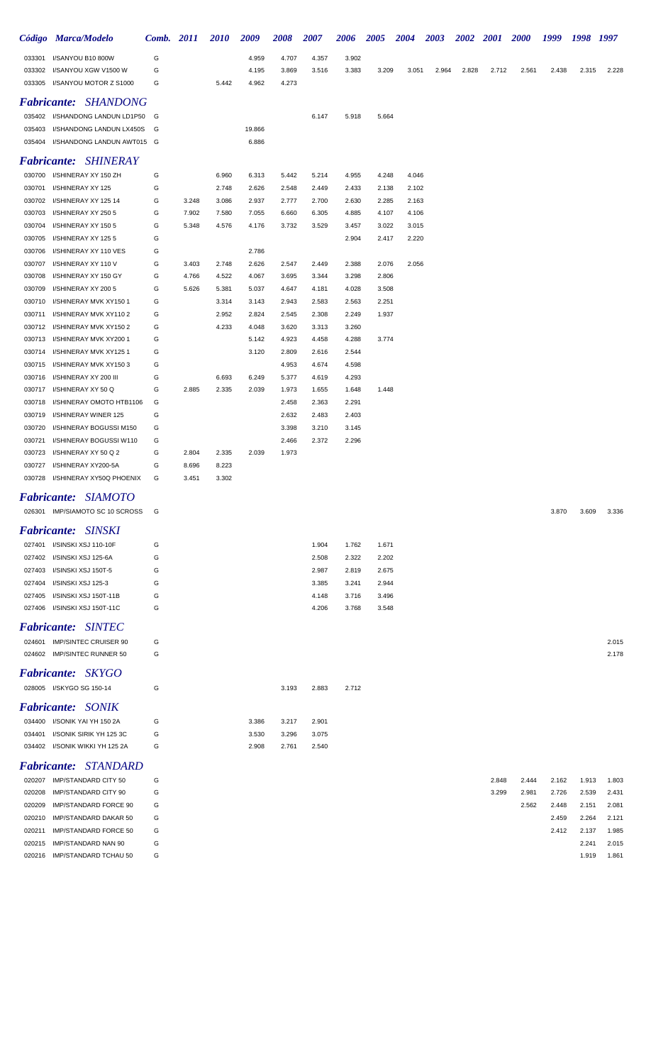|                  | Código Marca/Modelo                                   | Comb.  | <b>2011</b>    | 2010           | 2009           | 2008           | 2007           | 2006           | <i><b>2005</b></i> | 2004           | <b>2003</b> | <b>2002</b> | <b>2001</b> | <b>2000</b> | 1999           | 1998           | 1997           |
|------------------|-------------------------------------------------------|--------|----------------|----------------|----------------|----------------|----------------|----------------|--------------------|----------------|-------------|-------------|-------------|-------------|----------------|----------------|----------------|
| 033301           | I/SANYOU B10 800W                                     | G      |                |                | 4.959          | 4.707          | 4.357          | 3.902          |                    |                |             |             |             |             |                |                |                |
| 033302           | I/SANYOU XGW V1500 W                                  | G      |                |                | 4.195          | 3.869          | 3.516          | 3.383          | 3.209              | 3.051          | 2.964       | 2.828       | 2.712       | 2.561       | 2.438          | 2.315          | 2.228          |
| 033305           | I/SANYOU MOTOR Z S1000                                | G      |                | 5.442          | 4.962          | 4.273          |                |                |                    |                |             |             |             |             |                |                |                |
|                  | <b>Fabricante: SHANDONG</b>                           |        |                |                |                |                |                |                |                    |                |             |             |             |             |                |                |                |
|                  | 035402 I/SHANDONG LANDUN LD1P50                       | G      |                |                |                |                | 6.147          | 5.918          | 5.664              |                |             |             |             |             |                |                |                |
| 035403           | I/SHANDONG LANDUN LX450S                              | G      |                |                | 19.866         |                |                |                |                    |                |             |             |             |             |                |                |                |
| 035404           | I/SHANDONG LANDUN AWT015 G                            |        |                |                | 6.886          |                |                |                |                    |                |             |             |             |             |                |                |                |
|                  | <b>Fabricante: SHINERAY</b>                           |        |                |                |                |                |                |                |                    |                |             |             |             |             |                |                |                |
|                  | 030700 I/SHINERAY XY 150 ZH                           | G      |                | 6.960          | 6.313          | 5.442          | 5.214          | 4.955          | 4.248              | 4.046          |             |             |             |             |                |                |                |
| 030701           | I/SHINERAY XY 125                                     | G      |                | 2.748          | 2.626          | 2.548          | 2.449          | 2.433          | 2.138              | 2.102          |             |             |             |             |                |                |                |
| 030702           | I/SHINERAY XY 125 14                                  | G      | 3.248          | 3.086          | 2.937          | 2.777          | 2.700          | 2.630          | 2.285              | 2.163          |             |             |             |             |                |                |                |
| 030703           | I/SHINERAY XY 250 5                                   | G      | 7.902          | 7.580          | 7.055          | 6.660          | 6.305          | 4.885          | 4.107              | 4.106          |             |             |             |             |                |                |                |
| 030704<br>030705 | I/SHINERAY XY 150 5<br>I/SHINERAY XY 125 5            | G<br>G | 5.348          | 4.576          | 4.176          | 3.732          | 3.529          | 3.457<br>2.904 | 3.022<br>2.417     | 3.015<br>2.220 |             |             |             |             |                |                |                |
| 030706           | I/SHINERAY XY 110 VES                                 | G      |                |                | 2.786          |                |                |                |                    |                |             |             |             |             |                |                |                |
| 030707           | I/SHINERAY XY 110 V                                   | G      | 3.403          | 2.748          | 2.626          | 2.547          | 2.449          | 2.388          | 2.076              | 2.056          |             |             |             |             |                |                |                |
| 030708           | I/SHINERAY XY 150 GY                                  | G      | 4.766          | 4.522          | 4.067          | 3.695          | 3.344          | 3.298          | 2.806              |                |             |             |             |             |                |                |                |
| 030709           | I/SHINERAY XY 200 5                                   | G      | 5.626          | 5.381          | 5.037          | 4.647          | 4.181          | 4.028          | 3.508              |                |             |             |             |             |                |                |                |
| 030710           | I/SHINERAY MVK XY150 1                                | G      |                | 3.314          | 3.143          | 2.943          | 2.583          | 2.563          | 2.251              |                |             |             |             |             |                |                |                |
| 030711           | I/SHINERAY MVK XY1102                                 | G      |                | 2.952          | 2.824          | 2.545          | 2.308          | 2.249          | 1.937              |                |             |             |             |             |                |                |                |
| 030712           | I/SHINERAY MVK XY150 2                                | G      |                | 4.233          | 4.048          | 3.620          | 3.313          | 3.260          |                    |                |             |             |             |             |                |                |                |
| 030713<br>030714 | I/SHINERAY MVK XY200 1<br>I/SHINERAY MVK XY1251       | G<br>G |                |                | 5.142<br>3.120 | 4.923<br>2.809 | 4.458<br>2.616 | 4.288<br>2.544 | 3.774              |                |             |             |             |             |                |                |                |
| 030715           | I/SHINERAY MVK XY1503                                 | G      |                |                |                | 4.953          | 4.674          | 4.598          |                    |                |             |             |             |             |                |                |                |
| 030716           | I/SHINERAY XY 200 III                                 | G      |                | 6.693          | 6.249          | 5.377          | 4.619          | 4.293          |                    |                |             |             |             |             |                |                |                |
| 030717           | I/SHINERAY XY 50 Q                                    | G      | 2.885          | 2.335          | 2.039          | 1.973          | 1.655          | 1.648          | 1.448              |                |             |             |             |             |                |                |                |
| 030718           | I/SHINERAY OMOTO HTB1106                              | G      |                |                |                | 2.458          | 2.363          | 2.291          |                    |                |             |             |             |             |                |                |                |
| 030719           | I/SHINERAY WINER 125                                  | G      |                |                |                | 2.632          | 2.483          | 2.403          |                    |                |             |             |             |             |                |                |                |
| 030720           | I/SHINERAY BOGUSSI M150                               | G      |                |                |                | 3.398          | 3.210          | 3.145          |                    |                |             |             |             |             |                |                |                |
| 030721           | I/SHINERAY BOGUSSI W110                               | G      |                |                |                | 2.466          | 2.372          | 2.296          |                    |                |             |             |             |             |                |                |                |
| 030723<br>030727 | I/SHINERAY XY 50 Q 2<br>I/SHINERAY XY200-5A           | G<br>G | 2.804<br>8.696 | 2.335<br>8.223 | 2.039          | 1.973          |                |                |                    |                |             |             |             |             |                |                |                |
| 030728           | I/SHINERAY XY50Q PHOENIX                              | G      | 3.451          | 3.302          |                |                |                |                |                    |                |             |             |             |             |                |                |                |
|                  | Fabricante: SIAMOTO                                   |        |                |                |                |                |                |                |                    |                |             |             |             |             |                |                |                |
|                  |                                                       |        |                |                |                |                |                |                |                    |                |             |             |             |             |                |                |                |
|                  | 026301 IMP/SIAMOTO SC 10 SCROSS                       | G      |                |                |                |                |                |                |                    |                |             |             |             |             | 3.870          | 3.609          | 3.336          |
|                  | <b>Fabricante: SINSKI</b>                             |        |                |                |                |                |                |                |                    |                |             |             |             |             |                |                |                |
|                  | 027401 I/SINSKI XSJ 110-10F                           | G      |                |                |                |                | 1.904          | 1.762          | 1.671              |                |             |             |             |             |                |                |                |
|                  | 027402 I/SINSKI XSJ 125-6A                            | G      |                |                |                |                | 2.508          | 2.322          | 2.202              |                |             |             |             |             |                |                |                |
| 027403<br>027404 | I/SINSKI XSJ 150T-5<br>I/SINSKI XSJ 125-3             | G<br>G |                |                |                |                | 2.987<br>3.385 | 2.819<br>3.241 | 2.675<br>2.944     |                |             |             |             |             |                |                |                |
| 027405           | I/SINSKI XSJ 150T-11B                                 | G      |                |                |                |                | 4.148          | 3.716          | 3.496              |                |             |             |             |             |                |                |                |
|                  | 027406 I/SINSKI XSJ 150T-11C                          | G      |                |                |                |                | 4.206          | 3.768          | 3.548              |                |             |             |             |             |                |                |                |
|                  | <b>Fabricante: SINTEC</b>                             |        |                |                |                |                |                |                |                    |                |             |             |             |             |                |                |                |
|                  | 024601 IMP/SINTEC CRUISER 90                          | G      |                |                |                |                |                |                |                    |                |             |             |             |             |                |                | 2.015          |
|                  | 024602 IMP/SINTEC RUNNER 50                           | G      |                |                |                |                |                |                |                    |                |             |             |             |             |                |                | 2.178          |
|                  |                                                       |        |                |                |                |                |                |                |                    |                |             |             |             |             |                |                |                |
|                  | <b>Fabricante: SKYGO</b>                              |        |                |                |                |                |                |                |                    |                |             |             |             |             |                |                |                |
|                  | 028005 I/SKYGO SG 150-14                              | G      |                |                |                | 3.193          | 2.883          | 2.712          |                    |                |             |             |             |             |                |                |                |
|                  | <b>Fabricante:</b> SONIK                              |        |                |                |                |                |                |                |                    |                |             |             |             |             |                |                |                |
|                  | 034400 I/SONIK YAI YH 150 2A                          | G      |                |                | 3.386          | 3.217          | 2.901          |                |                    |                |             |             |             |             |                |                |                |
| 034401           | I/SONIK SIRIK YH 125 3C                               | G      |                |                | 3.530          | 3.296          | 3.075          |                |                    |                |             |             |             |             |                |                |                |
| 034402           | I/SONIK WIKKI YH 125 2A                               | G      |                |                | 2.908          | 2.761          | 2.540          |                |                    |                |             |             |             |             |                |                |                |
|                  | <b>Fabricante: STANDARD</b>                           |        |                |                |                |                |                |                |                    |                |             |             |             |             |                |                |                |
|                  | 020207 IMP/STANDARD CITY 50                           | G      |                |                |                |                |                |                |                    |                |             |             | 2.848       | 2.444       | 2.162          | 1.913          | 1.803          |
| 020208           | IMP/STANDARD CITY 90                                  | G      |                |                |                |                |                |                |                    |                |             |             | 3.299       | 2.981       | 2.726          | 2.539          | 2.431          |
| 020209           | IMP/STANDARD FORCE 90<br>020210 IMP/STANDARD DAKAR 50 | G<br>G |                |                |                |                |                |                |                    |                |             |             |             | 2.562       | 2.448<br>2.459 | 2.151<br>2.264 | 2.081<br>2.121 |
|                  |                                                       |        |                |                |                |                |                |                |                    |                |             |             |             |             |                |                |                |

 IMP/STANDARD FORCE 50 G 2.412 2.137 1.985 IMP/STANDARD NAN 90 G 2.241 2.015 IMP/STANDARD TCHAU 50 G 1.919 1.861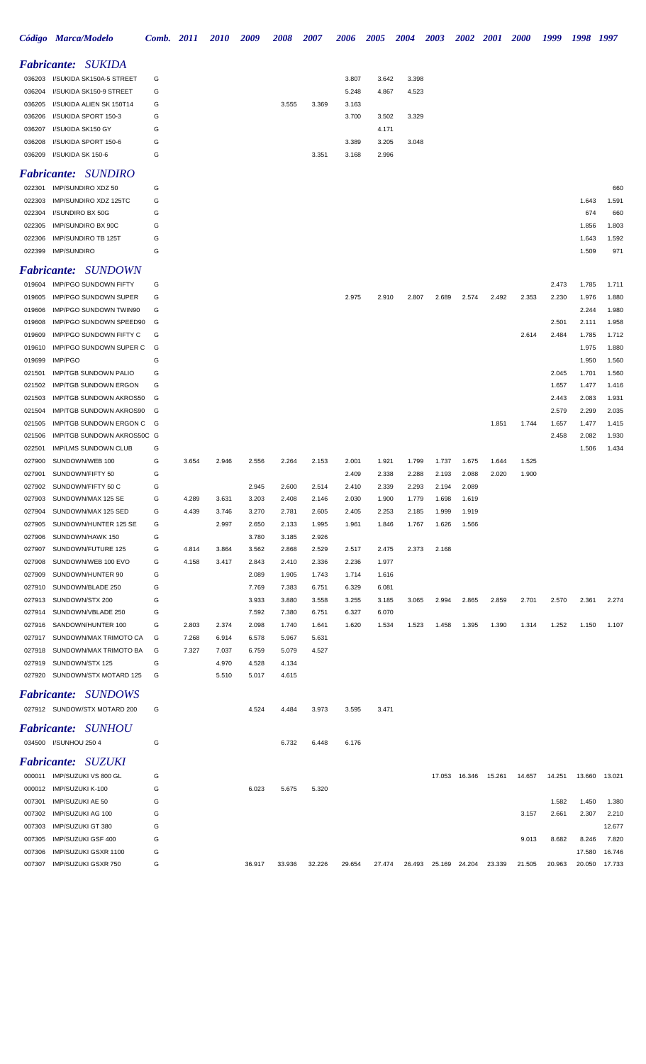|        | Código Marca/Modelo                                        | <b>Comb.</b> 2011 |       | <i><b>2010</b></i> | 2009   | <i><b>2008</b></i> | <i><b>2007</b></i> | 2006   | <b>2005</b> | 2004   | 2003   | <b>2002</b> | <b>2001</b> | <i><b>2000</b></i> | 1999   | 1998   | 1997   |
|--------|------------------------------------------------------------|-------------------|-------|--------------------|--------|--------------------|--------------------|--------|-------------|--------|--------|-------------|-------------|--------------------|--------|--------|--------|
|        | <b>Fabricante: SUKIDA</b>                                  |                   |       |                    |        |                    |                    |        |             |        |        |             |             |                    |        |        |        |
| 036203 | I/SUKIDA SK150A-5 STREET                                   | G                 |       |                    |        |                    |                    | 3.807  | 3.642       | 3.398  |        |             |             |                    |        |        |        |
| 036204 | I/SUKIDA SK150-9 STREET                                    | G                 |       |                    |        |                    |                    | 5.248  | 4.867       | 4.523  |        |             |             |                    |        |        |        |
| 036205 | I/SUKIDA ALIEN SK 150T14                                   | G                 |       |                    |        | 3.555              | 3.369              | 3.163  |             |        |        |             |             |                    |        |        |        |
| 036206 | I/SUKIDA SPORT 150-3                                       | G                 |       |                    |        |                    |                    | 3.700  | 3.502       | 3.329  |        |             |             |                    |        |        |        |
| 036207 | I/SUKIDA SK150 GY                                          | G                 |       |                    |        |                    |                    |        | 4.171       |        |        |             |             |                    |        |        |        |
| 036208 | I/SUKIDA SPORT 150-6                                       | G                 |       |                    |        |                    |                    | 3.389  | 3.205       | 3.048  |        |             |             |                    |        |        |        |
| 036209 | I/SUKIDA SK 150-6                                          | G                 |       |                    |        |                    | 3.351              | 3.168  | 2.996       |        |        |             |             |                    |        |        |        |
|        | <b>Fabricante: SUNDIRO</b>                                 |                   |       |                    |        |                    |                    |        |             |        |        |             |             |                    |        |        |        |
| 022301 | IMP/SUNDIRO XDZ 50                                         | G                 |       |                    |        |                    |                    |        |             |        |        |             |             |                    |        |        | 660    |
| 022303 | IMP/SUNDIRO XDZ 125TC                                      | G                 |       |                    |        |                    |                    |        |             |        |        |             |             |                    |        | 1.643  | 1.591  |
| 022304 | I/SUNDIRO BX 50G                                           | G                 |       |                    |        |                    |                    |        |             |        |        |             |             |                    |        | 674    | 660    |
| 022305 | IMP/SUNDIRO BX 90C                                         | G                 |       |                    |        |                    |                    |        |             |        |        |             |             |                    |        | 1.856  | 1.803  |
| 022306 | <b>IMP/SUNDIRO TB 125T</b>                                 | G                 |       |                    |        |                    |                    |        |             |        |        |             |             |                    |        | 1.643  | 1.592  |
| 022399 | <b>IMP/SUNDIRO</b>                                         | G                 |       |                    |        |                    |                    |        |             |        |        |             |             |                    |        | 1.509  | 971    |
|        | <b>Fabricante:</b> SUNDOWN                                 |                   |       |                    |        |                    |                    |        |             |        |        |             |             |                    |        |        |        |
| 019604 | <b>IMP/PGO SUNDOWN FIFTY</b>                               | G                 |       |                    |        |                    |                    |        |             |        |        |             |             |                    | 2.473  | 1.785  | 1.711  |
| 019605 | IMP/PGO SUNDOWN SUPER                                      | G                 |       |                    |        |                    |                    | 2.975  | 2.910       | 2.807  | 2.689  | 2.574       | 2.492       | 2.353              | 2.230  | 1.976  | 1.880  |
| 019606 | IMP/PGO SUNDOWN TWIN90                                     | G                 |       |                    |        |                    |                    |        |             |        |        |             |             |                    |        | 2.244  | 1.980  |
| 019608 | IMP/PGO SUNDOWN SPEED90                                    | G                 |       |                    |        |                    |                    |        |             |        |        |             |             |                    | 2.501  | 2.111  | 1.958  |
| 019609 | IMP/PGO SUNDOWN FIFTY C                                    | G                 |       |                    |        |                    |                    |        |             |        |        |             |             | 2.614              | 2.484  | 1.785  | 1.712  |
| 019610 | IMP/PGO SUNDOWN SUPER C                                    | G                 |       |                    |        |                    |                    |        |             |        |        |             |             |                    |        | 1.975  | 1.880  |
| 019699 | IMP/PGO                                                    | G                 |       |                    |        |                    |                    |        |             |        |        |             |             |                    |        | 1.950  | 1.560  |
| 021501 | <b>IMP/TGB SUNDOWN PALIO</b>                               | G                 |       |                    |        |                    |                    |        |             |        |        |             |             |                    | 2.045  | 1.701  | 1.560  |
| 021502 | <b>IMP/TGB SUNDOWN ERGON</b>                               | G                 |       |                    |        |                    |                    |        |             |        |        |             |             |                    | 1.657  | 1.477  | 1.416  |
| 021503 | <b>IMP/TGB SUNDOWN AKROS50</b>                             | G                 |       |                    |        |                    |                    |        |             |        |        |             |             |                    | 2.443  | 2.083  | 1.931  |
| 021504 | IMP/TGB SUNDOWN AKROS90                                    | G                 |       |                    |        |                    |                    |        |             |        |        |             |             |                    | 2.579  | 2.299  | 2.035  |
| 021505 | IMP/TGB SUNDOWN ERGON C                                    | G                 |       |                    |        |                    |                    |        |             |        |        |             | 1.851       | 1.744              | 1.657  | 1.477  | 1.415  |
| 021506 | IMP/TGB SUNDOWN AKROS50C G                                 |                   |       |                    |        |                    |                    |        |             |        |        |             |             |                    | 2.458  | 2.082  | 1.930  |
| 022501 | <b>IMP/LMS SUNDOWN CLUB</b>                                | G                 |       |                    |        |                    |                    |        |             |        |        |             |             |                    |        | 1.506  | 1.434  |
| 027900 | SUNDOWN/WEB 100                                            | G                 | 3.654 | 2.946              | 2.556  | 2.264              | 2.153              | 2.001  | 1.921       | 1.799  | 1.737  | 1.675       | 1.644       | 1.525              |        |        |        |
| 027901 | SUNDOWN/FIFTY 50                                           | G                 |       |                    |        |                    |                    | 2.409  | 2.338       | 2.288  | 2.193  | 2.088       | 2.020       | 1.900              |        |        |        |
| 027902 | SUNDOWN/FIFTY 50 C                                         | G                 |       |                    | 2.945  | 2.600              | 2.514              | 2.410  | 2.339       | 2.293  | 2.194  | 2.089       |             |                    |        |        |        |
| 027903 | SUNDOWN/MAX 125 SE                                         | G                 | 4.289 | 3.631              | 3.203  | 2.408              | 2.146              | 2.030  | 1.900       | 1.779  | 1.698  | 1.619       |             |                    |        |        |        |
| 027904 | SUNDOWN/MAX 125 SED                                        | G                 | 4.439 | 3.746              | 3.270  | 2.781              | 2.605              | 2.405  | 2.253       | 2.185  | 1.999  | 1.919       |             |                    |        |        |        |
| 027905 | SUNDOWN/HUNTER 125 SE                                      | G                 |       | 2.997              | 2.650  | 2.133              | 1.995              | 1.961  | 1.846       | 1.767  | 1.626  | 1.566       |             |                    |        |        |        |
| 027906 | SUNDOWN/HAWK 150                                           | G                 |       |                    | 3.780  | 3.185              | 2.926              |        |             |        |        |             |             |                    |        |        |        |
| 027907 | SUNDOWN/FUTURE 125                                         | G                 | 4.814 | 3.864              | 3.562  | 2.868              | 2.529              | 2.517  | 2.475       | 2.373  | 2.168  |             |             |                    |        |        |        |
| 027908 | SUNDOWN/WEB 100 EVO                                        | G                 | 4.158 | 3.417              | 2.843  | 2.410              | 2.336              | 2.236  | 1.977       |        |        |             |             |                    |        |        |        |
| 027909 | SUNDOWN/HUNTER 90                                          | G                 |       |                    | 2.089  | 1.905              | 1.743              | 1.714  | 1.616       |        |        |             |             |                    |        |        |        |
| 027910 | SUNDOWN/BLADE 250                                          | G                 |       |                    | 7.769  | 7.383              | 6.751              | 6.329  | 6.081       |        |        |             |             |                    |        |        |        |
| 027913 | SUNDOWN/STX 200                                            | G                 |       |                    | 3.933  | 3.880              | 3.558              | 3.255  | 3.185       | 3.065  | 2.994  | 2.865       | 2.859       | 2.701              | 2.570  | 2.361  | 2.274  |
| 027914 | SUNDOWN/VBLADE 250                                         | G                 |       |                    | 7.592  | 7.380              | 6.751              | 6.327  | 6.070       |        |        |             |             |                    |        |        |        |
| 027916 | SANDOWN/HUNTER 100                                         | G                 | 2.803 | 2.374              | 2.098  | 1.740              | 1.641              | 1.620  | 1.534       | 1.523  | 1.458  | 1.395       | 1.390       | 1.314              | 1.252  | 1.150  | 1.107  |
| 027917 | SUNDOWN/MAX TRIMOTO CA                                     | G                 | 7.268 | 6.914              | 6.578  | 5.967              | 5.631              |        |             |        |        |             |             |                    |        |        |        |
| 027918 | SUNDOWN/MAX TRIMOTO BA                                     | G                 | 7.327 | 7.037              | 6.759  | 5.079              | 4.527              |        |             |        |        |             |             |                    |        |        |        |
| 027919 | SUNDOWN/STX 125                                            | G                 |       | 4.970              | 4.528  | 4.134              |                    |        |             |        |        |             |             |                    |        |        |        |
| 027920 | SUNDOWN/STX MOTARD 125                                     | G                 |       | 5.510              | 5.017  | 4.615              |                    |        |             |        |        |             |             |                    |        |        |        |
|        |                                                            |                   |       |                    |        |                    |                    |        |             |        |        |             |             |                    |        |        |        |
|        | <b>Fabricante:</b> SUNDOWS<br>027912 SUNDOW/STX MOTARD 200 |                   |       |                    |        |                    |                    |        |             |        |        |             |             |                    |        |        |        |
|        |                                                            | G                 |       |                    | 4.524  | 4.484              | 3.973              | 3.595  | 3.471       |        |        |             |             |                    |        |        |        |
|        | <b>Fabricante: SUNHOU</b>                                  |                   |       |                    |        |                    |                    |        |             |        |        |             |             |                    |        |        |        |
|        | 034500 I/SUNHOU 250 4                                      | G                 |       |                    |        | 6.732              | 6.448              | 6.176  |             |        |        |             |             |                    |        |        |        |
|        | <b>Fabricante: SUZUKI</b>                                  |                   |       |                    |        |                    |                    |        |             |        |        |             |             |                    |        |        |        |
|        | 000011 IMP/SUZUKI VS 800 GL                                | G                 |       |                    |        |                    |                    |        |             |        | 17.053 | 16.346      | 15.261      | 14.657             | 14.251 | 13.660 | 13.021 |
|        | 000012 IMP/SUZUKI K-100                                    | G                 |       |                    | 6.023  | 5.675              | 5.320              |        |             |        |        |             |             |                    |        |        |        |
| 007301 | IMP/SUZUKI AE 50                                           | G                 |       |                    |        |                    |                    |        |             |        |        |             |             |                    | 1.582  | 1.450  | 1.380  |
| 007302 | IMP/SUZUKI AG 100                                          | G                 |       |                    |        |                    |                    |        |             |        |        |             |             | 3.157              | 2.661  | 2.307  | 2.210  |
| 007303 | IMP/SUZUKI GT 380                                          | G                 |       |                    |        |                    |                    |        |             |        |        |             |             |                    |        |        | 12.677 |
| 007305 | IMP/SUZUKI GSF 400                                         | G                 |       |                    |        |                    |                    |        |             |        |        |             |             | 9.013              | 8.682  | 8.246  | 7.820  |
| 007306 | IMP/SUZUKI GSXR 1100                                       | G                 |       |                    |        |                    |                    |        |             |        |        |             |             |                    |        | 17.580 | 16.746 |
| 007307 | IMP/SUZUKI GSXR 750                                        | G                 |       |                    | 36.917 | 33.936             | 32.226             | 29.654 | 27.474      | 26.493 | 25.169 | 24.204      | 23.339      | 21.505             | 20.963 | 20.050 | 17.733 |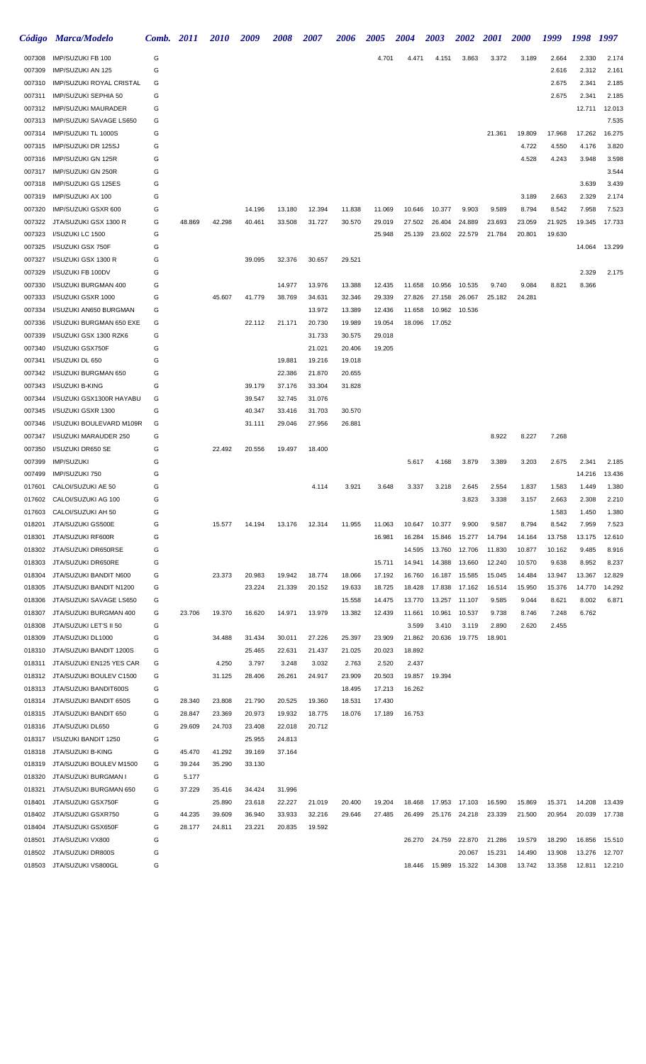|                  | Código Marca/Modelo                                | Comb. 2011 |                  | <i>2010</i>      | 2009             | 2008             | <b>2007</b>      | 2006             | <b>2005</b>      | <b>2004</b>      | <b>2003</b>      | 2002             | <b>2001</b>      | <b>2000</b>      | 1999             | 1998            | 1997            |
|------------------|----------------------------------------------------|------------|------------------|------------------|------------------|------------------|------------------|------------------|------------------|------------------|------------------|------------------|------------------|------------------|------------------|-----------------|-----------------|
| 007308           | IMP/SUZUKI FB 100                                  | G          |                  |                  |                  |                  |                  |                  | 4.701            | 4.471            | 4.151            | 3.863            | 3.372            | 3.189            | 2.664            | 2.330           | 2.174           |
| 007309           | IMP/SUZUKI AN 125                                  | G          |                  |                  |                  |                  |                  |                  |                  |                  |                  |                  |                  |                  | 2.616            | 2.312           | 2.161           |
| 007310           | <b>IMP/SUZUKI ROYAL CRISTAL</b>                    | G          |                  |                  |                  |                  |                  |                  |                  |                  |                  |                  |                  |                  | 2.675            | 2.341           | 2.185           |
| 007311           | IMP/SUZUKI SEPHIA 50                               | G          |                  |                  |                  |                  |                  |                  |                  |                  |                  |                  |                  |                  | 2.675            | 2.341           | 2.185           |
| 007312           | <b>IMP/SUZUKI MAURADER</b>                         | G          |                  |                  |                  |                  |                  |                  |                  |                  |                  |                  |                  |                  |                  | 12.711          | 12.013          |
| 007313           | <b>IMP/SUZUKI SAVAGE LS650</b>                     | G          |                  |                  |                  |                  |                  |                  |                  |                  |                  |                  |                  |                  |                  |                 | 7.535           |
| 007314<br>007315 | IMP/SUZUKI TL 1000S<br>IMP/SUZUKI DR 125SJ         | G<br>G     |                  |                  |                  |                  |                  |                  |                  |                  |                  |                  | 21.361           | 19.809<br>4.722  | 17.968<br>4.550  | 17.262<br>4.176 | 16.275<br>3.820 |
| 007316           | IMP/SUZUKI GN 125R                                 | G          |                  |                  |                  |                  |                  |                  |                  |                  |                  |                  |                  | 4.528            | 4.243            | 3.948           | 3.598           |
| 007317           | IMP/SUZUKI GN 250R                                 | G          |                  |                  |                  |                  |                  |                  |                  |                  |                  |                  |                  |                  |                  |                 | 3.544           |
| 007318           | IMP/SUZUKI GS 125ES                                | G          |                  |                  |                  |                  |                  |                  |                  |                  |                  |                  |                  |                  |                  | 3.639           | 3.439           |
| 007319           | IMP/SUZUKI AX 100                                  | G          |                  |                  |                  |                  |                  |                  |                  |                  |                  |                  |                  | 3.189            | 2.663            | 2.329           | 2.174           |
| 007320           | IMP/SUZUKI GSXR 600                                | G          |                  |                  | 14.196           | 13.180           | 12.394           | 11.838           | 11.069           | 10.646           | 10.377           | 9.903            | 9.589            | 8.794            | 8.542            | 7.958           | 7.523           |
| 007322           | JTA/SUZUKI GSX 1300 R                              | G          | 48.869           | 42.298           | 40.461           | 33.508           | 31.727           | 30.570           | 29.019           | 27.502           | 26.404           | 24.889           | 23.693           | 23.059           | 21.925           | 19.345          | 17.733          |
| 007323           | I/SUZUKI LC 1500                                   | G          |                  |                  |                  |                  |                  |                  | 25.948           | 25.139           | 23.602           | 22.579           | 21.784           | 20.801           | 19.630           |                 |                 |
| 007325           | I/SUZUKI GSX 750F                                  | G          |                  |                  |                  |                  |                  |                  |                  |                  |                  |                  |                  |                  |                  | 14.064          | 13.299          |
| 007327           | I/SUZUKI GSX 1300 R                                | G          |                  |                  | 39.095           | 32.376           | 30.657           | 29.521           |                  |                  |                  |                  |                  |                  |                  |                 |                 |
| 007329           | I/SUZUKI FB 100DV                                  | G          |                  |                  |                  |                  |                  |                  |                  |                  |                  |                  |                  |                  |                  | 2.329           | 2.175           |
| 007330           | I/SUZUKI BURGMAN 400                               | G          |                  |                  |                  | 14.977           | 13.976           | 13.388           | 12.435           | 11.658           | 10.956           | 10.535           | 9.740            | 9.084            | 8.821            | 8.366           |                 |
| 007333           | I/SUZUKI GSXR 1000                                 | G          |                  | 45.607           | 41.779           | 38.769           | 34.631           | 32.346           | 29.339           | 27.826           | 27.158           | 26.067           | 25.182           | 24.281           |                  |                 |                 |
| 007334           | I/SUZUKI AN650 BURGMAN                             | G          |                  |                  |                  |                  | 13.972           | 13.389           | 12.436           | 11.658           | 10.962           | 10.536           |                  |                  |                  |                 |                 |
| 007336<br>007339 | I/SUZUKI BURGMAN 650 EXE<br>I/SUZUKI GSX 1300 RZK6 | G<br>G     |                  |                  | 22.112           | 21.171           | 20.730<br>31.733 | 19.989<br>30.575 | 19.054<br>29.018 | 18.096           | 17.052           |                  |                  |                  |                  |                 |                 |
| 007340           | I/SUZUKI GSX750F                                   | G          |                  |                  |                  |                  | 21.021           | 20.406           | 19.205           |                  |                  |                  |                  |                  |                  |                 |                 |
| 007341           | I/SUZUKI DL 650                                    | G          |                  |                  |                  | 19.881           | 19.216           | 19.018           |                  |                  |                  |                  |                  |                  |                  |                 |                 |
| 007342           | I/SUZUKI BURGMAN 650                               | G          |                  |                  |                  | 22.386           | 21.870           | 20.655           |                  |                  |                  |                  |                  |                  |                  |                 |                 |
| 007343           | I/SUZUKI B-KING                                    | G          |                  |                  | 39.179           | 37.176           | 33.304           | 31.828           |                  |                  |                  |                  |                  |                  |                  |                 |                 |
| 007344           | I/SUZUKI GSX1300R HAYABU                           | G          |                  |                  | 39.547           | 32.745           | 31.076           |                  |                  |                  |                  |                  |                  |                  |                  |                 |                 |
| 007345           | I/SUZUKI GSXR 1300                                 | G          |                  |                  | 40.347           | 33.416           | 31.703           | 30.570           |                  |                  |                  |                  |                  |                  |                  |                 |                 |
| 007346           | I/SUZUKI BOULEVARD M109R                           | G          |                  |                  | 31.111           | 29.046           | 27.956           | 26.881           |                  |                  |                  |                  |                  |                  |                  |                 |                 |
| 007347           | I/SUZUKI MARAUDER 250                              | G          |                  |                  |                  |                  |                  |                  |                  |                  |                  |                  | 8.922            | 8.227            | 7.268            |                 |                 |
| 007350           | I/SUZUKI DR650 SE                                  | G          |                  | 22.492           | 20.556           | 19.497           | 18.400           |                  |                  |                  |                  |                  |                  |                  |                  |                 |                 |
| 007399           | <b>IMP/SUZUKI</b>                                  | G          |                  |                  |                  |                  |                  |                  |                  | 5.617            | 4.168            | 3.879            | 3.389            | 3.203            | 2.675            | 2.341           | 2.185           |
| 007499           | IMP/SUZUKI 750                                     | G          |                  |                  |                  |                  |                  |                  |                  |                  |                  |                  |                  |                  |                  | 14.216          | 13.436          |
| 017601           | CALOI/SUZUKI AE 50                                 | G          |                  |                  |                  |                  | 4.114            | 3.921            | 3.648            | 3.337            | 3.218            | 2.645            | 2.554            | 1.837            | 1.583            | 1.449           | 1.380           |
|                  | 017602 CALOI/SUZUKI AG 100                         | G          |                  |                  |                  |                  |                  |                  |                  |                  |                  | 3.823            | 3.338            | 3.157            | 2.663            | 2.308           | 2.210           |
| 017603           | CALOI/SUZUKI AH 50                                 | G          |                  |                  |                  |                  |                  |                  |                  |                  |                  |                  |                  |                  | 1.583            | 1.450           | 1.380           |
| 018201<br>018301 | JTA/SUZUKI GS500E<br>JTA/SUZUKI RF600R             | G<br>G     |                  | 15.577           | 14.194           | 13.176           | 12.314           | 11.955           | 11.063           | 10.647           | 10.377           | 9.900            | 9.587            | 8.794            | 8.542            | 7.959           | 7.523<br>12.610 |
| 018302           | JTA/SUZUKI DR650RSE                                | G          |                  |                  |                  |                  |                  |                  | 16.981           | 16.284<br>14.595 | 15.846<br>13.760 | 15.277<br>12.706 | 14.794<br>11.830 | 14.164<br>10.877 | 13.758<br>10.162 | 13.175<br>9.485 | 8.916           |
| 018303           | JTA/SUZUKI DR650RE                                 | G          |                  |                  |                  |                  |                  |                  | 15.711           | 14.941           | 14.388           | 13.660           | 12.240           | 10.570           | 9.638            | 8.952           | 8.237           |
| 018304           | JTA/SUZUKI BANDIT N600                             | G          |                  | 23.373           | 20.983           | 19.942           | 18.774           | 18.066           | 17.192           | 16.760           | 16.187           | 15.585           | 15.045           | 14.484           | 13.947           | 13.367          | 12.829          |
| 018305           | JTA/SUZUKI BANDIT N1200                            | G          |                  |                  | 23.224           | 21.339           | 20.152           | 19.633           | 18.725           | 18.428           | 17.838           | 17.162           | 16.514           | 15.950           | 15.376           | 14.770          | 14.292          |
| 018306           | JTA/SUZUKI SAVAGE LS650                            | G          |                  |                  |                  |                  |                  | 15.558           | 14.475           | 13.770           | 13.257           | 11.107           | 9.585            | 9.044            | 8.621            | 8.002           | 6.871           |
| 018307           | JTA/SUZUKI BURGMAN 400                             | G          | 23.706           | 19.370           | 16.620           | 14.971           | 13.979           | 13.382           | 12.439           | 11.661           | 10.961           | 10.537           | 9.738            | 8.746            | 7.248            | 6.762           |                 |
| 018308           | JTA/SUZUKI LET'S II 50                             | G          |                  |                  |                  |                  |                  |                  |                  | 3.599            | 3.410            | 3.119            | 2.890            | 2.620            | 2.455            |                 |                 |
| 018309           | JTA/SUZUKI DL1000                                  | G          |                  | 34.488           | 31.434           | 30.011           | 27.226           | 25.397           | 23.909           | 21.862           | 20.636           | 19.775           | 18.901           |                  |                  |                 |                 |
| 018310           | JTA/SUZUKI BANDIT 1200S                            | G          |                  |                  | 25.465           | 22.631           | 21.437           | 21.025           | 20.023           | 18.892           |                  |                  |                  |                  |                  |                 |                 |
| 018311           | JTA/SUZUKI EN125 YES CAR                           | G          |                  | 4.250            | 3.797            | 3.248            | 3.032            | 2.763            | 2.520            | 2.437            |                  |                  |                  |                  |                  |                 |                 |
| 018312           | JTA/SUZUKI BOULEV C1500                            | G          |                  | 31.125           | 28.406           | 26.261           | 24.917           | 23.909           | 20.503           | 19.857           | 19.394           |                  |                  |                  |                  |                 |                 |
| 018313           | JTA/SUZUKI BANDIT600S                              | G          |                  |                  |                  |                  |                  | 18.495           | 17.213           | 16.262           |                  |                  |                  |                  |                  |                 |                 |
| 018314           | JTA/SUZUKI BANDIT 650S<br>JTA/SUZUKI BANDIT 650    | G          | 28.340           | 23.808           | 21.790           | 20.525<br>19.932 | 19.360           | 18.531           | 17.430<br>17.189 | 16.753           |                  |                  |                  |                  |                  |                 |                 |
| 018315<br>018316 | JTA/SUZUKI DL650                                   | G<br>G     | 28.847<br>29.609 | 23.369<br>24.703 | 20.973<br>23.408 | 22.018           | 18.775<br>20.712 | 18.076           |                  |                  |                  |                  |                  |                  |                  |                 |                 |
| 018317           | I/SUZUKI BANDIT 1250                               | G          |                  |                  | 25.955           | 24.813           |                  |                  |                  |                  |                  |                  |                  |                  |                  |                 |                 |
| 018318           | JTA/SUZUKI B-KING                                  | G          | 45.470           | 41.292           | 39.169           | 37.164           |                  |                  |                  |                  |                  |                  |                  |                  |                  |                 |                 |
| 018319           | JTA/SUZUKI BOULEV M1500                            | G          | 39.244           | 35.290           | 33.130           |                  |                  |                  |                  |                  |                  |                  |                  |                  |                  |                 |                 |
| 018320           | JTA/SUZUKI BURGMAN I                               | G          | 5.177            |                  |                  |                  |                  |                  |                  |                  |                  |                  |                  |                  |                  |                 |                 |
| 018321           | JTA/SUZUKI BURGMAN 650                             | G          | 37.229           | 35.416           | 34.424           | 31.996           |                  |                  |                  |                  |                  |                  |                  |                  |                  |                 |                 |
| 018401           | JTA/SUZUKI GSX750F                                 | G          |                  | 25.890           | 23.618           | 22.227           | 21.019           | 20.400           | 19.204           | 18.468           | 17.953           | 17.103           | 16.590           | 15.869           | 15.371           | 14.208          | 13.439          |
| 018402           | JTA/SUZUKI GSXR750                                 | G          | 44.235           | 39.609           | 36.940           | 33.933           | 32.216           | 29.646           | 27.485           | 26.499           | 25.176           | 24.218           | 23.339           | 21.500           | 20.954           | 20.039          | 17.738          |
| 018404           | JTA/SUZUKI GSX650F                                 | G          | 28.177           | 24.811           | 23.221           | 20.835           | 19.592           |                  |                  |                  |                  |                  |                  |                  |                  |                 |                 |
| 018501           | JTA/SUZUKI VX800                                   | G          |                  |                  |                  |                  |                  |                  |                  | 26.270           | 24.759           | 22.870           | 21.286           | 19.579           | 18.290           | 16.856          | 15.510          |
| 018502           | JTA/SUZUKI DR800S                                  | G          |                  |                  |                  |                  |                  |                  |                  |                  |                  | 20.067           | 15.231           | 14.490           | 13.908           | 13.276          | 12.707          |
| 018503           | JTA/SUZUKI VS800GL                                 | G          |                  |                  |                  |                  |                  |                  |                  | 18.446           | 15.989           | 15.322           | 14.308           | 13.742           | 13.358           | 12.811          | 12.210          |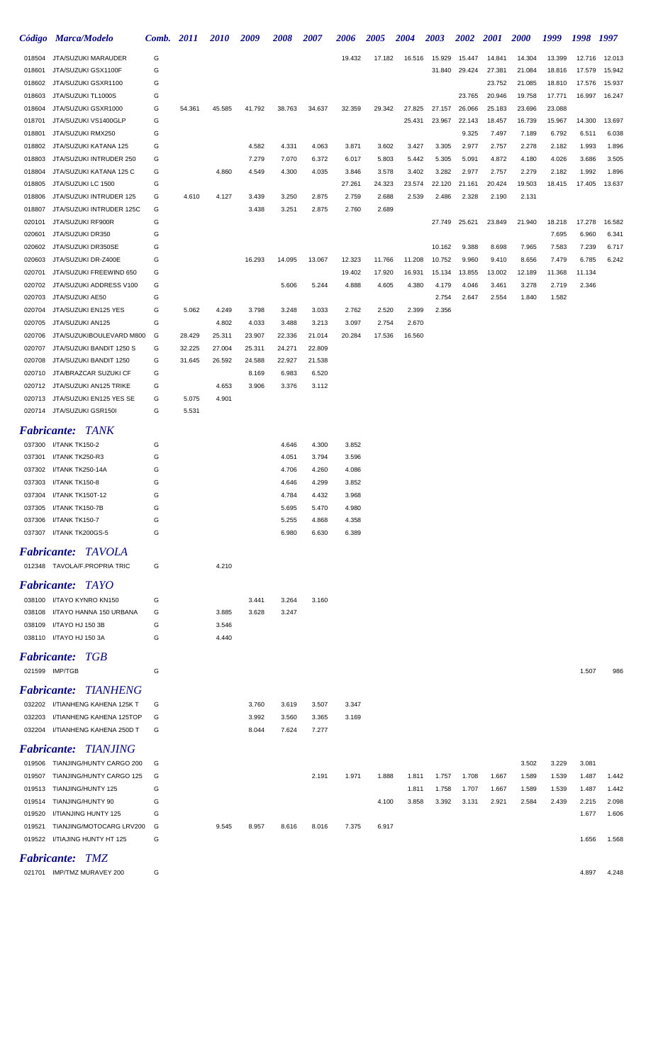|                    | Código Marca/Modelo                                       | Comb. 2011 |        | <i>2010</i>    | 2009   | 2008           | 2007           | 2006           | <b>2005</b> | <b>2004</b>      | <b>2003</b>      | <b>2002</b>      | <b>2001</b>      | <b>2000</b>      | 1999             | 1998           | 1997           |
|--------------------|-----------------------------------------------------------|------------|--------|----------------|--------|----------------|----------------|----------------|-------------|------------------|------------------|------------------|------------------|------------------|------------------|----------------|----------------|
| 018504             | JTA/SUZUKI MARAUDER                                       | G          |        |                |        |                |                | 19.432         | 17.182      | 16.516           | 15.929           | 15.447           | 14.841           | 14.304           | 13.399           | 12.716         | 12.013         |
| 018601             | JTA/SUZUKI GSX1100F                                       | G          |        |                |        |                |                |                |             |                  | 31.840           | 29.424           | 27.381           | 21.084           | 18.816           | 17.579         | 15.942         |
| 018602             | JTA/SUZUKI GSXR1100                                       | G          |        |                |        |                |                |                |             |                  |                  |                  | 23.752           | 21.085           | 18.810           | 17.576         | 15.937         |
| 018603             | JTA/SUZUKI TL1000S                                        | G          |        |                |        |                |                |                |             |                  |                  | 23.765           | 20.946           | 19.758           | 17.771           | 16.997         | 16.247         |
| 018604<br>018701   | JTA/SUZUKI GSXR1000<br>JTA/SUZUKI VS1400GLP               | G<br>G     | 54.361 | 45.585         | 41.792 | 38.763         | 34.637         | 32.359         | 29.342      | 27.825<br>25.431 | 27.157<br>23.967 | 26.066<br>22.143 | 25.183<br>18.457 | 23.696<br>16.739 | 23.088<br>15.967 | 14.300         | 13.697         |
| 018801             | JTA/SUZUKI RMX250                                         | G          |        |                |        |                |                |                |             |                  |                  | 9.325            | 7.497            | 7.189            | 6.792            | 6.511          | 6.038          |
| 018802             | JTA/SUZUKI KATANA 125                                     | G          |        |                | 4.582  | 4.331          | 4.063          | 3.871          | 3.602       | 3.427            | 3.305            | 2.977            | 2.757            | 2.278            | 2.182            | 1.993          | 1.896          |
| 018803             | JTA/SUZUKI INTRUDER 250                                   | G          |        |                | 7.279  | 7.070          | 6.372          | 6.017          | 5.803       | 5.442            | 5.305            | 5.091            | 4.872            | 4.180            | 4.026            | 3.686          | 3.505          |
| 018804             | JTA/SUZUKI KATANA 125 C                                   | G          |        | 4.860          | 4.549  | 4.300          | 4.035          | 3.846          | 3.578       | 3.402            | 3.282            | 2.977            | 2.757            | 2.279            | 2.182            | 1.992          | 1.896          |
| 018805             | JTA/SUZUKI LC 1500                                        | G          |        |                |        |                |                | 27.261         | 24.323      | 23.574           | 22.120           | 21.161           | 20.424           | 19.503           | 18.415           | 17.405         | 13.637         |
| 018806             | JTA/SUZUKI INTRUDER 125                                   | G          | 4.610  | 4.127          | 3.439  | 3.250          | 2.875          | 2.759          | 2.688       | 2.539            | 2.486            | 2.328            | 2.190            | 2.131            |                  |                |                |
| 018807             | JTA/SUZUKI INTRUDER 125C                                  | G          |        |                | 3.438  | 3.251          | 2.875          | 2.760          | 2.689       |                  |                  |                  |                  |                  |                  |                |                |
| 020101             | JTA/SUZUKI RF900R                                         | G          |        |                |        |                |                |                |             |                  | 27.749           | 25.621           | 23.849           | 21.940           | 18.218           | 17.278         | 16.582         |
| 020601             | JTA/SUZUKI DR350                                          | G          |        |                |        |                |                |                |             |                  |                  |                  |                  |                  | 7.695            | 6.960          | 6.341          |
| 020602<br>020603   | JTA/SUZUKI DR350SE<br>JTA/SUZUKI DR-Z400E                 | G<br>G     |        |                | 16.293 | 14.095         | 13.067         | 12.323         | 11.766      | 11.208           | 10.162<br>10.752 | 9.388<br>9.960   | 8.698<br>9.410   | 7.965<br>8.656   | 7.583<br>7.479   | 7.239<br>6.785 | 6.717<br>6.242 |
| 020701             | JTA/SUZUKI FREEWIND 650                                   | G          |        |                |        |                |                | 19.402         | 17.920      | 16.931           | 15.134           | 13.855           | 13.002           | 12.189           | 11.368           | 11.134         |                |
| 020702             | JTA/SUZUKI ADDRESS V100                                   | G          |        |                |        | 5.606          | 5.244          | 4.888          | 4.605       | 4.380            | 4.179            | 4.046            | 3.461            | 3.278            | 2.719            | 2.346          |                |
| 020703             | JTA/SUZUKI AE50                                           | G          |        |                |        |                |                |                |             |                  | 2.754            | 2.647            | 2.554            | 1.840            | 1.582            |                |                |
| 020704             | JTA/SUZUKI EN125 YES                                      | G          | 5.062  | 4.249          | 3.798  | 3.248          | 3.033          | 2.762          | 2.520       | 2.399            | 2.356            |                  |                  |                  |                  |                |                |
| 020705             | JTA/SUZUKI AN125                                          | G          |        | 4.802          | 4.033  | 3.488          | 3.213          | 3.097          | 2.754       | 2.670            |                  |                  |                  |                  |                  |                |                |
| 020706             | JTA/SUZUKIBOULEVARD M800                                  | G          | 28.429 | 25.311         | 23.907 | 22.336         | 21.014         | 20.284         | 17.536      | 16.560           |                  |                  |                  |                  |                  |                |                |
| 020707             | JTA/SUZUKI BANDIT 1250 S                                  | G          | 32.225 | 27.004         | 25.311 | 24.271         | 22.809         |                |             |                  |                  |                  |                  |                  |                  |                |                |
| 020708             | JTA/SUZUKI BANDIT 1250                                    | G          | 31.645 | 26.592         | 24.588 | 22.927         | 21.538         |                |             |                  |                  |                  |                  |                  |                  |                |                |
| 020710             | JTA/BRAZCAR SUZUKI CF                                     | G          |        |                | 8.169  | 6.983          | 6.520          |                |             |                  |                  |                  |                  |                  |                  |                |                |
| 020712<br>020713   | JTA/SUZUKI AN125 TRIKE<br>JTA/SUZUKI EN125 YES SE         | G<br>G     | 5.075  | 4.653<br>4.901 | 3.906  | 3.376          | 3.112          |                |             |                  |                  |                  |                  |                  |                  |                |                |
|                    | 020714 JTA/SUZUKI GSR150I                                 | G          | 5.531  |                |        |                |                |                |             |                  |                  |                  |                  |                  |                  |                |                |
|                    |                                                           |            |        |                |        |                |                |                |             |                  |                  |                  |                  |                  |                  |                |                |
|                    | <b>Fabricante: TANK</b>                                   |            |        |                |        |                |                |                |             |                  |                  |                  |                  |                  |                  |                |                |
|                    | 037300 I/TANK TK150-2                                     | G          |        |                |        | 4.646          | 4.300          | 3.852          |             |                  |                  |                  |                  |                  |                  |                |                |
| 037301             | I/TANK TK250-R3                                           | G          |        |                |        | 4.051          | 3.794          | 3.596          |             |                  |                  |                  |                  |                  |                  |                |                |
| 037302<br>037303   | I/TANK TK250-14A<br>I/TANK TK150-8                        | G<br>G     |        |                |        | 4.706<br>4.646 | 4.260<br>4.299 | 4.086<br>3.852 |             |                  |                  |                  |                  |                  |                  |                |                |
|                    | 037304 I/TANK TK150T-12                                   | G          |        |                |        | 4.784          | 4.432          | 3.968          |             |                  |                  |                  |                  |                  |                  |                |                |
|                    | 037305 I/TANK TK150-7B                                    |            |        |                |        | 5.695          | 5.470          | 4.980          |             |                  |                  |                  |                  |                  |                  |                |                |
|                    | 037306 I/TANK TK150-7                                     | G          |        |                |        | 5.255          | 4.868          | 4.358          |             |                  |                  |                  |                  |                  |                  |                |                |
|                    | 037307 I/TANK TK200GS-5                                   | G          |        |                |        | 6.980          | 6.630          | 6.389          |             |                  |                  |                  |                  |                  |                  |                |                |
|                    | <b>Fabricante: TAVOLA</b>                                 |            |        |                |        |                |                |                |             |                  |                  |                  |                  |                  |                  |                |                |
|                    | 012348 TAVOLA/F.PROPRIA TRIC                              | G          |        | 4.210          |        |                |                |                |             |                  |                  |                  |                  |                  |                  |                |                |
|                    |                                                           |            |        |                |        |                |                |                |             |                  |                  |                  |                  |                  |                  |                |                |
|                    | <b>Fabricante: TAYO</b>                                   |            |        |                |        |                |                |                |             |                  |                  |                  |                  |                  |                  |                |                |
|                    | 038100 I/TAYO KYNRO KN150                                 | G          |        |                | 3.441  | 3.264          | 3.160          |                |             |                  |                  |                  |                  |                  |                  |                |                |
| 038109             | 038108 I/TAYO HANNA 150 URBANA<br>I/TAYO HJ 150 3B        | G<br>G     |        | 3.885<br>3.546 | 3.628  | 3.247          |                |                |             |                  |                  |                  |                  |                  |                  |                |                |
|                    | 038110 I/TAYO HJ 150 3A                                   | G          |        | 4.440          |        |                |                |                |             |                  |                  |                  |                  |                  |                  |                |                |
|                    |                                                           |            |        |                |        |                |                |                |             |                  |                  |                  |                  |                  |                  |                |                |
| <b>Fabricante:</b> | - TGB                                                     |            |        |                |        |                |                |                |             |                  |                  |                  |                  |                  |                  |                |                |
|                    | 021599 IMP/TGB                                            | G          |        |                |        |                |                |                |             |                  |                  |                  |                  |                  |                  | 1.507          | 986            |
|                    | <b>Fabricante: TIANHENG</b>                               |            |        |                |        |                |                |                |             |                  |                  |                  |                  |                  |                  |                |                |
|                    | 032202 I/TIANHENG KAHENA 125K T                           | G          |        |                | 3.760  | 3.619          | 3.507          | 3.347          |             |                  |                  |                  |                  |                  |                  |                |                |
|                    | 032203 I/TIANHENG KAHENA 125TOP                           | G          |        |                | 3.992  | 3.560          | 3.365          | 3.169          |             |                  |                  |                  |                  |                  |                  |                |                |
|                    | 032204 I/TIANHENG KAHENA 250D T                           | G          |        |                | 8.044  | 7.624          | 7.277          |                |             |                  |                  |                  |                  |                  |                  |                |                |
|                    | <b>Fabricante: TIANJING</b>                               |            |        |                |        |                |                |                |             |                  |                  |                  |                  |                  |                  |                |                |
|                    | 019506 TIANJING/HUNTY CARGO 200                           | G          |        |                |        |                |                |                |             |                  |                  |                  |                  | 3.502            | 3.229            | 3.081          |                |
| 019507             | TIANJING/HUNTY CARGO 125                                  | G          |        |                |        |                | 2.191          | 1.971          | 1.888       | 1.811            | 1.757            | 1.708            | 1.667            | 1.589            | 1.539            | 1.487          | 1.442          |
| 019513             | TIANJING/HUNTY 125                                        | G          |        |                |        |                |                |                |             | 1.811            | 1.758            | 1.707            | 1.667            | 1.589            | 1.539            | 1.487          | 1.442          |
| 019514             | TIANJING/HUNTY 90                                         | G          |        |                |        |                |                |                | 4.100       | 3.858            | 3.392            | 3.131            | 2.921            | 2.584            | 2.439            | 2.215          | 2.098          |
| 019520             | I/TIANJING HUNTY 125                                      | G          |        |                |        |                |                |                |             |                  |                  |                  |                  |                  |                  | 1.677          | 1.606          |
| 019521             | TIANJING/MOTOCARG LRV200<br>019522 I/TIAJING HUNTY HT 125 | G<br>G     |        | 9.545          | 8.957  | 8.616          | 8.016          | 7.375          | 6.917       |                  |                  |                  |                  |                  |                  | 1.656          |                |
|                    |                                                           |            |        |                |        |                |                |                |             |                  |                  |                  |                  |                  |                  |                | 1.568          |
|                    | <b>Fabricante: TMZ</b>                                    |            |        |                |        |                |                |                |             |                  |                  |                  |                  |                  |                  |                |                |
|                    | 021701 IMP/TMZ MURAVEY 200                                | G          |        |                |        |                |                |                |             |                  |                  |                  |                  |                  |                  | 4.897          | 4.248          |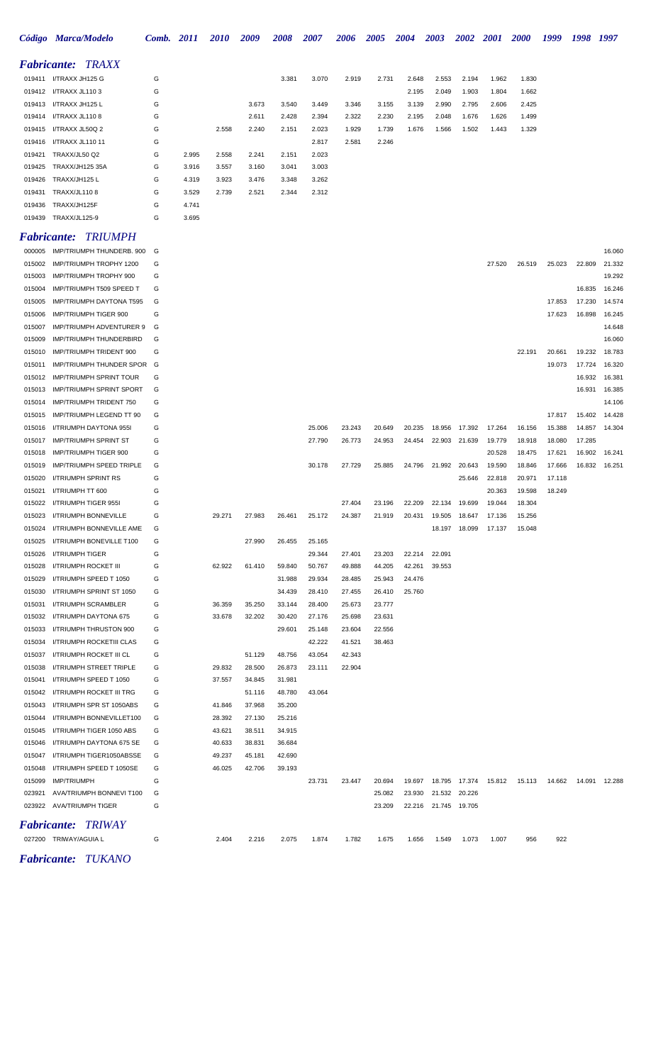|        | Código Marca/Modelo      | Comb. | 2011  | <b>2010</b> | 2009  | 2008  | 2007  | 2006  | 2005  | 2004  | 2003  | 2002  | <b>2001</b> | <b>2000</b> | 1999 | 1998 | 1997 |
|--------|--------------------------|-------|-------|-------------|-------|-------|-------|-------|-------|-------|-------|-------|-------------|-------------|------|------|------|
|        | <b>Fabricante: TRAXX</b> |       |       |             |       |       |       |       |       |       |       |       |             |             |      |      |      |
| 019411 | I/TRAXX JH125 G          | G     |       |             |       | 3.381 | 3.070 | 2.919 | 2.731 | 2.648 | 2.553 | 2.194 | 1.962       | 1.830       |      |      |      |
|        | 019412 I/TRAXX JL110 3   | G     |       |             |       |       |       |       |       | 2.195 | 2.049 | 1.903 | 1.804       | 1.662       |      |      |      |
|        | 019413 I/TRAXX JH125 L   | G     |       |             | 3.673 | 3.540 | 3.449 | 3.346 | 3.155 | 3.139 | 2.990 | 2.795 | 2.606       | 2.425       |      |      |      |
|        | 019414 I/TRAXX JL110 8   | G     |       |             | 2.611 | 2.428 | 2.394 | 2.322 | 2.230 | 2.195 | 2.048 | 1.676 | 1.626       | 1.499       |      |      |      |
|        | 019415 I/TRAXX JL50Q 2   | G     |       | 2.558       | 2.240 | 2.151 | 2.023 | 1.929 | 1.739 | 1.676 | 1.566 | 1.502 | 1.443       | 1.329       |      |      |      |
|        | 019416 I/TRAXX JL110 11  | G     |       |             |       |       | 2.817 | 2.581 | 2.246 |       |       |       |             |             |      |      |      |
| 019421 | TRAXX/JL50 Q2            | G     | 2.995 | 2.558       | 2.241 | 2.151 | 2.023 |       |       |       |       |       |             |             |      |      |      |
| 019425 | TRAXX/JH125 35A          | G     | 3.916 | 3.557       | 3.160 | 3.041 | 3.003 |       |       |       |       |       |             |             |      |      |      |
| 019426 | TRAXX/JH125 L            | G     | 4.319 | 3.923       | 3.476 | 3.348 | 3.262 |       |       |       |       |       |             |             |      |      |      |
| 019431 | <b>TRAXX/JL1108</b>      | G     | 3.529 | 2.739       | 2.521 | 2.344 | 2.312 |       |       |       |       |       |             |             |      |      |      |
| 019436 | TRAXX/JH125F             | G     | 4.741 |             |       |       |       |       |       |       |       |       |             |             |      |      |      |
|        | 019439 TRAXX/JL125-9     | G     | 3.695 |             |       |       |       |       |       |       |       |       |             |             |      |      |      |

### *Fabricante: TRIUMPH*

| 000005 | IMP/TRIUMPH THUNDERB. 900       | G |        |        |        |        |        |        |        |                        |        |        |        |                                |        | 16.060 |
|--------|---------------------------------|---|--------|--------|--------|--------|--------|--------|--------|------------------------|--------|--------|--------|--------------------------------|--------|--------|
| 015002 | IMP/TRIUMPH TROPHY 1200         | G |        |        |        |        |        |        |        |                        |        | 27.520 | 26.519 | 25.023                         | 22.809 | 21.332 |
| 015003 | IMP/TRIUMPH TROPHY 900          | G |        |        |        |        |        |        |        |                        |        |        |        |                                |        | 19.292 |
| 015004 | IMP/TRIUMPH T509 SPEED T        | G |        |        |        |        |        |        |        |                        |        |        |        |                                | 16.835 | 16.246 |
| 015005 | <b>IMP/TRIUMPH DAYTONA T595</b> | G |        |        |        |        |        |        |        |                        |        |        |        | 17.853                         | 17.230 | 14.574 |
| 015006 | <b>IMP/TRIUMPH TIGER 900</b>    | G |        |        |        |        |        |        |        |                        |        |        |        | 17.623                         | 16.898 | 16.245 |
| 015007 | IMP/TRIUMPH ADVENTURER 9        | G |        |        |        |        |        |        |        |                        |        |        |        |                                |        | 14.648 |
| 015009 | IMP/TRIUMPH THUNDERBIRD         | G |        |        |        |        |        |        |        |                        |        |        |        |                                |        | 16.060 |
| 015010 | IMP/TRIUMPH TRIDENT 900         | G |        |        |        |        |        |        |        |                        |        |        | 22.191 | 20.661                         | 19.232 | 18.783 |
| 015011 | IMP/TRIUMPH THUNDER SPOR G      |   |        |        |        |        |        |        |        |                        |        |        |        | 19.073                         | 17.724 | 16.320 |
| 015012 | <b>IMP/TRIUMPH SPRINT TOUR</b>  | G |        |        |        |        |        |        |        |                        |        |        |        |                                | 16.932 | 16.381 |
| 015013 | <b>IMP/TRIUMPH SPRINT SPORT</b> | G |        |        |        |        |        |        |        |                        |        |        |        |                                | 16.931 | 16.385 |
| 015014 | IMP/TRIUMPH TRIDENT 750         | G |        |        |        |        |        |        |        |                        |        |        |        |                                |        | 14.106 |
| 015015 | IMP/TRIUMPH LEGEND TT 90        | G |        |        |        |        |        |        |        |                        |        |        |        | 17.817                         | 15.402 | 14.428 |
| 015016 | I/TRIUMPH DAYTONA 955I          | G |        |        |        | 25.006 | 23.243 | 20.649 | 20.235 | 18.956                 | 17.392 | 17.264 | 16.156 | 15.388                         | 14.857 | 14.304 |
| 015017 | <b>IMP/TRIUMPH SPRINT ST</b>    | G |        |        |        | 27.790 | 26.773 | 24.953 | 24.454 | 22.903                 | 21.639 | 19.779 | 18.918 | 18.080                         | 17.285 |        |
| 015018 | IMP/TRIUMPH TIGER 900           | G |        |        |        |        |        |        |        |                        |        | 20.528 | 18.475 | 17.621                         | 16.902 | 16.241 |
| 015019 | IMP/TRIUMPH SPEED TRIPLE        | G |        |        |        | 30.178 | 27.729 | 25.885 | 24.796 | 21.992                 | 20.643 | 19.590 | 18.846 | 17.666                         | 16.832 | 16.251 |
| 015020 | I/TRIUMPH SPRINT RS             | G |        |        |        |        |        |        |        |                        | 25.646 | 22.818 | 20.971 | 17.118                         |        |        |
| 015021 | I/TRIUMPH TT 600                | G |        |        |        |        |        |        |        |                        |        | 20.363 | 19.598 | 18.249                         |        |        |
| 015022 | I/TRIUMPH TIGER 955I            | G |        |        |        |        | 27.404 | 23.196 | 22.209 | 22.134                 | 19.699 | 19.044 | 18.304 |                                |        |        |
| 015023 | I/TRIUMPH BONNEVILLE            | G | 29.271 | 27.983 | 26.461 | 25.172 | 24.387 | 21.919 | 20.431 | 19.505                 | 18.647 | 17.136 | 15.256 |                                |        |        |
| 015024 | I/TRIUMPH BONNEVILLE AME        | G |        |        |        |        |        |        |        | 18.197                 | 18.099 | 17.137 | 15.048 |                                |        |        |
| 015025 | I/TRIUMPH BONEVILLE T100        | G |        | 27.990 | 26.455 | 25.165 |        |        |        |                        |        |        |        |                                |        |        |
| 015026 | <b>I/TRIUMPH TIGER</b>          | G |        |        |        | 29.344 | 27.401 | 23.203 | 22.214 | 22.091                 |        |        |        |                                |        |        |
| 015028 | I/TRIUMPH ROCKET III            | G | 62.922 | 61.410 | 59.840 | 50.767 | 49.888 | 44.205 | 42.261 | 39.553                 |        |        |        |                                |        |        |
| 015029 | I/TRIUMPH SPEED T 1050          | G |        |        | 31.988 | 29.934 | 28.485 | 25.943 | 24.476 |                        |        |        |        |                                |        |        |
| 015030 | I/TRIUMPH SPRINT ST 1050        | G |        |        | 34.439 | 28.410 | 27.455 | 26.410 | 25.760 |                        |        |        |        |                                |        |        |
| 015031 | I/TRIUMPH SCRAMBLER             | G | 36.359 | 35.250 | 33.144 | 28.400 | 25.673 | 23.777 |        |                        |        |        |        |                                |        |        |
| 015032 | I/TRIUMPH DAYTONA 675           | G | 33.678 | 32.202 | 30.420 | 27.176 | 25.698 | 23.631 |        |                        |        |        |        |                                |        |        |
| 015033 | I/TRIUMPH THRUSTON 900          | G |        |        | 29.601 | 25.148 | 23.604 | 22.556 |        |                        |        |        |        |                                |        |        |
| 015034 | I/TRIUMPH ROCKETIII CLAS        | G |        |        |        | 42.222 | 41.521 | 38.463 |        |                        |        |        |        |                                |        |        |
| 015037 | I/TRIUMPH ROCKET III CL         | G |        | 51.129 | 48.756 | 43.054 | 42.343 |        |        |                        |        |        |        |                                |        |        |
| 015038 | I/TRIUMPH STREET TRIPLE         | G | 29.832 | 28.500 | 26.873 | 23.111 | 22.904 |        |        |                        |        |        |        |                                |        |        |
| 015041 | I/TRIUMPH SPEED T 1050          | G | 37.557 | 34.845 | 31.981 |        |        |        |        |                        |        |        |        |                                |        |        |
| 015042 | I/TRIUMPH ROCKET III TRG        | G |        | 51.116 | 48.780 | 43.064 |        |        |        |                        |        |        |        |                                |        |        |
| 015043 | I/TRIUMPH SPR ST 1050ABS        | G | 41.846 | 37.968 | 35.200 |        |        |        |        |                        |        |        |        |                                |        |        |
| 015044 | I/TRIUMPH BONNEVILLET100        | G | 28.392 | 27.130 | 25.216 |        |        |        |        |                        |        |        |        |                                |        |        |
| 015045 | I/TRIUMPH TIGER 1050 ABS        | G | 43.621 | 38.511 | 34.915 |        |        |        |        |                        |        |        |        |                                |        |        |
| 015046 | I/TRIUMPH DAYTONA 675 SE        | G | 40.633 | 38.831 | 36.684 |        |        |        |        |                        |        |        |        |                                |        |        |
| 015047 | I/TRIUMPH TIGER1050ABSSE        | G | 49.237 | 45.181 | 42.690 |        |        |        |        |                        |        |        |        |                                |        |        |
| 015048 | I/TRIUMPH SPEED T 1050SE        | G | 46.025 | 42.706 | 39.193 |        |        |        |        |                        |        |        |        |                                |        |        |
| 015099 | IMP/TRIUMPH                     | G |        |        |        | 23.731 | 23.447 | 20.694 |        | 19.697  18.795  17.374 |        | 15.812 |        | 15.113  14.662  14.091  12.288 |        |        |
|        | 023921 AVA/TRIUMPH BONNEVI T100 | G |        |        |        |        |        | 25.082 |        | 23.930 21.532 20.226   |        |        |        |                                |        |        |
|        | 023922 AVA/TRIUMPH TIGER        | G |        |        |        |        |        | 23.209 |        | 22.216 21.745 19.705   |        |        |        |                                |        |        |
|        | <b>Fabricante: TRIWAY</b>       |   |        |        |        |        |        |        |        |                        |        |        |        |                                |        |        |
|        | 027200 TRIWAY/AGUIA L           | G | 2.404  | 2.216  | 2.075  | 1.874  | 1.782  | 1.675  | 1.656  | 1.549                  | 1.073  | 1.007  | 956    | 922                            |        |        |
|        |                                 |   |        |        |        |        |        |        |        |                        |        |        |        |                                |        |        |

*Fabricante: TUKANO*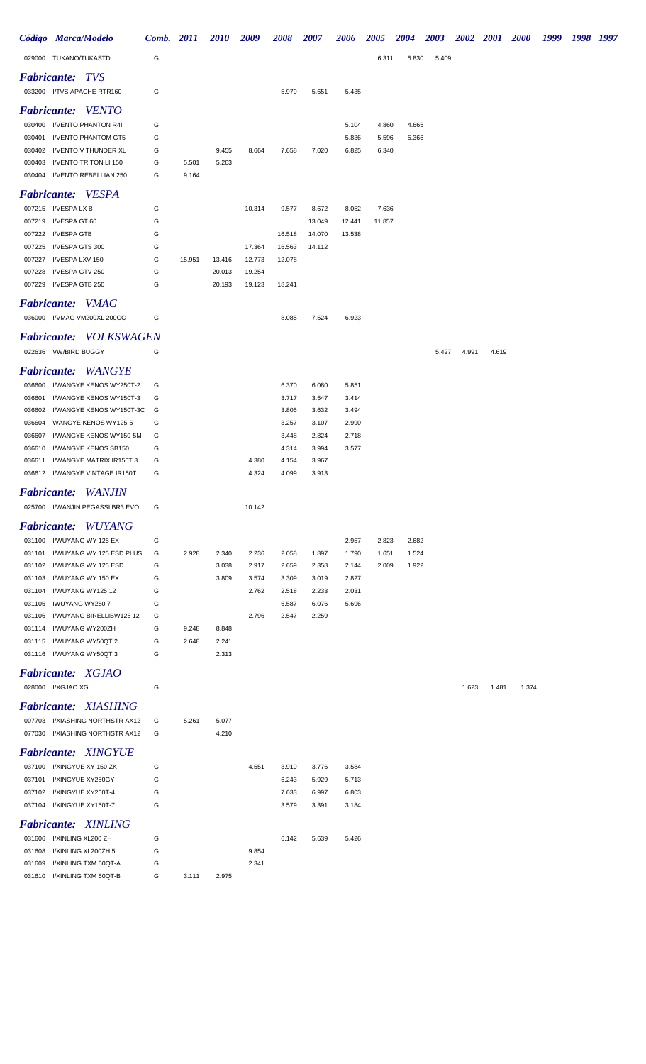|                    | Código Marca/Modelo                                          | Comb. 2011 |        | <b>2010</b>    | 2009             | 2008             | <i><b>2007</b></i> | 2006           | <b>2005</b>    | <b>2004</b>    | <b>2003</b> |       | 2002 2001 | <b>2000</b> | 1999 | 1998 1997 |  |
|--------------------|--------------------------------------------------------------|------------|--------|----------------|------------------|------------------|--------------------|----------------|----------------|----------------|-------------|-------|-----------|-------------|------|-----------|--|
|                    | 029000 TUKANO/TUKASTD                                        | G          |        |                |                  |                  |                    |                | 6.311          | 5.830          | 5.409       |       |           |             |      |           |  |
|                    | <b>Fabricante: TVS</b>                                       |            |        |                |                  |                  |                    |                |                |                |             |       |           |             |      |           |  |
|                    | 033200 I/TVS APACHE RTR160                                   | G          |        |                |                  | 5.979            | 5.651              | 5.435          |                |                |             |       |           |             |      |           |  |
|                    | <b>Fabricante:</b> VENTO                                     |            |        |                |                  |                  |                    |                |                |                |             |       |           |             |      |           |  |
|                    | 030400 I/VENTO PHANTON R4I                                   | G          |        |                |                  |                  |                    | 5.104          | 4.860          | 4.665          |             |       |           |             |      |           |  |
| 030401             | I/VENTO PHANTOM GT5                                          | G          |        |                |                  |                  |                    | 5.836          | 5.596          | 5.366          |             |       |           |             |      |           |  |
| 030402             | I/VENTO V THUNDER XL                                         | G          |        | 9.455          | 8.664            | 7.658            | 7.020              | 6.825          | 6.340          |                |             |       |           |             |      |           |  |
| 030403             | I/VENTO TRITON LI 150                                        | G          | 5.501  | 5.263          |                  |                  |                    |                |                |                |             |       |           |             |      |           |  |
|                    | 030404 I/VENTO REBELLIAN 250                                 | G          | 9.164  |                |                  |                  |                    |                |                |                |             |       |           |             |      |           |  |
|                    | <b>Fabricante:</b> VESPA                                     |            |        |                |                  |                  |                    |                |                |                |             |       |           |             |      |           |  |
|                    | 007215 I/VESPA LX B                                          | G          |        |                | 10.314           | 9.577            | 8.672              | 8.052          | 7.636          |                |             |       |           |             |      |           |  |
|                    | 007219 I/VESPA GT 60                                         | G          |        |                |                  |                  | 13.049             | 12.441         | 11.857         |                |             |       |           |             |      |           |  |
| 007222             | I/VESPA GTB                                                  | G          |        |                |                  | 16.518           | 14.070             | 13.538         |                |                |             |       |           |             |      |           |  |
| 007225<br>007227   | I/VESPA GTS 300<br>I/VESPA LXV 150                           | G<br>G     | 15.951 | 13.416         | 17.364<br>12.773 | 16.563<br>12.078 | 14.112             |                |                |                |             |       |           |             |      |           |  |
| 007228             | I/VESPA GTV 250                                              | G          |        | 20.013         | 19.254           |                  |                    |                |                |                |             |       |           |             |      |           |  |
|                    | 007229 I/VESPA GTB 250                                       | G          |        | 20.193         | 19.123           | 18.241           |                    |                |                |                |             |       |           |             |      |           |  |
|                    | <b>Fabricante: VMAG</b>                                      |            |        |                |                  |                  |                    |                |                |                |             |       |           |             |      |           |  |
|                    | 036000 I/VMAG VM200XL 200CC                                  | G          |        |                |                  | 8.085            | 7.524              | 6.923          |                |                |             |       |           |             |      |           |  |
|                    |                                                              |            |        |                |                  |                  |                    |                |                |                |             |       |           |             |      |           |  |
|                    | <b>Fabricante: VOLKSWAGEN</b>                                |            |        |                |                  |                  |                    |                |                |                |             |       |           |             |      |           |  |
|                    | 022636 VW/BIRD BUGGY                                         | G          |        |                |                  |                  |                    |                |                |                | 5.427       | 4.991 | 4.619     |             |      |           |  |
| <i>Fabricante:</i> | <i>WANGYE</i>                                                |            |        |                |                  |                  |                    |                |                |                |             |       |           |             |      |           |  |
| 036600             | I/WANGYE KENOS WY250T-2                                      | G          |        |                |                  | 6.370            | 6.080              | 5.851          |                |                |             |       |           |             |      |           |  |
| 036601             | I/WANGYE KENOS WY150T-3                                      | G          |        |                |                  | 3.717            | 3.547              | 3.414          |                |                |             |       |           |             |      |           |  |
| 036602             | I/WANGYE KENOS WY150T-3C                                     | G          |        |                |                  | 3.805            | 3.632              | 3.494          |                |                |             |       |           |             |      |           |  |
| 036604<br>036607   | WANGYE KENOS WY125-5<br>I/WANGYE KENOS WY150-5M              | G<br>G     |        |                |                  | 3.257<br>3.448   | 3.107<br>2.824     | 2.990<br>2.718 |                |                |             |       |           |             |      |           |  |
| 036610             | I/WANGYE KENOS SB150                                         | G          |        |                |                  | 4.314            | 3.994              | 3.577          |                |                |             |       |           |             |      |           |  |
| 036611             | I/WANGYE MATRIX IR150T 3                                     | G          |        |                | 4.380            | 4.154            | 3.967              |                |                |                |             |       |           |             |      |           |  |
|                    | 036612 I/WANGYE VINTAGE IR150T                               | G          |        |                | 4.324            | 4.099            | 3.913              |                |                |                |             |       |           |             |      |           |  |
| <i>Fabricante:</i> | WANJIN                                                       |            |        |                |                  |                  |                    |                |                |                |             |       |           |             |      |           |  |
|                    | 025700 I/WANJIN PEGASSI BR3 EVO                              | G          |        |                | 10.142           |                  |                    |                |                |                |             |       |           |             |      |           |  |
|                    |                                                              |            |        |                |                  |                  |                    |                |                |                |             |       |           |             |      |           |  |
|                    | <b>Fabricante:</b> WUYANG                                    |            |        |                |                  |                  |                    |                |                |                |             |       |           |             |      |           |  |
|                    | 031100 I/WUYANG WY 125 EX<br>031101 I/WUYANG WY 125 ESD PLUS | G          |        |                |                  |                  |                    | 2.957          | 2.823          | 2.682          |             |       |           |             |      |           |  |
|                    | 031102 I/WUYANG WY 125 ESD                                   | G<br>G     | 2.928  | 2.340<br>3.038 | 2.236<br>2.917   | 2.058<br>2.659   | 1.897<br>2.358     | 1.790<br>2.144 | 1.651<br>2.009 | 1.524<br>1.922 |             |       |           |             |      |           |  |
|                    | 031103 I/WUYANG WY 150 EX                                    | G          |        | 3.809          | 3.574            | 3.309            | 3.019              | 2.827          |                |                |             |       |           |             |      |           |  |
| 031104             | I/WUYANG WY125 12                                            | G          |        |                | 2.762            | 2.518            | 2.233              | 2.031          |                |                |             |       |           |             |      |           |  |
| 031105             | IWUYANG WY250 7                                              | G          |        |                |                  | 6.587            | 6.076              | 5.696          |                |                |             |       |           |             |      |           |  |
| 031106             | I/WUYANG BIRELLIBW125 12                                     | G          |        |                | 2.796            | 2.547            | 2.259              |                |                |                |             |       |           |             |      |           |  |
|                    | 031114 I/WUYANG WY200ZH                                      | G          | 9.248  | 8.848          |                  |                  |                    |                |                |                |             |       |           |             |      |           |  |
|                    | 031115 I/WUYANG WY50QT 2<br>031116 I/WUYANG WY50QT 3         | G<br>G     | 2.648  | 2.241<br>2.313 |                  |                  |                    |                |                |                |             |       |           |             |      |           |  |
|                    |                                                              |            |        |                |                  |                  |                    |                |                |                |             |       |           |             |      |           |  |
|                    | <b>Fabricante: XGJAO</b>                                     |            |        |                |                  |                  |                    |                |                |                |             |       |           |             |      |           |  |
|                    | 028000 I/XGJAO XG                                            | G          |        |                |                  |                  |                    |                |                |                |             | 1.623 | 1.481     | 1.374       |      |           |  |
|                    | <b>Fabricante: XIASHING</b>                                  |            |        |                |                  |                  |                    |                |                |                |             |       |           |             |      |           |  |
|                    | 007703 I/XIASHING NORTHSTR AX12                              | G          | 5.261  | 5.077          |                  |                  |                    |                |                |                |             |       |           |             |      |           |  |
|                    | 077030 I/XIASHING NORTHSTR AX12                              | G          |        | 4.210          |                  |                  |                    |                |                |                |             |       |           |             |      |           |  |
|                    | <b>Fabricante: XINGYUE</b>                                   |            |        |                |                  |                  |                    |                |                |                |             |       |           |             |      |           |  |
|                    | 037100 I/XINGYUE XY 150 ZK                                   | G          |        |                | 4.551            | 3.919            | 3.776              | 3.584          |                |                |             |       |           |             |      |           |  |
|                    | 037101 I/XINGYUE XY250GY                                     | G          |        |                |                  | 6.243            | 5.929              | 5.713          |                |                |             |       |           |             |      |           |  |
|                    | 037102 I/XINGYUE XY260T-4                                    | G          |        |                |                  | 7.633            | 6.997              | 6.803          |                |                |             |       |           |             |      |           |  |
|                    | 037104 I/XINGYUE XY150T-7                                    | G          |        |                |                  | 3.579            | 3.391              | 3.184          |                |                |             |       |           |             |      |           |  |
|                    | Fabricante: XINLING                                          |            |        |                |                  |                  |                    |                |                |                |             |       |           |             |      |           |  |
|                    | 031606 I/XINLING XL200 ZH                                    | G          |        |                |                  | 6.142            | 5.639              | 5.426          |                |                |             |       |           |             |      |           |  |
|                    | 031608 I/XINLING XL200ZH 5                                   | G          |        |                | 9.854            |                  |                    |                |                |                |             |       |           |             |      |           |  |
| 031609             | I/XINLING TXM 50QT-A                                         | G          |        |                | 2.341            |                  |                    |                |                |                |             |       |           |             |      |           |  |
|                    | 031610 I/XINLING TXM 50QT-B                                  | G          | 3.111  | 2.975          |                  |                  |                    |                |                |                |             |       |           |             |      |           |  |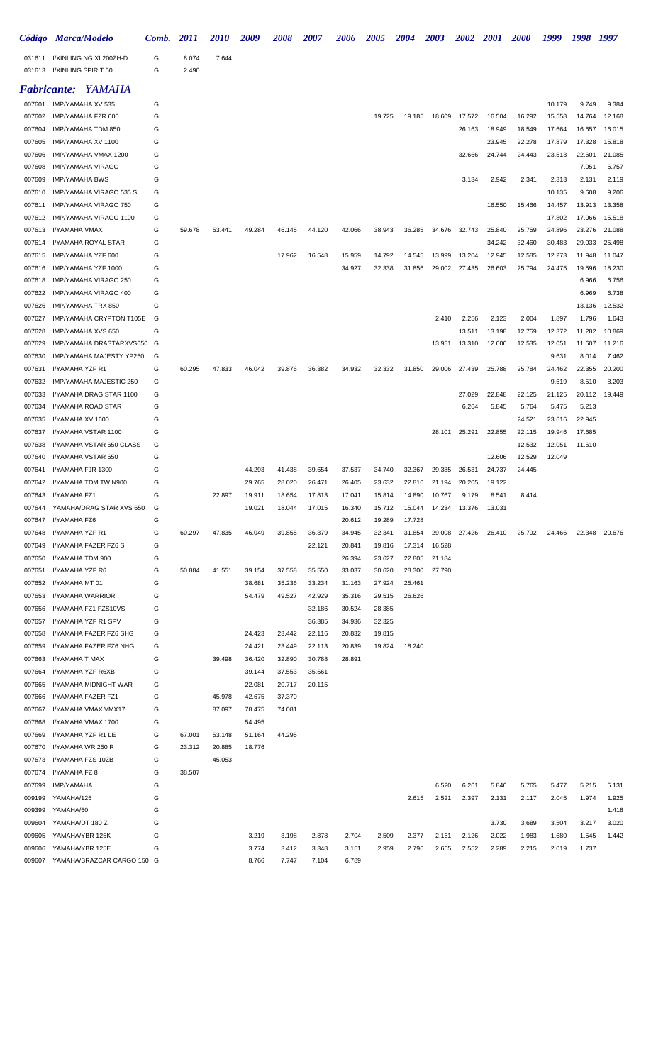|                  | Código Marca/Modelo                             | Comb.  | <i>2011</i>    | <i>2010</i> | 2009             | 2008   | <i><b>2007</b></i> | <b>2006</b>      | <b>2005</b>      | 2004             | 2003   | <b>2002</b> | <b>2001</b> | <b>2000</b> | 1999   | 1998           | 1997           |
|------------------|-------------------------------------------------|--------|----------------|-------------|------------------|--------|--------------------|------------------|------------------|------------------|--------|-------------|-------------|-------------|--------|----------------|----------------|
| 031611<br>031613 | I/XINLING NG XL200ZH-D<br>I/XINLING SPIRIT 50   | G<br>G | 8.074<br>2.490 | 7.644       |                  |        |                    |                  |                  |                  |        |             |             |             |        |                |                |
|                  | <b>Fabricante: YAMAHA</b>                       |        |                |             |                  |        |                    |                  |                  |                  |        |             |             |             |        |                |                |
| 007601           | IMP/YAMAHA XV 535                               | G      |                |             |                  |        |                    |                  |                  |                  |        |             |             |             | 10.179 | 9.749          | 9.384          |
| 007602           | IMP/YAMAHA FZR 600                              | G      |                |             |                  |        |                    |                  | 19.725           | 19.185           | 18.609 | 17.572      | 16.504      | 16.292      | 15.558 | 14.764         | 12.168         |
| 007604           | IMP/YAMAHA TDM 850                              | G      |                |             |                  |        |                    |                  |                  |                  |        | 26.163      | 18.949      | 18.549      | 17.664 | 16.657         | 16.015         |
| 007605           | IMP/YAMAHA XV 1100                              | G      |                |             |                  |        |                    |                  |                  |                  |        |             | 23.945      | 22.278      | 17.879 | 17.328         | 15.818         |
| 007606           | IMP/YAMAHA VMAX 1200                            | G      |                |             |                  |        |                    |                  |                  |                  |        | 32.666      | 24.744      | 24.443      | 23.513 | 22.601         | 21.085         |
| 007608           | IMP/YAMAHA VIRAGO                               | G      |                |             |                  |        |                    |                  |                  |                  |        |             |             |             |        | 7.051          | 6.757          |
| 007609           | <b>IMP/YAMAHA BWS</b>                           | G      |                |             |                  |        |                    |                  |                  |                  |        | 3.134       | 2.942       | 2.341       | 2.313  | 2.131          | 2.119          |
| 007610           | IMP/YAMAHA VIRAGO 535 S                         | G      |                |             |                  |        |                    |                  |                  |                  |        |             |             |             | 10.135 | 9.608          | 9.206          |
| 007611           | IMP/YAMAHA VIRAGO 750                           | G      |                |             |                  |        |                    |                  |                  |                  |        |             | 16.550      | 15.466      | 14.457 | 13.913         | 13.358         |
| 007612           | IMP/YAMAHA VIRAGO 1100                          | G      |                |             |                  |        |                    |                  |                  |                  |        |             |             |             | 17.802 | 17.066         | 15.518         |
| 007613           | I/YAMAHA VMAX                                   | G      | 59.678         | 53.441      | 49.284           | 46.145 | 44.120             | 42.066           | 38.943           | 36.285           | 34.676 | 32.743      | 25.840      | 25.759      | 24.896 | 23.276         | 21.088         |
| 007614           | I/YAMAHA ROYAL STAR                             | G      |                |             |                  |        |                    |                  |                  |                  |        |             | 34.242      | 32.460      | 30.483 | 29.033         | 25.498         |
| 007615           | IMP/YAMAHA YZF 600                              | G      |                |             |                  | 17.962 | 16.548             | 15.959           | 14.792           | 14.545           | 13.999 | 13.204      | 12.945      | 12.585      | 12.273 | 11.948         | 11.047         |
| 007616           | IMP/YAMAHA YZF 1000                             | G      |                |             |                  |        |                    | 34.927           | 32.338           | 31.856           | 29.002 | 27.435      | 26.603      | 25.794      | 24.475 | 19.596         | 18.230         |
| 007618<br>007622 | IMP/YAMAHA VIRAGO 250<br>IMP/YAMAHA VIRAGO 400  | G<br>G |                |             |                  |        |                    |                  |                  |                  |        |             |             |             |        | 6.966<br>6.969 | 6.756<br>6.738 |
| 007626           | IMP/YAMAHA TRX 850                              | G      |                |             |                  |        |                    |                  |                  |                  |        |             |             |             |        | 13.136         | 12.532         |
| 007627           | IMP/YAMAHA CRYPTON T105E                        | G      |                |             |                  |        |                    |                  |                  |                  | 2.410  | 2.256       | 2.123       | 2.004       | 1.897  | 1.796          | 1.643          |
| 007628           | IMP/YAMAHA XVS 650                              | G      |                |             |                  |        |                    |                  |                  |                  |        | 13.511      | 13.198      | 12.759      | 12.372 | 11.282         | 10.869         |
| 007629           | IMP/YAMAHA DRASTARXVS650 G                      |        |                |             |                  |        |                    |                  |                  |                  | 13.951 | 13.310      | 12.606      | 12.535      | 12.051 | 11.607         | 11.216         |
| 007630           | IMP/YAMAHA MAJESTY YP250                        | G      |                |             |                  |        |                    |                  |                  |                  |        |             |             |             | 9.631  | 8.014          | 7.462          |
| 007631           | I/YAMAHA YZF R1                                 | G      | 60.295         | 47.833      | 46.042           | 39.876 | 36.382             | 34.932           | 32.332           | 31.850           | 29.006 | 27.439      | 25.788      | 25.784      | 24.462 | 22.355         | 20.200         |
| 007632           | IMP/YAMAHA MAJESTIC 250                         | G      |                |             |                  |        |                    |                  |                  |                  |        |             |             |             | 9.619  | 8.510          | 8.203          |
| 007633           | I/YAMAHA DRAG STAR 1100                         | G      |                |             |                  |        |                    |                  |                  |                  |        | 27.029      | 22.848      | 22.125      | 21.125 | 20.112         | 19.449         |
| 007634           | I/YAMAHA ROAD STAR                              | G      |                |             |                  |        |                    |                  |                  |                  |        | 6.264       | 5.845       | 5.764       | 5.475  | 5.213          |                |
| 007635           | I/YAMAHA XV 1600                                | G      |                |             |                  |        |                    |                  |                  |                  |        |             |             | 24.521      | 23.616 | 22.945         |                |
| 007637           | I/YAMAHA VSTAR 1100                             | G      |                |             |                  |        |                    |                  |                  |                  | 28.101 | 25.291      | 22.855      | 22.115      | 19.946 | 17.685         |                |
| 007638           | I/YAMAHA VSTAR 650 CLASS                        | G      |                |             |                  |        |                    |                  |                  |                  |        |             |             | 12.532      | 12.051 | 11.610         |                |
| 007640           | I/YAMAHA VSTAR 650                              | G      |                |             |                  |        |                    |                  |                  |                  |        |             | 12.606      | 12.529      | 12.049 |                |                |
| 007641           | I/YAMAHA FJR 1300                               | G      |                |             | 44.293           | 41.438 | 39.654             | 37.537           | 34.740           | 32.367           | 29.385 | 26.531      | 24.737      | 24.445      |        |                |                |
| 007642           | I/YAMAHA TDM TWIN900                            | G      |                |             | 29.765           | 28.020 | 26.471             | 26.405           | 23.632           | 22.816           | 21.194 | 20.205      | 19.122      |             |        |                |                |
| 007643           | I/YAMAHA FZ1<br>007644 YAMAHA/DRAG STAR XVS 650 | G      |                | 22.897      | 19.911           | 18.654 | 17.813             | 17.041           | 15.814           | 14.890           | 10.767 | 9.179       | 8.541       | 8.414       |        |                |                |
| 007647           | I/YAMAHA FZ6                                    | G<br>G |                |             | 19.021           | 18.044 | 17.015             | 16.340<br>20.612 | 15.712<br>19.289 | 15.044<br>17.728 | 14.234 | 13.376      | 13.031      |             |        |                |                |
| 007648           | I/YAMAHA YZF R1                                 | G      | 60.297         | 47.835      | 46.049           | 39.855 | 36.379             | 34.945           | 32.341           | 31.854           | 29.008 | 27.426      | 26.410      | 25.792      | 24.466 | 22.348         | 20.676         |
| 007649           | I/YAMAHA FAZER FZ6 S                            | G      |                |             |                  |        | 22.121             | 20.841           | 19.816           | 17.314           | 16.528 |             |             |             |        |                |                |
| 007650           | I/YAMAHA TDM 900                                | G      |                |             |                  |        |                    | 26.394           | 23.627           | 22.805           | 21.184 |             |             |             |        |                |                |
| 007651           | I/YAMAHA YZF R6                                 | G      | 50.884         | 41.551      | 39.154           | 37.558 | 35.550             | 33.037           | 30.620           | 28.300           | 27.790 |             |             |             |        |                |                |
| 007652           | I/YAMAHA MT 01                                  | G      |                |             | 38.681           | 35.236 | 33.234             | 31.163           | 27.924           | 25.461           |        |             |             |             |        |                |                |
| 007653           | I/YAMAHA WARRIOR                                | G      |                |             | 54.479           | 49.527 | 42.929             | 35.316           | 29.515           | 26.626           |        |             |             |             |        |                |                |
| 007656           | I/YAMAHA FZ1 FZS10VS                            | G      |                |             |                  |        | 32.186             | 30.524           | 28.385           |                  |        |             |             |             |        |                |                |
| 007657           | I/YAMAHA YZF R1 SPV                             | G      |                |             |                  |        | 36.385             | 34.936           | 32.325           |                  |        |             |             |             |        |                |                |
| 007658           | I/YAMAHA FAZER FZ6 SHG                          | G      |                |             | 24.423           | 23.442 | 22.116             | 20.832           | 19.815           |                  |        |             |             |             |        |                |                |
| 007659           | I/YAMAHA FAZER FZ6 NHG                          | G      |                |             | 24.421           | 23.449 | 22.113             | 20.839           | 19.824           | 18.240           |        |             |             |             |        |                |                |
| 007663           | I/YAMAHA T MAX                                  | G      |                | 39.498      | 36.420           | 32.890 | 30.788             | 28.891           |                  |                  |        |             |             |             |        |                |                |
| 007664           | I/YAMAHA YZF R6XB                               | G      |                |             | 39.144           | 37.553 | 35.561             |                  |                  |                  |        |             |             |             |        |                |                |
| 007665           | I/YAMAHA MIDNIGHT WAR                           | G      |                |             | 22.081           | 20.717 | 20.115             |                  |                  |                  |        |             |             |             |        |                |                |
| 007666           | I/YAMAHA FAZER FZ1                              | G      |                | 45.978      | 42.675           | 37.370 |                    |                  |                  |                  |        |             |             |             |        |                |                |
| 007667           | I/YAMAHA VMAX VMX17                             | G      |                | 87.097      | 78.475           | 74.081 |                    |                  |                  |                  |        |             |             |             |        |                |                |
| 007668<br>007669 | I/YAMAHA VMAX 1700<br>I/YAMAHA YZF R1 LE        | G<br>G | 67.001         | 53.148      | 54.495<br>51.164 | 44.295 |                    |                  |                  |                  |        |             |             |             |        |                |                |
| 007670           | I/YAMAHA WR 250 R                               | G      | 23.312         | 20.885      | 18.776           |        |                    |                  |                  |                  |        |             |             |             |        |                |                |
| 007673           | I/YAMAHA FZS 10ZB                               | G      |                | 45.053      |                  |        |                    |                  |                  |                  |        |             |             |             |        |                |                |
| 007674           | I/YAMAHA FZ 8                                   | G      | 38.507         |             |                  |        |                    |                  |                  |                  |        |             |             |             |        |                |                |
| 007699           | <b>IMP/YAMAHA</b>                               | G      |                |             |                  |        |                    |                  |                  |                  | 6.520  | 6.261       | 5.846       | 5.765       | 5.477  | 5.215          | 5.131          |
| 009199           | YAMAHA/125                                      | G      |                |             |                  |        |                    |                  |                  | 2.615            | 2.521  | 2.397       | 2.131       | 2.117       | 2.045  | 1.974          | 1.925          |
| 009399           | YAMAHA/50                                       | G      |                |             |                  |        |                    |                  |                  |                  |        |             |             |             |        |                | 1.418          |
| 009604           | YAMAHA/DT 180 Z                                 | G      |                |             |                  |        |                    |                  |                  |                  |        |             | 3.730       | 3.689       | 3.504  | 3.217          | 3.020          |
| 009605           | YAMAHA/YBR 125K                                 | G      |                |             | 3.219            | 3.198  | 2.878              | 2.704            | 2.509            | 2.377            | 2.161  | 2.126       | 2.022       | 1.983       | 1.680  | 1.545          | 1.442          |
| 009606           | YAMAHA/YBR 125E                                 | G      |                |             | 3.774            | 3.412  | 3.348              | 3.151            | 2.959            | 2.796            | 2.665  | 2.552       | 2.289       | 2.215       | 2.019  | 1.737          |                |
|                  | 009607 YAMAHA/BRAZCAR CARGO 150 G               |        |                |             | 8.766            | 7.747  | 7.104              | 6.789            |                  |                  |        |             |             |             |        |                |                |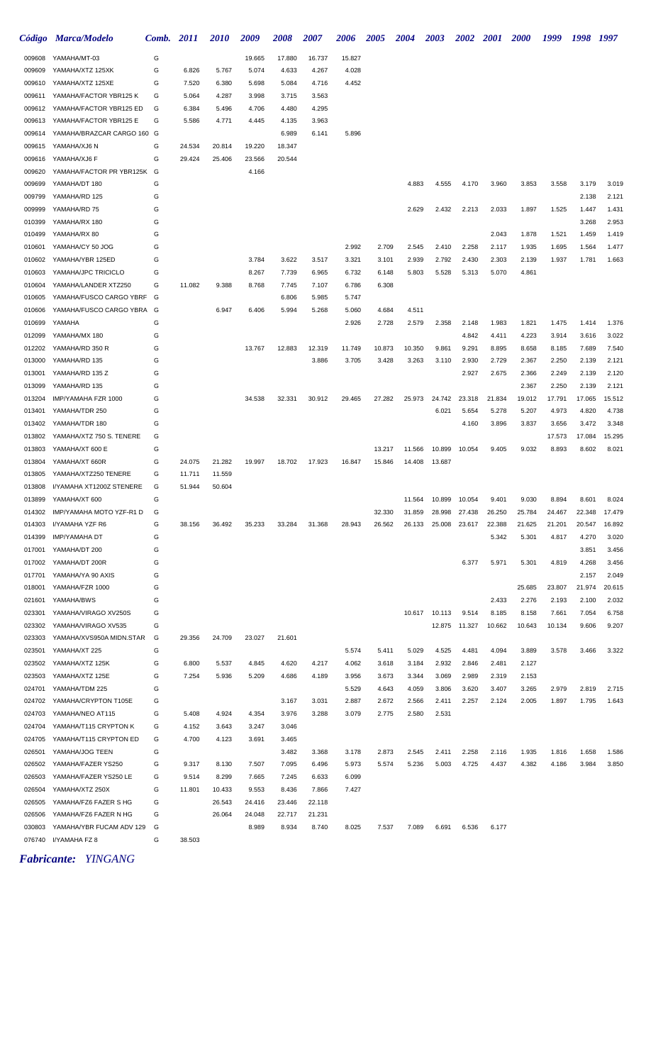|                  | Código Marca/Modelo                                | Comb. 2011 |                 | <i>2010</i>     | 2009           | 2008           | <i><b>2007</b></i> | 2006           | <b>2005</b>      | <b>2004</b>      | <b>2003</b>      | <b>2002</b>      | 2001             | <b>2000</b>      | 1999             | 1998            | 1997             |
|------------------|----------------------------------------------------|------------|-----------------|-----------------|----------------|----------------|--------------------|----------------|------------------|------------------|------------------|------------------|------------------|------------------|------------------|-----------------|------------------|
| 009608           | YAMAHA/MT-03                                       | G          |                 |                 | 19.665         | 17.880         | 16.737             | 15.827         |                  |                  |                  |                  |                  |                  |                  |                 |                  |
| 009609           | YAMAHA/XTZ 125XK                                   | G          | 6.826           | 5.767           | 5.074          | 4.633          | 4.267              | 4.028          |                  |                  |                  |                  |                  |                  |                  |                 |                  |
| 009610           | YAMAHA/XTZ 125XE                                   | G          | 7.520           | 6.380           | 5.698          | 5.084          | 4.716              | 4.452          |                  |                  |                  |                  |                  |                  |                  |                 |                  |
| 009611           | YAMAHA/FACTOR YBR125K                              | G          | 5.064           | 4.287           | 3.998          | 3.715          | 3.563              |                |                  |                  |                  |                  |                  |                  |                  |                 |                  |
| 009612           | YAMAHA/FACTOR YBR125 ED                            | G          | 6.384           | 5.496           | 4.706          | 4.480          | 4.295              |                |                  |                  |                  |                  |                  |                  |                  |                 |                  |
| 009613           | YAMAHA/FACTOR YBR125 E                             | G          | 5.586           | 4.771           | 4.445          | 4.135          | 3.963              |                |                  |                  |                  |                  |                  |                  |                  |                 |                  |
| 009614           | YAMAHA/BRAZCAR CARGO 160 G                         |            |                 |                 |                | 6.989          | 6.141              | 5.896          |                  |                  |                  |                  |                  |                  |                  |                 |                  |
| 009615           | YAMAHA/XJ6 N                                       | G          | 24.534          | 20.814          | 19.220         | 18.347         |                    |                |                  |                  |                  |                  |                  |                  |                  |                 |                  |
| 009616           | YAMAHA/XJ6 F                                       | G          | 29.424          | 25.406          | 23.566         | 20.544         |                    |                |                  |                  |                  |                  |                  |                  |                  |                 |                  |
| 009620           | YAMAHA/FACTOR PR YBR125K G                         |            |                 |                 | 4.166          |                |                    |                |                  |                  |                  |                  |                  |                  |                  |                 |                  |
| 009699           | YAMAHA/DT 180                                      | G          |                 |                 |                |                |                    |                |                  | 4.883            | 4.555            | 4.170            | 3.960            | 3.853            | 3.558            | 3.179           | 3.019            |
| 009799           | YAMAHA/RD 125                                      | G          |                 |                 |                |                |                    |                |                  |                  |                  |                  |                  |                  |                  | 2.138           | 2.121            |
| 009999           | YAMAHA/RD 75                                       | G          |                 |                 |                |                |                    |                |                  | 2.629            | 2.432            | 2.213            | 2.033            | 1.897            | 1.525            | 1.447           | 1.431            |
| 010399<br>010499 | YAMAHA/RX 180                                      | G<br>G     |                 |                 |                |                |                    |                |                  |                  |                  |                  | 2.043            | 1.878            | 1.521            | 3.268<br>1.459  | 2.953<br>1.419   |
| 010601           | YAMAHA/RX 80<br>YAMAHA/CY 50 JOG                   | G          |                 |                 |                |                |                    | 2.992          | 2.709            | 2.545            | 2.410            | 2.258            | 2.117            | 1.935            | 1.695            | 1.564           | 1.477            |
| 010602           | YAMAHA/YBR 125ED                                   | G          |                 |                 | 3.784          | 3.622          | 3.517              | 3.321          | 3.101            | 2.939            | 2.792            | 2.430            | 2.303            | 2.139            | 1.937            | 1.781           | 1.663            |
| 010603           | YAMAHA/JPC TRICICLO                                | G          |                 |                 | 8.267          | 7.739          | 6.965              | 6.732          | 6.148            | 5.803            | 5.528            | 5.313            | 5.070            | 4.861            |                  |                 |                  |
| 010604           | YAMAHA/LANDER XTZ250                               | G          | 11.082          | 9.388           | 8.768          | 7.745          | 7.107              | 6.786          | 6.308            |                  |                  |                  |                  |                  |                  |                 |                  |
| 010605           | YAMAHA/FUSCO CARGO YBRF                            | G          |                 |                 |                | 6.806          | 5.985              | 5.747          |                  |                  |                  |                  |                  |                  |                  |                 |                  |
| 010606           | YAMAHA/FUSCO CARGO YBRA G                          |            |                 | 6.947           | 6.406          | 5.994          | 5.268              | 5.060          | 4.684            | 4.511            |                  |                  |                  |                  |                  |                 |                  |
| 010699           | YAMAHA                                             | G          |                 |                 |                |                |                    | 2.926          | 2.728            | 2.579            | 2.358            | 2.148            | 1.983            | 1.821            | 1.475            | 1.414           | 1.376            |
| 012099           | YAMAHA/MX 180                                      | G          |                 |                 |                |                |                    |                |                  |                  |                  | 4.842            | 4.411            | 4.223            | 3.914            | 3.616           | 3.022            |
| 012202           | YAMAHA/RD 350 R                                    | G          |                 |                 | 13.767         | 12.883         | 12.319             | 11.749         | 10.873           | 10.350           | 9.861            | 9.291            | 8.895            | 8.658            | 8.185            | 7.689           | 7.540            |
| 013000           | YAMAHA/RD 135                                      | G          |                 |                 |                |                | 3.886              | 3.705          | 3.428            | 3.263            | 3.110            | 2.930            | 2.729            | 2.367            | 2.250            | 2.139           | 2.121            |
| 013001           | YAMAHA/RD 135 Z                                    | G          |                 |                 |                |                |                    |                |                  |                  |                  | 2.927            | 2.675            | 2.366            | 2.249            | 2.139           | 2.120            |
| 013099           | YAMAHA/RD 135                                      | G          |                 |                 |                |                |                    |                |                  |                  |                  |                  |                  | 2.367            | 2.250            | 2.139           | 2.121            |
| 013204           | IMP/YAMAHA FZR 1000                                | G          |                 |                 | 34.538         | 32.331         | 30.912             | 29.465         | 27.282           | 25.973           | 24.742           | 23.318           | 21.834           | 19.012           | 17.791           | 17.065          | 15.512           |
| 013401           | YAMAHA/TDR 250                                     | G          |                 |                 |                |                |                    |                |                  |                  | 6.021            | 5.654            | 5.278            | 5.207            | 4.973            | 4.820           | 4.738            |
| 013402           | YAMAHA/TDR 180                                     | G          |                 |                 |                |                |                    |                |                  |                  |                  | 4.160            | 3.896            | 3.837            | 3.656            | 3.472           | 3.348            |
| 013802           | YAMAHA/XTZ 750 S. TENERE                           | G          |                 |                 |                |                |                    |                |                  |                  |                  |                  |                  |                  | 17.573           | 17.084          | 15.295           |
| 013803           | YAMAHA/XT 600 E                                    | G          |                 |                 |                |                |                    |                | 13.217           | 11.566           | 10.899           | 10.054           | 9.405            | 9.032            | 8.893            | 8.602           | 8.021            |
| 013804           | YAMAHA/XT 660R                                     | G          | 24.075          | 21.282          | 19.997         | 18.702         | 17.923             | 16.847         | 15.846           | 14.408           | 13.687           |                  |                  |                  |                  |                 |                  |
| 013805           | YAMAHA/XTZ250 TENERE                               | G          | 11.711          | 11.559          |                |                |                    |                |                  |                  |                  |                  |                  |                  |                  |                 |                  |
| 013808           | I/YAMAHA XT1200Z STENERE                           | G          | 51.944          | 50.604          |                |                |                    |                |                  |                  |                  |                  |                  |                  |                  |                 |                  |
| 013899           | YAMAHA/XT 600                                      | G          |                 |                 |                |                |                    |                |                  | 11.564           | 10.899           | 10.054           | 9.401            | 9.030            | 8.894            | 8.601           | 8.024            |
| 014303           | 014302 IMP/YAMAHA MOTO YZF-R1 D<br>I/YAMAHA YZF R6 | G<br>G     | 38.156          | 36.492          | 35.233         | 33.284         | 31.368             | 28.943         | 32.330<br>26.562 | 31.859<br>26.133 | 28.998<br>25.008 | 27.438<br>23.617 | 26.250<br>22.388 | 25.784<br>21.625 | 24.467<br>21.201 | 22.348          | 17.479<br>16.892 |
| 014399           | <b>IMP/YAMAHA DT</b>                               | G          |                 |                 |                |                |                    |                |                  |                  |                  |                  | 5.342            | 5.301            | 4.817            | 20.547<br>4.270 | 3.020            |
| 017001           | YAMAHA/DT 200                                      | G          |                 |                 |                |                |                    |                |                  |                  |                  |                  |                  |                  |                  | 3.851           | 3.456            |
| 017002           | YAMAHA/DT 200R                                     | G          |                 |                 |                |                |                    |                |                  |                  |                  | 6.377            | 5.971            | 5.301            | 4.819            | 4.268           | 3.456            |
| 017701           | YAMAHA/YA 90 AXIS                                  | G          |                 |                 |                |                |                    |                |                  |                  |                  |                  |                  |                  |                  | 2.157           | 2.049            |
| 018001           | YAMAHA/FZR 1000                                    | G          |                 |                 |                |                |                    |                |                  |                  |                  |                  |                  | 25.685           | 23.807           | 21.974          | 20.615           |
| 021601           | YAMAHA/BWS                                         | G          |                 |                 |                |                |                    |                |                  |                  |                  |                  | 2.433            | 2.276            | 2.193            | 2.100           | 2.032            |
| 023301           | YAMAHA/VIRAGO XV250S                               | G          |                 |                 |                |                |                    |                |                  |                  | 10.617 10.113    | 9.514            | 8.185            | 8.158            | 7.661            | 7.054           | 6.758            |
| 023302           | YAMAHA/VIRAGO XV535                                | G          |                 |                 |                |                |                    |                |                  |                  | 12.875           | 11.327           | 10.662           | 10.643           | 10.134           | 9.606           | 9.207            |
| 023303           | YAMAHA/XVS950A MIDN.STAR                           | G          | 29.356          | 24.709          | 23.027         | 21.601         |                    |                |                  |                  |                  |                  |                  |                  |                  |                 |                  |
| 023501           | YAMAHA/XT 225                                      | G          |                 |                 |                |                |                    | 5.574          | 5.411            | 5.029            | 4.525            | 4.481            | 4.094            | 3.889            | 3.578            | 3.466           | 3.322            |
| 023502           | YAMAHA/XTZ 125K                                    | G          | 6.800           | 5.537           | 4.845          | 4.620          | 4.217              | 4.062          | 3.618            | 3.184            | 2.932            | 2.846            | 2.481            | 2.127            |                  |                 |                  |
| 023503           | YAMAHA/XTZ 125E                                    | G          | 7.254           | 5.936           | 5.209          | 4.686          | 4.189              | 3.956          | 3.673            | 3.344            | 3.069            | 2.989            | 2.319            | 2.153            |                  |                 |                  |
| 024701           | YAMAHA/TDM 225                                     | G          |                 |                 |                |                |                    | 5.529          | 4.643            | 4.059            | 3.806            | 3.620            | 3.407            | 3.265            | 2.979            | 2.819           | 2.715            |
| 024702           | YAMAHA/CRYPTON T105E                               | G          |                 |                 |                | 3.167          | 3.031              | 2.887          | 2.672            | 2.566            | 2.411            | 2.257            | 2.124            | 2.005            | 1.897            | 1.795           | 1.643            |
| 024703           | YAMAHA/NEO AT115                                   | G          | 5.408           | 4.924           | 4.354          | 3.976          | 3.288              | 3.079          | 2.775            | 2.580            | 2.531            |                  |                  |                  |                  |                 |                  |
| 024704           | YAMAHA/T115 CRYPTON K                              | G          | 4.152           | 3.643           | 3.247          | 3.046          |                    |                |                  |                  |                  |                  |                  |                  |                  |                 |                  |
| 024705           | YAMAHA/T115 CRYPTON ED                             | G          | 4.700           | 4.123           | 3.691          | 3.465          |                    |                |                  |                  |                  |                  |                  |                  |                  |                 |                  |
| 026501           | YAMAHA/JOG TEEN                                    | G          |                 |                 |                | 3.482          | 3.368              | 3.178          | 2.873            | 2.545            | 2.411            | 2.258            | 2.116            | 1.935            | 1.816            | 1.658           | 1.586            |
| 026502           | YAMAHA/FAZER YS250                                 | G          | 9.317           | 8.130           | 7.507          | 7.095          | 6.496              | 5.973          | 5.574            | 5.236            | 5.003            | 4.725            | 4.437            | 4.382            | 4.186            | 3.984           | 3.850            |
| 026503<br>026504 | YAMAHA/FAZER YS250 LE<br>YAMAHA/XTZ 250X           | G<br>G     | 9.514<br>11.801 | 8.299<br>10.433 | 7.665<br>9.553 | 7.245<br>8.436 | 6.633<br>7.866     | 6.099<br>7.427 |                  |                  |                  |                  |                  |                  |                  |                 |                  |
| 026505           | YAMAHA/FZ6 FAZER S HG                              | G          |                 | 26.543          | 24.416         | 23.446         | 22.118             |                |                  |                  |                  |                  |                  |                  |                  |                 |                  |
| 026506           | YAMAHA/FZ6 FAZER N HG                              | G          |                 | 26.064          | 24.048         | 22.717         | 21.231             |                |                  |                  |                  |                  |                  |                  |                  |                 |                  |
| 030803           | YAMAHA/YBR FUCAM ADV 129                           | G          |                 |                 | 8.989          | 8.934          | 8.740              | 8.025          | 7.537            | 7.089            | 6.691            | 6.536            | 6.177            |                  |                  |                 |                  |
| 076740           | I/YAMAHA FZ 8                                      | G          | 38.503          |                 |                |                |                    |                |                  |                  |                  |                  |                  |                  |                  |                 |                  |

*Fabricante: YINGANG*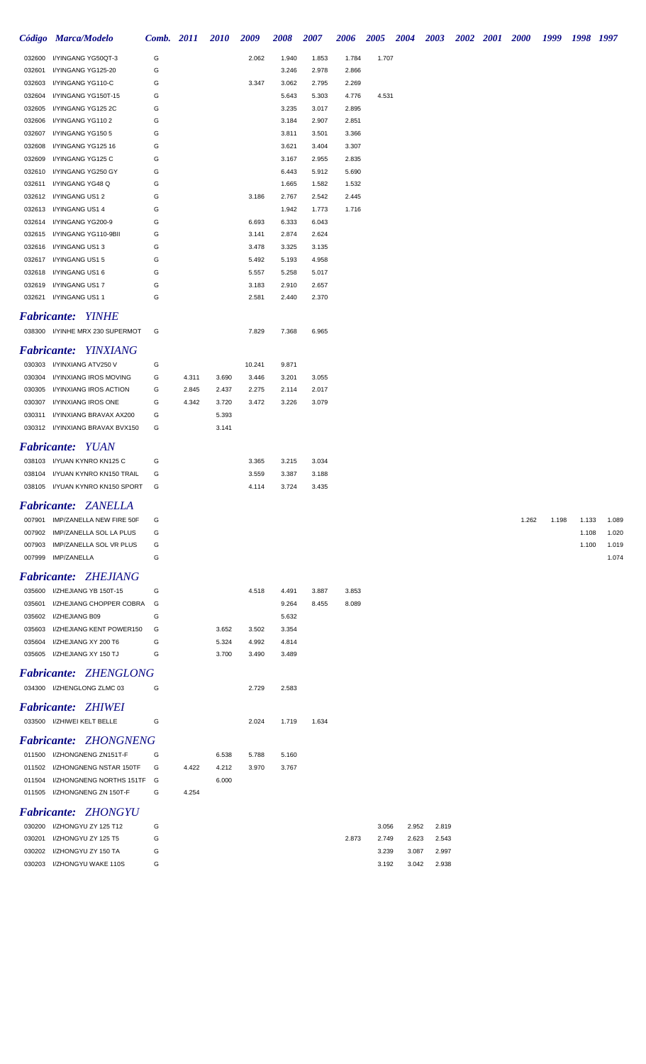|                  | Código Marca/Modelo                        | Comb. 2011 |       | <b>2010</b> | 2009   | 2008           | 2007           | 2006           | 2005  | 2004 |       | 2003  | <b>2002</b> | <b>2001</b> | <b>2000</b> | 1999  |       | 1998 1997 |
|------------------|--------------------------------------------|------------|-------|-------------|--------|----------------|----------------|----------------|-------|------|-------|-------|-------------|-------------|-------------|-------|-------|-----------|
| 032600           | I/YINGANG YG50QT-3                         | G          |       |             | 2.062  | 1.940          | 1.853          | 1.784          | 1.707 |      |       |       |             |             |             |       |       |           |
| 032601           | I/YINGANG YG125-20                         | G          |       |             |        | 3.246          | 2.978          | 2.866          |       |      |       |       |             |             |             |       |       |           |
| 032603           | I/YINGANG YG110-C                          | G          |       |             | 3.347  | 3.062          | 2.795          | 2.269          |       |      |       |       |             |             |             |       |       |           |
| 032604           | I/YINGANG YG150T-15                        | G          |       |             |        | 5.643          | 5.303          | 4.776          | 4.531 |      |       |       |             |             |             |       |       |           |
| 032605           | I/YINGANG YG125 2C                         | G          |       |             |        | 3.235          | 3.017          | 2.895          |       |      |       |       |             |             |             |       |       |           |
| 032606           | I/YINGANG YG1102                           | G          |       |             |        | 3.184          | 2.907          | 2.851          |       |      |       |       |             |             |             |       |       |           |
| 032607           | I/YINGANG YG150 5                          | G          |       |             |        | 3.811          | 3.501          | 3.366          |       |      |       |       |             |             |             |       |       |           |
| 032608           | I/YINGANG YG125 16                         | G          |       |             |        | 3.621          | 3.404          | 3.307          |       |      |       |       |             |             |             |       |       |           |
| 032609           | I/YINGANG YG125 C                          | G          |       |             |        | 3.167          | 2.955          | 2.835          |       |      |       |       |             |             |             |       |       |           |
| 032610           | I/YINGANG YG250 GY                         | G          |       |             |        | 6.443          | 5.912          | 5.690          |       |      |       |       |             |             |             |       |       |           |
| 032611<br>032612 | I/YINGANG YG48 Q<br>I/YINGANG US1 2        | G<br>G     |       |             | 3.186  | 1.665<br>2.767 | 1.582<br>2.542 | 1.532<br>2.445 |       |      |       |       |             |             |             |       |       |           |
| 032613           | I/YINGANG US1 4                            | G          |       |             |        | 1.942          | 1.773          | 1.716          |       |      |       |       |             |             |             |       |       |           |
| 032614           | I/YINGANG YG200-9                          | G          |       |             | 6.693  | 6.333          | 6.043          |                |       |      |       |       |             |             |             |       |       |           |
| 032615           | I/YINGANG YG110-9BII                       | G          |       |             | 3.141  | 2.874          | 2.624          |                |       |      |       |       |             |             |             |       |       |           |
| 032616           | I/YINGANG US13                             | G          |       |             | 3.478  | 3.325          | 3.135          |                |       |      |       |       |             |             |             |       |       |           |
| 032617           | I/YINGANG US15                             | G          |       |             | 5.492  | 5.193          | 4.958          |                |       |      |       |       |             |             |             |       |       |           |
| 032618           | I/YINGANG US1 6                            | G          |       |             | 5.557  | 5.258          | 5.017          |                |       |      |       |       |             |             |             |       |       |           |
| 032619           | I/YINGANG US17                             | G          |       |             | 3.183  | 2.910          | 2.657          |                |       |      |       |       |             |             |             |       |       |           |
| 032621           | I/YINGANG US11                             | G          |       |             | 2.581  | 2.440          | 2.370          |                |       |      |       |       |             |             |             |       |       |           |
|                  | Fabricante: YINHE                          |            |       |             |        |                |                |                |       |      |       |       |             |             |             |       |       |           |
|                  | 038300 I/YINHE MRX 230 SUPERMOT            | G          |       |             | 7.829  | 7.368          | 6.965          |                |       |      |       |       |             |             |             |       |       |           |
|                  | Fabricante: YINXIANG                       |            |       |             |        |                |                |                |       |      |       |       |             |             |             |       |       |           |
| 030303           | I/YINXIANG ATV250 V                        | G          |       |             | 10.241 | 9.871          |                |                |       |      |       |       |             |             |             |       |       |           |
| 030304           | I/YINXIANG IROS MOVING                     | G          | 4.311 | 3.690       | 3.446  | 3.201          | 3.055          |                |       |      |       |       |             |             |             |       |       |           |
| 030305           | I/YINXIANG IROS ACTION                     | G          | 2.845 | 2.437       | 2.275  | 2.114          | 2.017          |                |       |      |       |       |             |             |             |       |       |           |
| 030307           | I/YINXIANG IROS ONE                        | G          | 4.342 | 3.720       | 3.472  | 3.226          | 3.079          |                |       |      |       |       |             |             |             |       |       |           |
| 030311           | I/YINXIANG BRAVAX AX200                    | G          |       | 5.393       |        |                |                |                |       |      |       |       |             |             |             |       |       |           |
|                  | 030312 I/YINXIANG BRAVAX BVX150            | G          |       | 3.141       |        |                |                |                |       |      |       |       |             |             |             |       |       |           |
|                  | <b>Fabricante: YUAN</b>                    |            |       |             |        |                |                |                |       |      |       |       |             |             |             |       |       |           |
|                  | 038103 I/YUAN KYNRO KN125 C                | G          |       |             | 3.365  | 3.215          | 3.034          |                |       |      |       |       |             |             |             |       |       |           |
|                  | 038104 I/YUAN KYNRO KN150 TRAIL            | G          |       |             | 3.559  | 3.387          | 3.188          |                |       |      |       |       |             |             |             |       |       |           |
|                  | 038105 I/YUAN KYNRO KN150 SPORT            | G          |       |             | 4.114  | 3.724          | 3.435          |                |       |      |       |       |             |             |             |       |       |           |
|                  | Fabricante: ZANELLA                        |            |       |             |        |                |                |                |       |      |       |       |             |             |             |       |       |           |
| 007901           | IMP/ZANELLA NEW FIRE 50F                   | G          |       |             |        |                |                |                |       |      |       |       |             |             | 1.262       | 1.198 | 1.133 | 1.089     |
| 007902           | IMP/ZANELLA SOL LA PLUS                    | G          |       |             |        |                |                |                |       |      |       |       |             |             |             |       | 1.108 | 1.020     |
| 007903           | IMP/ZANELLA SOL VR PLUS                    | G          |       |             |        |                |                |                |       |      |       |       |             |             |             |       | 1.100 | 1.019     |
| 007999           | IMP/ZANELLA                                | G          |       |             |        |                |                |                |       |      |       |       |             |             |             |       |       | 1.074     |
|                  |                                            |            |       |             |        |                |                |                |       |      |       |       |             |             |             |       |       |           |
|                  | <b>Fabricante: ZHEJIANG</b>                |            |       |             |        |                |                |                |       |      |       |       |             |             |             |       |       |           |
| 035600           | I/ZHEJIANG YB 150T-15                      | G          |       |             | 4.518  | 4.491          | 3.887          | 3.853          |       |      |       |       |             |             |             |       |       |           |
| 035601           | I/ZHEJIANG CHOPPER COBRA                   | G          |       |             |        | 9.264          | 8.455          | 8.089          |       |      |       |       |             |             |             |       |       |           |
| 035602<br>035603 | I/ZHEJIANG B09<br>I/ZHEJIANG KENT POWER150 | G<br>G     |       | 3.652       | 3.502  | 5.632<br>3.354 |                |                |       |      |       |       |             |             |             |       |       |           |
| 035604           | I/ZHEJIANG XY 200 T6                       | G          |       | 5.324       | 4.992  | 4.814          |                |                |       |      |       |       |             |             |             |       |       |           |
| 035605           | I/ZHEJIANG XY 150 TJ                       | G          |       | 3.700       | 3.490  | 3.489          |                |                |       |      |       |       |             |             |             |       |       |           |
|                  |                                            |            |       |             |        |                |                |                |       |      |       |       |             |             |             |       |       |           |
|                  | <b>Fabricante: ZHENGLONG</b>               |            |       |             |        |                |                |                |       |      |       |       |             |             |             |       |       |           |
|                  | 034300 I/ZHENGLONG ZLMC 03                 | G          |       |             | 2.729  | 2.583          |                |                |       |      |       |       |             |             |             |       |       |           |
|                  | <b>Fabricante: ZHIWEI</b>                  |            |       |             |        |                |                |                |       |      |       |       |             |             |             |       |       |           |
|                  | 033500 I/ZHIWEI KELT BELLE                 | G          |       |             | 2.024  | 1.719          | 1.634          |                |       |      |       |       |             |             |             |       |       |           |
|                  | <b>Fabricante: ZHONGNENG</b>               |            |       |             |        |                |                |                |       |      |       |       |             |             |             |       |       |           |
|                  | 011500 I/ZHONGNENG ZN151T-F                | G          |       | 6.538       | 5.788  | 5.160          |                |                |       |      |       |       |             |             |             |       |       |           |
|                  | 011502 I/ZHONGNENG NSTAR 150TF             | G          | 4.422 | 4.212       | 3.970  | 3.767          |                |                |       |      |       |       |             |             |             |       |       |           |
|                  | 011504 I/ZHONGNENG NORTHS 151TF            | G          |       | 6.000       |        |                |                |                |       |      |       |       |             |             |             |       |       |           |
|                  | 011505 I/ZHONGNENG ZN 150T-F               | G          | 4.254 |             |        |                |                |                |       |      |       |       |             |             |             |       |       |           |
|                  | <b>Fabricante: ZHONGYU</b>                 |            |       |             |        |                |                |                |       |      |       |       |             |             |             |       |       |           |
| 030200           | I/ZHONGYU ZY 125 T12                       | G          |       |             |        |                |                |                | 3.056 |      | 2.952 | 2.819 |             |             |             |       |       |           |
| 030201           | I/ZHONGYU ZY 125 T5                        | G          |       |             |        |                |                | 2.873          | 2.749 |      | 2.623 | 2.543 |             |             |             |       |       |           |
|                  | 030202 I/ZHONGYU ZY 150 TA                 | G          |       |             |        |                |                |                | 3.239 |      | 3.087 | 2.997 |             |             |             |       |       |           |

I/ZHONGYU WAKE 110S G 3.192 3.042 2.938